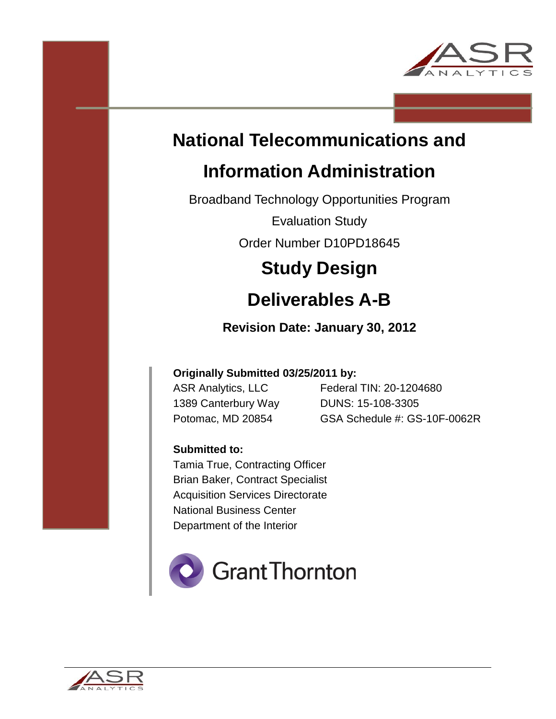

# **National Telecommunications and**

# **Information Administration**

Broadband Technology Opportunities Program

Evaluation Study

Order Number D10PD18645

# **Study Design**

# **Deliverables A-B**

## **Revision Date: January 30, 2012**

## **Originally Submitted 03/25/2011 by:**

1389 Canterbury Way DUNS: 15-108-3305

ASR Analytics, LLC Federal TIN: 20-1204680 Potomac, MD 20854 GSA Schedule #: GS-10F-0062R

## **Submitted to:**

Tamia True, Contracting Officer Brian Baker, Contract Specialist Acquisition Services Directorate National Business Center Department of the Interior



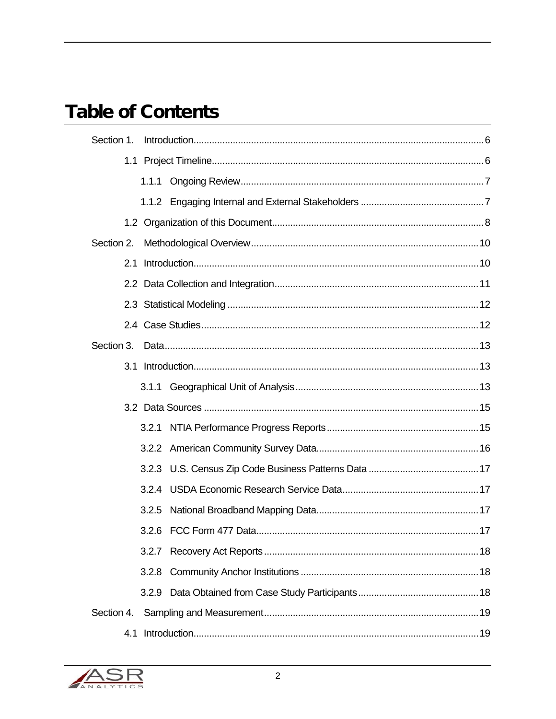## **Table of Contents**

| Section 1. |  |  |  |  |
|------------|--|--|--|--|
|            |  |  |  |  |
|            |  |  |  |  |
|            |  |  |  |  |
|            |  |  |  |  |
| Section 2. |  |  |  |  |
| 2.1        |  |  |  |  |
|            |  |  |  |  |
|            |  |  |  |  |
|            |  |  |  |  |
| Section 3. |  |  |  |  |
|            |  |  |  |  |
|            |  |  |  |  |
|            |  |  |  |  |
|            |  |  |  |  |
|            |  |  |  |  |
|            |  |  |  |  |
|            |  |  |  |  |
|            |  |  |  |  |
|            |  |  |  |  |
|            |  |  |  |  |
|            |  |  |  |  |
|            |  |  |  |  |
| Section 4. |  |  |  |  |
|            |  |  |  |  |

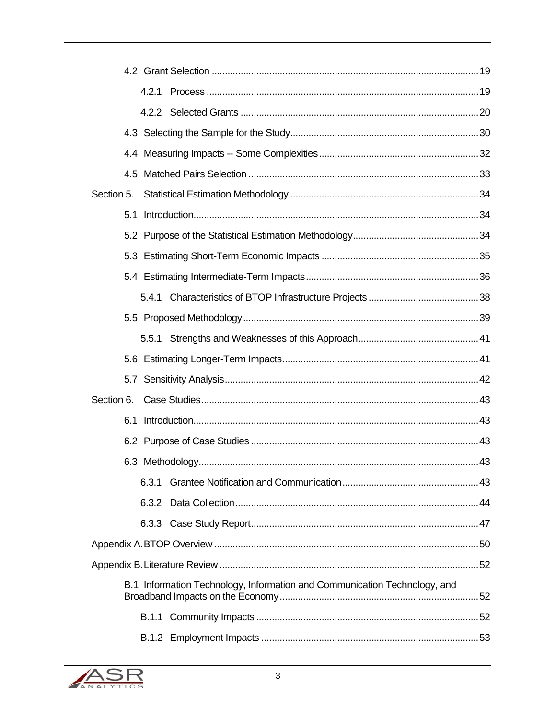|            | 4.2.1 |                                                                           |  |
|------------|-------|---------------------------------------------------------------------------|--|
|            |       |                                                                           |  |
|            |       |                                                                           |  |
|            |       |                                                                           |  |
|            |       |                                                                           |  |
| Section 5. |       |                                                                           |  |
| 5.1        |       |                                                                           |  |
|            |       |                                                                           |  |
|            |       |                                                                           |  |
|            |       |                                                                           |  |
|            |       |                                                                           |  |
|            |       |                                                                           |  |
|            |       |                                                                           |  |
|            |       |                                                                           |  |
|            |       |                                                                           |  |
| Section 6. |       |                                                                           |  |
| 6.1        |       |                                                                           |  |
|            |       |                                                                           |  |
|            |       |                                                                           |  |
|            | 6.3.1 |                                                                           |  |
|            |       |                                                                           |  |
|            |       |                                                                           |  |
|            |       |                                                                           |  |
|            |       |                                                                           |  |
|            |       | B.1 Information Technology, Information and Communication Technology, and |  |
|            |       |                                                                           |  |
|            |       |                                                                           |  |
|            |       |                                                                           |  |

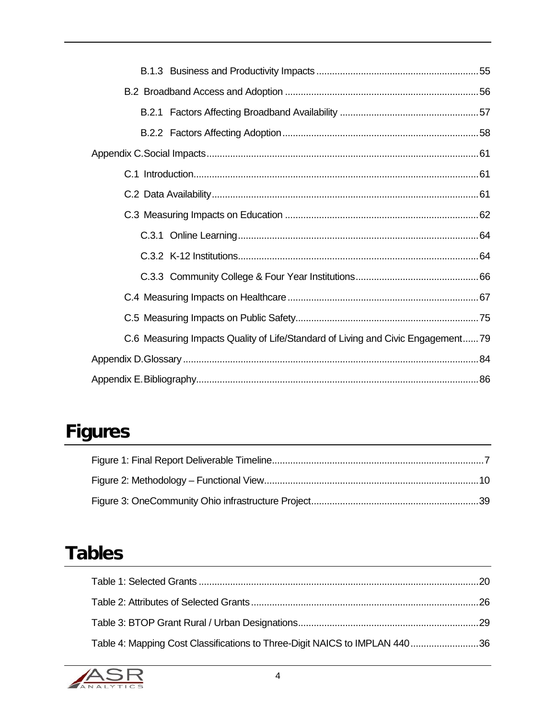| C.6 Measuring Impacts Quality of Life/Standard of Living and Civic Engagement79 |  |
|---------------------------------------------------------------------------------|--|
|                                                                                 |  |
|                                                                                 |  |

# **Figures**

## **Tables**

| Table 4: Mapping Cost Classifications to Three-Digit NAICS to IMPLAN 44036 |  |
|----------------------------------------------------------------------------|--|

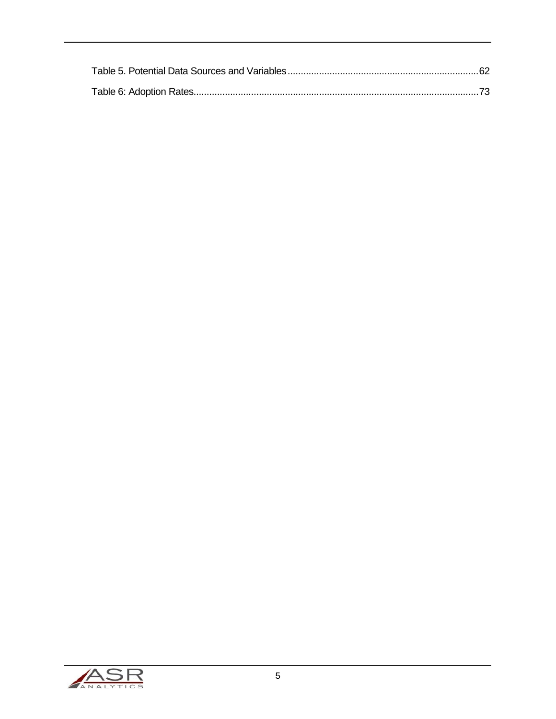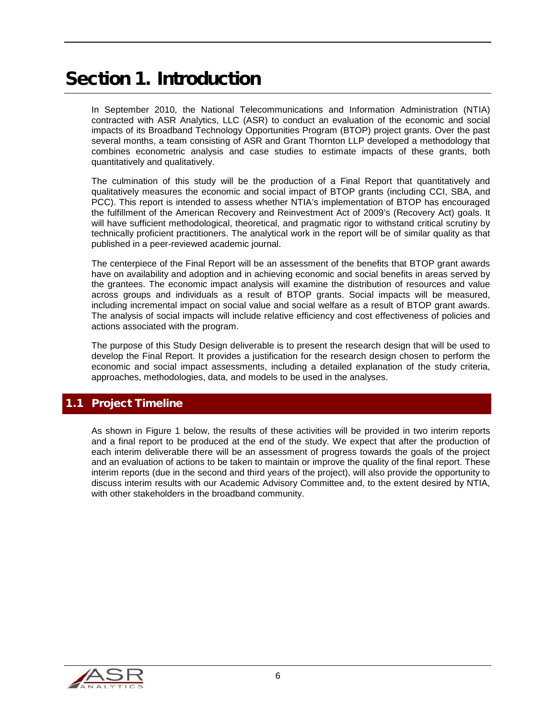## <span id="page-5-0"></span>Section 1. Introduction

In September 2010, the National Telecommunications and Information Administration (NTIA) contracted with ASR Analytics, LLC (ASR) to conduct an evaluation of the economic and social impacts of its Broadband Technology Opportunities Program (BTOP) project grants. Over the past several months, a team consisting of ASR and Grant Thornton LLP developed a methodology that combines econometric analysis and case studies to estimate impacts of these grants, both quantitatively and qualitatively.

The culmination of this study will be the production of a Final Report that quantitatively and qualitatively measures the economic and social impact of BTOP grants (including CCI, SBA, and PCC). This report is intended to assess whether NTIA's implementation of BTOP has encouraged the fulfillment of the American Recovery and Reinvestment Act of 2009's (Recovery Act) goals. It will have sufficient methodological, theoretical, and pragmatic rigor to withstand critical scrutiny by technically proficient practitioners. The analytical work in the report will be of similar quality as that published in a peer-reviewed academic journal.

The centerpiece of the Final Report will be an assessment of the benefits that BTOP grant awards have on availability and adoption and in achieving economic and social benefits in areas served by the grantees. The economic impact analysis will examine the distribution of resources and value across groups and individuals as a result of BTOP grants. Social impacts will be measured, including incremental impact on social value and social welfare as a result of BTOP grant awards. The analysis of social impacts will include relative efficiency and cost effectiveness of policies and actions associated with the program.

The purpose of this Study Design deliverable is to present the research design that will be used to develop the Final Report. It provides a justification for the research design chosen to perform the economic and social impact assessments, including a detailed explanation of the study criteria, approaches, methodologies, data, and models to be used in the analyses.

## <span id="page-5-1"></span>1.1 Project Timeline

As shown in [Figure 1](#page-6-2) below, the results of these activities will be provided in two interim reports and a final report to be produced at the end of the study. We expect that after the production of each interim deliverable there will be an assessment of progress towards the goals of the project and an evaluation of actions to be taken to maintain or improve the quality of the final report. These interim reports (due in the second and third years of the project), will also provide the opportunity to discuss interim results with our Academic Advisory Committee and, to the extent desired by NTIA, with other stakeholders in the broadband community.

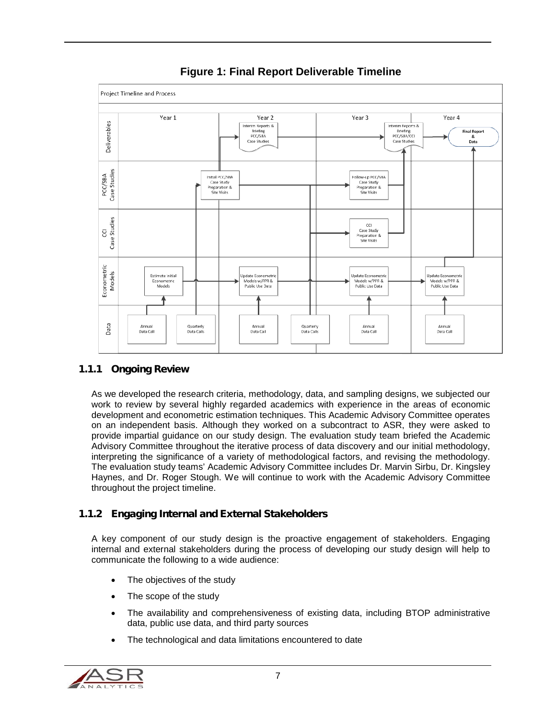<span id="page-6-2"></span>

**Figure 1: Final Report Deliverable Timeline**

## <span id="page-6-0"></span>1.1.1 Ongoing Review

As we developed the research criteria, methodology, data, and sampling designs, we subjected our work to review by several highly regarded academics with experience in the areas of economic development and econometric estimation techniques. This Academic Advisory Committee operates on an independent basis. Although they worked on a subcontract to ASR, they were asked to provide impartial guidance on our study design. The evaluation study team briefed the Academic Advisory Committee throughout the iterative process of data discovery and our initial methodology, interpreting the significance of a variety of methodological factors, and revising the methodology. The evaluation study teams' Academic Advisory Committee includes Dr. Marvin Sirbu, Dr. Kingsley Haynes, and Dr. Roger Stough. We will continue to work with the Academic Advisory Committee throughout the project timeline.

## <span id="page-6-1"></span>1.1.2 Engaging Internal and External Stakeholders

A key component of our study design is the proactive engagement of stakeholders. Engaging internal and external stakeholders during the process of developing our study design will help to communicate the following to a wide audience:

- The objectives of the study
- The scope of the study
- The availability and comprehensiveness of existing data, including BTOP administrative data, public use data, and third party sources
- The technological and data limitations encountered to date

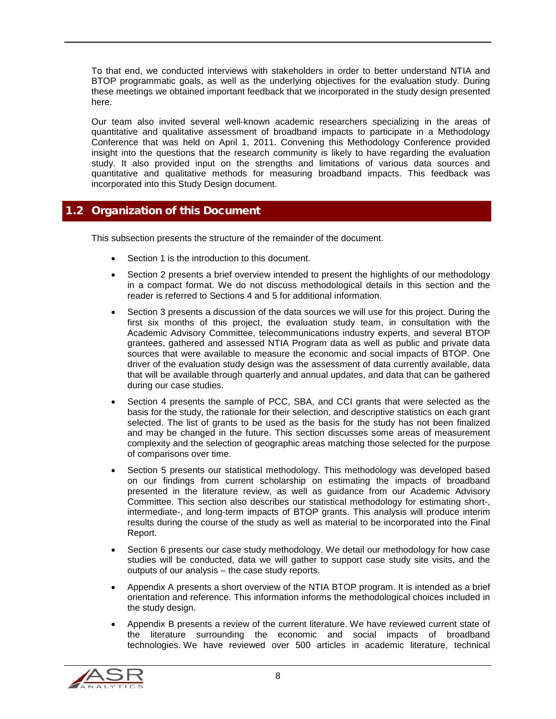To that end, we conducted interviews with stakeholders in order to better understand NTIA and BTOP programmatic goals, as well as the underlying objectives for the evaluation study. During these meetings we obtained important feedback that we incorporated in the study design presented here.

Our team also invited several well-known academic researchers specializing in the areas of quantitative and qualitative assessment of broadband impacts to participate in a Methodology Conference that was held on April 1, 2011. Convening this Methodology Conference provided insight into the questions that the research community is likely to have regarding the evaluation study. It also provided input on the strengths and limitations of various data sources and quantitative and qualitative methods for measuring broadband impacts. This feedback was incorporated into this Study Design document.

### <span id="page-7-0"></span>1.2 Organization of this Document

This subsection presents the structure of the remainder of the document.

- Section 1 is the introduction to this document.
- Section 2 presents a brief overview intended to present the highlights of our methodology in a compact format. We do not discuss methodological details in this section and the reader is referred to Sections 4 and 5 for additional information.
- Section 3 presents a discussion of the data sources we will use for this project. During the first six months of this project, the evaluation study team, in consultation with the Academic Advisory Committee, telecommunications industry experts, and several BTOP grantees, gathered and assessed NTIA Program data as well as public and private data sources that were available to measure the economic and social impacts of BTOP. One driver of the evaluation study design was the assessment of data currently available, data that will be available through quarterly and annual updates, and data that can be gathered during our case studies.
- Section 4 presents the sample of PCC, SBA, and CCI grants that were selected as the basis for the study, the rationale for their selection, and descriptive statistics on each grant selected. The list of grants to be used as the basis for the study has not been finalized and may be changed in the future. This section discusses some areas of measurement complexity and the selection of geographic areas matching those selected for the purpose of comparisons over time.
- Section 5 presents our statistical methodology. This methodology was developed based on our findings from current scholarship on estimating the impacts of broadband presented in the literature review, as well as guidance from our Academic Advisory Committee. This section also describes our statistical methodology for estimating short-, intermediate-, and long-term impacts of BTOP grants. This analysis will produce interim results during the course of the study as well as material to be incorporated into the Final Report.
- Section 6 presents our case study methodology. We detail our methodology for how case studies will be conducted, data we will gather to support case study site visits, and the outputs of our analysis – the case study reports.
- Appendix A presents a short overview of the NTIA BTOP program. It is intended as a brief orientation and reference. This information informs the methodological choices included in the study design.
- Appendix B presents a review of the current literature. We have reviewed current state of the literature surrounding the economic and social impacts of broadband technologies. We have reviewed over 500 articles in academic literature, technical

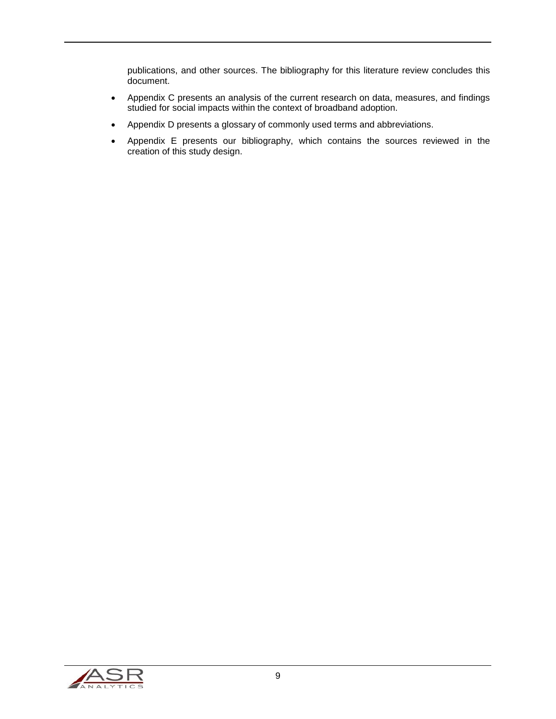publications, and other sources. The bibliography for this literature review concludes this document.

- Appendix C presents an analysis of the current research on data, measures, and findings studied for social impacts within the context of broadband adoption.
- Appendix D presents a glossary of commonly used terms and abbreviations.
- Appendix E presents our bibliography, which contains the sources reviewed in the creation of this study design.

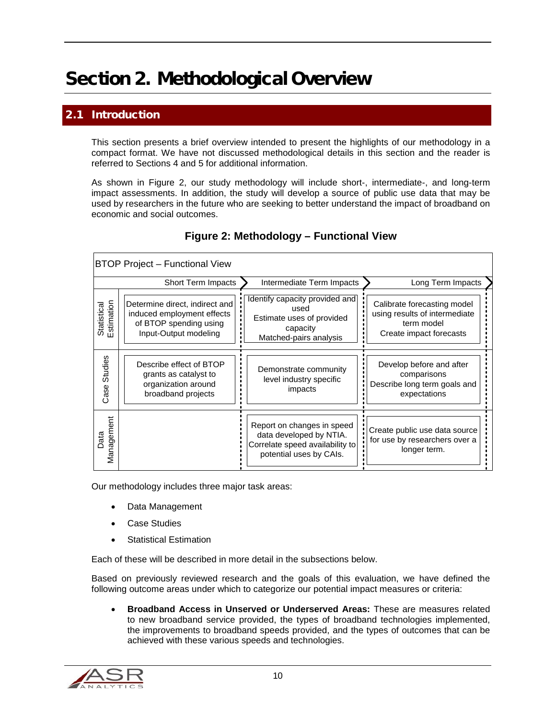## <span id="page-9-0"></span>Section 2. Methodological Overview

## <span id="page-9-1"></span>**Introduction**

This section presents a brief overview intended to present the highlights of our methodology in a compact format. We have not discussed methodological details in this section and the reader is referred to Sections 4 and 5 for additional information.

As shown in [Figure 2,](#page-9-2) our study methodology will include short-, intermediate-, and long-term impact assessments. In addition, the study will develop a source of public use data that may be used by researchers in the future who are seeking to better understand the impact of broadband on economic and social outcomes.

<span id="page-9-2"></span>

| <b>BTOP Project - Functional View</b> |                                                                                                                 |                                                                                                                     |                                                                                                       |  |
|---------------------------------------|-----------------------------------------------------------------------------------------------------------------|---------------------------------------------------------------------------------------------------------------------|-------------------------------------------------------------------------------------------------------|--|
|                                       | <b>Short Term Impacts</b>                                                                                       | Intermediate Term Impacts                                                                                           | Long Term Impacts                                                                                     |  |
| Estimation<br>Statistical             | Determine direct, indirect and<br>induced employment effects<br>of BTOP spending using<br>Input-Output modeling | Identify capacity provided and<br>used<br>Estimate uses of provided<br>capacity<br>Matched-pairs analysis           | Calibrate forecasting model<br>using results of intermediate<br>term model<br>Create impact forecasts |  |
| Studies<br>Case                       | Describe effect of BTOP<br>grants as catalyst to<br>organization around<br>broadband projects                   | Demonstrate community<br>level industry specific<br>impacts                                                         | Develop before and after<br>comparisons<br>Describe long term goals and<br>expectations               |  |
| Management<br>ata                     |                                                                                                                 | Report on changes in speed<br>data developed by NTIA.<br>Correlate speed availability to<br>potential uses by CAIs. | Create public use data source<br>for use by researchers over a<br>longer term.                        |  |

#### **Figure 2: Methodology – Functional View**

Our methodology includes three major task areas:

- Data Management
- Case Studies
- **Statistical Estimation**

Each of these will be described in more detail in the subsections below.

Based on previously reviewed research and the goals of this evaluation, we have defined the following outcome areas under which to categorize our potential impact measures or criteria:

• **Broadband Access in Unserved or Underserved Areas:** These are measures related to new broadband service provided, the types of broadband technologies implemented, the improvements to broadband speeds provided, and the types of outcomes that can be achieved with these various speeds and technologies.

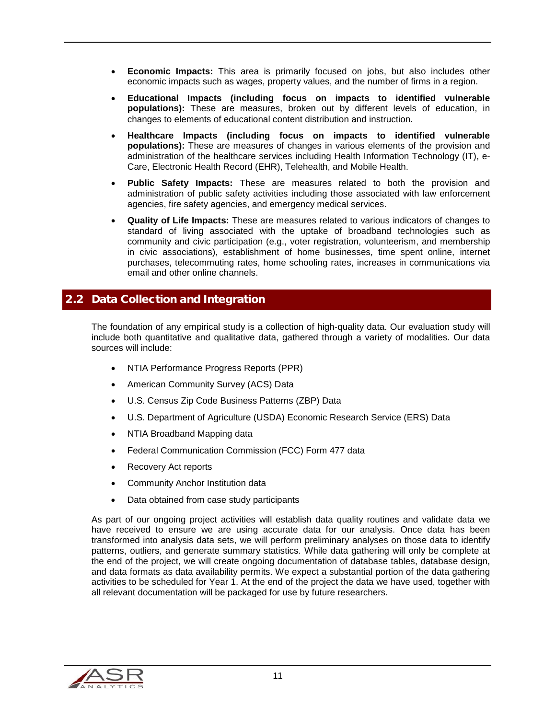- **Economic Impacts:** This area is primarily focused on jobs, but also includes other economic impacts such as wages, property values, and the number of firms in a region.
- **Educational Impacts (including focus on impacts to identified vulnerable populations):** These are measures, broken out by different levels of education, in changes to elements of educational content distribution and instruction.
- **Healthcare Impacts (including focus on impacts to identified vulnerable populations):** These are measures of changes in various elements of the provision and administration of the healthcare services including Health Information Technology (IT), e-Care, Electronic Health Record (EHR), Telehealth, and Mobile Health.
- **Public Safety Impacts:** These are measures related to both the provision and administration of public safety activities including those associated with law enforcement agencies, fire safety agencies, and emergency medical services.
- **Quality of Life Impacts:** These are measures related to various indicators of changes to standard of living associated with the uptake of broadband technologies such as community and civic participation (e.g., voter registration, volunteerism, and membership in civic associations), establishment of home businesses, time spent online, internet purchases, telecommuting rates, home schooling rates, increases in communications via email and other online channels.

#### <span id="page-10-0"></span>2.2 Data Collection and Integration

The foundation of any empirical study is a collection of high-quality data. Our evaluation study will include both quantitative and qualitative data, gathered through a variety of modalities. Our data sources will include:

- NTIA Performance Progress Reports (PPR)
- American Community Survey (ACS) Data
- U.S. Census Zip Code Business Patterns (ZBP) Data
- U.S. Department of Agriculture (USDA) Economic Research Service (ERS) Data
- NTIA Broadband Mapping data
- Federal Communication Commission (FCC) Form 477 data
- Recovery Act reports
- Community Anchor Institution data
- Data obtained from case study participants

As part of our ongoing project activities will establish data quality routines and validate data we have received to ensure we are using accurate data for our analysis. Once data has been transformed into analysis data sets, we will perform preliminary analyses on those data to identify patterns, outliers, and generate summary statistics. While data gathering will only be complete at the end of the project, we will create ongoing documentation of database tables, database design, and data formats as data availability permits. We expect a substantial portion of the data gathering activities to be scheduled for Year 1. At the end of the project the data we have used, together with all relevant documentation will be packaged for use by future researchers.

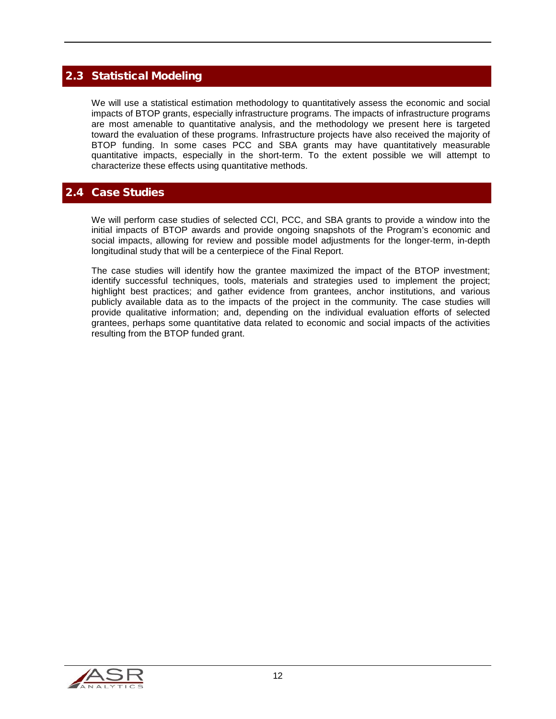## <span id="page-11-0"></span>2.3 Statistical Modeling

We will use a statistical estimation methodology to quantitatively assess the economic and social impacts of BTOP grants, especially infrastructure programs. The impacts of infrastructure programs are most amenable to quantitative analysis, and the methodology we present here is targeted toward the evaluation of these programs. Infrastructure projects have also received the majority of BTOP funding. In some cases PCC and SBA grants may have quantitatively measurable quantitative impacts, especially in the short-term. To the extent possible we will attempt to characterize these effects using quantitative methods.

### <span id="page-11-1"></span>2.4 Case Studies

We will perform case studies of selected CCI, PCC, and SBA grants to provide a window into the initial impacts of BTOP awards and provide ongoing snapshots of the Program's economic and social impacts, allowing for review and possible model adjustments for the longer-term, in-depth longitudinal study that will be a centerpiece of the Final Report.

The case studies will identify how the grantee maximized the impact of the BTOP investment; identify successful techniques, tools, materials and strategies used to implement the project; highlight best practices; and gather evidence from grantees, anchor institutions, and various publicly available data as to the impacts of the project in the community. The case studies will provide qualitative information; and, depending on the individual evaluation efforts of selected grantees, perhaps some quantitative data related to economic and social impacts of the activities resulting from the BTOP funded grant.

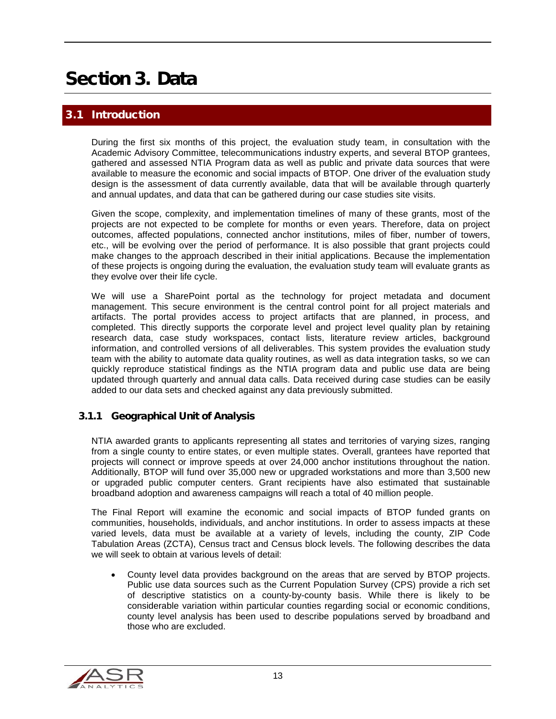## <span id="page-12-0"></span>Section 3. Data

## <span id="page-12-1"></span>**Introduction**

During the first six months of this project, the evaluation study team, in consultation with the Academic Advisory Committee, telecommunications industry experts, and several BTOP grantees, gathered and assessed NTIA Program data as well as public and private data sources that were available to measure the economic and social impacts of BTOP. One driver of the evaluation study design is the assessment of data currently available, data that will be available through quarterly and annual updates, and data that can be gathered during our case studies site visits.

Given the scope, complexity, and implementation timelines of many of these grants, most of the projects are not expected to be complete for months or even years. Therefore, data on project outcomes, affected populations, connected anchor institutions, miles of fiber, number of towers, etc., will be evolving over the period of performance. It is also possible that grant projects could make changes to the approach described in their initial applications. Because the implementation of these projects is ongoing during the evaluation, the evaluation study team will evaluate grants as they evolve over their life cycle.

We will use a SharePoint portal as the technology for project metadata and document management. This secure environment is the central control point for all project materials and artifacts. The portal provides access to project artifacts that are planned, in process, and completed. This directly supports the corporate level and project level quality plan by retaining research data, case study workspaces, contact lists, literature review articles, background information, and controlled versions of all deliverables. This system provides the evaluation study team with the ability to automate data quality routines, as well as data integration tasks, so we can quickly reproduce statistical findings as the NTIA program data and public use data are being updated through quarterly and annual data calls. Data received during case studies can be easily added to our data sets and checked against any data previously submitted.

#### <span id="page-12-2"></span>3.1.1 Geographical Unit of Analysis

NTIA awarded grants to applicants representing all states and territories of varying sizes, ranging from a single county to entire states, or even multiple states. Overall, grantees have reported that projects will connect or improve speeds at over 24,000 anchor institutions throughout the nation. Additionally, BTOP will fund over 35,000 new or upgraded workstations and more than 3,500 new or upgraded public computer centers. Grant recipients have also estimated that sustainable broadband adoption and awareness campaigns will reach a total of 40 million people.

The Final Report will examine the economic and social impacts of BTOP funded grants on communities, households, individuals, and anchor institutions. In order to assess impacts at these varied levels, data must be available at a variety of levels, including the county, ZIP Code Tabulation Areas (ZCTA), Census tract and Census block levels. The following describes the data we will seek to obtain at various levels of detail:

• County level data provides background on the areas that are served by BTOP projects. Public use data sources such as the Current Population Survey (CPS) provide a rich set of descriptive statistics on a county-by-county basis. While there is likely to be considerable variation within particular counties regarding social or economic conditions, county level analysis has been used to describe populations served by broadband and those who are excluded.

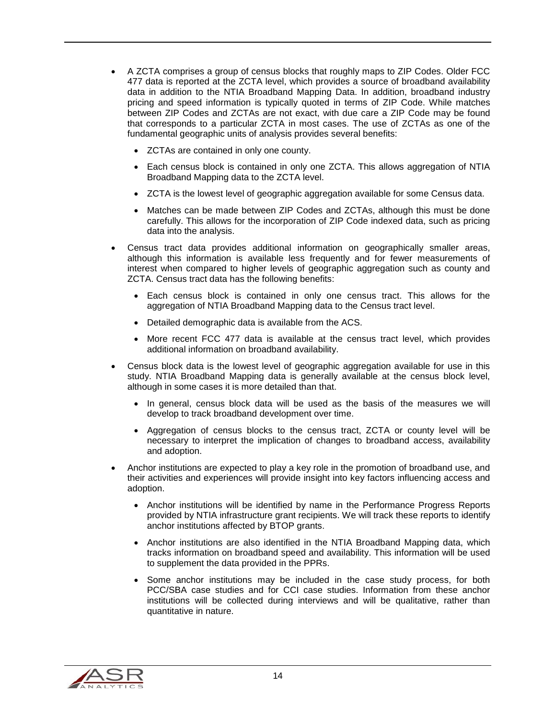- A ZCTA comprises a group of census blocks that roughly maps to ZIP Codes. Older FCC 477 data is reported at the ZCTA level, which provides a source of broadband availability data in addition to the NTIA Broadband Mapping Data. In addition, broadband industry pricing and speed information is typically quoted in terms of ZIP Code. While matches between ZIP Codes and ZCTAs are not exact, with due care a ZIP Code may be found that corresponds to a particular ZCTA in most cases. The use of ZCTAs as one of the fundamental geographic units of analysis provides several benefits:
	- ZCTAs are contained in only one county.
	- Each census block is contained in only one ZCTA. This allows aggregation of NTIA Broadband Mapping data to the ZCTA level.
	- ZCTA is the lowest level of geographic aggregation available for some Census data.
	- Matches can be made between ZIP Codes and ZCTAs, although this must be done carefully. This allows for the incorporation of ZIP Code indexed data, such as pricing data into the analysis.
- Census tract data provides additional information on geographically smaller areas, although this information is available less frequently and for fewer measurements of interest when compared to higher levels of geographic aggregation such as county and ZCTA. Census tract data has the following benefits:
	- Each census block is contained in only one census tract. This allows for the aggregation of NTIA Broadband Mapping data to the Census tract level.
	- Detailed demographic data is available from the ACS.
	- More recent FCC 477 data is available at the census tract level, which provides additional information on broadband availability.
- Census block data is the lowest level of geographic aggregation available for use in this study. NTIA Broadband Mapping data is generally available at the census block level, although in some cases it is more detailed than that.
	- In general, census block data will be used as the basis of the measures we will develop to track broadband development over time.
	- Aggregation of census blocks to the census tract, ZCTA or county level will be necessary to interpret the implication of changes to broadband access, availability and adoption.
- Anchor institutions are expected to play a key role in the promotion of broadband use, and their activities and experiences will provide insight into key factors influencing access and adoption.
	- Anchor institutions will be identified by name in the Performance Progress Reports provided by NTIA infrastructure grant recipients. We will track these reports to identify anchor institutions affected by BTOP grants.
	- Anchor institutions are also identified in the NTIA Broadband Mapping data, which tracks information on broadband speed and availability. This information will be used to supplement the data provided in the PPRs.
	- Some anchor institutions may be included in the case study process, for both PCC/SBA case studies and for CCI case studies. Information from these anchor institutions will be collected during interviews and will be qualitative, rather than quantitative in nature.

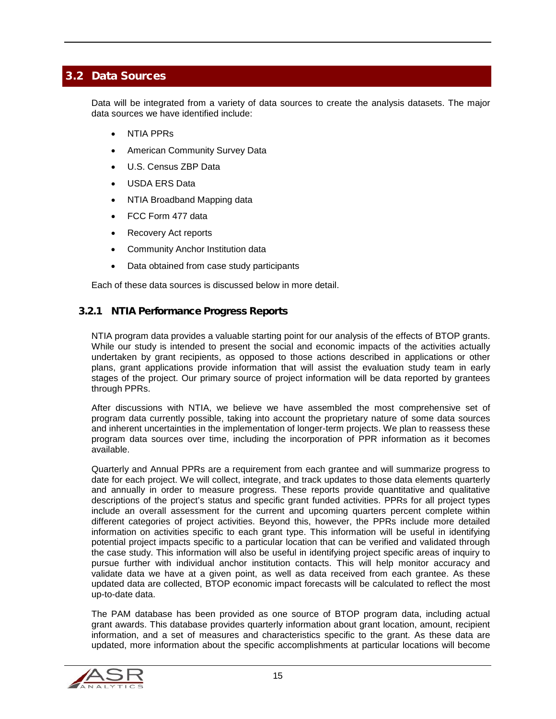## <span id="page-14-0"></span>3.2 Data Sources

Data will be integrated from a variety of data sources to create the analysis datasets. The major data sources we have identified include:

- NTIA PPRs
- American Community Survey Data
- U.S. Census ZBP Data
- USDA ERS Data
- NTIA Broadband Mapping data
- FCC Form 477 data
- Recovery Act reports
- Community Anchor Institution data
- Data obtained from case study participants

Each of these data sources is discussed below in more detail.

#### <span id="page-14-1"></span>3.2.1 NTIA Performance Progress Reports

NTIA program data provides a valuable starting point for our analysis of the effects of BTOP grants. While our study is intended to present the social and economic impacts of the activities actually undertaken by grant recipients, as opposed to those actions described in applications or other plans, grant applications provide information that will assist the evaluation study team in early stages of the project. Our primary source of project information will be data reported by grantees through PPRs.

After discussions with NTIA, we believe we have assembled the most comprehensive set of program data currently possible, taking into account the proprietary nature of some data sources and inherent uncertainties in the implementation of longer-term projects. We plan to reassess these program data sources over time, including the incorporation of PPR information as it becomes available.

Quarterly and Annual PPRs are a requirement from each grantee and will summarize progress to date for each project. We will collect, integrate, and track updates to those data elements quarterly and annually in order to measure progress. These reports provide quantitative and qualitative descriptions of the project's status and specific grant funded activities. PPRs for all project types include an overall assessment for the current and upcoming quarters percent complete within different categories of project activities. Beyond this, however, the PPRs include more detailed information on activities specific to each grant type. This information will be useful in identifying potential project impacts specific to a particular location that can be verified and validated through the case study. This information will also be useful in identifying project specific areas of inquiry to pursue further with individual anchor institution contacts. This will help monitor accuracy and validate data we have at a given point, as well as data received from each grantee. As these updated data are collected, BTOP economic impact forecasts will be calculated to reflect the most up-to-date data.

The PAM database has been provided as one source of BTOP program data, including actual grant awards. This database provides quarterly information about grant location, amount, recipient information, and a set of measures and characteristics specific to the grant. As these data are updated, more information about the specific accomplishments at particular locations will become

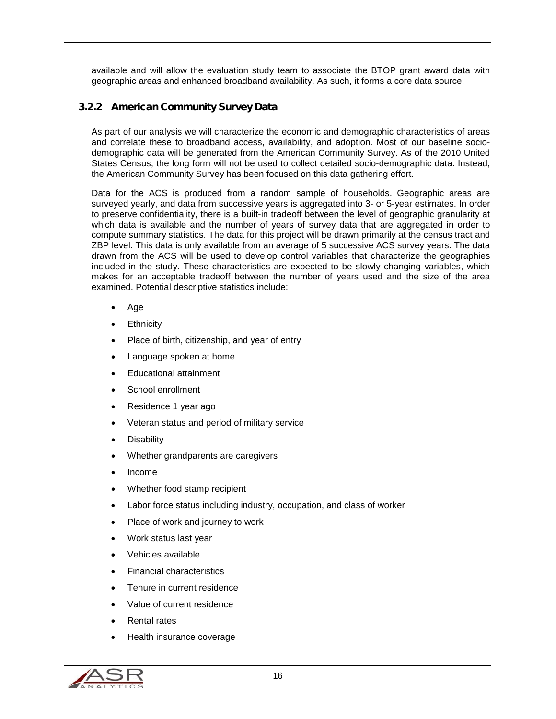available and will allow the evaluation study team to associate the BTOP grant award data with geographic areas and enhanced broadband availability. As such, it forms a core data source.

### <span id="page-15-0"></span>3.2.2 American Community Survey Data

As part of our analysis we will characterize the economic and demographic characteristics of areas and correlate these to broadband access, availability, and adoption. Most of our baseline sociodemographic data will be generated from the American Community Survey. As of the 2010 United States Census, the long form will not be used to collect detailed socio-demographic data. Instead, the American Community Survey has been focused on this data gathering effort.

Data for the ACS is produced from a random sample of households. Geographic areas are surveyed yearly, and data from successive years is aggregated into 3- or 5-year estimates. In order to preserve confidentiality, there is a built-in tradeoff between the level of geographic granularity at which data is available and the number of years of survey data that are aggregated in order to compute summary statistics. The data for this project will be drawn primarily at the census tract and ZBP level. This data is only available from an average of 5 successive ACS survey years. The data drawn from the ACS will be used to develop control variables that characterize the geographies included in the study. These characteristics are expected to be slowly changing variables, which makes for an acceptable tradeoff between the number of years used and the size of the area examined. Potential descriptive statistics include:

- Age
- **Ethnicity**
- Place of birth, citizenship, and year of entry
- Language spoken at home
- Educational attainment
- School enrollment
- Residence 1 year ago
- Veteran status and period of military service
- **Disability**
- Whether grandparents are caregivers
- Income
- Whether food stamp recipient
- Labor force status including industry, occupation, and class of worker
- Place of work and journey to work
- Work status last year
- Vehicles available
- Financial characteristics
- Tenure in current residence
- Value of current residence
- Rental rates
- Health insurance coverage

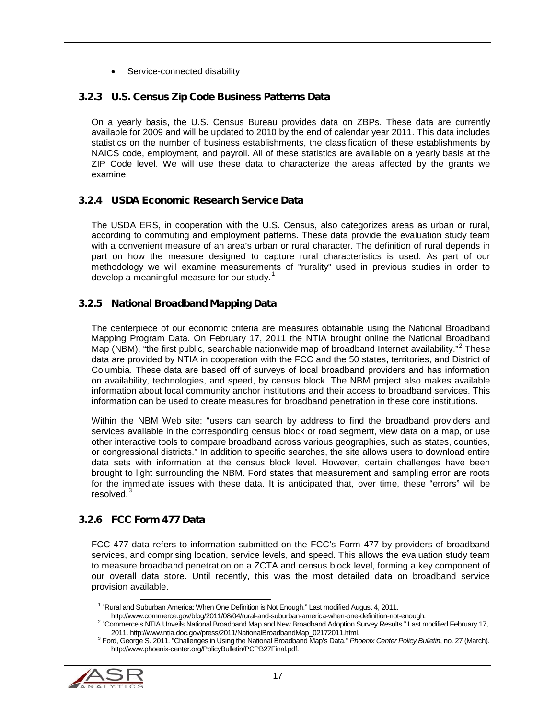Service-connected disability

#### <span id="page-16-0"></span>3.2.3 U.S. Census Zip Code Business Patterns Data

On a yearly basis, the U.S. Census Bureau provides data on ZBPs. These data are currently available for 2009 and will be updated to 2010 by the end of calendar year 2011. This data includes statistics on the number of business establishments, the classification of these establishments by NAICS code, employment, and payroll. All of these statistics are available on a yearly basis at the ZIP Code level. We will use these data to characterize the areas affected by the grants we examine.

#### <span id="page-16-1"></span>3.2.4 USDA Economic Research Service Data

The USDA ERS, in cooperation with the U.S. Census, also categorizes areas as urban or rural, according to commuting and employment patterns. These data provide the evaluation study team with a convenient measure of an area's urban or rural character. The definition of rural depends in part on how the measure designed to capture rural characteristics is used. As part of our methodology we will examine measurements of "rurality" used in previous studies in order to develop a meaningful measure for our study.<sup>[1](#page-16-4)</sup>

#### <span id="page-16-2"></span>3.2.5 National Broadband Mapping Data

The centerpiece of our economic criteria are measures obtainable using the National Broadband Mapping Program Data. On February 17, 2011 the NTIA brought online the National Broadband Map (NBM), "the first public, searchable nationwide map of broadband Internet availability."<sup>[2](#page-16-5)</sup> These data are provided by NTIA in cooperation with the FCC and the 50 states, territories, and District of Columbia. These data are based off of surveys of local broadband providers and has information on availability, technologies, and speed, by census block. The NBM project also makes available information about local community anchor institutions and their access to broadband services. This information can be used to create measures for broadband penetration in these core institutions.

Within the NBM Web site: "users can search by address to find the broadband providers and services available in the corresponding census block or road segment, view data on a map, or use other interactive tools to compare broadband across various geographies, such as states, counties, or congressional districts." In addition to specific searches, the site allows users to download entire data sets with information at the census block level. However, certain challenges have been brought to light surrounding the NBM. Ford states that measurement and sampling error are roots for the immediate issues with these data. It is anticipated that, over time, these "errors" will be resolved.<sup>[3](#page-16-6)</sup>

#### <span id="page-16-3"></span>3.2.6 FCC Form 477 Data

FCC 477 data refers to information submitted on the FCC's Form 477 by providers of broadband services, and comprising location, service levels, and speed. This allows the evaluation study team to measure broadband penetration on a ZCTA and census block level, forming a key component of our overall data store. Until recently, this was the most detailed data on broadband service provision available.

<span id="page-16-6"></span><span id="page-16-5"></span><span id="page-16-4"></span><sup>&</sup>lt;sup>3</sup> Ford, George S. 2011. "Challenges in Using the National Broadband Map's Data." Phoenix Center Policy Bulletin, no. 27 (March). http://www.phoenix-center.org/PolicyBulletin/PCPB27Final.pdf.



 <sup>1</sup> "Rural and Suburban America: When One Definition is Not Enough." Last modified August 4, 2011.

<sup>&</sup>lt;sup>2</sup> "Commerce's NTIA Unveils National Broadband Map and New Broadband Adoption Survey Results." Last modified February 17,<br>2011. http://www.ntia.doc.gov/press/2011/NationalBroadbandMap\_02172011.html.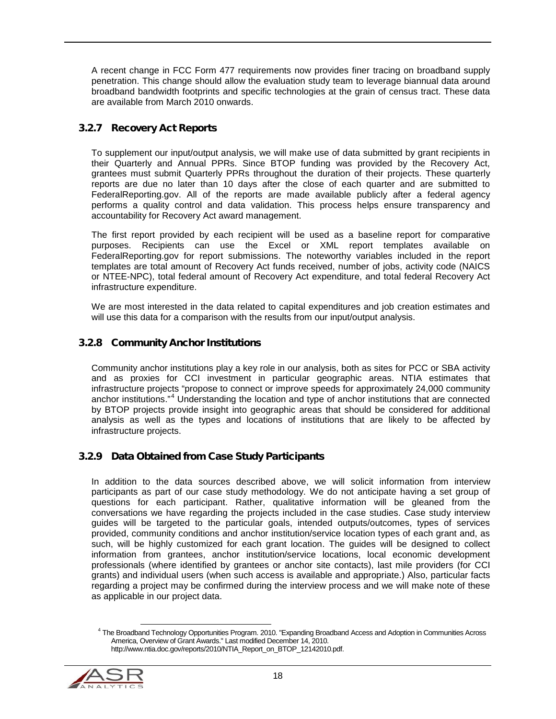A recent change in FCC Form 477 requirements now provides finer tracing on broadband supply penetration. This change should allow the evaluation study team to leverage biannual data around broadband bandwidth footprints and specific technologies at the grain of census tract. These data are available from March 2010 onwards.

### <span id="page-17-0"></span>3.2.7 Recovery Act Reports

To supplement our input/output analysis, we will make use of data submitted by grant recipients in their Quarterly and Annual PPRs. Since BTOP funding was provided by the Recovery Act, grantees must submit Quarterly PPRs throughout the duration of their projects. These quarterly reports are due no later than 10 days after the close of each quarter and are submitted to FederalReporting.gov. All of the reports are made available publicly after a federal agency performs a quality control and data validation. This process helps ensure transparency and accountability for Recovery Act award management.

The first report provided by each recipient will be used as a baseline report for comparative purposes. Recipients can use the Excel or XML report templates available on FederalReporting.gov for report submissions. The noteworthy variables included in the report templates are total amount of Recovery Act funds received, number of jobs, activity code (NAICS or NTEE-NPC), total federal amount of Recovery Act expenditure, and total federal Recovery Act infrastructure expenditure.

We are most interested in the data related to capital expenditures and job creation estimates and will use this data for a comparison with the results from our input/output analysis.

#### <span id="page-17-1"></span>3.2.8 Community Anchor Institutions

Community anchor institutions play a key role in our analysis, both as sites for PCC or SBA activity and as proxies for CCI investment in particular geographic areas. NTIA estimates that infrastructure projects "propose to connect or improve speeds for approximately 24,000 community anchor institutions."[4](#page-17-3) Understanding the location and type of anchor institutions that are connected by BTOP projects provide insight into geographic areas that should be considered for additional analysis as well as the types and locations of institutions that are likely to be affected by infrastructure projects.

#### <span id="page-17-2"></span>3.2.9 Data Obtained from Case Study Participants

In addition to the data sources described above, we will solicit information from interview participants as part of our case study methodology. We do not anticipate having a set group of questions for each participant. Rather, qualitative information will be gleaned from the conversations we have regarding the projects included in the case studies. Case study interview guides will be targeted to the particular goals, intended outputs/outcomes, types of services provided, community conditions and anchor institution/service location types of each grant and, as such, will be highly customized for each grant location. The guides will be designed to collect information from grantees, anchor institution/service locations, local economic development professionals (where identified by grantees or anchor site contacts), last mile providers (for CCI grants) and individual users (when such access is available and appropriate.) Also, particular facts regarding a project may be confirmed during the interview process and we will make note of these as applicable in our project data.

<span id="page-17-3"></span> <sup>4</sup> The Broadband Technology Opportunities Program. 2010. "Expanding Broadband Access and Adoption in Communities Across America, Overview of Grant Awards." Last modified December 14, 2010. http://www.ntia.doc.gov/reports/2010/NTIA\_Report\_on\_BTOP\_12142010.pdf.

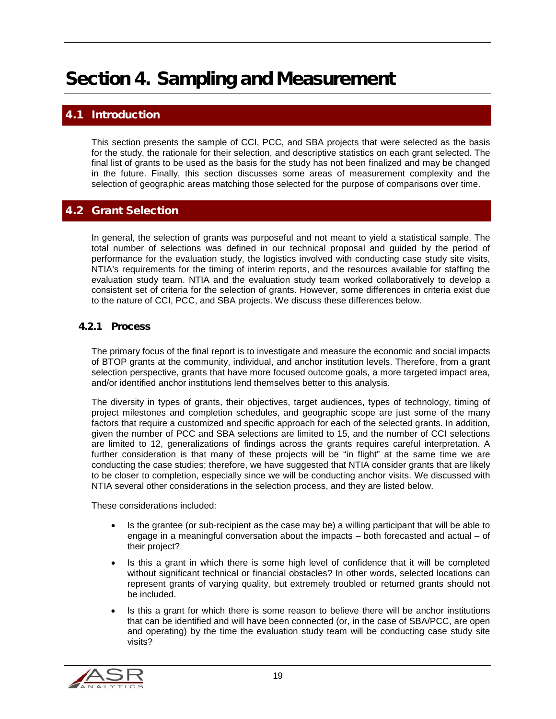## <span id="page-18-0"></span>Section 4. Sampling and Measurement

## <span id="page-18-1"></span>**Introduction**

This section presents the sample of CCI, PCC, and SBA projects that were selected as the basis for the study, the rationale for their selection, and descriptive statistics on each grant selected. The final list of grants to be used as the basis for the study has not been finalized and may be changed in the future. Finally, this section discusses some areas of measurement complexity and the selection of geographic areas matching those selected for the purpose of comparisons over time.

### <span id="page-18-2"></span>4.2 Grant Selection

In general, the selection of grants was purposeful and not meant to yield a statistical sample. The total number of selections was defined in our technical proposal and guided by the period of performance for the evaluation study, the logistics involved with conducting case study site visits, NTIA's requirements for the timing of interim reports, and the resources available for staffing the evaluation study team. NTIA and the evaluation study team worked collaboratively to develop a consistent set of criteria for the selection of grants. However, some differences in criteria exist due to the nature of CCI, PCC, and SBA projects. We discuss these differences below.

#### <span id="page-18-3"></span>4.2.1 Process

The primary focus of the final report is to investigate and measure the economic and social impacts of BTOP grants at the community, individual, and anchor institution levels. Therefore, from a grant selection perspective, grants that have more focused outcome goals, a more targeted impact area, and/or identified anchor institutions lend themselves better to this analysis.

The diversity in types of grants, their objectives, target audiences, types of technology, timing of project milestones and completion schedules, and geographic scope are just some of the many factors that require a customized and specific approach for each of the selected grants. In addition, given the number of PCC and SBA selections are limited to 15, and the number of CCI selections are limited to 12, generalizations of findings across the grants requires careful interpretation. A further consideration is that many of these projects will be "in flight" at the same time we are conducting the case studies; therefore, we have suggested that NTIA consider grants that are likely to be closer to completion, especially since we will be conducting anchor visits. We discussed with NTIA several other considerations in the selection process, and they are listed below.

These considerations included:

- Is the grantee (or sub-recipient as the case may be) a willing participant that will be able to engage in a meaningful conversation about the impacts – both forecasted and actual – of their project?
- Is this a grant in which there is some high level of confidence that it will be completed without significant technical or financial obstacles? In other words, selected locations can represent grants of varying quality, but extremely troubled or returned grants should not be included.
- Is this a grant for which there is some reason to believe there will be anchor institutions that can be identified and will have been connected (or, in the case of SBA/PCC, are open and operating) by the time the evaluation study team will be conducting case study site visits?

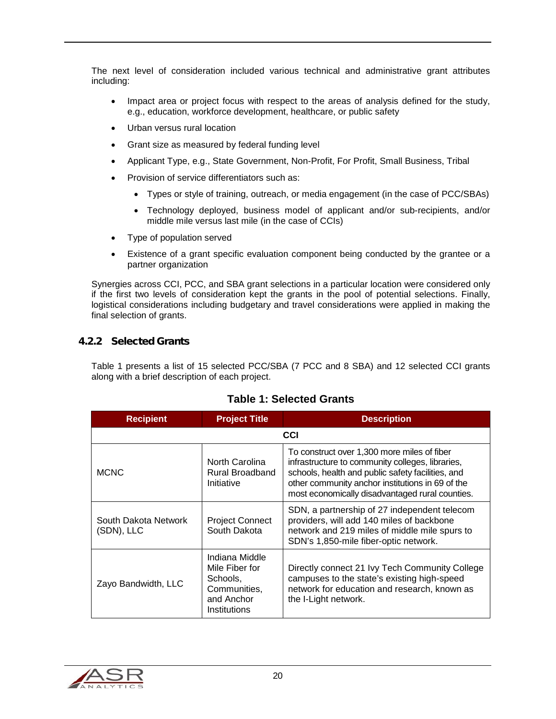The next level of consideration included various technical and administrative grant attributes including:

- Impact area or project focus with respect to the areas of analysis defined for the study, e.g., education, workforce development, healthcare, or public safety
- Urban versus rural location
- Grant size as measured by federal funding level
- Applicant Type, e.g., State Government, Non-Profit, For Profit, Small Business, Tribal
- Provision of service differentiators such as:
	- Types or style of training, outreach, or media engagement (in the case of PCC/SBAs)
	- Technology deployed, business model of applicant and/or sub-recipients, and/or middle mile versus last mile (in the case of CCIs)
- Type of population served
- Existence of a grant specific evaluation component being conducted by the grantee or a partner organization

Synergies across CCI, PCC, and SBA grant selections in a particular location were considered only if the first two levels of consideration kept the grants in the pool of potential selections. Finally, logistical considerations including budgetary and travel considerations were applied in making the final selection of grants.

#### <span id="page-19-0"></span>4.2.2 Selected Grants

[Table 1](#page-19-1) presents a list of 15 selected PCC/SBA (7 PCC and 8 SBA) and 12 selected CCI grants along with a brief description of each project.

<span id="page-19-1"></span>

| <b>Recipient</b>                   | <b>Project Title</b>                                                                       | <b>Description</b>                                                                                                                                                                                                                                          |
|------------------------------------|--------------------------------------------------------------------------------------------|-------------------------------------------------------------------------------------------------------------------------------------------------------------------------------------------------------------------------------------------------------------|
|                                    |                                                                                            | CCI                                                                                                                                                                                                                                                         |
| <b>MCNC</b>                        | North Carolina<br>Rural Broadband<br>Initiative                                            | To construct over 1,300 more miles of fiber<br>infrastructure to community colleges, libraries,<br>schools, health and public safety facilities, and<br>other community anchor institutions in 69 of the<br>most economically disadvantaged rural counties. |
| South Dakota Network<br>(SDN), LLC | <b>Project Connect</b><br>South Dakota                                                     | SDN, a partnership of 27 independent telecom<br>providers, will add 140 miles of backbone<br>network and 219 miles of middle mile spurs to<br>SDN's 1,850-mile fiber-optic network.                                                                         |
| Zayo Bandwidth, LLC                | Indiana Middle<br>Mile Fiber for<br>Schools,<br>Communities,<br>and Anchor<br>Institutions | Directly connect 21 Ivy Tech Community College<br>campuses to the state's existing high-speed<br>network for education and research, known as<br>the I-Light network.                                                                                       |

## **Table 1: Selected Grants**

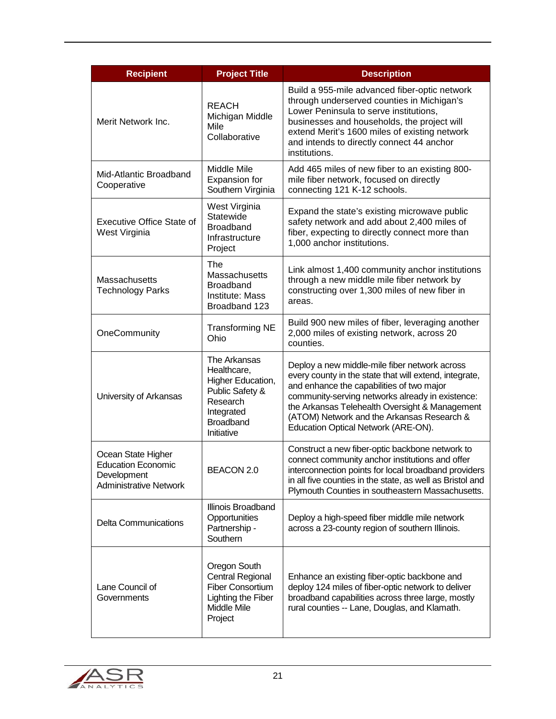| <b>Recipient</b>                                                                                | <b>Project Title</b>                                                                                                     | <b>Description</b>                                                                                                                                                                                                                                                                                                                              |
|-------------------------------------------------------------------------------------------------|--------------------------------------------------------------------------------------------------------------------------|-------------------------------------------------------------------------------------------------------------------------------------------------------------------------------------------------------------------------------------------------------------------------------------------------------------------------------------------------|
| Merit Network Inc.                                                                              | <b>REACH</b><br>Michigan Middle<br>Mile<br>Collaborative                                                                 | Build a 955-mile advanced fiber-optic network<br>through underserved counties in Michigan's<br>Lower Peninsula to serve institutions,<br>businesses and households, the project will<br>extend Merit's 1600 miles of existing network<br>and intends to directly connect 44 anchor<br>institutions.                                             |
| Mid-Atlantic Broadband<br>Cooperative                                                           | Middle Mile<br><b>Expansion for</b><br>Southern Virginia                                                                 | Add 465 miles of new fiber to an existing 800-<br>mile fiber network, focused on directly<br>connecting 121 K-12 schools.                                                                                                                                                                                                                       |
| <b>Executive Office State of</b><br>West Virginia                                               | West Virginia<br>Statewide<br><b>Broadband</b><br>Infrastructure<br>Project                                              | Expand the state's existing microwave public<br>safety network and add about 2,400 miles of<br>fiber, expecting to directly connect more than<br>1,000 anchor institutions.                                                                                                                                                                     |
| Massachusetts<br><b>Technology Parks</b>                                                        | The<br>Massachusetts<br><b>Broadband</b><br>Institute: Mass<br>Broadband 123                                             | Link almost 1,400 community anchor institutions<br>through a new middle mile fiber network by<br>constructing over 1,300 miles of new fiber in<br>areas.                                                                                                                                                                                        |
| OneCommunity                                                                                    | <b>Transforming NE</b><br>Ohio                                                                                           | Build 900 new miles of fiber, leveraging another<br>2,000 miles of existing network, across 20<br>counties.                                                                                                                                                                                                                                     |
| University of Arkansas                                                                          | The Arkansas<br>Healthcare,<br>Higher Education,<br>Public Safety &<br>Research<br>Integrated<br>Broadband<br>Initiative | Deploy a new middle-mile fiber network across<br>every county in the state that will extend, integrate,<br>and enhance the capabilities of two major<br>community-serving networks already in existence:<br>the Arkansas Telehealth Oversight & Management<br>(ATOM) Network and the Arkansas Research &<br>Education Optical Network (ARE-ON). |
| Ocean State Higher<br><b>Education Economic</b><br>Development<br><b>Administrative Network</b> | BEACON 2.0                                                                                                               | Construct a new fiber-optic backbone network to<br>connect community anchor institutions and offer<br>interconnection points for local broadband providers<br>in all five counties in the state, as well as Bristol and<br>Plymouth Counties in southeastern Massachusetts.                                                                     |
| <b>Delta Communications</b>                                                                     | Illinois Broadband<br>Opportunities<br>Partnership -<br>Southern                                                         | Deploy a high-speed fiber middle mile network<br>across a 23-county region of southern Illinois.                                                                                                                                                                                                                                                |
| Lane Council of<br>Governments                                                                  | Oregon South<br><b>Central Regional</b><br><b>Fiber Consortium</b><br>Lighting the Fiber<br>Middle Mile<br>Project       | Enhance an existing fiber-optic backbone and<br>deploy 124 miles of fiber-optic network to deliver<br>broadband capabilities across three large, mostly<br>rural counties -- Lane, Douglas, and Klamath.                                                                                                                                        |

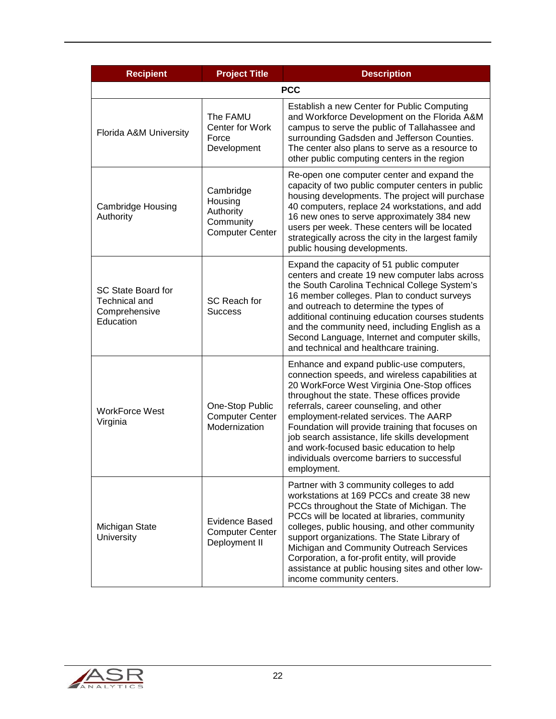| <b>Recipient</b>                                                         | <b>Project Title</b>                                                     | <b>Description</b>                                                                                                                                                                                                                                                                                                                                                                                                                                                                            |  |
|--------------------------------------------------------------------------|--------------------------------------------------------------------------|-----------------------------------------------------------------------------------------------------------------------------------------------------------------------------------------------------------------------------------------------------------------------------------------------------------------------------------------------------------------------------------------------------------------------------------------------------------------------------------------------|--|
| <b>PCC</b>                                                               |                                                                          |                                                                                                                                                                                                                                                                                                                                                                                                                                                                                               |  |
| Florida A&M University                                                   | The FAMU<br><b>Center for Work</b><br>Force<br>Development               | Establish a new Center for Public Computing<br>and Workforce Development on the Florida A&M<br>campus to serve the public of Tallahassee and<br>surrounding Gadsden and Jefferson Counties.<br>The center also plans to serve as a resource to<br>other public computing centers in the region                                                                                                                                                                                                |  |
| Cambridge Housing<br>Authority                                           | Cambridge<br>Housing<br>Authority<br>Community<br><b>Computer Center</b> | Re-open one computer center and expand the<br>capacity of two public computer centers in public<br>housing developments. The project will purchase<br>40 computers, replace 24 workstations, and add<br>16 new ones to serve approximately 384 new<br>users per week. These centers will be located<br>strategically across the city in the largest family<br>public housing developments.                                                                                                    |  |
| SC State Board for<br><b>Technical and</b><br>Comprehensive<br>Education | SC Reach for<br><b>Success</b>                                           | Expand the capacity of 51 public computer<br>centers and create 19 new computer labs across<br>the South Carolina Technical College System's<br>16 member colleges. Plan to conduct surveys<br>and outreach to determine the types of<br>additional continuing education courses students<br>and the community need, including English as a<br>Second Language, Internet and computer skills,<br>and technical and healthcare training.                                                       |  |
| <b>WorkForce West</b><br>Virginia                                        | One-Stop Public<br><b>Computer Center</b><br>Modernization               | Enhance and expand public-use computers,<br>connection speeds, and wireless capabilities at<br>20 WorkForce West Virginia One-Stop offices<br>throughout the state. These offices provide<br>referrals, career counseling, and other<br>employment-related services. The AARP<br>Foundation will provide training that focuses on<br>job search assistance, life skills development<br>and work-focused basic education to help<br>individuals overcome barriers to successful<br>employment. |  |
| Michigan State<br>University                                             | Evidence Based<br><b>Computer Center</b><br>Deployment II                | Partner with 3 community colleges to add<br>workstations at 169 PCCs and create 38 new<br>PCCs throughout the State of Michigan. The<br>PCCs will be located at libraries, community<br>colleges, public housing, and other community<br>support organizations. The State Library of<br>Michigan and Community Outreach Services<br>Corporation, a for-profit entity, will provide<br>assistance at public housing sites and other low-<br>income community centers.                          |  |

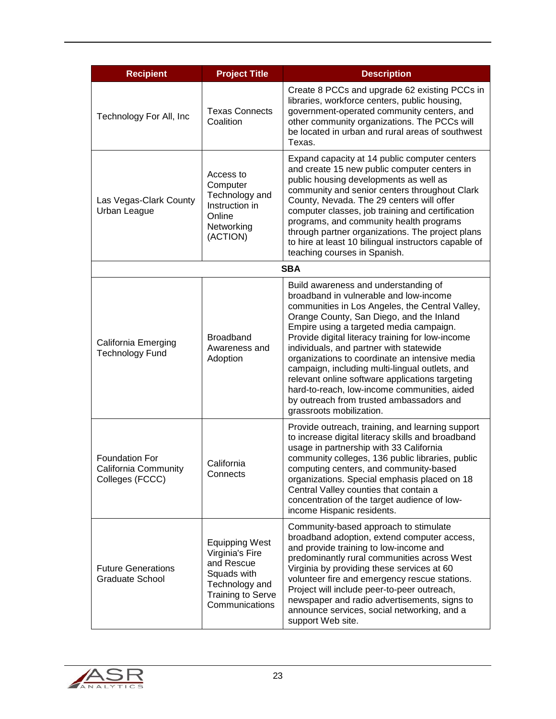| <b>Recipient</b>                                                 | <b>Project Title</b>                                                                                                                  | <b>Description</b>                                                                                                                                                                                                                                                                                                                                                                                                                                                                                                                                                                                     |
|------------------------------------------------------------------|---------------------------------------------------------------------------------------------------------------------------------------|--------------------------------------------------------------------------------------------------------------------------------------------------------------------------------------------------------------------------------------------------------------------------------------------------------------------------------------------------------------------------------------------------------------------------------------------------------------------------------------------------------------------------------------------------------------------------------------------------------|
| Technology For All, Inc                                          | <b>Texas Connects</b><br>Coalition                                                                                                    | Create 8 PCCs and upgrade 62 existing PCCs in<br>libraries, workforce centers, public housing,<br>government-operated community centers, and<br>other community organizations. The PCCs will<br>be located in urban and rural areas of southwest<br>Texas.                                                                                                                                                                                                                                                                                                                                             |
| Las Vegas-Clark County<br>Urban League                           | Access to<br>Computer<br>Technology and<br>Instruction in<br>Online<br>Networking<br>(ACTION)                                         | Expand capacity at 14 public computer centers<br>and create 15 new public computer centers in<br>public housing developments as well as<br>community and senior centers throughout Clark<br>County, Nevada. The 29 centers will offer<br>computer classes, job training and certification<br>programs, and community health programs<br>through partner organizations. The project plans<br>to hire at least 10 bilingual instructors capable of<br>teaching courses in Spanish.                                                                                                                       |
|                                                                  |                                                                                                                                       | <b>SBA</b>                                                                                                                                                                                                                                                                                                                                                                                                                                                                                                                                                                                             |
| <b>California Emerging</b><br><b>Technology Fund</b>             | <b>Broadband</b><br>Awareness and<br>Adoption                                                                                         | Build awareness and understanding of<br>broadband in vulnerable and low-income<br>communities in Los Angeles, the Central Valley,<br>Orange County, San Diego, and the Inland<br>Empire using a targeted media campaign.<br>Provide digital literacy training for low-income<br>individuals, and partner with statewide<br>organizations to coordinate an intensive media<br>campaign, including multi-lingual outlets, and<br>relevant online software applications targeting<br>hard-to-reach, low-income communities, aided<br>by outreach from trusted ambassadors and<br>grassroots mobilization. |
| <b>Foundation For</b><br>California Community<br>Colleges (FCCC) | California<br>Connects                                                                                                                | Provide outreach, training, and learning support<br>to increase digital literacy skills and broadband<br>usage in partnership with 33 California<br>community colleges, 136 public libraries, public<br>computing centers, and community-based<br>organizations. Special emphasis placed on 18<br>Central Valley counties that contain a<br>concentration of the target audience of low-<br>income Hispanic residents.                                                                                                                                                                                 |
| <b>Future Generations</b><br><b>Graduate School</b>              | <b>Equipping West</b><br>Virginia's Fire<br>and Rescue<br>Squads with<br>Technology and<br><b>Training to Serve</b><br>Communications | Community-based approach to stimulate<br>broadband adoption, extend computer access,<br>and provide training to low-income and<br>predominantly rural communities across West<br>Virginia by providing these services at 60<br>volunteer fire and emergency rescue stations.<br>Project will include peer-to-peer outreach,<br>newspaper and radio advertisements, signs to<br>announce services, social networking, and a<br>support Web site.                                                                                                                                                        |

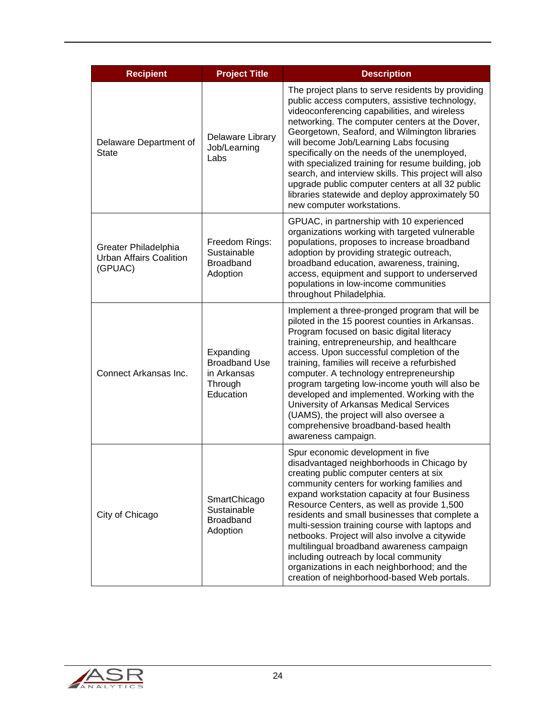| <b>Recipient</b>                                                  | <b>Project Title</b>                                                     | <b>Description</b>                                                                                                                                                                                                                                                                                                                                                                                                                                                                                                                                                                                              |  |
|-------------------------------------------------------------------|--------------------------------------------------------------------------|-----------------------------------------------------------------------------------------------------------------------------------------------------------------------------------------------------------------------------------------------------------------------------------------------------------------------------------------------------------------------------------------------------------------------------------------------------------------------------------------------------------------------------------------------------------------------------------------------------------------|--|
| Delaware Department of<br><b>State</b>                            | Delaware Library<br>Job/Learning<br>Labs                                 | The project plans to serve residents by providing<br>public access computers, assistive technology,<br>videoconferencing capabilities, and wireless<br>networking. The computer centers at the Dover,<br>Georgetown, Seaford, and Wilmington libraries<br>will become Job/Learning Labs focusing<br>specifically on the needs of the unemployed,<br>with specialized training for resume building, job<br>search, and interview skills. This project will also<br>upgrade public computer centers at all 32 public<br>libraries statewide and deploy approximately 50<br>new computer workstations.             |  |
| Greater Philadelphia<br><b>Urban Affairs Coalition</b><br>(GPUAC) | Freedom Rings:<br>Sustainable<br><b>Broadband</b><br>Adoption            | GPUAC, in partnership with 10 experienced<br>organizations working with targeted vulnerable<br>populations, proposes to increase broadband<br>adoption by providing strategic outreach,<br>broadband education, awareness, training,<br>access, equipment and support to underserved<br>populations in low-income communities<br>throughout Philadelphia.                                                                                                                                                                                                                                                       |  |
| Connect Arkansas Inc.                                             | Expanding<br><b>Broadband Use</b><br>in Arkansas<br>Through<br>Education | Implement a three-pronged program that will be<br>piloted in the 15 poorest counties in Arkansas.<br>Program focused on basic digital literacy<br>training, entrepreneurship, and healthcare<br>access. Upon successful completion of the<br>training, families will receive a refurbished<br>computer. A technology entrepreneurship<br>program targeting low-income youth will also be<br>developed and implemented. Working with the<br>University of Arkansas Medical Services<br>(UAMS), the project will also oversee a<br>comprehensive broadband-based health<br>awareness campaign.                    |  |
| City of Chicago                                                   | SmartChicago<br>Sustainable<br><b>Broadband</b><br>Adoption              | Spur economic development in five<br>disadvantaged neighborhoods in Chicago by<br>creating public computer centers at six<br>community centers for working families and<br>expand workstation capacity at four Business<br>Resource Centers, as well as provide 1,500<br>residents and small businesses that complete a<br>multi-session training course with laptops and<br>netbooks. Project will also involve a citywide<br>multilingual broadband awareness campaign<br>including outreach by local community<br>organizations in each neighborhood; and the<br>creation of neighborhood-based Web portals. |  |

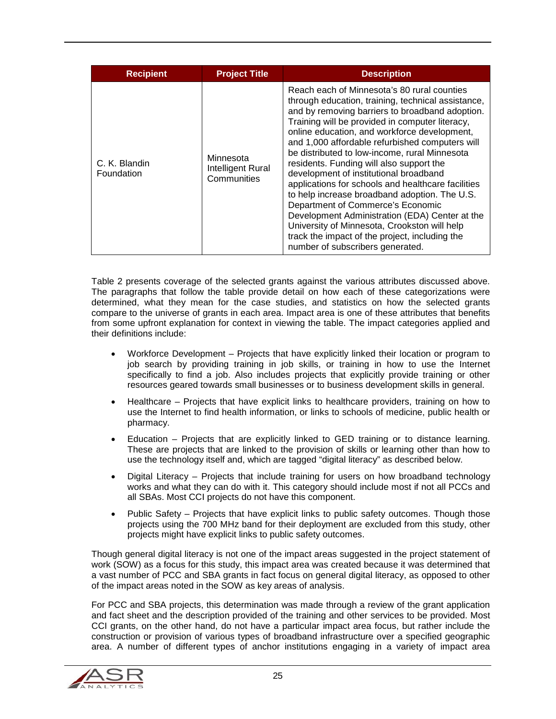| <b>Recipient</b>            | <b>Project Title</b>                          | <b>Description</b>                                                                                                                                                                                                                                                                                                                                                                                                                                                                                                                                                                                                                                                                                                                                                                    |
|-----------------------------|-----------------------------------------------|---------------------------------------------------------------------------------------------------------------------------------------------------------------------------------------------------------------------------------------------------------------------------------------------------------------------------------------------------------------------------------------------------------------------------------------------------------------------------------------------------------------------------------------------------------------------------------------------------------------------------------------------------------------------------------------------------------------------------------------------------------------------------------------|
| C. K. Blandin<br>Foundation | Minnesota<br>Intelligent Rural<br>Communities | Reach each of Minnesota's 80 rural counties<br>through education, training, technical assistance,<br>and by removing barriers to broadband adoption.<br>Training will be provided in computer literacy,<br>online education, and workforce development,<br>and 1,000 affordable refurbished computers will<br>be distributed to low-income, rural Minnesota<br>residents. Funding will also support the<br>development of institutional broadband<br>applications for schools and healthcare facilities<br>to help increase broadband adoption. The U.S.<br>Department of Commerce's Economic<br>Development Administration (EDA) Center at the<br>University of Minnesota, Crookston will help<br>track the impact of the project, including the<br>number of subscribers generated. |

[Table 2](#page-25-0) presents coverage of the selected grants against the various attributes discussed above. The paragraphs that follow the table provide detail on how each of these categorizations were determined, what they mean for the case studies, and statistics on how the selected grants compare to the universe of grants in each area. Impact area is one of these attributes that benefits from some upfront explanation for context in viewing the table. The impact categories applied and their definitions include:

- Workforce Development Projects that have explicitly linked their location or program to job search by providing training in job skills, or training in how to use the Internet specifically to find a job. Also includes projects that explicitly provide training or other resources geared towards small businesses or to business development skills in general.
- Healthcare Projects that have explicit links to healthcare providers, training on how to use the Internet to find health information, or links to schools of medicine, public health or pharmacy.
- Education Projects that are explicitly linked to GED training or to distance learning. These are projects that are linked to the provision of skills or learning other than how to use the technology itself and, which are tagged "digital literacy" as described below.
- Digital Literacy Projects that include training for users on how broadband technology works and what they can do with it. This category should include most if not all PCCs and all SBAs. Most CCI projects do not have this component.
- Public Safety Projects that have explicit links to public safety outcomes. Though those projects using the 700 MHz band for their deployment are excluded from this study, other projects might have explicit links to public safety outcomes.

Though general digital literacy is not one of the impact areas suggested in the project statement of work (SOW) as a focus for this study, this impact area was created because it was determined that a vast number of PCC and SBA grants in fact focus on general digital literacy, as opposed to other of the impact areas noted in the SOW as key areas of analysis.

For PCC and SBA projects, this determination was made through a review of the grant application and fact sheet and the description provided of the training and other services to be provided. Most CCI grants, on the other hand, do not have a particular impact area focus, but rather include the construction or provision of various types of broadband infrastructure over a specified geographic area. A number of different types of anchor institutions engaging in a variety of impact area

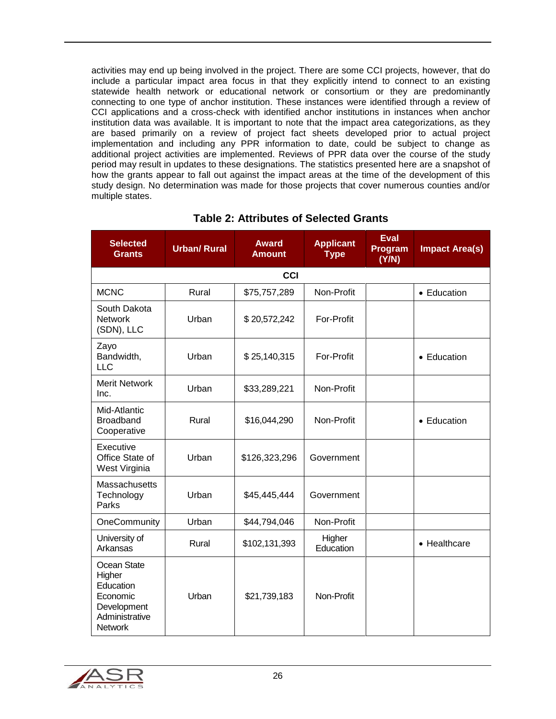activities may end up being involved in the project. There are some CCI projects, however, that do include a particular impact area focus in that they explicitly intend to connect to an existing statewide health network or educational network or consortium or they are predominantly connecting to one type of anchor institution. These instances were identified through a review of CCI applications and a cross-check with identified anchor institutions in instances when anchor institution data was available. It is important to note that the impact area categorizations, as they are based primarily on a review of project fact sheets developed prior to actual project implementation and including any PPR information to date, could be subject to change as additional project activities are implemented. Reviews of PPR data over the course of the study period may result in updates to these designations. The statistics presented here are a snapshot of how the grants appear to fall out against the impact areas at the time of the development of this study design. No determination was made for those projects that cover numerous counties and/or multiple states.

<span id="page-25-0"></span>

| <b>Selected</b><br><b>Grants</b>                                                                  | <b>Urban/ Rural</b> | <b>Award</b><br><b>Amount</b> | <b>Applicant</b><br><b>Type</b> | <b>Eval</b><br>Program<br>(Y/N) | <b>Impact Area(s)</b> |  |  |
|---------------------------------------------------------------------------------------------------|---------------------|-------------------------------|---------------------------------|---------------------------------|-----------------------|--|--|
|                                                                                                   | <b>CCI</b>          |                               |                                 |                                 |                       |  |  |
| <b>MCNC</b>                                                                                       | Rural               | \$75,757,289                  | Non-Profit                      |                                 | • Education           |  |  |
| South Dakota<br><b>Network</b><br>(SDN), LLC                                                      | Urban               | \$20,572,242                  | For-Profit                      |                                 |                       |  |  |
| Zayo<br>Bandwidth,<br><b>LLC</b>                                                                  | Urban               | \$25,140,315                  | For-Profit                      |                                 | • Education           |  |  |
| <b>Merit Network</b><br>Inc.                                                                      | Urban               | \$33,289,221                  | Non-Profit                      |                                 |                       |  |  |
| Mid-Atlantic<br><b>Broadband</b><br>Cooperative                                                   | Rural               | \$16,044,290                  | Non-Profit                      |                                 | • Education           |  |  |
| Executive<br>Office State of<br>West Virginia                                                     | Urban               | \$126,323,296                 | Government                      |                                 |                       |  |  |
| <b>Massachusetts</b><br>Technology<br>Parks                                                       | Urban               | \$45,445,444                  | Government                      |                                 |                       |  |  |
| OneCommunity                                                                                      | Urban               | \$44,794,046                  | Non-Profit                      |                                 |                       |  |  |
| University of<br>Arkansas                                                                         | Rural               | \$102,131,393                 | Higher<br>Education             |                                 | • Healthcare          |  |  |
| Ocean State<br>Higher<br>Education<br>Economic<br>Development<br>Administrative<br><b>Network</b> | Urban               | \$21,739,183                  | Non-Profit                      |                                 |                       |  |  |

## **Table 2: Attributes of Selected Grants**

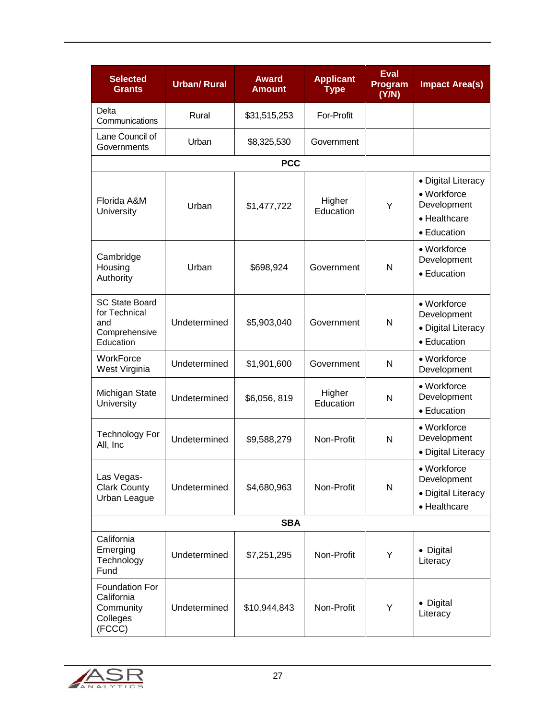| <b>Selected</b><br><b>Grants</b>                                            | <b>Urban/Rural</b> | <b>Award</b><br><b>Amount</b> | <b>Applicant</b><br><b>Type</b> | <b>Eval</b><br>Program<br>(Y/N) | <b>Impact Area(s)</b>                                                           |  |
|-----------------------------------------------------------------------------|--------------------|-------------------------------|---------------------------------|---------------------------------|---------------------------------------------------------------------------------|--|
| Delta<br>Communications                                                     | Rural              | \$31,515,253                  | For-Profit                      |                                 |                                                                                 |  |
| Lane Council of<br>Governments                                              | Urban              | \$8,325,530                   | Government                      |                                 |                                                                                 |  |
|                                                                             |                    | <b>PCC</b>                    |                                 |                                 |                                                                                 |  |
| Florida A&M<br>University                                                   | Urban              | \$1,477,722                   | Higher<br>Education             | Y                               | • Digital Literacy<br>• Workforce<br>Development<br>• Healthcare<br>• Education |  |
| Cambridge<br>Housing<br>Authority                                           | Urban              | \$698,924                     | Government                      | N                               | • Workforce<br>Development<br>• Education                                       |  |
| <b>SC State Board</b><br>for Technical<br>and<br>Comprehensive<br>Education | Undetermined       | \$5,903,040                   | Government                      | N                               | • Workforce<br>Development<br>• Digital Literacy<br>• Education                 |  |
| WorkForce<br>West Virginia                                                  | Undetermined       | \$1,901,600                   | Government                      | N                               | • Workforce<br>Development                                                      |  |
| Michigan State<br>University                                                | Undetermined       | \$6,056,819                   | Higher<br>Education             | N                               | • Workforce<br>Development<br>• Education                                       |  |
| <b>Technology For</b><br>All, Inc                                           | Undetermined       | \$9,588,279                   | Non-Profit                      | N                               | • Workforce<br>Development<br>• Digital Literacy                                |  |
| Las Vegas-<br><b>Clark County</b><br>Urban League                           | Undetermined       | \$4,680,963                   | Non-Profit                      | N                               | • Workforce<br>Development<br>· Digital Literacy<br>• Healthcare                |  |
| <b>SBA</b>                                                                  |                    |                               |                                 |                                 |                                                                                 |  |
| California<br>Emerging<br>Technology<br>Fund                                | Undetermined       | \$7,251,295                   | Non-Profit                      | Y                               | • Digital<br>Literacy                                                           |  |
| Foundation For<br>California<br>Community<br>Colleges<br>(FCCC)             | Undetermined       | \$10,944,843                  | Non-Profit                      | Y                               | • Digital<br>Literacy                                                           |  |

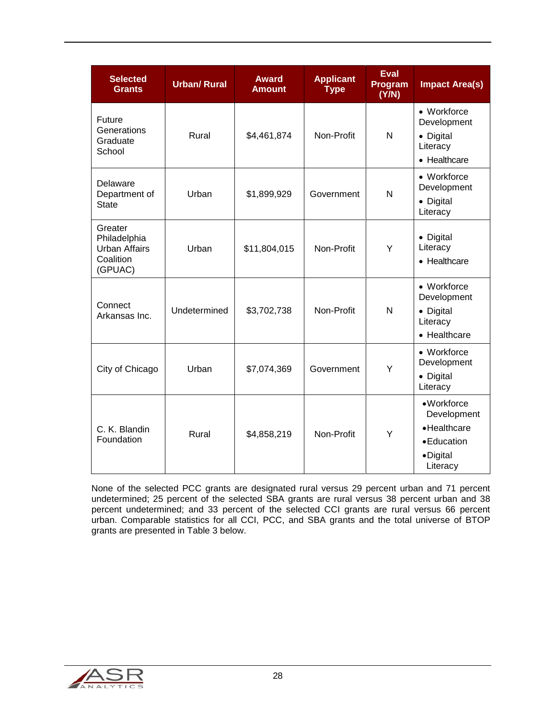| <b>Selected</b><br><b>Grants</b>                                        | <b>Urban/Rural</b> | <b>Award</b><br><b>Amount</b> | <b>Applicant</b><br><b>Type</b> | <b>Eval</b><br>Program<br>(Y/N) | <b>Impact Area(s)</b>                                                             |
|-------------------------------------------------------------------------|--------------------|-------------------------------|---------------------------------|---------------------------------|-----------------------------------------------------------------------------------|
| Future<br>Generations<br>Graduate<br>School                             | Rural              | \$4,461,874                   | Non-Profit                      | N                               | • Workforce<br>Development<br>• Digital<br>Literacy<br>• Healthcare               |
| Delaware<br>Department of<br><b>State</b>                               | Urban              | \$1,899,929                   | Government                      | N                               | • Workforce<br>Development<br>• Digital<br>Literacy                               |
| Greater<br>Philadelphia<br><b>Urban Affairs</b><br>Coalition<br>(GPUAC) | Urban              | \$11,804,015                  | Non-Profit                      | Y                               | • Digital<br>Literacy<br>• Healthcare                                             |
| Connect<br>Arkansas Inc.                                                | Undetermined       | \$3,702,738                   | Non-Profit                      | N                               | • Workforce<br>Development<br>• Digital<br>Literacy<br>• Healthcare               |
| City of Chicago                                                         | Urban              | \$7,074,369                   | Government                      | Y                               | • Workforce<br>Development<br>• Digital<br>Literacy                               |
| C. K. Blandin<br>Foundation                                             | Rural              | \$4,858,219                   | Non-Profit                      | Y                               | • Workforce<br>Development<br>• Healthcare<br>• Education<br>•Digital<br>Literacy |

None of the selected PCC grants are designated rural versus 29 percent urban and 71 percent undetermined; 25 percent of the selected SBA grants are rural versus 38 percent urban and 38 percent undetermined; and 33 percent of the selected CCI grants are rural versus 66 percent urban. Comparable statistics for all CCI, PCC, and SBA grants and the total universe of BTOP grants are presented in [Table 3](#page-28-0) below.

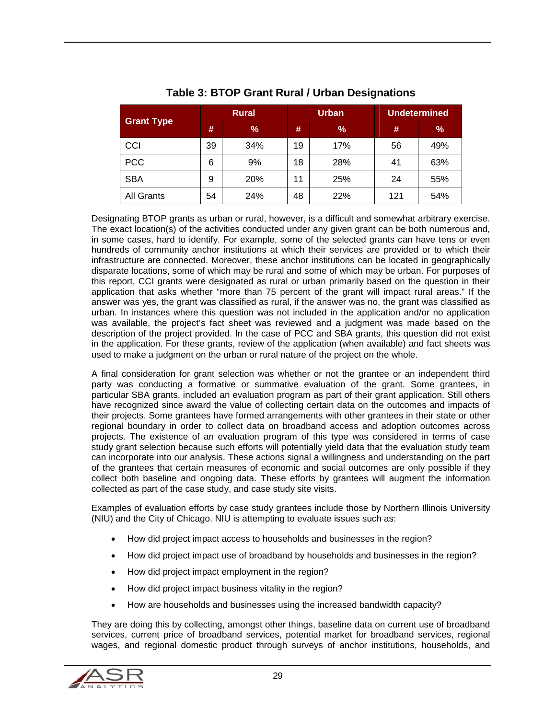<span id="page-28-0"></span>

| <b>Grant Type</b> | <b>Rural</b> |     | <b>Urban</b> |               | <b>Undetermined</b> |     |
|-------------------|--------------|-----|--------------|---------------|---------------------|-----|
|                   | #            | %   | #            | $\frac{9}{6}$ | #                   | %   |
| CCI               | 39           | 34% | 19           | 17%           | 56                  | 49% |
| <b>PCC</b>        | 6            | 9%  | 18           | 28%           | 41                  | 63% |
| <b>SBA</b>        | 9            | 20% | 11           | 25%           | 24                  | 55% |
| <b>All Grants</b> | 54           | 24% | 48           | 22%           | 121                 | 54% |

### **Table 3: BTOP Grant Rural / Urban Designations**

Designating BTOP grants as urban or rural, however, is a difficult and somewhat arbitrary exercise. The exact location(s) of the activities conducted under any given grant can be both numerous and, in some cases, hard to identify. For example, some of the selected grants can have tens or even hundreds of community anchor institutions at which their services are provided or to which their infrastructure are connected. Moreover, these anchor institutions can be located in geographically disparate locations, some of which may be rural and some of which may be urban. For purposes of this report, CCI grants were designated as rural or urban primarily based on the question in their application that asks whether "more than 75 percent of the grant will impact rural areas." If the answer was yes, the grant was classified as rural, if the answer was no, the grant was classified as urban. In instances where this question was not included in the application and/or no application was available, the project's fact sheet was reviewed and a judgment was made based on the description of the project provided. In the case of PCC and SBA grants, this question did not exist in the application. For these grants, review of the application (when available) and fact sheets was used to make a judgment on the urban or rural nature of the project on the whole.

A final consideration for grant selection was whether or not the grantee or an independent third party was conducting a formative or summative evaluation of the grant. Some grantees, in particular SBA grants, included an evaluation program as part of their grant application. Still others have recognized since award the value of collecting certain data on the outcomes and impacts of their projects. Some grantees have formed arrangements with other grantees in their state or other regional boundary in order to collect data on broadband access and adoption outcomes across projects. The existence of an evaluation program of this type was considered in terms of case study grant selection because such efforts will potentially yield data that the evaluation study team can incorporate into our analysis. These actions signal a willingness and understanding on the part of the grantees that certain measures of economic and social outcomes are only possible if they collect both baseline and ongoing data. These efforts by grantees will augment the information collected as part of the case study, and case study site visits.

Examples of evaluation efforts by case study grantees include those by Northern Illinois University (NIU) and the City of Chicago. NIU is attempting to evaluate issues such as:

- How did project impact access to households and businesses in the region?
- How did project impact use of broadband by households and businesses in the region?
- How did project impact employment in the region?
- How did project impact business vitality in the region?
- How are households and businesses using the increased bandwidth capacity?

They are doing this by collecting, amongst other things, baseline data on current use of broadband services, current price of broadband services, potential market for broadband services, regional wages, and regional domestic product through surveys of anchor institutions, households, and

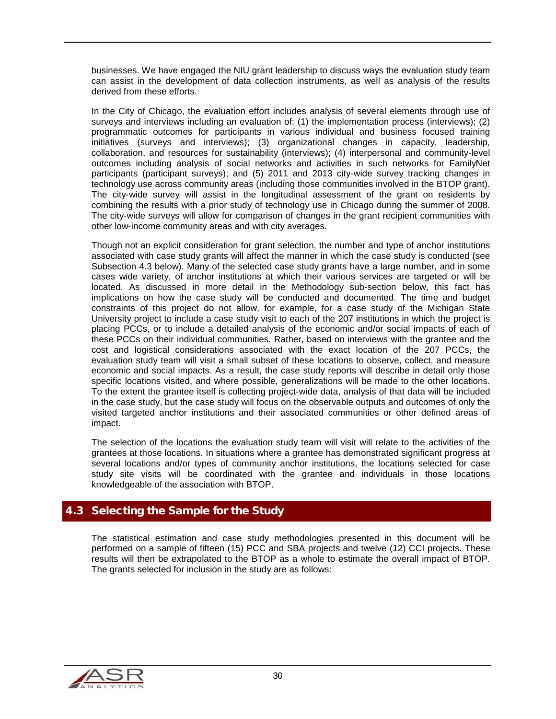businesses. We have engaged the NIU grant leadership to discuss ways the evaluation study team can assist in the development of data collection instruments, as well as analysis of the results derived from these efforts.

In the City of Chicago, the evaluation effort includes analysis of several elements through use of surveys and interviews including an evaluation of: (1) the implementation process (interviews); (2) programmatic outcomes for participants in various individual and business focused training initiatives (surveys and interviews); (3) organizational changes in capacity, leadership, collaboration, and resources for sustainability (interviews); (4) interpersonal and community-level outcomes including analysis of social networks and activities in such networks for FamilyNet participants (participant surveys); and (5) 2011 and 2013 city-wide survey tracking changes in technology use across community areas (including those communities involved in the BTOP grant). The city-wide survey will assist in the longitudinal assessment of the grant on residents by combining the results with a prior study of technology use in Chicago during the summer of 2008. The city-wide surveys will allow for comparison of changes in the grant recipient communities with other low-income community areas and with city averages.

Though not an explicit consideration for grant selection, the number and type of anchor institutions associated with case study grants will affect the manner in which the case study is conducted (see Subsection 4.3 below). Many of the selected case study grants have a large number, and in some cases wide variety, of anchor institutions at which their various services are targeted or will be located. As discussed in more detail in the Methodology sub-section below, this fact has implications on how the case study will be conducted and documented. The time and budget constraints of this project do not allow, for example, for a case study of the Michigan State University project to include a case study visit to each of the 207 institutions in which the project is placing PCCs, or to include a detailed analysis of the economic and/or social impacts of each of these PCCs on their individual communities. Rather, based on interviews with the grantee and the cost and logistical considerations associated with the exact location of the 207 PCCs, the evaluation study team will visit a small subset of these locations to observe, collect, and measure economic and social impacts. As a result, the case study reports will describe in detail only those specific locations visited, and where possible, generalizations will be made to the other locations. To the extent the grantee itself is collecting project-wide data, analysis of that data will be included in the case study, but the case study will focus on the observable outputs and outcomes of only the visited targeted anchor institutions and their associated communities or other defined areas of impact.

The selection of the locations the evaluation study team will visit will relate to the activities of the grantees at those locations. In situations where a grantee has demonstrated significant progress at several locations and/or types of community anchor institutions, the locations selected for case study site visits will be coordinated with the grantee and individuals in those locations knowledgeable of the association with BTOP.

## <span id="page-29-0"></span>4.3 Selecting the Sample for the Study

The statistical estimation and case study methodologies presented in this document will be performed on a sample of fifteen (15) PCC and SBA projects and twelve (12) CCI projects. These results will then be extrapolated to the BTOP as a whole to estimate the overall impact of BTOP. The grants selected for inclusion in the study are as follows:

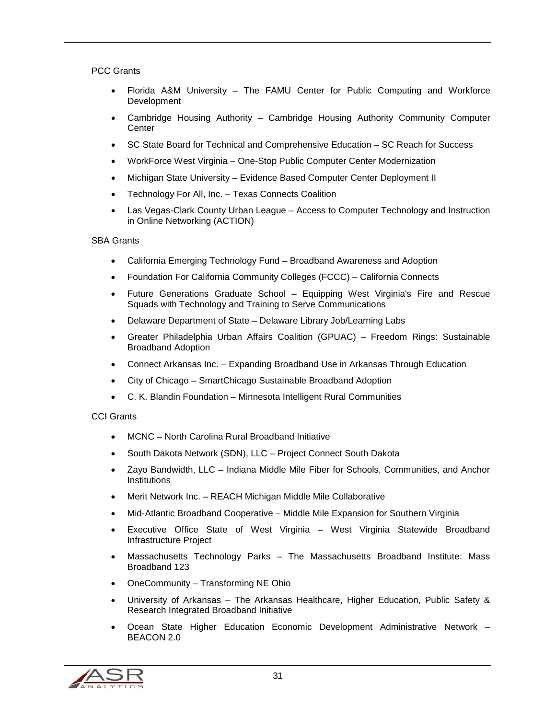#### PCC Grants

- Florida A&M University The FAMU Center for Public Computing and Workforce **Development**
- Cambridge Housing Authority Cambridge Housing Authority Community Computer **Center**
- SC State Board for Technical and Comprehensive Education SC Reach for Success
- WorkForce West Virginia One-Stop Public Computer Center Modernization
- Michigan State University Evidence Based Computer Center Deployment II
- Technology For All, Inc. Texas Connects Coalition
- Las Vegas-Clark County Urban League Access to Computer Technology and Instruction in Online Networking (ACTION)

#### SBA Grants

- California Emerging Technology Fund Broadband Awareness and Adoption
- Foundation For California Community Colleges (FCCC) California Connects
- Future Generations Graduate School Equipping West Virginia's Fire and Rescue Squads with Technology and Training to Serve Communications
- Delaware Department of State Delaware Library Job/Learning Labs
- Greater Philadelphia Urban Affairs Coalition (GPUAC) Freedom Rings: Sustainable Broadband Adoption
- Connect Arkansas Inc. Expanding Broadband Use in Arkansas Through Education
- City of Chicago SmartChicago Sustainable Broadband Adoption
- C. K. Blandin Foundation Minnesota Intelligent Rural Communities

#### CCI Grants

- MCNC North Carolina Rural Broadband Initiative
- South Dakota Network (SDN), LLC Project Connect South Dakota
- Zayo Bandwidth, LLC Indiana Middle Mile Fiber for Schools, Communities, and Anchor **Institutions**
- Merit Network Inc. REACH Michigan Middle Mile Collaborative
- Mid-Atlantic Broadband Cooperative Middle Mile Expansion for Southern Virginia
- Executive Office State of West Virginia West Virginia Statewide Broadband Infrastructure Project
- Massachusetts Technology Parks The Massachusetts Broadband Institute: Mass Broadband 123
- OneCommunity Transforming NE Ohio
- University of Arkansas The Arkansas Healthcare, Higher Education, Public Safety & Research Integrated Broadband Initiative
- Ocean State Higher Education Economic Development Administrative Network BEACON 2.0

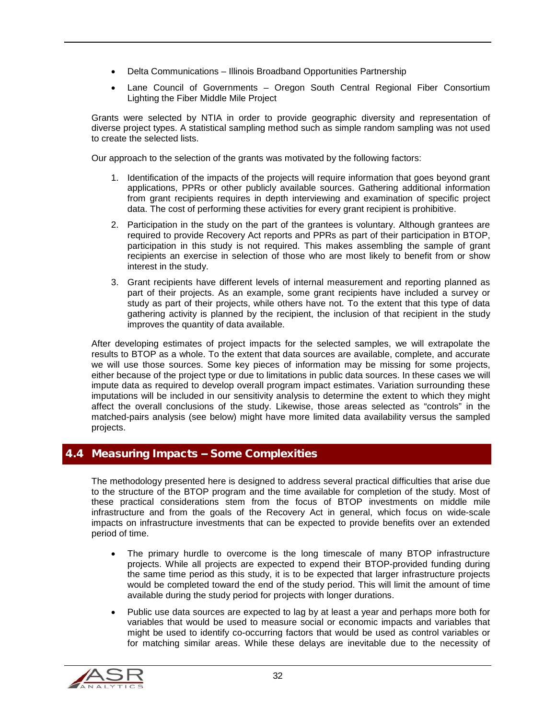- Delta Communications Illinois Broadband Opportunities Partnership
- Lane Council of Governments Oregon South Central Regional Fiber Consortium Lighting the Fiber Middle Mile Project

Grants were selected by NTIA in order to provide geographic diversity and representation of diverse project types. A statistical sampling method such as simple random sampling was not used to create the selected lists.

Our approach to the selection of the grants was motivated by the following factors:

- 1. Identification of the impacts of the projects will require information that goes beyond grant applications, PPRs or other publicly available sources. Gathering additional information from grant recipients requires in depth interviewing and examination of specific project data. The cost of performing these activities for every grant recipient is prohibitive.
- 2. Participation in the study on the part of the grantees is voluntary. Although grantees are required to provide Recovery Act reports and PPRs as part of their participation in BTOP, participation in this study is not required. This makes assembling the sample of grant recipients an exercise in selection of those who are most likely to benefit from or show interest in the study.
- 3. Grant recipients have different levels of internal measurement and reporting planned as part of their projects. As an example, some grant recipients have included a survey or study as part of their projects, while others have not. To the extent that this type of data gathering activity is planned by the recipient, the inclusion of that recipient in the study improves the quantity of data available.

After developing estimates of project impacts for the selected samples, we will extrapolate the results to BTOP as a whole. To the extent that data sources are available, complete, and accurate we will use those sources. Some key pieces of information may be missing for some projects, either because of the project type or due to limitations in public data sources. In these cases we will impute data as required to develop overall program impact estimates. Variation surrounding these imputations will be included in our sensitivity analysis to determine the extent to which they might affect the overall conclusions of the study. Likewise, those areas selected as "controls" in the matched-pairs analysis (see below) might have more limited data availability versus the sampled projects.

#### <span id="page-31-0"></span>4.4 Measuring Impacts -- Some Complexities

The methodology presented here is designed to address several practical difficulties that arise due to the structure of the BTOP program and the time available for completion of the study. Most of these practical considerations stem from the focus of BTOP investments on middle mile infrastructure and from the goals of the Recovery Act in general, which focus on wide-scale impacts on infrastructure investments that can be expected to provide benefits over an extended period of time.

- The primary hurdle to overcome is the long timescale of many BTOP infrastructure projects. While all projects are expected to expend their BTOP-provided funding during the same time period as this study, it is to be expected that larger infrastructure projects would be completed toward the end of the study period. This will limit the amount of time available during the study period for projects with longer durations.
- Public use data sources are expected to lag by at least a year and perhaps more both for variables that would be used to measure social or economic impacts and variables that might be used to identify co-occurring factors that would be used as control variables or for matching similar areas. While these delays are inevitable due to the necessity of

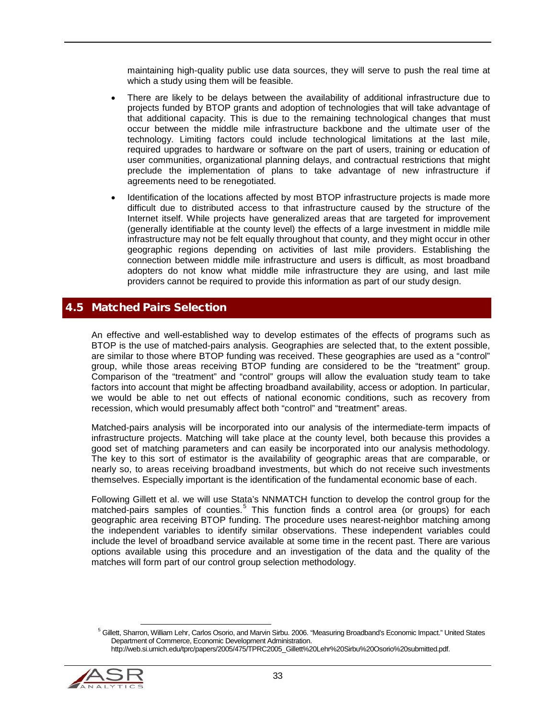maintaining high-quality public use data sources, they will serve to push the real time at which a study using them will be feasible.

- There are likely to be delays between the availability of additional infrastructure due to projects funded by BTOP grants and adoption of technologies that will take advantage of that additional capacity. This is due to the remaining technological changes that must occur between the middle mile infrastructure backbone and the ultimate user of the technology. Limiting factors could include technological limitations at the last mile, required upgrades to hardware or software on the part of users, training or education of user communities, organizational planning delays, and contractual restrictions that might preclude the implementation of plans to take advantage of new infrastructure if agreements need to be renegotiated.
- Identification of the locations affected by most BTOP infrastructure projects is made more difficult due to distributed access to that infrastructure caused by the structure of the Internet itself. While projects have generalized areas that are targeted for improvement (generally identifiable at the county level) the effects of a large investment in middle mile infrastructure may not be felt equally throughout that county, and they might occur in other geographic regions depending on activities of last mile providers. Establishing the connection between middle mile infrastructure and users is difficult, as most broadband adopters do not know what middle mile infrastructure they are using, and last mile providers cannot be required to provide this information as part of our study design.

### <span id="page-32-0"></span>4.5 Matched Pairs Selection

An effective and well-established way to develop estimates of the effects of programs such as BTOP is the use of matched-pairs analysis. Geographies are selected that, to the extent possible, are similar to those where BTOP funding was received. These geographies are used as a "control" group, while those areas receiving BTOP funding are considered to be the "treatment" group. Comparison of the "treatment" and "control" groups will allow the evaluation study team to take factors into account that might be affecting broadband availability, access or adoption. In particular, we would be able to net out effects of national economic conditions, such as recovery from recession, which would presumably affect both "control" and "treatment" areas.

Matched-pairs analysis will be incorporated into our analysis of the intermediate-term impacts of infrastructure projects. Matching will take place at the county level, both because this provides a good set of matching parameters and can easily be incorporated into our analysis methodology. The key to this sort of estimator is the availability of geographic areas that are comparable, or nearly so, to areas receiving broadband investments, but which do not receive such investments themselves. Especially important is the identification of the fundamental economic base of each.

Following Gillett et al. we will use Stata's NNMATCH function to develop the control group for the matched-pairs samples of counties.<sup>[5](#page-32-1)</sup> This function finds a control area (or groups) for each geographic area receiving BTOP funding. The procedure uses nearest-neighbor matching among the independent variables to identify similar observations. These independent variables could include the level of broadband service available at some time in the recent past. There are various options available using this procedure and an investigation of the data and the quality of the matches will form part of our control group selection methodology.

<span id="page-32-1"></span>http://web.si.umich.edu/tprc/papers/2005/475/TPRC2005\_Gillett%20Lehr%20Sirbu%20Osorio%20submitted.pdf.



<sup>&</sup>lt;sup>5</sup> Gillett, Sharron, William Lehr, Carlos Osorio, and Marvin Sirbu. 2006. "Measuring Broadband's Economic Impact." United States Department of Commerce, Economic Development Administration.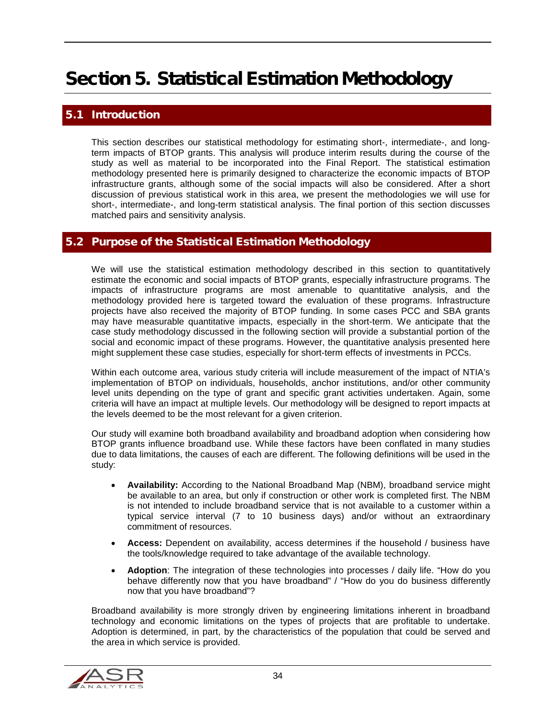## <span id="page-33-0"></span>Section 5. Statistical Estimation Methodology

## <span id="page-33-1"></span>**Introduction**

This section describes our statistical methodology for estimating short-, intermediate-, and longterm impacts of BTOP grants. This analysis will produce interim results during the course of the study as well as material to be incorporated into the Final Report. The statistical estimation methodology presented here is primarily designed to characterize the economic impacts of BTOP infrastructure grants, although some of the social impacts will also be considered. After a short discussion of previous statistical work in this area, we present the methodologies we will use for short-, intermediate-, and long-term statistical analysis. The final portion of this section discusses matched pairs and sensitivity analysis.

#### <span id="page-33-2"></span>5.2 Purpose of the Statistical Estimation Methodology

We will use the statistical estimation methodology described in this section to quantitatively estimate the economic and social impacts of BTOP grants, especially infrastructure programs. The impacts of infrastructure programs are most amenable to quantitative analysis, and the methodology provided here is targeted toward the evaluation of these programs. Infrastructure projects have also received the majority of BTOP funding. In some cases PCC and SBA grants may have measurable quantitative impacts, especially in the short-term. We anticipate that the case study methodology discussed in the following section will provide a substantial portion of the social and economic impact of these programs. However, the quantitative analysis presented here might supplement these case studies, especially for short-term effects of investments in PCCs.

Within each outcome area, various study criteria will include measurement of the impact of NTIA's implementation of BTOP on individuals, households, anchor institutions, and/or other community level units depending on the type of grant and specific grant activities undertaken. Again, some criteria will have an impact at multiple levels. Our methodology will be designed to report impacts at the levels deemed to be the most relevant for a given criterion.

Our study will examine both broadband availability and broadband adoption when considering how BTOP grants influence broadband use. While these factors have been conflated in many studies due to data limitations, the causes of each are different. The following definitions will be used in the study:

- **Availability:** According to the National Broadband Map (NBM), broadband service might be available to an area, but only if construction or other work is completed first. The NBM is not intended to include broadband service that is not available to a customer within a typical service interval (7 to 10 business days) and/or without an extraordinary commitment of resources.
- **Access:** Dependent on availability, access determines if the household / business have the tools/knowledge required to take advantage of the available technology.
- **Adoption**: The integration of these technologies into processes / daily life. "How do you behave differently now that you have broadband" / "How do you do business differently now that you have broadband"?

Broadband availability is more strongly driven by engineering limitations inherent in broadband technology and economic limitations on the types of projects that are profitable to undertake. Adoption is determined, in part, by the characteristics of the population that could be served and the area in which service is provided.

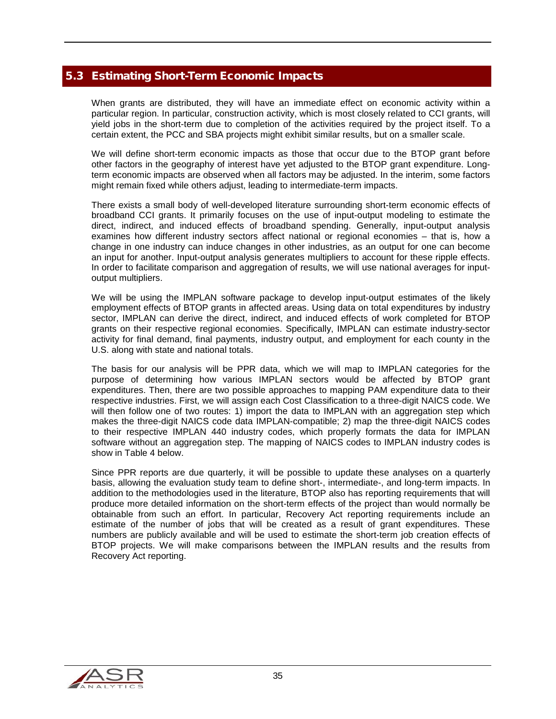## <span id="page-34-0"></span>5.3 Estimating Short-Term Economic Impacts

When grants are distributed, they will have an immediate effect on economic activity within a particular region. In particular, construction activity, which is most closely related to CCI grants, will yield jobs in the short-term due to completion of the activities required by the project itself. To a certain extent, the PCC and SBA projects might exhibit similar results, but on a smaller scale.

We will define short-term economic impacts as those that occur due to the BTOP grant before other factors in the geography of interest have yet adjusted to the BTOP grant expenditure. Longterm economic impacts are observed when all factors may be adjusted. In the interim, some factors might remain fixed while others adjust, leading to intermediate-term impacts.

There exists a small body of well-developed literature surrounding short-term economic effects of broadband CCI grants. It primarily focuses on the use of input-output modeling to estimate the direct, indirect, and induced effects of broadband spending. Generally, input-output analysis examines how different industry sectors affect national or regional economies – that is, how a change in one industry can induce changes in other industries, as an output for one can become an input for another. Input-output analysis generates multipliers to account for these ripple effects. In order to facilitate comparison and aggregation of results, we will use national averages for inputoutput multipliers.

We will be using the IMPLAN software package to develop input-output estimates of the likely employment effects of BTOP grants in affected areas. Using data on total expenditures by industry sector, IMPLAN can derive the direct, indirect, and induced effects of work completed for BTOP grants on their respective regional economies. Specifically, IMPLAN can estimate industry-sector activity for final demand, final payments, industry output, and employment for each county in the U.S. along with state and national totals.

The basis for our analysis will be PPR data, which we will map to IMPLAN categories for the purpose of determining how various IMPLAN sectors would be affected by BTOP grant expenditures. Then, there are two possible approaches to mapping PAM expenditure data to their respective industries. First, we will assign each Cost Classification to a three-digit NAICS code. We will then follow one of two routes: 1) import the data to IMPLAN with an aggregation step which makes the three-digit NAICS code data IMPLAN-compatible; 2) map the three-digit NAICS codes to their respective IMPLAN 440 industry codes, which properly formats the data for IMPLAN software without an aggregation step. The mapping of NAICS codes to IMPLAN industry codes is show in [Table 4](#page-35-1) below.

Since PPR reports are due quarterly, it will be possible to update these analyses on a quarterly basis, allowing the evaluation study team to define short-, intermediate-, and long-term impacts. In addition to the methodologies used in the literature, BTOP also has reporting requirements that will produce more detailed information on the short-term effects of the project than would normally be obtainable from such an effort. In particular, Recovery Act reporting requirements include an estimate of the number of jobs that will be created as a result of grant expenditures. These numbers are publicly available and will be used to estimate the short-term job creation effects of BTOP projects. We will make comparisons between the IMPLAN results and the results from Recovery Act reporting.

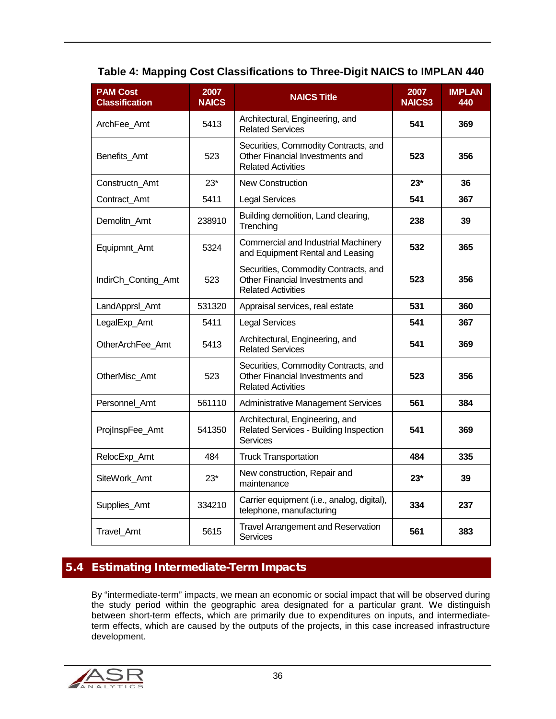<span id="page-35-1"></span>

| Table 4: Mapping Cost Classifications to Three-Digit NAICS to IMPLAN 440 |  |
|--------------------------------------------------------------------------|--|
|--------------------------------------------------------------------------|--|

| <b>PAM Cost</b><br><b>Classification</b> | 2007<br><b>NAICS</b> | <b>NAICS Title</b>                                                                                   | 2007<br><b>NAICS3</b> | <b>IMPLAN</b><br>440 |
|------------------------------------------|----------------------|------------------------------------------------------------------------------------------------------|-----------------------|----------------------|
| ArchFee Amt                              | 5413                 | Architectural, Engineering, and<br><b>Related Services</b>                                           | 541                   | 369                  |
| Benefits Amt                             | 523                  | Securities, Commodity Contracts, and<br>Other Financial Investments and<br><b>Related Activities</b> | 523                   | 356                  |
| Constructn Amt                           | $23*$                | New Construction                                                                                     | $23*$                 | 36                   |
| Contract Amt                             | 5411                 | <b>Legal Services</b>                                                                                | 541                   | 367                  |
| Demolitn_Amt                             | 238910               | Building demolition, Land clearing,<br>Trenching                                                     | 238                   | 39                   |
| Equipmnt_Amt                             | 5324                 | Commercial and Industrial Machinery<br>and Equipment Rental and Leasing                              | 532                   | 365                  |
| IndirCh_Conting_Amt                      | 523                  | Securities, Commodity Contracts, and<br>Other Financial Investments and<br><b>Related Activities</b> | 523                   | 356                  |
| LandApprsl_Amt                           | 531320               | Appraisal services, real estate                                                                      | 531                   | 360                  |
| LegalExp_Amt                             | 5411                 | <b>Legal Services</b>                                                                                | 541                   | 367                  |
| OtherArchFee Amt                         | 5413                 | Architectural, Engineering, and<br><b>Related Services</b>                                           | 541                   | 369                  |
| OtherMisc Amt                            | 523                  | Securities, Commodity Contracts, and<br>Other Financial Investments and<br><b>Related Activities</b> | 523                   | 356                  |
| Personnel Amt                            | 561110               | <b>Administrative Management Services</b>                                                            | 561                   | 384                  |
| ProjInspFee_Amt                          | 541350               | Architectural, Engineering, and<br>Related Services - Building Inspection<br>Services                | 541                   | 369                  |
| RelocExp_Amt                             | 484                  | <b>Truck Transportation</b>                                                                          | 484                   | 335                  |
| SiteWork Amt                             | $23*$                | New construction, Repair and<br>maintenance                                                          | $23*$                 | 39                   |
| Supplies_Amt                             | 334210               | Carrier equipment (i.e., analog, digital),<br>telephone, manufacturing                               | 334                   | 237                  |
| Travel_Amt                               | 5615                 | Travel Arrangement and Reservation<br><b>Services</b>                                                | 561                   | 383                  |

## <span id="page-35-0"></span>5.4 Estimating Intermediate-Term Impacts

By "intermediate-term" impacts, we mean an economic or social impact that will be observed during the study period within the geographic area designated for a particular grant. We distinguish between short-term effects, which are primarily due to expenditures on inputs, and intermediateterm effects, which are caused by the outputs of the projects, in this case increased infrastructure development.

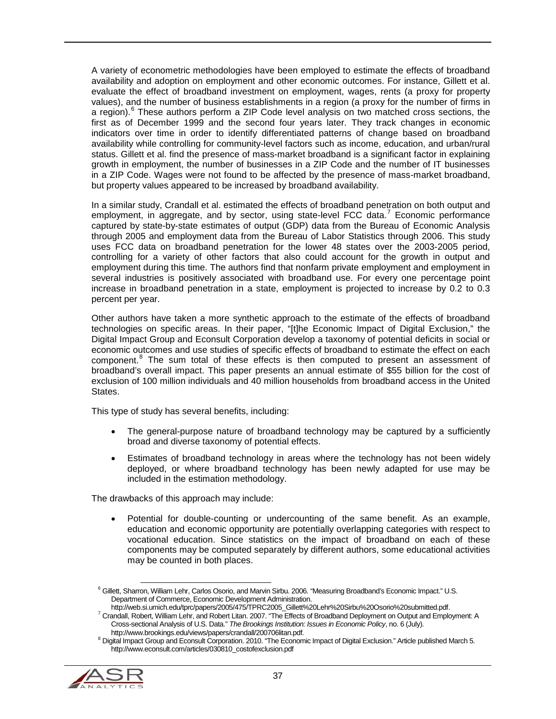A variety of econometric methodologies have been employed to estimate the effects of broadband availability and adoption on employment and other economic outcomes. For instance, Gillett et al. evaluate the effect of broadband investment on employment, wages, rents (a proxy for property values), and the number of business establishments in a region (a proxy for the number of firms in a region).<sup>[6](#page-36-0)</sup> These authors perform a ZIP Code level analysis on two matched cross sections, the first as of December 1999 and the second four years later. They track changes in economic indicators over time in order to identify differentiated patterns of change based on broadband availability while controlling for community-level factors such as income, education, and urban/rural status. Gillett et al. find the presence of mass-market broadband is a significant factor in explaining growth in employment, the number of businesses in a ZIP Code and the number of IT businesses in a ZIP Code. Wages were not found to be affected by the presence of mass-market broadband, but property values appeared to be increased by broadband availability.

In a similar study, Crandall et al. estimated the effects of broadband penetration on both output and employment, in aggregate, and by sector, using state-level FCC data.<sup>[7](#page-36-1)</sup> Economic performance captured by state-by-state estimates of output (GDP) data from the Bureau of Economic Analysis through 2005 and employment data from the Bureau of Labor Statistics through 2006. This study uses FCC data on broadband penetration for the lower 48 states over the 2003-2005 period, controlling for a variety of other factors that also could account for the growth in output and employment during this time. The authors find that nonfarm private employment and employment in several industries is positively associated with broadband use. For every one percentage point increase in broadband penetration in a state, employment is projected to increase by 0.2 to 0.3 percent per year.

Other authors have taken a more synthetic approach to the estimate of the effects of broadband technologies on specific areas. In their paper, "[t]he Economic Impact of Digital Exclusion," the Digital Impact Group and Econsult Corporation develop a taxonomy of potential deficits in social or economic outcomes and use studies of specific effects of broadband to estimate the effect on each component.<sup>[8](#page-36-2)</sup> The sum total of these effects is then computed to present an assessment of broadband's overall impact. This paper presents an annual estimate of \$55 billion for the cost of exclusion of 100 million individuals and 40 million households from broadband access in the United States.

This type of study has several benefits, including:

- The general-purpose nature of broadband technology may be captured by a sufficiently broad and diverse taxonomy of potential effects.
- Estimates of broadband technology in areas where the technology has not been widely deployed, or where broadband technology has been newly adapted for use may be included in the estimation methodology.

The drawbacks of this approach may include:

• Potential for double-counting or undercounting of the same benefit. As an example, education and economic opportunity are potentially overlapping categories with respect to vocational education. Since statistics on the impact of broadband on each of these components may be computed separately by different authors, some educational activities may be counted in both places.

<span id="page-36-2"></span><span id="page-36-1"></span><span id="page-36-0"></span> $8$  Digital Impact Group and Econsult Corporation. 2010. "The Economic Impact of Digital Exclusion." Article published March 5. http://www.econsult.com/articles/030810\_costofexclusion.pdf



<sup>&</sup>lt;sup>6</sup> Gillett, Sharron, William Lehr, Carlos Osorio, and Marvin Sirbu. 2006. "Measuring Broadband's Economic Impact." U.S. Department of Commerce, Economic Development Administration.<br>http://web.si.umich.edu/tprc/papers/2005/475/TPRC2005\_Gillett%20Lehr%20Sirbu%20Osorio%20submitted.pdf.

<sup>&</sup>lt;sup>7</sup> Crandall, Robert, William Lehr, and Robert Litan. 2007. "The Effects of Broadband Deployment on Output and Employment: A

Cross-sectional Analysis of U.S. Data." *The Brookings Institution: Issues in Economic Policy*, no. 6 (July).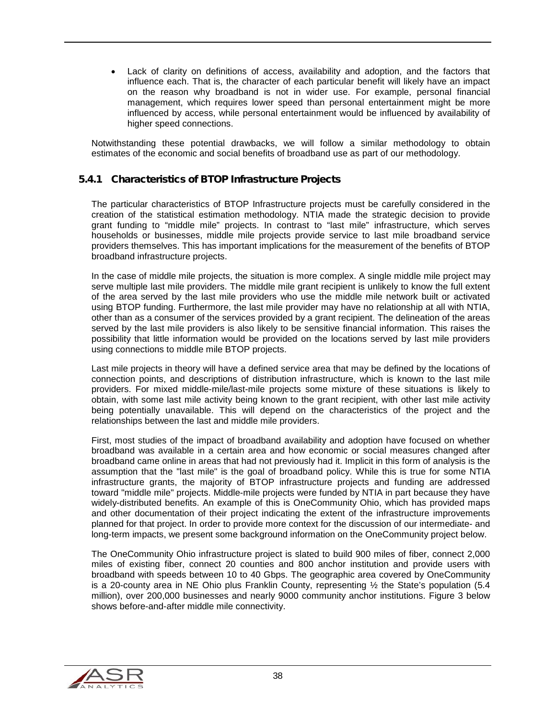• Lack of clarity on definitions of access, availability and adoption, and the factors that influence each. That is, the character of each particular benefit will likely have an impact on the reason why broadband is not in wider use. For example, personal financial management, which requires lower speed than personal entertainment might be more influenced by access, while personal entertainment would be influenced by availability of higher speed connections.

Notwithstanding these potential drawbacks, we will follow a similar methodology to obtain estimates of the economic and social benefits of broadband use as part of our methodology.

#### 5.4.1 Characteristics of BTOP Infrastructure Projects

The particular characteristics of BTOP Infrastructure projects must be carefully considered in the creation of the statistical estimation methodology. NTIA made the strategic decision to provide grant funding to "middle mile" projects. In contrast to "last mile" infrastructure, which serves households or businesses, middle mile projects provide service to last mile broadband service providers themselves. This has important implications for the measurement of the benefits of BTOP broadband infrastructure projects.

In the case of middle mile projects, the situation is more complex. A single middle mile project may serve multiple last mile providers. The middle mile grant recipient is unlikely to know the full extent of the area served by the last mile providers who use the middle mile network built or activated using BTOP funding. Furthermore, the last mile provider may have no relationship at all with NTIA, other than as a consumer of the services provided by a grant recipient. The delineation of the areas served by the last mile providers is also likely to be sensitive financial information. This raises the possibility that little information would be provided on the locations served by last mile providers using connections to middle mile BTOP projects.

Last mile projects in theory will have a defined service area that may be defined by the locations of connection points, and descriptions of distribution infrastructure, which is known to the last mile providers. For mixed middle-mile/last-mile projects some mixture of these situations is likely to obtain, with some last mile activity being known to the grant recipient, with other last mile activity being potentially unavailable. This will depend on the characteristics of the project and the relationships between the last and middle mile providers.

First, most studies of the impact of broadband availability and adoption have focused on whether broadband was available in a certain area and how economic or social measures changed after broadband came online in areas that had not previously had it. Implicit in this form of analysis is the assumption that the "last mile" is the goal of broadband policy. While this is true for some NTIA infrastructure grants, the majority of BTOP infrastructure projects and funding are addressed toward "middle mile" projects. Middle-mile projects were funded by NTIA in part because they have widely-distributed benefits. An example of this is OneCommunity Ohio, which has provided maps and other documentation of their project indicating the extent of the infrastructure improvements planned for that project. In order to provide more context for the discussion of our intermediate- and long-term impacts, we present some background information on the OneCommunity project below.

The OneCommunity Ohio infrastructure project is slated to build 900 miles of fiber, connect 2,000 miles of existing fiber, connect 20 counties and 800 anchor institution and provide users with broadband with speeds between 10 to 40 Gbps. The geographic area covered by OneCommunity is a 20-county area in NE Ohio plus Franklin County, representing  $\frac{1}{2}$  the State's population (5.4) million), over 200,000 businesses and nearly 9000 community anchor institutions. [Figure 3](#page-38-0) below shows before-and-after middle mile connectivity.

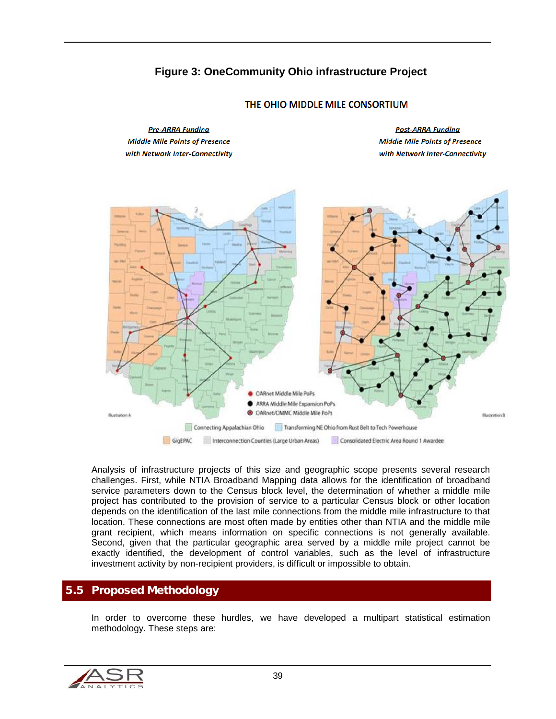# **Figure 3: OneCommunity Ohio infrastructure Project**

<span id="page-38-0"></span>

#### THE OHIO MIDDLE MILE CONSORTIUM

Analysis of infrastructure projects of this size and geographic scope presents several research challenges. First, while NTIA Broadband Mapping data allows for the identification of broadband service parameters down to the Census block level, the determination of whether a middle mile project has contributed to the provision of service to a particular Census block or other location depends on the identification of the last mile connections from the middle mile infrastructure to that location. These connections are most often made by entities other than NTIA and the middle mile grant recipient, which means information on specific connections is not generally available. Second, given that the particular geographic area served by a middle mile project cannot be exactly identified, the development of control variables, such as the level of infrastructure investment activity by non-recipient providers, is difficult or impossible to obtain.

#### 5.5 Proposed Methodology

In order to overcome these hurdles, we have developed a multipart statistical estimation methodology. These steps are:

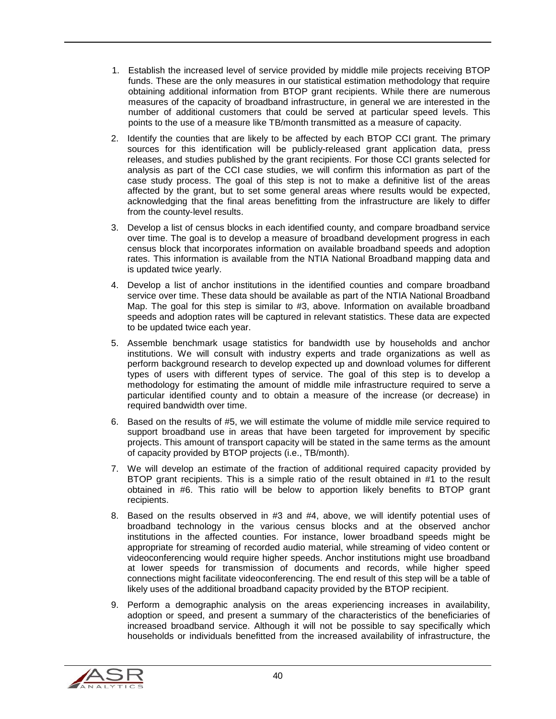- 1. Establish the increased level of service provided by middle mile projects receiving BTOP funds. These are the only measures in our statistical estimation methodology that require obtaining additional information from BTOP grant recipients. While there are numerous measures of the capacity of broadband infrastructure, in general we are interested in the number of additional customers that could be served at particular speed levels. This points to the use of a measure like TB/month transmitted as a measure of capacity.
- 2. Identify the counties that are likely to be affected by each BTOP CCI grant. The primary sources for this identification will be publicly-released grant application data, press releases, and studies published by the grant recipients. For those CCI grants selected for analysis as part of the CCI case studies, we will confirm this information as part of the case study process. The goal of this step is not to make a definitive list of the areas affected by the grant, but to set some general areas where results would be expected, acknowledging that the final areas benefitting from the infrastructure are likely to differ from the county-level results.
- 3. Develop a list of census blocks in each identified county, and compare broadband service over time. The goal is to develop a measure of broadband development progress in each census block that incorporates information on available broadband speeds and adoption rates. This information is available from the NTIA National Broadband mapping data and is updated twice yearly.
- 4. Develop a list of anchor institutions in the identified counties and compare broadband service over time. These data should be available as part of the NTIA National Broadband Map. The goal for this step is similar to #3, above. Information on available broadband speeds and adoption rates will be captured in relevant statistics. These data are expected to be updated twice each year.
- 5. Assemble benchmark usage statistics for bandwidth use by households and anchor institutions. We will consult with industry experts and trade organizations as well as perform background research to develop expected up and download volumes for different types of users with different types of service. The goal of this step is to develop a methodology for estimating the amount of middle mile infrastructure required to serve a particular identified county and to obtain a measure of the increase (or decrease) in required bandwidth over time.
- 6. Based on the results of #5, we will estimate the volume of middle mile service required to support broadband use in areas that have been targeted for improvement by specific projects. This amount of transport capacity will be stated in the same terms as the amount of capacity provided by BTOP projects (i.e., TB/month).
- 7. We will develop an estimate of the fraction of additional required capacity provided by BTOP grant recipients. This is a simple ratio of the result obtained in #1 to the result obtained in #6. This ratio will be below to apportion likely benefits to BTOP grant recipients.
- 8. Based on the results observed in #3 and #4, above, we will identify potential uses of broadband technology in the various census blocks and at the observed anchor institutions in the affected counties. For instance, lower broadband speeds might be appropriate for streaming of recorded audio material, while streaming of video content or videoconferencing would require higher speeds. Anchor institutions might use broadband at lower speeds for transmission of documents and records, while higher speed connections might facilitate videoconferencing. The end result of this step will be a table of likely uses of the additional broadband capacity provided by the BTOP recipient.
- 9. Perform a demographic analysis on the areas experiencing increases in availability, adoption or speed, and present a summary of the characteristics of the beneficiaries of increased broadband service. Although it will not be possible to say specifically which households or individuals benefitted from the increased availability of infrastructure, the

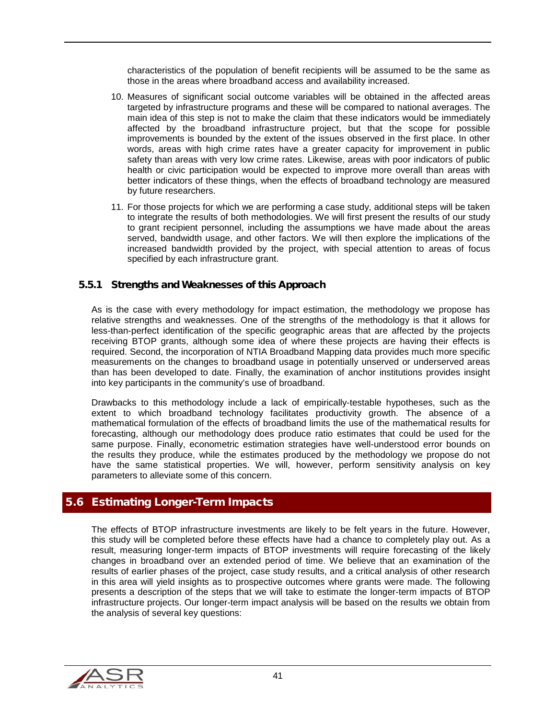characteristics of the population of benefit recipients will be assumed to be the same as those in the areas where broadband access and availability increased.

- 10. Measures of significant social outcome variables will be obtained in the affected areas targeted by infrastructure programs and these will be compared to national averages. The main idea of this step is not to make the claim that these indicators would be immediately affected by the broadband infrastructure project, but that the scope for possible improvements is bounded by the extent of the issues observed in the first place. In other words, areas with high crime rates have a greater capacity for improvement in public safety than areas with very low crime rates. Likewise, areas with poor indicators of public health or civic participation would be expected to improve more overall than areas with better indicators of these things, when the effects of broadband technology are measured by future researchers.
- 11. For those projects for which we are performing a case study, additional steps will be taken to integrate the results of both methodologies. We will first present the results of our study to grant recipient personnel, including the assumptions we have made about the areas served, bandwidth usage, and other factors. We will then explore the implications of the increased bandwidth provided by the project, with special attention to areas of focus specified by each infrastructure grant.

#### 5.5.1 Strengths and Weaknesses of this Approach

As is the case with every methodology for impact estimation, the methodology we propose has relative strengths and weaknesses. One of the strengths of the methodology is that it allows for less-than-perfect identification of the specific geographic areas that are affected by the projects receiving BTOP grants, although some idea of where these projects are having their effects is required. Second, the incorporation of NTIA Broadband Mapping data provides much more specific measurements on the changes to broadband usage in potentially unserved or underserved areas than has been developed to date. Finally, the examination of anchor institutions provides insight into key participants in the community's use of broadband.

Drawbacks to this methodology include a lack of empirically-testable hypotheses, such as the extent to which broadband technology facilitates productivity growth. The absence of a mathematical formulation of the effects of broadband limits the use of the mathematical results for forecasting, although our methodology does produce ratio estimates that could be used for the same purpose. Finally, econometric estimation strategies have well-understood error bounds on the results they produce, while the estimates produced by the methodology we propose do not have the same statistical properties. We will, however, perform sensitivity analysis on key parameters to alleviate some of this concern.

## 5.6 Estimating Longer-Term Impacts

The effects of BTOP infrastructure investments are likely to be felt years in the future. However, this study will be completed before these effects have had a chance to completely play out. As a result, measuring longer-term impacts of BTOP investments will require forecasting of the likely changes in broadband over an extended period of time. We believe that an examination of the results of earlier phases of the project, case study results, and a critical analysis of other research in this area will yield insights as to prospective outcomes where grants were made. The following presents a description of the steps that we will take to estimate the longer-term impacts of BTOP infrastructure projects. Our longer-term impact analysis will be based on the results we obtain from the analysis of several key questions:

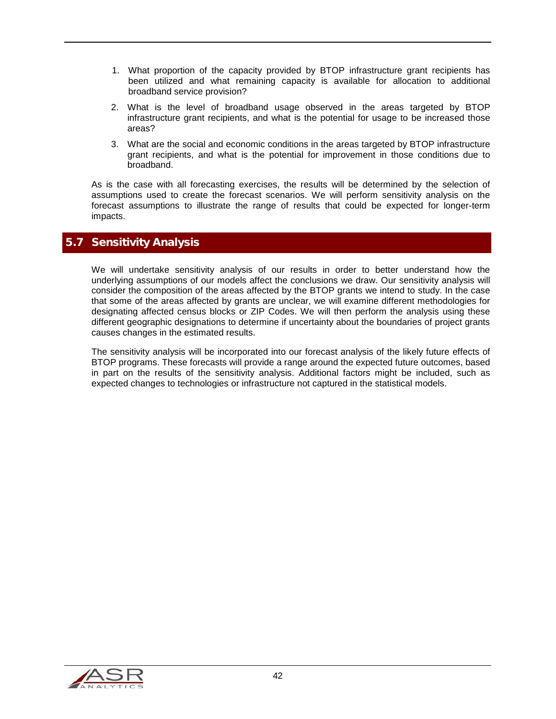- 1. What proportion of the capacity provided by BTOP infrastructure grant recipients has been utilized and what remaining capacity is available for allocation to additional broadband service provision?
- 2. What is the level of broadband usage observed in the areas targeted by BTOP infrastructure grant recipients, and what is the potential for usage to be increased those areas?
- 3. What are the social and economic conditions in the areas targeted by BTOP infrastructure grant recipients, and what is the potential for improvement in those conditions due to broadband.

As is the case with all forecasting exercises, the results will be determined by the selection of assumptions used to create the forecast scenarios. We will perform sensitivity analysis on the forecast assumptions to illustrate the range of results that could be expected for longer-term impacts.

### 5.7 Sensitivity Analysis

We will undertake sensitivity analysis of our results in order to better understand how the underlying assumptions of our models affect the conclusions we draw. Our sensitivity analysis will consider the composition of the areas affected by the BTOP grants we intend to study. In the case that some of the areas affected by grants are unclear, we will examine different methodologies for designating affected census blocks or ZIP Codes. We will then perform the analysis using these different geographic designations to determine if uncertainty about the boundaries of project grants causes changes in the estimated results.

The sensitivity analysis will be incorporated into our forecast analysis of the likely future effects of BTOP programs. These forecasts will provide a range around the expected future outcomes, based in part on the results of the sensitivity analysis. Additional factors might be included, such as expected changes to technologies or infrastructure not captured in the statistical models.

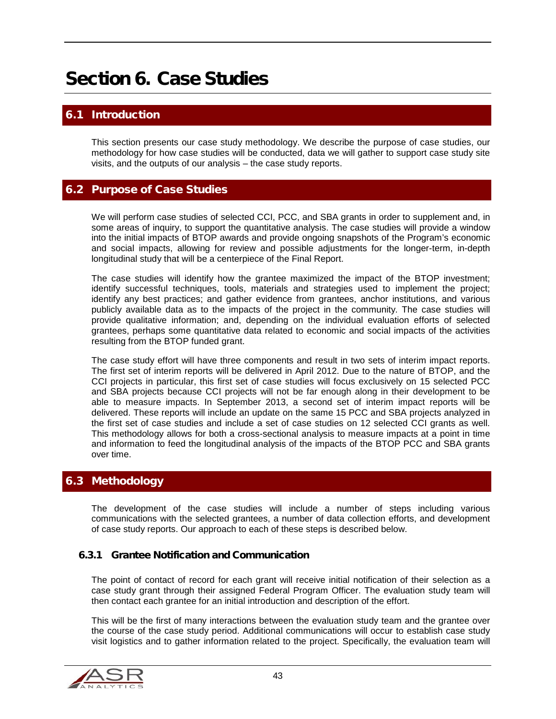# Section 6. Case Studies

# **Introduction**

This section presents our case study methodology. We describe the purpose of case studies, our methodology for how case studies will be conducted, data we will gather to support case study site visits, and the outputs of our analysis – the case study reports.

## 6.2 Purpose of Case Studies

We will perform case studies of selected CCI, PCC, and SBA grants in order to supplement and, in some areas of inquiry, to support the quantitative analysis. The case studies will provide a window into the initial impacts of BTOP awards and provide ongoing snapshots of the Program's economic and social impacts, allowing for review and possible adjustments for the longer-term, in-depth longitudinal study that will be a centerpiece of the Final Report.

The case studies will identify how the grantee maximized the impact of the BTOP investment; identify successful techniques, tools, materials and strategies used to implement the project; identify any best practices; and gather evidence from grantees, anchor institutions, and various publicly available data as to the impacts of the project in the community. The case studies will provide qualitative information; and, depending on the individual evaluation efforts of selected grantees, perhaps some quantitative data related to economic and social impacts of the activities resulting from the BTOP funded grant.

The case study effort will have three components and result in two sets of interim impact reports. The first set of interim reports will be delivered in April 2012. Due to the nature of BTOP, and the CCI projects in particular, this first set of case studies will focus exclusively on 15 selected PCC and SBA projects because CCI projects will not be far enough along in their development to be able to measure impacts. In September 2013, a second set of interim impact reports will be delivered. These reports will include an update on the same 15 PCC and SBA projects analyzed in the first set of case studies and include a set of case studies on 12 selected CCI grants as well. This methodology allows for both a cross-sectional analysis to measure impacts at a point in time and information to feed the longitudinal analysis of the impacts of the BTOP PCC and SBA grants over time.

#### 6.3 Methodology

The development of the case studies will include a number of steps including various communications with the selected grantees, a number of data collection efforts, and development of case study reports. Our approach to each of these steps is described below.

#### 6.3.1 Grantee Notification and Communication

The point of contact of record for each grant will receive initial notification of their selection as a case study grant through their assigned Federal Program Officer. The evaluation study team will then contact each grantee for an initial introduction and description of the effort.

This will be the first of many interactions between the evaluation study team and the grantee over the course of the case study period. Additional communications will occur to establish case study visit logistics and to gather information related to the project. Specifically, the evaluation team will

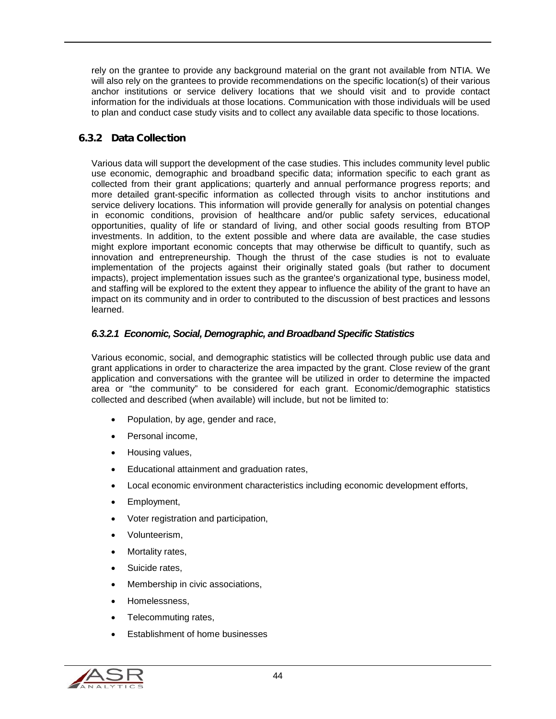rely on the grantee to provide any background material on the grant not available from NTIA. We will also rely on the grantees to provide recommendations on the specific location(s) of their various anchor institutions or service delivery locations that we should visit and to provide contact information for the individuals at those locations. Communication with those individuals will be used to plan and conduct case study visits and to collect any available data specific to those locations.

#### 6.3.2 Data Collection

Various data will support the development of the case studies. This includes community level public use economic, demographic and broadband specific data; information specific to each grant as collected from their grant applications; quarterly and annual performance progress reports; and more detailed grant-specific information as collected through visits to anchor institutions and service delivery locations. This information will provide generally for analysis on potential changes in economic conditions, provision of healthcare and/or public safety services, educational opportunities, quality of life or standard of living, and other social goods resulting from BTOP investments. In addition, to the extent possible and where data are available, the case studies might explore important economic concepts that may otherwise be difficult to quantify, such as innovation and entrepreneurship. Though the thrust of the case studies is not to evaluate implementation of the projects against their originally stated goals (but rather to document impacts), project implementation issues such as the grantee's organizational type, business model, and staffing will be explored to the extent they appear to influence the ability of the grant to have an impact on its community and in order to contributed to the discussion of best practices and lessons learned.

#### <span id="page-43-0"></span>*6.3.2.1 Economic, Social, Demographic, and Broadband Specific Statistics*

Various economic, social, and demographic statistics will be collected through public use data and grant applications in order to characterize the area impacted by the grant. Close review of the grant application and conversations with the grantee will be utilized in order to determine the impacted area or "the community" to be considered for each grant. Economic/demographic statistics collected and described (when available) will include, but not be limited to:

- Population, by age, gender and race,
- Personal income.
- Housing values,
- Educational attainment and graduation rates,
- Local economic environment characteristics including economic development efforts,
- Employment,
- Voter registration and participation,
- Volunteerism,
- Mortality rates,
- Suicide rates.
- Membership in civic associations,
- Homelessness,
- Telecommuting rates,
- Establishment of home businesses

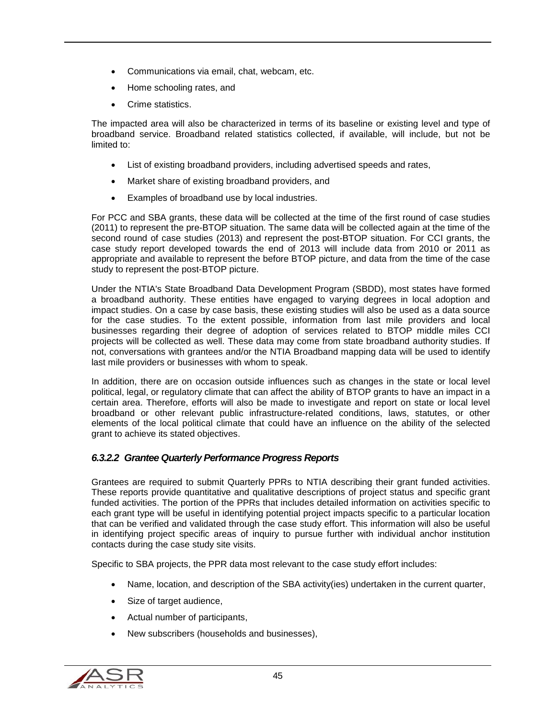- Communications via email, chat, webcam, etc.
- Home schooling rates, and
- Crime statistics.

The impacted area will also be characterized in terms of its baseline or existing level and type of broadband service. Broadband related statistics collected, if available, will include, but not be limited to:

- List of existing broadband providers, including advertised speeds and rates,
- Market share of existing broadband providers, and
- Examples of broadband use by local industries.

For PCC and SBA grants, these data will be collected at the time of the first round of case studies (2011) to represent the pre-BTOP situation. The same data will be collected again at the time of the second round of case studies (2013) and represent the post-BTOP situation. For CCI grants, the case study report developed towards the end of 2013 will include data from 2010 or 2011 as appropriate and available to represent the before BTOP picture, and data from the time of the case study to represent the post-BTOP picture.

Under the NTIA's State Broadband Data Development Program (SBDD), most states have formed a broadband authority. These entities have engaged to varying degrees in local adoption and impact studies. On a case by case basis, these existing studies will also be used as a data source for the case studies. To the extent possible, information from last mile providers and local businesses regarding their degree of adoption of services related to BTOP middle miles CCI projects will be collected as well. These data may come from state broadband authority studies. If not, conversations with grantees and/or the NTIA Broadband mapping data will be used to identify last mile providers or businesses with whom to speak.

In addition, there are on occasion outside influences such as changes in the state or local level political, legal, or regulatory climate that can affect the ability of BTOP grants to have an impact in a certain area. Therefore, efforts will also be made to investigate and report on state or local level broadband or other relevant public infrastructure-related conditions, laws, statutes, or other elements of the local political climate that could have an influence on the ability of the selected grant to achieve its stated objectives.

#### *6.3.2.2 Grantee Quarterly Performance Progress Reports*

Grantees are required to submit Quarterly PPRs to NTIA describing their grant funded activities. These reports provide quantitative and qualitative descriptions of project status and specific grant funded activities. The portion of the PPRs that includes detailed information on activities specific to each grant type will be useful in identifying potential project impacts specific to a particular location that can be verified and validated through the case study effort. This information will also be useful in identifying project specific areas of inquiry to pursue further with individual anchor institution contacts during the case study site visits.

Specific to SBA projects, the PPR data most relevant to the case study effort includes:

- Name, location, and description of the SBA activity(ies) undertaken in the current quarter,
- Size of target audience,
- Actual number of participants,
- New subscribers (households and businesses),

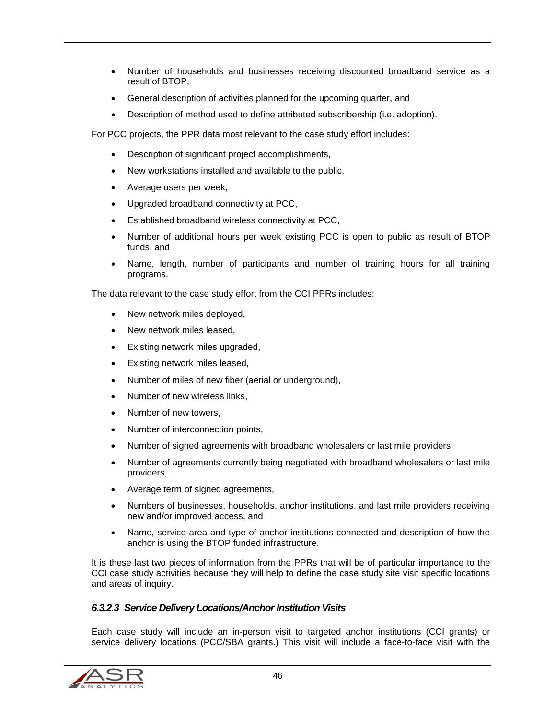- Number of households and businesses receiving discounted broadband service as a result of BTOP,
- General description of activities planned for the upcoming quarter, and
- Description of method used to define attributed subscribership (i.e. adoption).

For PCC projects, the PPR data most relevant to the case study effort includes:

- Description of significant project accomplishments,
- New workstations installed and available to the public,
- Average users per week,
- Upgraded broadband connectivity at PCC,
- Established broadband wireless connectivity at PCC,
- Number of additional hours per week existing PCC is open to public as result of BTOP funds, and
- Name, length, number of participants and number of training hours for all training programs.

The data relevant to the case study effort from the CCI PPRs includes:

- New network miles deployed,
- New network miles leased,
- Existing network miles upgraded,
- Existing network miles leased,
- Number of miles of new fiber (aerial or underground),
- Number of new wireless links,
- Number of new towers,
- Number of interconnection points,
- Number of signed agreements with broadband wholesalers or last mile providers,
- Number of agreements currently being negotiated with broadband wholesalers or last mile providers,
- Average term of signed agreements,
- Numbers of businesses, households, anchor institutions, and last mile providers receiving new and/or improved access, and
- Name, service area and type of anchor institutions connected and description of how the anchor is using the BTOP funded infrastructure.

It is these last two pieces of information from the PPRs that will be of particular importance to the CCI case study activities because they will help to define the case study site visit specific locations and areas of inquiry.

#### *6.3.2.3 Service Delivery Locations/Anchor Institution Visits*

Each case study will include an in-person visit to targeted anchor institutions (CCI grants) or service delivery locations (PCC/SBA grants.) This visit will include a face-to-face visit with the

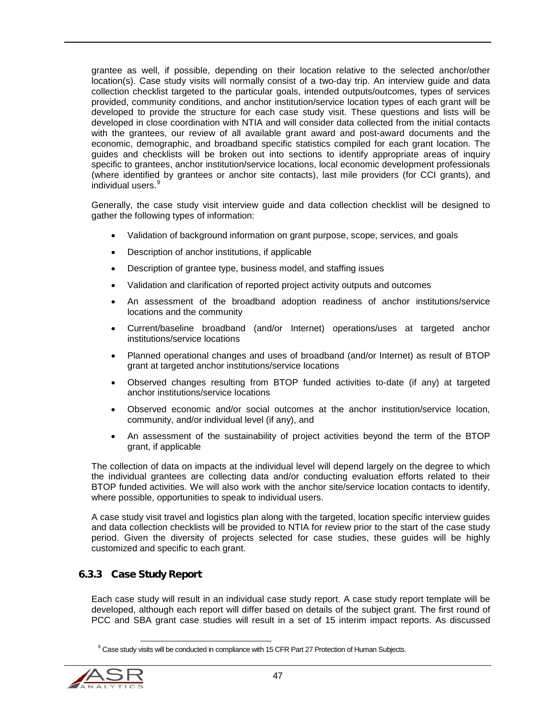grantee as well, if possible, depending on their location relative to the selected anchor/other location(s). Case study visits will normally consist of a two-day trip. An interview guide and data collection checklist targeted to the particular goals, intended outputs/outcomes, types of services provided, community conditions, and anchor institution/service location types of each grant will be developed to provide the structure for each case study visit. These questions and lists will be developed in close coordination with NTIA and will consider data collected from the initial contacts with the grantees, our review of all available grant award and post-award documents and the economic, demographic, and broadband specific statistics compiled for each grant location. The guides and checklists will be broken out into sections to identify appropriate areas of inquiry specific to grantees, anchor institution/service locations, local economic development professionals (where identified by grantees or anchor site contacts), last mile providers (for CCI grants), and individual users.<sup>[9](#page-46-0)</sup>

Generally, the case study visit interview guide and data collection checklist will be designed to gather the following types of information:

- Validation of background information on grant purpose, scope, services, and goals
- Description of anchor institutions, if applicable
- Description of grantee type, business model, and staffing issues
- Validation and clarification of reported project activity outputs and outcomes
- An assessment of the broadband adoption readiness of anchor institutions/service locations and the community
- Current/baseline broadband (and/or Internet) operations/uses at targeted anchor institutions/service locations
- Planned operational changes and uses of broadband (and/or Internet) as result of BTOP grant at targeted anchor institutions/service locations
- Observed changes resulting from BTOP funded activities to-date (if any) at targeted anchor institutions/service locations
- Observed economic and/or social outcomes at the anchor institution/service location, community, and/or individual level (if any), and
- An assessment of the sustainability of project activities beyond the term of the BTOP grant, if applicable

The collection of data on impacts at the individual level will depend largely on the degree to which the individual grantees are collecting data and/or conducting evaluation efforts related to their BTOP funded activities. We will also work with the anchor site/service location contacts to identify, where possible, opportunities to speak to individual users.

A case study visit travel and logistics plan along with the targeted, location specific interview guides and data collection checklists will be provided to NTIA for review prior to the start of the case study period. Given the diversity of projects selected for case studies, these guides will be highly customized and specific to each grant.

#### 6.3.3 Case Study Report

Each case study will result in an individual case study report. A case study report template will be developed, although each report will differ based on details of the subject grant. The first round of PCC and SBA grant case studies will result in a set of 15 interim impact reports. As discussed

<span id="page-46-0"></span><sup>&</sup>lt;sup>9</sup> Case study visits will be conducted in compliance with 15 CFR Part 27 Protection of Human Subjects.

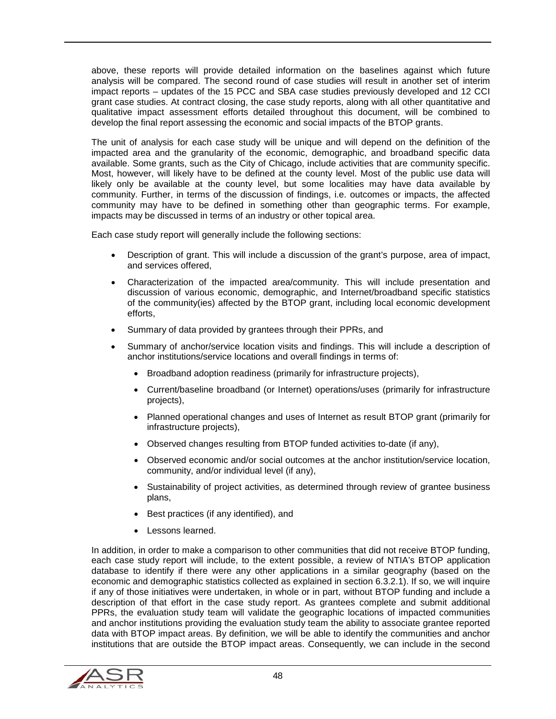above, these reports will provide detailed information on the baselines against which future analysis will be compared. The second round of case studies will result in another set of interim impact reports – updates of the 15 PCC and SBA case studies previously developed and 12 CCI grant case studies. At contract closing, the case study reports, along with all other quantitative and qualitative impact assessment efforts detailed throughout this document, will be combined to develop the final report assessing the economic and social impacts of the BTOP grants.

The unit of analysis for each case study will be unique and will depend on the definition of the impacted area and the granularity of the economic, demographic, and broadband specific data available. Some grants, such as the City of Chicago, include activities that are community specific. Most, however, will likely have to be defined at the county level. Most of the public use data will likely only be available at the county level, but some localities may have data available by community. Further, in terms of the discussion of findings, i.e. outcomes or impacts, the affected community may have to be defined in something other than geographic terms. For example, impacts may be discussed in terms of an industry or other topical area.

Each case study report will generally include the following sections:

- Description of grant. This will include a discussion of the grant's purpose, area of impact, and services offered,
- Characterization of the impacted area/community. This will include presentation and discussion of various economic, demographic, and Internet/broadband specific statistics of the community(ies) affected by the BTOP grant, including local economic development efforts,
- Summary of data provided by grantees through their PPRs, and
- Summary of anchor/service location visits and findings. This will include a description of anchor institutions/service locations and overall findings in terms of:
	- Broadband adoption readiness (primarily for infrastructure projects),
	- Current/baseline broadband (or Internet) operations/uses (primarily for infrastructure projects),
	- Planned operational changes and uses of Internet as result BTOP grant (primarily for infrastructure projects),
	- Observed changes resulting from BTOP funded activities to-date (if any),
	- Observed economic and/or social outcomes at the anchor institution/service location, community, and/or individual level (if any),
	- Sustainability of project activities, as determined through review of grantee business plans,
	- Best practices (if any identified), and
	- Lessons learned.

In addition, in order to make a comparison to other communities that did not receive BTOP funding, each case study report will include, to the extent possible, a review of NTIA's BTOP application database to identify if there were any other applications in a similar geography (based on the economic and demographic statistics collected as explained in section [6.3.2.1\)](#page-43-0). If so, we will inquire if any of those initiatives were undertaken, in whole or in part, without BTOP funding and include a description of that effort in the case study report. As grantees complete and submit additional PPRs, the evaluation study team will validate the geographic locations of impacted communities and anchor institutions providing the evaluation study team the ability to associate grantee reported data with BTOP impact areas. By definition, we will be able to identify the communities and anchor institutions that are outside the BTOP impact areas. Consequently, we can include in the second

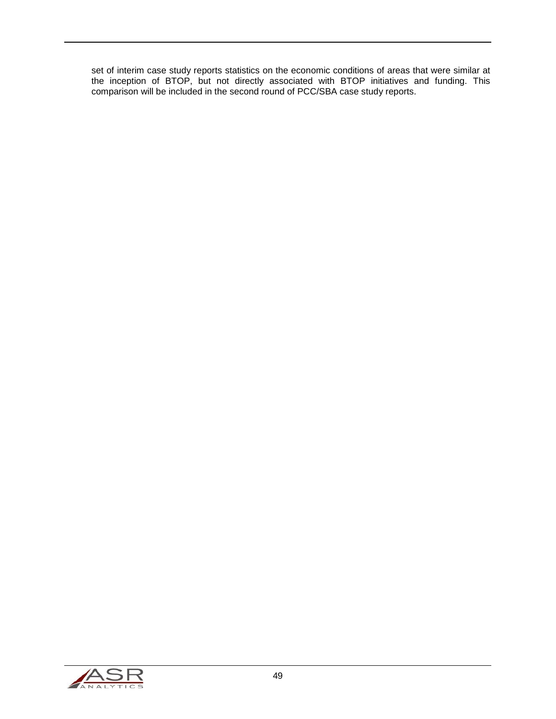set of interim case study reports statistics on the economic conditions of areas that were similar at the inception of BTOP, but not directly associated with BTOP initiatives and funding. This comparison will be included in the second round of PCC/SBA case study reports.

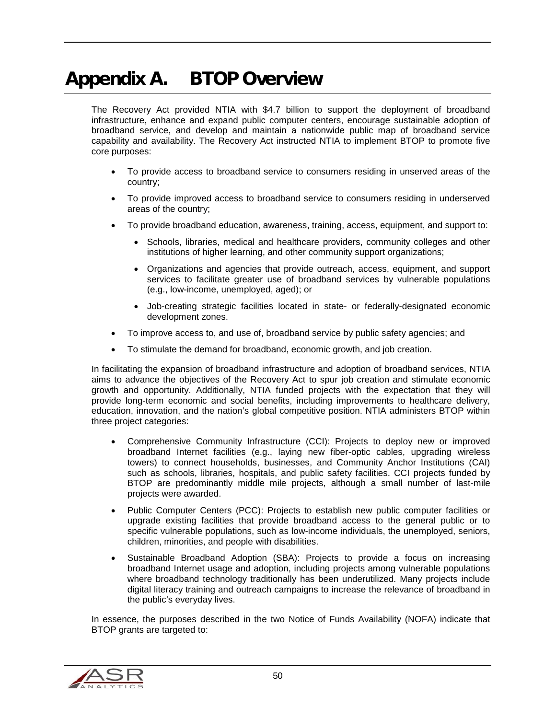# Appendix A. BTOP Overview

The Recovery Act provided NTIA with \$4.7 billion to support the deployment of broadband infrastructure, enhance and expand public computer centers, encourage sustainable adoption of broadband service, and develop and maintain a nationwide public map of broadband service capability and availability. The Recovery Act instructed NTIA to implement BTOP to promote five core purposes:

- To provide access to broadband service to consumers residing in unserved areas of the country;
- To provide improved access to broadband service to consumers residing in underserved areas of the country;
- To provide broadband education, awareness, training, access, equipment, and support to:
	- Schools, libraries, medical and healthcare providers, community colleges and other institutions of higher learning, and other community support organizations;
	- Organizations and agencies that provide outreach, access, equipment, and support services to facilitate greater use of broadband services by vulnerable populations (e.g., low-income, unemployed, aged); or
	- Job-creating strategic facilities located in state- or federally-designated economic development zones.
- To improve access to, and use of, broadband service by public safety agencies; and
- To stimulate the demand for broadband, economic growth, and job creation.

In facilitating the expansion of broadband infrastructure and adoption of broadband services, NTIA aims to advance the objectives of the Recovery Act to spur job creation and stimulate economic growth and opportunity. Additionally, NTIA funded projects with the expectation that they will provide long-term economic and social benefits, including improvements to healthcare delivery, education, innovation, and the nation's global competitive position. NTIA administers BTOP within three project categories:

- Comprehensive Community Infrastructure (CCI): Projects to deploy new or improved broadband Internet facilities (e.g., laying new fiber-optic cables, upgrading wireless towers) to connect households, businesses, and Community Anchor Institutions (CAI) such as schools, libraries, hospitals, and public safety facilities. CCI projects funded by BTOP are predominantly middle mile projects, although a small number of last-mile projects were awarded.
- Public Computer Centers (PCC): Projects to establish new public computer facilities or upgrade existing facilities that provide broadband access to the general public or to specific vulnerable populations, such as low-income individuals, the unemployed, seniors, children, minorities, and people with disabilities.
- Sustainable Broadband Adoption (SBA): Projects to provide a focus on increasing broadband Internet usage and adoption, including projects among vulnerable populations where broadband technology traditionally has been underutilized. Many projects include digital literacy training and outreach campaigns to increase the relevance of broadband in the public's everyday lives.

In essence, the purposes described in the two Notice of Funds Availability (NOFA) indicate that BTOP grants are targeted to:

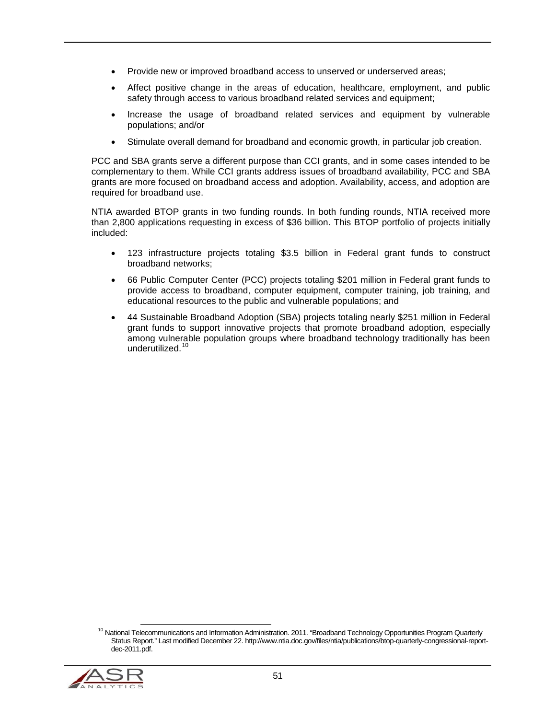- Provide new or improved broadband access to unserved or underserved areas;
- Affect positive change in the areas of education, healthcare, employment, and public safety through access to various broadband related services and equipment;
- Increase the usage of broadband related services and equipment by vulnerable populations; and/or
- Stimulate overall demand for broadband and economic growth, in particular job creation.

PCC and SBA grants serve a different purpose than CCI grants, and in some cases intended to be complementary to them. While CCI grants address issues of broadband availability, PCC and SBA grants are more focused on broadband access and adoption. Availability, access, and adoption are required for broadband use.

NTIA awarded BTOP grants in two funding rounds. In both funding rounds, NTIA received more than 2,800 applications requesting in excess of \$36 billion. This BTOP portfolio of projects initially included:

- 123 infrastructure projects totaling \$3.5 billion in Federal grant funds to construct broadband networks;
- 66 Public Computer Center (PCC) projects totaling \$201 million in Federal grant funds to provide access to broadband, computer equipment, computer training, job training, and educational resources to the public and vulnerable populations; and
- 44 Sustainable Broadband Adoption (SBA) projects totaling nearly \$251 million in Federal grant funds to support innovative projects that promote broadband adoption, especially among vulnerable population groups where broadband technology traditionally has been underutilized.<sup>[10](#page-50-0)</sup>

<span id="page-50-0"></span> $10$  National Telecommunications and Information Administration. 2011. "Broadband Technology Opportunities Program Quarterly Status Report." Last modified December 22. http://www.ntia.doc.gov/files/ntia/publications/btop-quarterly-congressional-reportdec-2011.pdf.

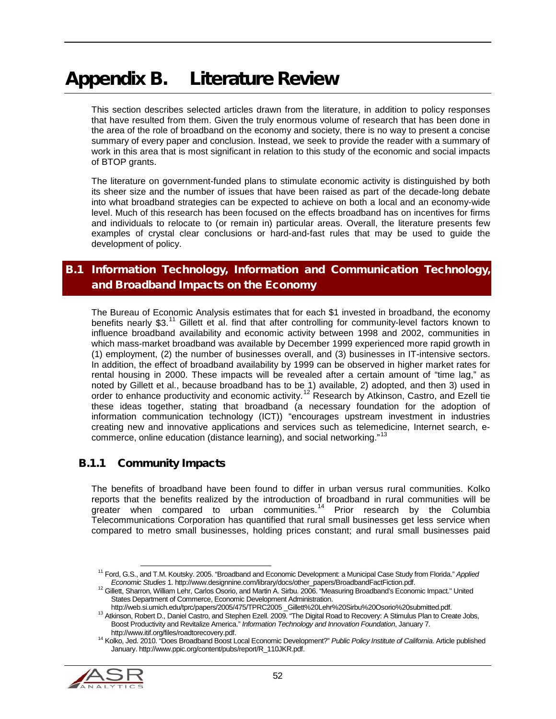# Appendix B. Literature Review

This section describes selected articles drawn from the literature, in addition to policy responses that have resulted from them. Given the truly enormous volume of research that has been done in the area of the role of broadband on the economy and society, there is no way to present a concise summary of every paper and conclusion. Instead, we seek to provide the reader with a summary of work in this area that is most significant in relation to this study of the economic and social impacts of BTOP grants.

The literature on government-funded plans to stimulate economic activity is distinguished by both its sheer size and the number of issues that have been raised as part of the decade-long debate into what broadband strategies can be expected to achieve on both a local and an economy-wide level. Much of this research has been focused on the effects broadband has on incentives for firms and individuals to relocate to (or remain in) particular areas. Overall, the literature presents few examples of crystal clear conclusions or hard-and-fast rules that may be used to guide the development of policy.

# B.1 Information Technology, Information and Communication Technology, and Broadband Impacts on the Economy

The Bureau of Economic Analysis estimates that for each \$1 invested in broadband, the economy benefits nearly \$3.<sup>[11](#page-51-0)</sup> Gillett et al. find that after controlling for community-level factors known to influence broadband availability and economic activity between 1998 and 2002, communities in which mass-market broadband was available by December 1999 experienced more rapid growth in (1) employment, (2) the number of businesses overall, and (3) businesses in IT-intensive sectors. In addition, the effect of broadband availability by 1999 can be observed in higher market rates for rental housing in 2000. These impacts will be revealed after a certain amount of "time lag," as noted by Gillett et al., because broadband has to be 1) available, 2) adopted, and then 3) used in order to enhance productivity and economic activity.<sup>[12](#page-51-1)</sup> Research by Atkinson, Castro, and Ezell tie these ideas together, stating that broadband (a necessary foundation for the adoption of information communication technology (ICT)) "encourages upstream investment in industries creating new and innovative applications and services such as telemedicine, Internet search, e-commerce, online education (distance learning), and social networking."<sup>[13](#page-51-2)</sup>

## B.1.1 Community Impacts

The benefits of broadband have been found to differ in urban versus rural communities. Kolko reports that the benefits realized by the introduction of broadband in rural communities will be greater when compared to urban communities.<sup>[14](#page-51-3)</sup> Prior research by the Columbia Telecommunications Corporation has quantified that rural small businesses get less service when compared to metro small businesses, holding prices constant; and rural small businesses paid

<span id="page-51-3"></span><span id="page-51-2"></span><span id="page-51-1"></span><span id="page-51-0"></span><sup>14</sup> Kolko. Jed. 2010. "Does Broadband Boost Local Economic Development?" *Public Policy Institute of California*. Article published January. http://www.ppic.org/content/pubs/report/R\_110JKR.pdf.



 <sup>11</sup> Ford, G.S., and T.M. Koutsky. 2005. "Broadband and Economic Development: a Municipal Case Study from Florida." *Applied* 

<sup>&</sup>lt;sup>12</sup> Gillett, Sharron, William Lehr, Carlos Osorio, and Martin A. Sirbu. 2006. "Measuring Broadband's Economic Impact." United States Department of Commerce, Economic Development Administration.<br>http://web.si.umich.edu/tprc/papers/2005/475/TPRC2005\_Gillett%20Lehr%20Sirbu%20Osorio%20submitted.pdf.

<sup>&</sup>lt;sup>13</sup> Atkinson, Robert D., Daniel Castro, and Stephen Ezell. 2009. "The Digital Road to Recovery: A Stimulus Plan to Create Jobs, Boost Productivity and Revitalize America." *Information Technology and Innovation Foundation*, January 7.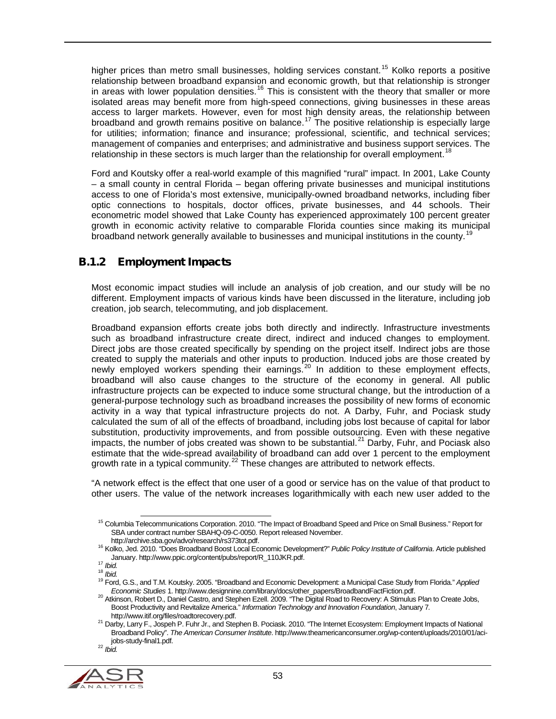higher prices than metro small businesses, holding services constant.<sup>[15](#page-52-0)</sup> Kolko reports a positive relationship between broadband expansion and economic growth, but that relationship is stronger in areas with lower population densities.<sup>[16](#page-52-1)</sup> This is consistent with the theory that smaller or more isolated areas may benefit more from high-speed connections, giving businesses in these areas access to larger markets. However, even for most high density areas, the relationship between broadband and growth remains positive on balance.<sup>[17](#page-52-2)</sup> The positive relationship is especially large for utilities; information; finance and insurance; professional, scientific, and technical services; management of companies and enterprises; and administrative and business support services. The relationship in these sectors is much larger than the relationship for overall employment.<sup>[18](#page-52-3)</sup>

Ford and Koutsky offer a real-world example of this magnified "rural" impact. In 2001, Lake County – a small county in central Florida – began offering private businesses and municipal institutions access to one of Florida's most extensive, municipally-owned broadband networks, including fiber optic connections to hospitals, doctor offices, private businesses, and 44 schools. Their econometric model showed that Lake County has experienced approximately 100 percent greater growth in economic activity relative to comparable Florida counties since making its municipal broadband network generally available to businesses and municipal institutions in the county.<sup>[19](#page-52-4)</sup>

# B.1.2 Employment Impacts

Most economic impact studies will include an analysis of job creation, and our study will be no different. Employment impacts of various kinds have been discussed in the literature, including job creation, job search, telecommuting, and job displacement.

Broadband expansion efforts create jobs both directly and indirectly. Infrastructure investments such as broadband infrastructure create direct, indirect and induced changes to employment. Direct jobs are those created specifically by spending on the project itself. Indirect jobs are those created to supply the materials and other inputs to production. Induced jobs are those created by newly employed workers spending their earnings.<sup>[20](#page-52-5)</sup> In addition to these employment effects, broadband will also cause changes to the structure of the economy in general. All public infrastructure projects can be expected to induce some structural change, but the introduction of a general-purpose technology such as broadband increases the possibility of new forms of economic activity in a way that typical infrastructure projects do not. A Darby, Fuhr, and Pociask study calculated the sum of all of the effects of broadband, including jobs lost because of capital for labor substitution, productivity improvements, and from possible outsourcing. Even with these negative impacts, the number of jobs created was shown to be substantial. $^{21}$  $^{21}$  $^{21}$  Darby, Fuhr, and Pociask also estimate that the wide-spread availability of broadband can add over 1 percent to the employment growth rate in a typical community.<sup>[22](#page-52-7)</sup> These changes are attributed to network effects.

"A network effect is the effect that one user of a good or service has on the value of that product to other users. The value of the network increases logarithmically with each new user added to the

<span id="page-52-7"></span><span id="page-52-6"></span><span id="page-52-5"></span><span id="page-52-4"></span><span id="page-52-3"></span>

<span id="page-52-0"></span><sup>&</sup>lt;sup>15</sup> Columbia Telecommunications Corporation. 2010. "The Impact of Broadband Speed and Price on Small Business." Report for SBA under contract number SBAHQ-09-C-0050. Report released November.<br>http://archive.sba.gov/advo/research/rs373tot.pdf.

http://archive.sba.gov/advo/research/rs373tot.pdf. <sup>16</sup> Kolko, Jed. 2010. "Does Broadband Boost Local Economic Development?" *Public Policy Institute of California*. Article published

<span id="page-52-2"></span><span id="page-52-1"></span>January. http://www.ppic.org/content/pubs/report/R\_110JKR.pdf.<br><sup>17</sup> *Ibid.*<br><sup>18</sup> *Ibid.* 18 *Ibid.* 19 Ford, G.S., and T.M. Koutsky. 2005. "Broadband and Economic Development: a Municipal Case Study from Florida." *Applied* 

<sup>&</sup>lt;sup>20</sup> Atkinson, Robert D., Daniel Castro, and Stephen Ezell. 2009. "The Digital Road to Recovery: A Stimulus Plan to Create Jobs, Boost Productivity and Revitalize America." *Information Technology and Innovation Foundation*, January 7*.*

<sup>21</sup> Darby, Larry F., Jospeh P. Fuhr Jr., and Stephen B. Pociask. 2010. "The Internet Ecosystem: Employment Impacts of National Broadband Policy". *The American Consumer Institute*. http://www.theamericanconsumer.org/wp-content/uploads/2010/01/acijobs-study-final1.pdf. <sup>22</sup> *Ibid.*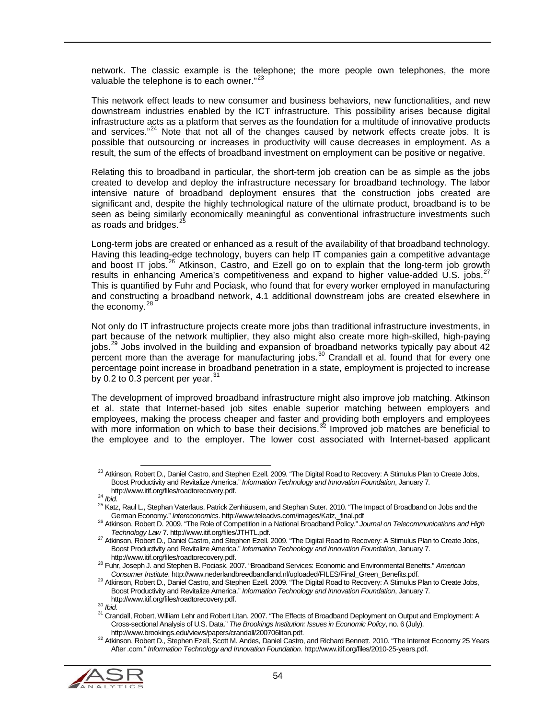network. The classic example is the telephone; the more people own telephones, the more valuable the telephone is to each owner."<sup>[23](#page-53-0)</sup>

This network effect leads to new consumer and business behaviors, new functionalities, and new downstream industries enabled by the ICT infrastructure. This possibility arises because digital infrastructure acts as a platform that serves as the foundation for a multitude of innovative products and services."<sup>[24](#page-53-1)</sup> Note that not all of the changes caused by network effects create jobs. It is possible that outsourcing or increases in productivity will cause decreases in employment. As a result, the sum of the effects of broadband investment on employment can be positive or negative.

Relating this to broadband in particular, the short-term job creation can be as simple as the jobs created to develop and deploy the infrastructure necessary for broadband technology. The labor intensive nature of broadband deployment ensures that the construction jobs created are significant and, despite the highly technological nature of the ultimate product, broadband is to be seen as being similarly economically meaningful as conventional infrastructure investments such as roads and bridges.<sup>[25](#page-53-2)</sup>

Long-term jobs are created or enhanced as a result of the availability of that broadband technology. Having this leading-edge technology, buyers can help IT companies gain a competitive advantage and boost IT jobs.<sup>[26](#page-53-3)</sup> Atkinson, Castro, and Ezell go on to explain that the long-term job growth results in enhancing America's competitiveness and expand to higher value-added U.S. jobs.<sup>[27](#page-53-4)</sup> This is quantified by Fuhr and Pociask, who found that for every worker employed in manufacturing and constructing a broadband network, 4.1 additional downstream jobs are created elsewhere in the economy.<sup>[28](#page-53-5)</sup>

Not only do IT infrastructure projects create more jobs than traditional infrastructure investments, in part because of the network multiplier, they also might also create more high-skilled, high-paying jobs. [29](#page-53-6) Jobs involved in the building and expansion of broadband networks typically pay about 42 percent more than the average for manufacturing jobs.<sup>[30](#page-53-7)</sup> Crandall et al. found that for every one percentage point increase in broadband penetration in a state, employment is projected to increase by 0.2 to 0.3 percent per year. $31$ 

The development of improved broadband infrastructure might also improve job matching. Atkinson et al. state that Internet-based job sites enable superior matching between employers and employees, making the process cheaper and faster and providing both employers and employees with more information on which to base their decisions.<sup>[32](#page-53-9)</sup> Improved job matches are beneficial to the employee and to the employer. The lower cost associated with Internet-based applicant

<span id="page-53-9"></span><span id="page-53-8"></span><span id="page-53-7"></span><span id="page-53-6"></span><span id="page-53-5"></span>and Municipallic Crandom Crandallings.<br><sup>32</sup> Atkinson, Robert D., Stephen Ezell, Scott M. Andes, Daniel Castro, and Richard Bennett. 2010. "The Internet Economy 25 Years After .com." *Information Technology and Innovation Foundation*. http://www.itif.org/files/2010-25-years.pdf.



<span id="page-53-0"></span> $^{23}$  Atkinson, Robert D., Daniel Castro, and Stephen Ezell. 2009. "The Digital Road to Recovery: A Stimulus Plan to Create Jobs, Boost Productivity and Revitalize America." *Information Technology and Innovation Foundation*, January 7*.*

<span id="page-53-2"></span>

<span id="page-53-1"></span>http://www.itif.org/files/roadtorecovery.pdf.<br><sup>24</sup> *Ibid.* 25 Katz, Raul L., Stephan Vaterlaus, Patrick Zenhäusern, and Stephan Suter. 2010. "The Impact of Broadband on Jobs and the<br><sup>25</sup> Katz, Raul L., Stephan Vaterlaus, P

<span id="page-53-3"></span><sup>&</sup>lt;sup>26</sup> Atkinson, Robert D. 2009. "The Role of Competition in a National Broadband Policy." *Journal on Telecommunications and High Technology Law 7. http://www.itif.org/files/JTHTL.pdf.* 

<span id="page-53-4"></span><sup>&</sup>lt;sup>27</sup> Atkinson, Robert D., Daniel Castro, and Stephen Ezell. 2009. "The Digital Road to Recovery: A Stimulus Plan to Create Jobs, Boost Productivity and Revitalize America." *Information Technology and Innovation Foundation*, January 7.

http://www.itif.org/files/roadtorecovery.pdf. <sup>28</sup> Fuhr, Joseph J. and Stephen B. Pociask. 2007. "Broadband Services: Economic and Environmental Benefits." *American* 

<sup>&</sup>lt;sup>29</sup> Atkinson, Robert D., Daniel Castro, and Stephen Ezell. 2009. "The Digital Road to Recovery: A Stimulus Plan to Create Jobs, Boost Productivity and Revitalize America." *Information Technology and Innovation Foundation*, January 7*.*

nttp://www.itif.org/files//www.itif.org/files/roadtorecovery.pdf. 30<br>31 *Did.*<br>31 Crandall, Robert, William Lehr and Robert Litan. 2007. "The Effects of Broadband Deployment on Output and Employment: A Cross-sectional Analysis of U.S. Data." *The Brookings Institution: Issues in Economic Policy*, no. 6 (July).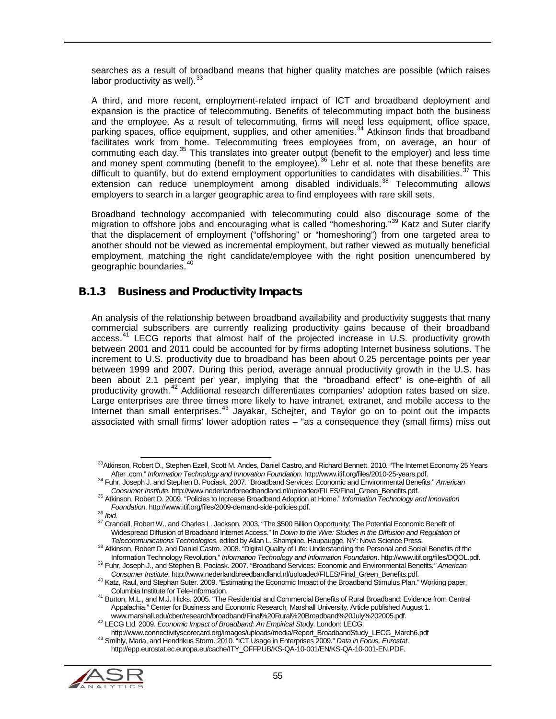searches as a result of broadband means that higher quality matches are possible (which raises labor productivity as well).<sup>[33](#page-54-0)</sup>

A third, and more recent, employment-related impact of ICT and broadband deployment and expansion is the practice of telecommuting. Benefits of telecommuting impact both the business and the employee. As a result of telecommuting, firms will need less equipment, office space, parking spaces, office equipment, supplies, and other amenities.<sup>[34](#page-54-1)</sup> Atkinson finds that broadband facilitates work from home. Telecommuting frees employees from, on average, an hour of commuting each day.<sup>[35](#page-54-2)</sup> This translates into greater output (benefit to the employer) and less time and money spent commuting (benefit to the employee).<sup>[36](#page-54-3)</sup> Lehr et al. note that these benefits are difficult to quantify, but do extend employment opportunities to candidates with disabilities.<sup>[37](#page-54-4)</sup> This extension can reduce unemployment among disabled individuals.<sup>[38](#page-54-5)</sup> Telecommuting allows employers to search in a larger geographic area to find employees with rare skill sets.

Broadband technology accompanied with telecommuting could also discourage some of the migration to offshore jobs and encouraging what is called "homeshoring."<sup>[39](#page-54-6)</sup> Katz and Suter clarify that the displacement of employment ("offshoring" or "homeshoring") from one targeted area to another should not be viewed as incremental employment, but rather viewed as mutually beneficial employment, matching the right candidate/employee with the right position unencumbered by geographic boundaries.[40](#page-54-7)

### B.1.3 Business and Productivity Impacts

An analysis of the relationship between broadband availability and productivity suggests that many commercial subscribers are currently realizing productivity gains because of their broadband access.<sup>[41](#page-54-8)</sup> LECG reports that almost half of the projected increase in U.S. productivity growth between 2001 and 2011 could be accounted for by firms adopting Internet business solutions. The increment to U.S. productivity due to broadband has been about 0.25 percentage points per year between 1999 and 2007. During this period, average annual productivity growth in the U.S. has been about 2.1 percent per year, implying that the "broadband effect" is one-eighth of all productivity growth.<sup>[42](#page-54-9)</sup> Additional research differentiates companies' adoption rates based on size. Large enterprises are three times more likely to have intranet, extranet, and mobile access to the Internet than small enterprises.<sup>[43](#page-54-10)</sup> Jayakar, Schejter, and Taylor go on to point out the impacts associated with small firms' lower adoption rates – "as a consequence they (small firms) miss out

<span id="page-54-10"></span><span id="page-54-9"></span><span id="page-54-8"></span><span id="page-54-7"></span><span id="page-54-6"></span><sup>43</sup> Smihly, Maria, and Hendrikus Storm. 2010. "ICT Usage in Enterprises 2009." Data in Focus, Eurostat. http://epp.eurostat.ec.europa.eu/cache/ITY\_OFFPUB/KS-QA-10-001/EN/KS-QA-10-001-EN.PDF.



<span id="page-54-0"></span><sup>&</sup>lt;sup>33</sup>Atkinson, Robert D., Stephen Ezell, Scott M. Andes, Daniel Castro, and Richard Bennett. 2010. "The Internet Economy 25 Years<br>After .com." *Information Technology and Innovation Foundation.* http://www.itif.org/files/20

<span id="page-54-1"></span><sup>34</sup> Fuhr, Joseph J. and Stephen B. Pociask. 2007. "Broadband Services: Economic and Environmental Benefits." American<br>Consumer Institute. http://www.nederlandbreedbandland.nl/uploaded/FILES/Final\_Green\_Benefits.pdf.

<span id="page-54-2"></span><sup>&</sup>lt;sup>35</sup> Attkinson, Robert D. 2009. "Policies to Increase Broadband Adoption at Home." *Information Technology and Innovation*<br>Foundation. http://www.itif.org/files/2009-demand-side-policies.pdf.

<span id="page-54-4"></span><span id="page-54-3"></span>*Foundation*. http://www.itif.org/files/2009-demand-side-policies.pdf. <sup>36</sup> *Ibid.* <sup>37</sup> Crandall, Robert W., and Charles L. Jackson. 2003. "The \$500 Billion Opportunity: The Potential Economic Benefit of Widespread Diffusion of Broadband Internet Access." In *Down to the Wire: Studies in the Diffusion and Regulation of*<br>Telecommunications Technologies, edited by Allan L. Shampine. Haupaugge, NY: Nova Science Press.

<span id="page-54-5"></span><sup>&</sup>lt;sup>38</sup> Atkinson, Robert D. and Daniel Castro. 2008. "Digital Quality of Life: Understanding the Personal and Social Benefits of the<br>Information Technology Revolution." Information Technology and Information Foundation. http:

<sup>&</sup>lt;sup>39</sup> Fuhr, Joseph J., and Stephen B. Pociask. 2007. "Broadband Services: Economic and Environmental Benefits." American<br>Consumer Institute. http://www.nederlandbreedbandland.nl/uploaded/FILES/Final\_Green\_Benefits.pdf.

<sup>&</sup>lt;sup>40</sup> Katz, Raul, and Stephan Suter. 2009. "Estimating the Economic Impact of the Broadband Stimulus Plan." Working paper,

Columbia Institute for Tele-Information. <sup>41</sup> Burton, M.L., and M.J. Hicks. 2005. "The Residential and Commercial Benefits of Rural Broadband: Evidence from Central Appalachia." Center for Business and Economic Research*,* Marshall University. Article published August 1.

www.marshall.edu/cber/research/broadband: An Empirical Study. London: LECG Ltd. 2009. *Economic Impact of Broadband: An Empirical Study.* London: LECG March6.pdf<br>http://www.connectivityscorecard.org/images/uploads/media/Re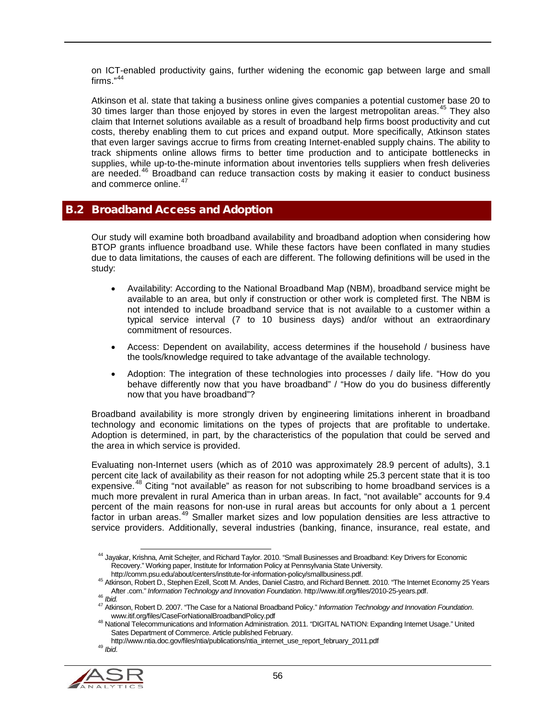on ICT-enabled productivity gains, further widening the economic gap between large and small firms."<sup>[44](#page-55-0)</sup>

Atkinson et al. state that taking a business online gives companies a potential customer base 20 to 30 times larger than those enjoyed by stores in even the largest metropolitan areas.<sup>[45](#page-55-1)</sup> They also claim that Internet solutions available as a result of broadband help firms boost productivity and cut costs, thereby enabling them to cut prices and expand output. More specifically, Atkinson states that even larger savings accrue to firms from creating Internet-enabled supply chains. The ability to track shipments online allows firms to better time production and to anticipate bottlenecks in supplies, while up-to-the-minute information about inventories tells suppliers when fresh deliveries are needed.<sup>[46](#page-55-2)</sup> Broadband can reduce transaction costs by making it easier to conduct business and commerce online. [47](#page-55-3)

### B.2 Broadband Access and Adoption

Our study will examine both broadband availability and broadband adoption when considering how BTOP grants influence broadband use. While these factors have been conflated in many studies due to data limitations, the causes of each are different. The following definitions will be used in the study:

- Availability: According to the National Broadband Map (NBM), broadband service might be available to an area, but only if construction or other work is completed first. The NBM is not intended to include broadband service that is not available to a customer within a typical service interval (7 to 10 business days) and/or without an extraordinary commitment of resources.
- Access: Dependent on availability, access determines if the household / business have the tools/knowledge required to take advantage of the available technology.
- Adoption: The integration of these technologies into processes / daily life. "How do you behave differently now that you have broadband" / "How do you do business differently now that you have broadband"?

Broadband availability is more strongly driven by engineering limitations inherent in broadband technology and economic limitations on the types of projects that are profitable to undertake. Adoption is determined, in part, by the characteristics of the population that could be served and the area in which service is provided.

Evaluating non-Internet users (which as of 2010 was approximately 28.9 percent of adults), 3.1 percent cite lack of availability as their reason for not adopting while 25.3 percent state that it is too expensive.<sup>[48](#page-55-4)</sup> Citing "not available" as reason for not subscribing to home broadband services is a much more prevalent in rural America than in urban areas. In fact, "not available" accounts for 9.4 percent of the main reasons for non-use in rural areas but accounts for only about a 1 percent factor in urban areas.<sup>[49](#page-55-5)</sup> Smaller market sizes and low population densities are less attractive to service providers. Additionally, several industries (banking, finance, insurance, real estate, and

<span id="page-55-5"></span><span id="page-55-4"></span><span id="page-55-3"></span><span id="page-55-2"></span><span id="page-55-1"></span>

<span id="page-55-0"></span><sup>&</sup>lt;sup>44</sup> Jayakar, Krishna, Amit Schejter, and Richard Taylor. 2010. "Small Businesses and Broadband: Key Drivers for Economic Recovery." Working paper, Institute for Information Policy at Pennsylvania State University.<br>http://comm.psu.edu/about/centers/institute-for-information-policy/smallbusiness.pdf.

<sup>&</sup>lt;sup>45</sup> Atkinson, Robert D., Stephen Ezell, Scott M. Andes, Daniel Castro, and Richard Bennett. 2010. "The Internet Economy 25 Years

After .com." Information Technology and Innovation Foundation. http://www.itif.org/files/2010-25-years.pdf.<br><sup>46</sup> Ibid.<br><sup>47</sup> Atkinson, Robert D. 2007. "The Case for a National Broadband Policy." Information Technology and I

<sup>48</sup> National Telecommunications and Information Administration. 2011. "DIGITAL NATION: Expanding Internet Usage." United Sates Department of Commerce. Article published February.

http://www.ntia.doc.gov/files/ntia/publications/ntia\_internet\_use\_report\_february\_2011.pdf <sup>49</sup> *Ibid*.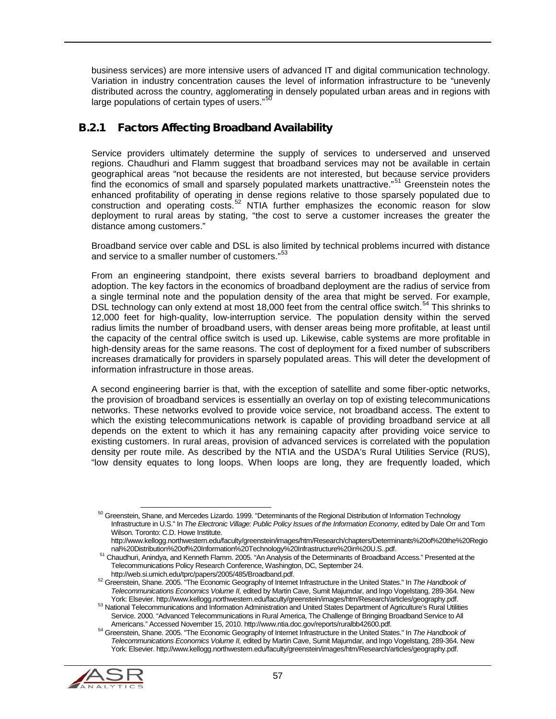business services) are more intensive users of advanced IT and digital communication technology. Variation in industry concentration causes the level of information infrastructure to be "unevenly distributed across the country, agglomerating in densely populated urban areas and in regions with large populations of certain types of users."<sup>[50](#page-56-0)</sup>

# B.2.1 Factors Affecting Broadband Availability

Service providers ultimately determine the supply of services to underserved and unserved regions. Chaudhuri and Flamm suggest that broadband services may not be available in certain geographical areas "not because the residents are not interested, but because service providers find the economics of small and sparsely populated markets unattractive."[51](#page-56-1) Greenstein notes the enhanced profitability of operating in dense regions relative to those sparsely populated due to construction and operating costs.<sup>[52](#page-56-2)</sup> NTIA further emphasizes the economic reason for slow deployment to rural areas by stating, "the cost to serve a customer increases the greater the distance among customers."

Broadband service over cable and DSL is also limited by technical problems incurred with distance and service to a smaller number of customers."<sup>[53](#page-56-3)</sup>

From an engineering standpoint, there exists several barriers to broadband deployment and adoption. The key factors in the economics of broadband deployment are the radius of service from a single terminal note and the population density of the area that might be served. For example, DSL technology can only extend at most 18,000 feet from the central office switch.<sup>[54](#page-56-4)</sup> This shrinks to 12,000 feet for high-quality, low-interruption service. The population density within the served radius limits the number of broadband users, with denser areas being more profitable, at least until the capacity of the central office switch is used up. Likewise, cable systems are more profitable in high-density areas for the same reasons. The cost of deployment for a fixed number of subscribers increases dramatically for providers in sparsely populated areas. This will deter the development of information infrastructure in those areas.

A second engineering barrier is that, with the exception of satellite and some fiber-optic networks, the provision of broadband services is essentially an overlay on top of existing telecommunications networks. These networks evolved to provide voice service, not broadband access. The extent to which the existing telecommunications network is capable of providing broadband service at all depends on the extent to which it has any remaining capacity after providing voice service to existing customers. In rural areas, provision of advanced services is correlated with the population density per route mile. As described by the NTIA and the USDA's Rural Utilities Service (RUS), "low density equates to long loops. When loops are long, they are frequently loaded, which

<span id="page-56-4"></span><span id="page-56-3"></span><span id="page-56-2"></span><span id="page-56-1"></span><sup>&</sup>lt;sup>54</sup> Greenstein, Shane. 2005. "The Economic Geography of Internet Infrastructure in the United States." In The Handbook of *Telecommunications Economics Volume II,* edited by Martin Cave, Sumit Majumdar, and Ingo Vogelstang, 289-364. New York: Elsevier. http://www.kellogg.northwestern.edu/faculty/greenstein/images/htm/Research/articles/geography.pdf.



<span id="page-56-0"></span> $50$  Greenstein. Shane, and Mercedes Lizardo. 1999. "Determinants of the Regional Distribution of Information Technology Infrastructure in U.S." In *The Electronic Village: Public Policy Issues of the Information Economy*, edited by Dale Orr and Tom Wilson. Toronto: C.D. Howe Institute.

http://www.kellogg.northwestern.edu/faculty/greenstein/images/htm/Research/chapters/Determinants%20of%20the%20Regio<br>nal%20Distribution%20of%20Information%20Technology%20Infrastructure%20in%20U.S..pdf.

<sup>&</sup>lt;sup>51</sup> Chaudhuri, Anindya, and Kenneth Flamm. 2005. "An Analysis of the Determinants of Broadband Access." Presented at the Telecommunications Policy Research Conference, Washington, DC, September 24.<br>http://web.si.umich.edu/tprc/papers/2005/485/Broadband.pdf.

finder the extension of the Economic Geography of Internet Infrastructure in the United States." In *The Handbook of* <sup>52</sup> Greenstein, Shane. 2005. "The Economic Geography of Internet Infrastructure in the United States." *Telecommunications Economics Volume II,* edited by Martin Cave, Sumit Majumdar, and Ingo Vogelstang, 289-364. New

<sup>53</sup> National Telecommunications and Information Administration and United States Department of Agriculture's Rural Utilities Service. 2000. "Advanced Telecommunications in Rural America, The Challenge of Bringing Broadband Service to All<br>Americans." Accessed November 15, 2010. http://www.ntia.doc.gov/reports/ruralbb42600.pdf.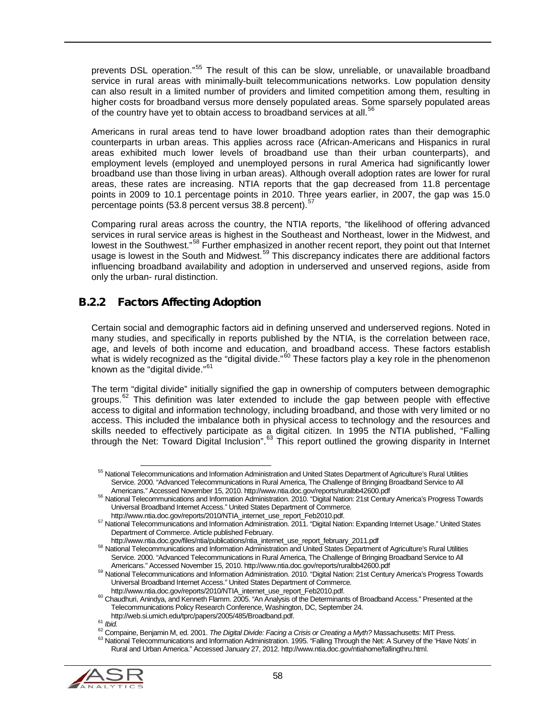prevents DSL operation."<sup>[55](#page-57-0)</sup> The result of this can be slow, unreliable, or unavailable broadband service in rural areas with minimally-built telecommunications networks. Low population density can also result in a limited number of providers and limited competition among them, resulting in higher costs for broadband versus more densely populated areas. Some sparsely populated areas of the country have yet to obtain access to broadband services at all.<sup>[56](#page-57-1)</sup>

Americans in rural areas tend to have lower broadband adoption rates than their demographic counterparts in urban areas. This applies across race (African-Americans and Hispanics in rural areas exhibited much lower levels of broadband use than their urban counterparts), and employment levels (employed and unemployed persons in rural America had significantly lower broadband use than those living in urban areas). Although overall adoption rates are lower for rural areas, these rates are increasing. NTIA reports that the gap decreased from 11.8 percentage points in 2009 to 10.1 percentage points in 2010. Three years earlier, in 2007, the gap was 15.0 percentage points (53.8 percent versus 38.8 percent).<sup>[57](#page-57-2)</sup>

Comparing rural areas across the country, the NTIA reports, "the likelihood of offering advanced services in rural service areas is highest in the Southeast and Northeast, lower in the Midwest, and lowest in the Southwest."<sup>[58](#page-57-3)</sup> Further emphasized in another recent report, they point out that Internet usage is lowest in the South and Midwest.<sup>[59](#page-57-4)</sup> This discrepancy indicates there are additional factors influencing broadband availability and adoption in underserved and unserved regions, aside from only the urban- rural distinction.

# B.2.2 Factors Affecting Adoption

Certain social and demographic factors aid in defining unserved and underserved regions. Noted in many studies, and specifically in reports published by the NTIA, is the correlation between race, age, and levels of both income and education, and broadband access. These factors establish what is widely recognized as the "digital divide."<sup>[60](#page-57-5)</sup> These factors play a key role in the phenomenon known as the "digital divide."<sup>[61](#page-57-6)</sup>

The term "digital divide" initially signified the gap in ownership of computers between demographic groups. $62$  This definition was later extended to include the gap between people with effective access to digital and information technology, including broadband, and those with very limited or no access. This included the imbalance both in physical access to technology and the resources and skills needed to effectively participate as a digital citizen. In 1995 the NTIA published, "Falling through the Net: Toward Digital Inclusion".<sup>[63](#page-57-8)</sup> This report outlined the growing disparity in Internet

<span id="page-57-8"></span><span id="page-57-7"></span><span id="page-57-6"></span><span id="page-57-5"></span><span id="page-57-4"></span><span id="page-57-3"></span><sup>61</sup> Intp://web.si.urriion.edu/propepsis/2009/1007/2009/1007/2009/1007/2009/1007/2009/2009/1007/2009/2009/2009/<br>62 Compaine, Benjamin M, ed. 2001. The Digital Divide: Facing a Crisis or Creating a Myth? Massachusetts: MIT Pr Rural and Urban America." Accessed January 27, 2012. http://www.ntia.doc.gov/ntiahome/fallingthru.html.



<span id="page-57-0"></span><sup>&</sup>lt;sup>55</sup> National Telecommunications and Information Administration and United States Department of Agriculture's Rural Utilities Service. 2000. "Advanced Telecommunications in Rural America, The Challenge of Bringing Broadband Service to All<br>Americans." Accessed November 15, 2010. http://www.ntia.doc.gov/reports/ruralbb42600.pdf

<sup>&</sup>lt;sup>56</sup> National Telecommunications and Information Administration. 2010. "Digital Nation: 21st Century America's Progress Towards Universal Broadband Internet Access." United States Department of Commerce.<br>http://www.ntia.doc.gov/reports/2010/NTIA\_internet\_use\_report\_Feb2010.pdf.

<sup>57</sup> National Telecommunications and Information Administration. 2011. "Digital Nation: Expanding Internet Usage." United States

<span id="page-57-2"></span><span id="page-57-1"></span>Department of Commerce. Article published February.<br>http://www.ntia.doc.gov/files/ntia/publications/ntia\_internet\_use\_report\_february\_2011.pdf

<sup>&</sup>lt;sup>58</sup> National Telecommunications and Information Administration and United States Department of Agriculture's Rural Utilities Service. 2000. "Advanced Telecommunications in Rural America, The Challenge of Bringing Broadband Service to All<br>Americans." Accessed November 15, 2010. http://www.ntia.doc.gov/reports/ruralbb42600.pdf

<sup>&</sup>lt;sup>59</sup> National Telecommunications and Information Administration. 2010. "Digital Nation: 21st Century America's Progress Towards Universal Broadband Internet Access." United States Department of Commerce.

http://www.ntia.doc.gov/reports/2010/NTIA\_internet\_use\_report\_Feb2010.pdf. <sup>60</sup> Chaudhuri, Anindya, and Kenneth Flamm. 2005. "An Analysis of the Determinants of Broadband Access." Presented at the Telecommunications Policy Research Conference, Washington, DC, September 24.<br>http://web.si.umich.edu/tprc/papers/2005/485/Broadband.pdf.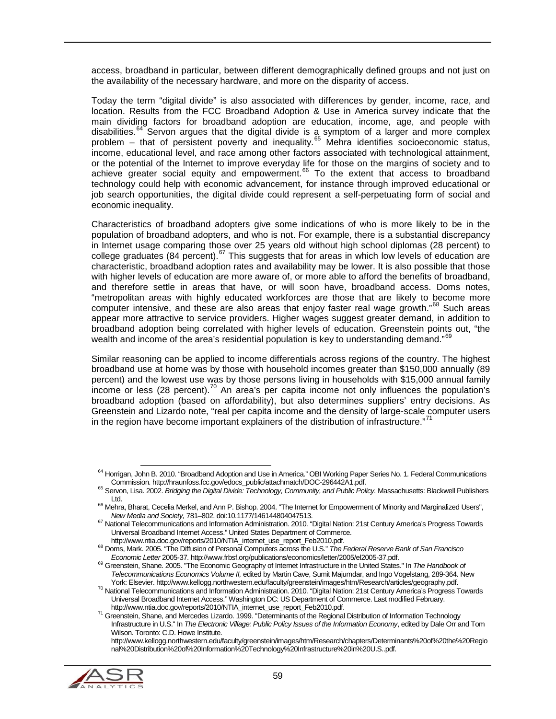access, broadband in particular, between different demographically defined groups and not just on the availability of the necessary hardware, and more on the disparity of access.

Today the term "digital divide" is also associated with differences by gender, income, race, and location. Results from the FCC Broadband Adoption & Use in America survey indicate that the main dividing factors for broadband adoption are education, income, age, and people with disabilities. $64$ <sup>-</sup> Servon argues that the digital divide is a symptom of a larger and more complex problem – that of persistent poverty and inequality.[65](#page-58-1) Mehra identifies socioeconomic status, income, educational level, and race among other factors associated with technological attainment, or the potential of the Internet to improve everyday life for those on the margins of society and to achieve greater social equity and empowerment.<sup>[66](#page-58-2)</sup> To the extent that access to broadband technology could help with economic advancement, for instance through improved educational or job search opportunities, the digital divide could represent a self-perpetuating form of social and economic inequality.

Characteristics of broadband adopters give some indications of who is more likely to be in the population of broadband adopters, and who is not. For example, there is a substantial discrepancy in Internet usage comparing those over 25 years old without high school diplomas (28 percent) to college graduates (84 percent).<sup>[67](#page-58-3)</sup> This suggests that for areas in which low levels of education are characteristic, broadband adoption rates and availability may be lower. It is also possible that those with higher levels of education are more aware of, or more able to afford the benefits of broadband, and therefore settle in areas that have, or will soon have, broadband access. Doms notes, "metropolitan areas with highly educated workforces are those that are likely to become more computer intensive, and these are also areas that enjoy faster real wage growth."<sup>[68](#page-58-4)</sup> Such areas appear more attractive to service providers. Higher wages suggest greater demand, in addition to broadband adoption being correlated with higher levels of education. Greenstein points out, "the wealth and income of the area's residential population is key to understanding demand."<sup>6</sup>

Similar reasoning can be applied to income differentials across regions of the country. The highest broadband use at home was by those with household incomes greater than \$150,000 annually (89 percent) and the lowest use was by those persons living in households with \$15,000 annual family income or less (28 percent).<sup>[70](#page-58-6)</sup> An area's per capita income not only influences the population's broadband adoption (based on affordability), but also determines suppliers' entry decisions. As Greenstein and Lizardo note, "real per capita income and the density of large-scale computer users in the region have become important explainers of the distribution of infrastructure."<sup>[71](#page-58-7)</sup>

<span id="page-58-7"></span><span id="page-58-6"></span><span id="page-58-5"></span>http://www.kellogg.northwestern.edu/faculty/greenstein/images/htm/Research/chapters/Determinants%20of%20the%20Regio nal%20Distribution%20of%20Information%20Technology%20Infrastructure%20in%20U.S..pdf.



<span id="page-58-0"></span><sup>&</sup>lt;sup>64</sup> Horrigan, John B. 2010. "Broadband Adoption and Use in America." OBI Working Paper Series No. 1. Federal Communications<br>Commission. http://hraunfoss.fcc.gov/edocs\_public/attachmatch/DOC-296442A1.pdf.

<span id="page-58-1"></span><sup>&</sup>lt;sup>65</sup> Servon. Lisa. 2002. *Bridging the Digital Divide: Technology, Community, and Public Policy.* Massachusetts: Blackwell Publishers<br>Ltd.

<span id="page-58-2"></span> $^{66}$  Mehra, Bharat, Cecelia Merkel, and Ann P. Bishop. 2004. "The Internet for Empowerment of Minority and Marginalized Users",<br>New Media and Society. 781–802. doi:10.1177/146144804047513.

<span id="page-58-3"></span><sup>&</sup>lt;sup>67</sup> National Telecommunications and Information Administration. 2010. "Digital Nation: 21st Century America's Progress Towards Universal Broadband Internet Access." United States Department of Commerce.<br>http://www.ntia.doc.gov/reports/2010/NTIA\_internet\_use\_report\_Feb2010.pdf.

<span id="page-58-4"></span><sup>&</sup>lt;sup>68</sup> Doms, Mark. 2005. "The Diffusion of Personal Computers across the U.S." The Federal Reserve Bank of San Francisco

Economic Letter 2005-37. http://www.frbsf.org/publications/economics/letter/2005/el2005-37.pdf.<br><sup>69</sup> Greenstein, Shane. 2005. "The Economic Geography of Internet Infrastructure in the United States." In The Handbook of *Telecommunications Economics Volume II,* edited by Martin Cave, Sumit Majumdar, and Ingo Vogelstang, 289-364. New

<sup>70</sup> National Telecommunications and Information Administration. 2010. "Digital Nation: 21st Century America's Progress Towards Universal Broadband Internet Access." Washington DC: US Department of Commerce. Last modified February.<br>http://www.ntia.doc.gov/reports/2010/NTIA\_internet\_use\_report\_Feb2010.pdf.

<sup>&</sup>lt;sup>71</sup> Greenstein, Shane, and Mercedes Lizardo. 1999. "Determinants of the Regional Distribution of Information Technology Infrastructure in U.S." In *The Electronic Village: Public Policy Issues of the Information Economy*, edited by Dale Orr and Tom Wilson. Toronto: C.D. Howe Institute.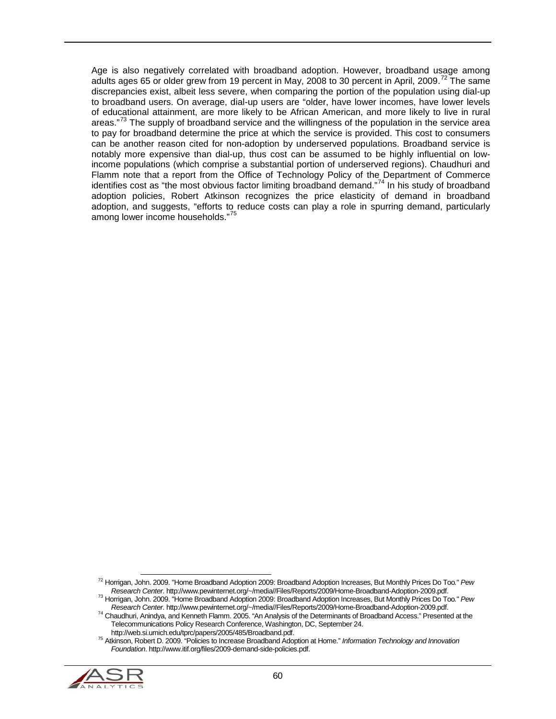Age is also negatively correlated with broadband adoption. However, broadband usage among adults ages 65 or older grew from 19 percent in May, 2008 to 30 percent in April, 2009.<sup>[72](#page-59-0)</sup> The same discrepancies exist, albeit less severe, when comparing the portion of the population using dial-up to broadband users. On average, dial-up users are "older, have lower incomes, have lower levels of educational attainment, are more likely to be African American, and more likely to live in rural areas."<sup>3</sup> The supply of broadband service and the willingness of the population in the service area to pay for broadband determine the price at which the service is provided. This cost to consumers can be another reason cited for non-adoption by underserved populations. Broadband service is notably more expensive than dial-up, thus cost can be assumed to be highly influential on lowincome populations (which comprise a substantial portion of underserved regions). Chaudhuri and Flamm note that a report from the Office of Technology Policy of the Department of Commerce identifies cost as "the most obvious factor limiting broadband demand."<sup>[74](#page-59-2)</sup> In his study of broadband adoption policies, Robert Atkinson recognizes the price elasticity of demand in broadband adoption, and suggests, "efforts to reduce costs can play a role in spurring demand, particularly among lower income households." [75](#page-59-3)

<span id="page-59-3"></span><span id="page-59-2"></span><span id="page-59-1"></span><span id="page-59-0"></span>http://web.si.umich.edu/tprc/papers/2005/485/Broadband.pdf. <sup>75</sup> Atkinson, Robert D. 2009. "Policies to Increase Broadband Adoption at Home." *Information Technology and Innovation Foundation*. http://www.itif.org/files/2009-demand-side-policies.pdf.



 <sup>72</sup> Horrigan, John. 2009. "Home Broadband Adoption 2009: Broadband Adoption Increases, But Monthly Prices Do Too*.*" *Pew* 

<sup>&</sup>lt;sup>73</sup> Horrigan, John. 2009. "Home Broadband Adoption 2009: Broadband Adoption Increases, But Monthly Prices Do Too." Pew<br>Research Center. http://www.pewinternet.org/~/media//Files/Reports/2009/Home-Broadband-Adoption-2009.p

<sup>&</sup>lt;sup>74</sup> Chaudhuri, Anindya, and Kenneth Flamm. 2005. "An Analysis of the Determinants of Broadband Access." Presented at the Telecommunications Policy Research Conference, Washington, DC, September 24.<br>http://web.si.umich.edu/tprc/papers/2005/485/Broadband.pdf.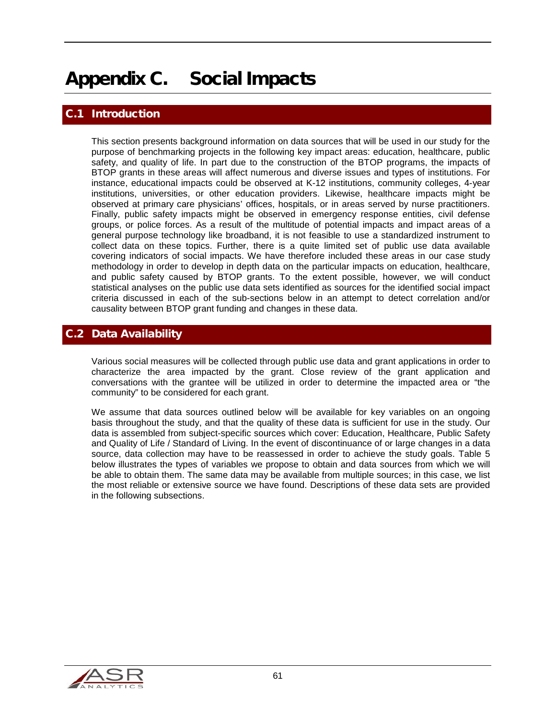# Appendix C. Social Impacts

## **Introduction**

This section presents background information on data sources that will be used in our study for the purpose of benchmarking projects in the following key impact areas: education, healthcare, public safety, and quality of life. In part due to the construction of the BTOP programs, the impacts of BTOP grants in these areas will affect numerous and diverse issues and types of institutions. For instance, educational impacts could be observed at K-12 institutions, community colleges, 4-year institutions, universities, or other education providers. Likewise, healthcare impacts might be observed at primary care physicians' offices, hospitals, or in areas served by nurse practitioners. Finally, public safety impacts might be observed in emergency response entities, civil defense groups, or police forces. As a result of the multitude of potential impacts and impact areas of a general purpose technology like broadband, it is not feasible to use a standardized instrument to collect data on these topics. Further, there is a quite limited set of public use data available covering indicators of social impacts. We have therefore included these areas in our case study methodology in order to develop in depth data on the particular impacts on education, healthcare, and public safety caused by BTOP grants. To the extent possible, however, we will conduct statistical analyses on the public use data sets identified as sources for the identified social impact criteria discussed in each of the sub-sections below in an attempt to detect correlation and/or causality between BTOP grant funding and changes in these data.

#### C.2 Data Availability

Various social measures will be collected through public use data and grant applications in order to characterize the area impacted by the grant. Close review of the grant application and conversations with the grantee will be utilized in order to determine the impacted area or "the community" to be considered for each grant.

We assume that data sources outlined below will be available for key variables on an ongoing basis throughout the study, and that the quality of these data is sufficient for use in the study. Our data is assembled from subject-specific sources which cover: Education, Healthcare, Public Safety and Quality of Life / Standard of Living. In the event of discontinuance of or large changes in a data source, data collection may have to be reassessed in order to achieve the study goals. [Table 5](#page-61-0) below illustrates the types of variables we propose to obtain and data sources from which we will be able to obtain them. The same data may be available from multiple sources; in this case, we list the most reliable or extensive source we have found. Descriptions of these data sets are provided in the following subsections.

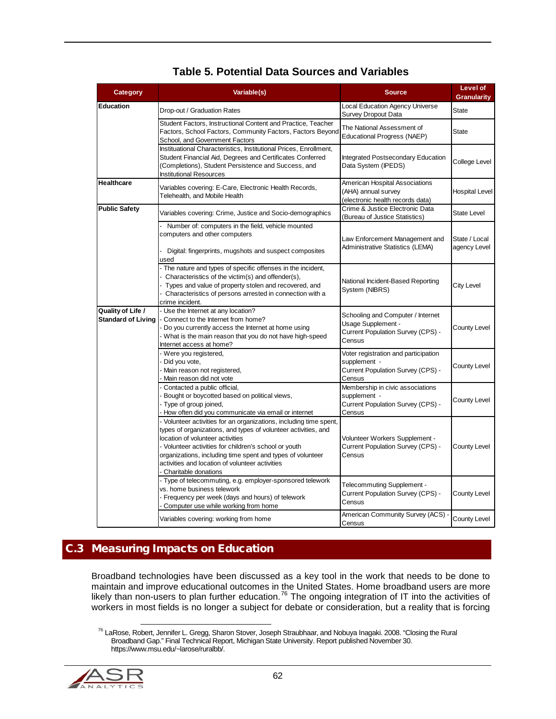<span id="page-61-0"></span>

| Category                                       | Variable(s)                                                                                                                                                                                                                                                                                                                                                                | <b>Source</b>                                                                                          | <b>Level of</b><br><b>Granularity</b> |
|------------------------------------------------|----------------------------------------------------------------------------------------------------------------------------------------------------------------------------------------------------------------------------------------------------------------------------------------------------------------------------------------------------------------------------|--------------------------------------------------------------------------------------------------------|---------------------------------------|
| Education                                      | Drop-out / Graduation Rates                                                                                                                                                                                                                                                                                                                                                | <b>Local Education Agency Universe</b><br><b>Survey Dropout Data</b>                                   | State                                 |
|                                                | Student Factors, Instructional Content and Practice, Teacher<br>Factors, School Factors, Community Factors, Factors Beyond<br>School, and Government Factors                                                                                                                                                                                                               | The National Assessment of<br><b>Educational Progress (NAEP)</b>                                       | State                                 |
|                                                | Instituational Characteristics, Institutional Prices, Enrollment,<br>Student Financial Aid, Degrees and Certificates Conferred<br>(Completions), Student Persistence and Success, and<br><b>Institutional Resources</b>                                                                                                                                                    | <b>Integrated Postsecondary Education</b><br>Data System (IPEDS)                                       | College Level                         |
| <b>Healthcare</b>                              | Variables covering: E-Care, Electronic Health Records,<br>Telehealth, and Mobile Health                                                                                                                                                                                                                                                                                    | American Hospital Associations<br>(AHA) annual survey<br>(electronic health records data)              | <b>Hospital Level</b>                 |
| <b>Public Safety</b>                           | Variables covering: Crime, Justice and Socio-demographics                                                                                                                                                                                                                                                                                                                  | Crime & Justice Electronic Data<br>(Bureau of Justice Statistics)                                      | <b>State Level</b>                    |
|                                                | Number of: computers in the field, vehicle mounted<br>computers and other computers<br>Digital: fingerprints, mugshots and suspect composites<br>used                                                                                                                                                                                                                      | Law Enforcement Management and<br>Administrative Statistics (LEMA)                                     | State / Local<br>agency Level         |
|                                                | - The nature and types of specific offenses in the incident,<br>Characteristics of the victim(s) and offender(s),<br>Types and value of property stolen and recovered, and<br>Characteristics of persons arrested in connection with a<br>crime incident.                                                                                                                  | National Incident-Based Reporting<br>System (NIBRS)                                                    | City Level                            |
| Quality of Life /<br><b>Standard of Living</b> | - Use the Internet at any location?<br>Connect to the Internet from home?<br>Do you currently access the Internet at home using<br>- What is the main reason that you do not have high-speed<br>Internet access at home?                                                                                                                                                   | Schooling and Computer / Internet<br>Usage Supplement -<br>Current Population Survey (CPS) -<br>Census | <b>County Level</b>                   |
|                                                | Were you registered,<br>Did you vote,<br>Main reason not registered,<br>Main reason did not vote                                                                                                                                                                                                                                                                           | Voter registration and participation<br>supplement -<br>Current Population Survey (CPS) -<br>Census    | County Level                          |
|                                                | Contacted a public official,<br>Bought or boycotted based on political views,<br>Type of group joined,<br>How often did you communicate via email or internet                                                                                                                                                                                                              | Membership in civic associations<br>supplement -<br>Current Population Survey (CPS) -<br>Census        | County Level                          |
|                                                | - Volunteer activities for an organizations, including time spent,<br>types of organizations, and types of volunteer activities, and<br>location of volunteer activities<br>- Volunteer activities for children's school or youth<br>organizations, including time spent and types of volunteer<br>activities and location of volunteer activities<br>Charitable donations | Volunteer Workers Supplement -<br>Current Population Survey (CPS) -<br>Census                          | County Level                          |
|                                                | - Type of telecommuting, e.g. employer-sponsored telework<br>vs. home business telework<br>- Frequency per week (days and hours) of telework<br>Computer use while working from home                                                                                                                                                                                       | Telecommuting Supplement -<br>Current Population Survey (CPS) -<br>Census                              | County Level                          |
|                                                | Variables covering: working from home                                                                                                                                                                                                                                                                                                                                      | American Community Survey (ACS) -<br>Census                                                            | County Level                          |

### **Table 5. Potential Data Sources and Variables**

# C.3 Measuring Impacts on Education

Broadband technologies have been discussed as a key tool in the work that needs to be done to maintain and improve educational outcomes in the United States. Home broadband users are more likely than non-users to plan further education.<sup>[76](#page-61-1)</sup> The ongoing integration of IT into the activities of workers in most fields is no longer a subject for debate or consideration, but a reality that is forcing

<span id="page-61-1"></span><sup>&</sup>lt;sup>76</sup> LaRose, Robert, Jennifer L. Gregg, Sharon Stover, Joseph Straubhaar, and Nobuya Inagaki. 2008. "Closing the Rural Broadband Gap." Final Technical Report, Michigan State University. Report published November 30. https://www.msu.edu/~larose/ruralbb/.

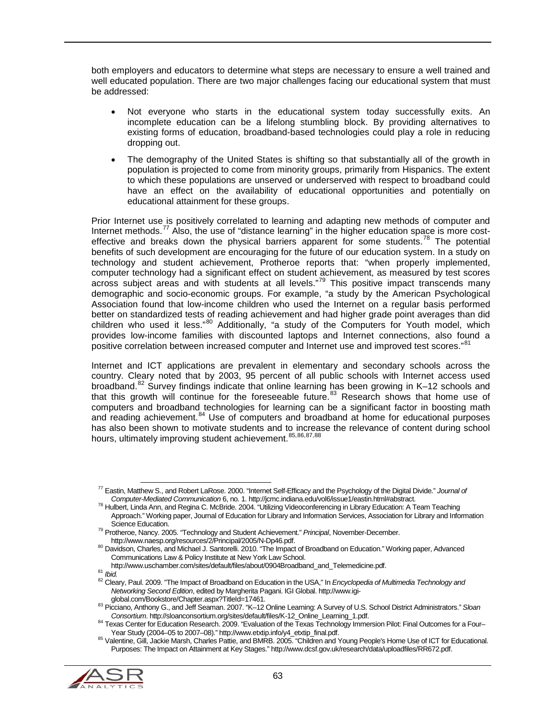both employers and educators to determine what steps are necessary to ensure a well trained and well educated population. There are two major challenges facing our educational system that must be addressed:

- Not everyone who starts in the educational system today successfully exits. An incomplete education can be a lifelong stumbling block. By providing alternatives to existing forms of education, broadband-based technologies could play a role in reducing dropping out.
- The demography of the United States is shifting so that substantially all of the growth in population is projected to come from minority groups, primarily from Hispanics. The extent to which these populations are unserved or underserved with respect to broadband could have an effect on the availability of educational opportunities and potentially on educational attainment for these groups.

Prior Internet use is positively correlated to learning and adapting new methods of computer and Internet methods.<sup>[77](#page-62-0)</sup> Also, the use of "distance learning" in the higher education space is more cost-effective and breaks down the physical barriers apparent for some students.<sup>[78](#page-62-1)</sup> The potential benefits of such development are encouraging for the future of our education system. In a study on technology and student achievement, Protheroe reports that: "when properly implemented, computer technology had a significant effect on student achievement, as measured by test scores across subject areas and with students at all levels."[79](#page-62-2) This positive impact transcends many demographic and socio-economic groups. For example, "a study by the American Psychological Association found that low-income children who used the Internet on a regular basis performed better on standardized tests of reading achievement and had higher grade point averages than did children who used it less."<sup>[80](#page-62-3)</sup> Additionally, "a study of the Computers for Youth model, which provides low-income families with discounted laptops and Internet connections, also found a positive correlation between increased computer and Internet use and improved test scores."<sup>[81](#page-62-4)</sup>

Internet and ICT applications are prevalent in elementary and secondary schools across the country. Cleary noted that by 2003, 95 percent of all public schools with Internet access used broadband.<sup>[82](#page-62-5)</sup> Survey findings indicate that online learning has been growing in K-12 schools and that this growth will continue for the foreseeable future.<sup>[83](#page-62-6)</sup> Research shows that home use of computers and broadband technologies for learning can be a significant factor in boosting math and reading achievement.<sup>[84](#page-62-7)</sup> Use of computers and broadband at home for educational purposes has also been shown to motivate students and to increase the relevance of content during school hours, ultimately improving student achievement. [85](#page-62-8), [86,](#page-62-9) [87](#page-62-5), [88](#page-62-10)

<span id="page-62-10"></span><span id="page-62-8"></span><span id="page-62-7"></span><span id="page-62-6"></span><span id="page-62-5"></span><span id="page-62-4"></span><sup>85</sup> Valentine, Gill, Jackie Marsh, Charles Pattie, and BMRB. 2005. "Children and Young People's Home Use of ICT for Educational. Purposes: The Impact on Attainment at Key Stages." http://www.dcsf.gov.uk/research/data/uploadfiles/RR672.pdf.



<span id="page-62-0"></span> <sup>77</sup> Eastin, Matthew S., and Robert LaRose. 2000. "Internet Self-Efficacy and the Psychology of the Digital Divide." *Journal of* 

<span id="page-62-1"></span><sup>78</sup> Hulbert, Linda Ann, and Regina C. McBride. 2004. "Utilizing Videoconferencing in Library Education: A Team Teaching Approach." Working paper, Journal of Education for Library and Information Services, Association for Library and Information<br>Science Education.

<span id="page-62-2"></span><sup>&</sup>lt;sup>79</sup> Protheroe, Nancy. 2005. "Technology and Student Achievement." *Principal*, November-December.<br>http://www.naesp.org/resources/2/Principal/2005/N-Dp46.pdf.

<span id="page-62-3"></span><sup>80</sup> Davidson, Charles, and Michael J. Santorelli. 2010. "The Impact of Broadband on Education." Working paper, Advanced Communications Law & Policy Institute at New York Law School.<br>http://www.uschamber.com/sites/default/files/about/0904Broadband\_and\_Telemedicine.pdf.

<span id="page-62-9"></span><sup>81</sup> Ibid.<br>81 Ibid.<br><sup>82</sup> Cleary. Paul. 2009. "The Impact of Broadband on Education in the USA," In *Encyclopedia of Multimedia Technology and Networking Second Edition*, edited by Margherita Pagani. IGI Global. http://www.igi-

<sup>83</sup> Picciano, Anthony G., and Jeff Seaman. 2007. "K–12 Online Learning: A Survey of U.S. School District Administrators." *Sloan*<br>Consortium. http://sloanconsortium.org/sites/default/files/K-12 Online Learning 1.pdf.

<sup>&</sup>lt;sup>84</sup> Texas Center for Education Research. 2009. "Evaluation of the Texas Technology Immersion Pilot: Final Outcomes for a Four–<br>Year Study (2004–05 to 2007–08)." http://www.etxtip.info/y4\_etxtip\_final.pdf.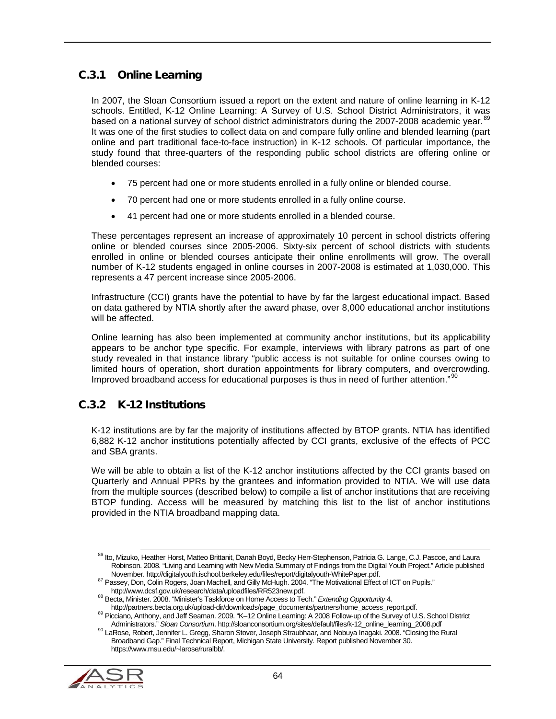# C.3.1 Online Learning

In 2007, the Sloan Consortium issued a report on the extent and nature of online learning in K-12 schools. Entitled, K-12 Online Learning: A Survey of U.S. School District Administrators, it was based on a national survey of school district administrators during the 2007-2008 academic year.<sup>[89](#page-63-0)</sup> It was one of the first studies to collect data on and compare fully online and blended learning (part online and part traditional face-to-face instruction) in K-12 schools. Of particular importance, the study found that three-quarters of the responding public school districts are offering online or blended courses:

- 75 percent had one or more students enrolled in a fully online or blended course.
- 70 percent had one or more students enrolled in a fully online course.
- 41 percent had one or more students enrolled in a blended course.

These percentages represent an increase of approximately 10 percent in school districts offering online or blended courses since 2005-2006. Sixty-six percent of school districts with students enrolled in online or blended courses anticipate their online enrollments will grow. The overall number of K-12 students engaged in online courses in 2007-2008 is estimated at 1,030,000. This represents a 47 percent increase since 2005-2006.

Infrastructure (CCI) grants have the potential to have by far the largest educational impact. Based on data gathered by NTIA shortly after the award phase, over 8,000 educational anchor institutions will be affected.

Online learning has also been implemented at community anchor institutions, but its applicability appears to be anchor type specific. For example, interviews with library patrons as part of one study revealed in that instance library "public access is not suitable for online courses owing to limited hours of operation, short duration appointments for library computers, and overcrowding. Improved broadband access for educational purposes is thus in need of further attention."<sup>[90](#page-63-1)</sup>

## C.3.2 K-12 Institutions

K-12 institutions are by far the majority of institutions affected by BTOP grants. NTIA has identified 6,882 K-12 anchor institutions potentially affected by CCI grants, exclusive of the effects of PCC and SBA grants.

We will be able to obtain a list of the K-12 anchor institutions affected by the CCI grants based on Quarterly and Annual PPRs by the grantees and information provided to NTIA. We will use data from the multiple sources (described below) to compile a list of anchor institutions that are receiving BTOP funding. Access will be measured by matching this list to the list of anchor institutions provided in the NTIA broadband mapping data.

<span id="page-63-1"></span><span id="page-63-0"></span><sup>90</sup> LaRose, Robert, Jennifer L. Gregg, Sharon Stover, Joseph Straubhaar, and Nobuya Inagaki. 2008. "Closing the Rural Broadband Gap." Final Technical Report, Michigan State University. Report published November 30. https://www.msu.edu/~larose/ruralbb/.



<sup>86</sup> Ito, Mizuko, Heather Horst, Matteo Brittanit, Danah Boyd, Becky Herr-Stephenson, Patricia G. Lange, C.J. Pascoe, and Laura Robinson. 2008. "Living and Learning with New Media Summary of Findings from the Digital Youth Project." Article published<br>November. http://digitalyouth.ischool.berkeley.edu/files/report/digitalyouth-WhitePaper.pdf.

<sup>87</sup> Passey, Don, Colin Rogers, Joan Machell, and Gilly McHugh. 2004. "The Motivational Effect of ICT on Pupils."<br>http://www.dcsf.gov.uk/research/data/uploadfiles/RR523new.pdf.

<sup>&</sup>lt;sup>88</sup> Becta, Minister. 2008. "Minister's Taskforce on Home Access to Tech." *Extending Opportunity* 4.<br>http://partners.becta.org.uk/upload-dir/downloads/page\_documents/partners/home\_access\_report.pdf.

<sup>&</sup>lt;sup>89</sup> Picciano, Anthony, and Jeff Seaman. 2009. "K–12 Online Learning: A 2008 Follow-up of the Survey of U.S. School District<br>Administrators." Sloan Consortium. http://sloanconsortium.org/sites/default/files/k-12\_online\_lea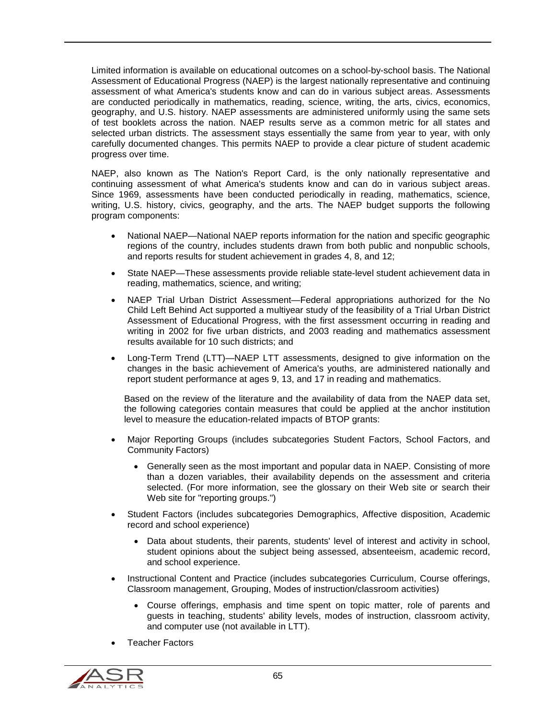Limited information is available on educational outcomes on a school-by-school basis. The National Assessment of Educational Progress (NAEP) is the largest nationally representative and continuing assessment of what America's students know and can do in various subject areas. Assessments are conducted periodically in mathematics, reading, science, writing, the arts, civics, economics, geography, and U.S. history. NAEP assessments are administered uniformly using the same sets of test booklets across the nation. NAEP results serve as a common metric for all states and selected urban districts. The assessment stays essentially the same from year to year, with only carefully documented changes. This permits NAEP to provide a clear picture of student academic progress over time.

NAEP, also known as The Nation's Report Card, is the only nationally representative and continuing assessment of what America's students know and can do in various subject areas. Since 1969, assessments have been conducted periodically in reading, mathematics, science, writing, U.S. history, civics, geography, and the arts. The NAEP budget supports the following program components:

- National NAEP—National NAEP reports information for the nation and specific geographic regions of the country, includes students drawn from both public and nonpublic schools, and reports results for student achievement in grades 4, 8, and 12;
- State NAEP—These assessments provide reliable state-level student achievement data in reading, mathematics, science, and writing;
- NAEP Trial Urban District Assessment—Federal appropriations authorized for the No Child Left Behind Act supported a multiyear study of the feasibility of a Trial Urban District Assessment of Educational Progress, with the first assessment occurring in reading and writing in 2002 for five urban districts, and 2003 reading and mathematics assessment results available for 10 such districts; and
- Long-Term Trend (LTT)—NAEP LTT assessments, designed to give information on the changes in the basic achievement of America's youths, are administered nationally and report student performance at ages 9, 13, and 17 in reading and mathematics.

Based on the review of the literature and the availability of data from the NAEP data set, the following categories contain measures that could be applied at the anchor institution level to measure the education-related impacts of BTOP grants:

- Major Reporting Groups (includes subcategories Student Factors, School Factors, and Community Factors)
	- Generally seen as the most important and popular data in NAEP. Consisting of more than a dozen variables, their availability depends on the assessment and criteria selected. (For more information, see the glossary on their Web site or search their Web site for "reporting groups.")
- Student Factors (includes subcategories Demographics, Affective disposition, Academic record and school experience)
	- Data about students, their parents, students' level of interest and activity in school, student opinions about the subject being assessed, absenteeism, academic record, and school experience.
- Instructional Content and Practice (includes subcategories Curriculum, Course offerings, Classroom management, Grouping, Modes of instruction/classroom activities)
	- Course offerings, emphasis and time spent on topic matter, role of parents and guests in teaching, students' ability levels, modes of instruction, classroom activity, and computer use (not available in LTT).
- Teacher Factors

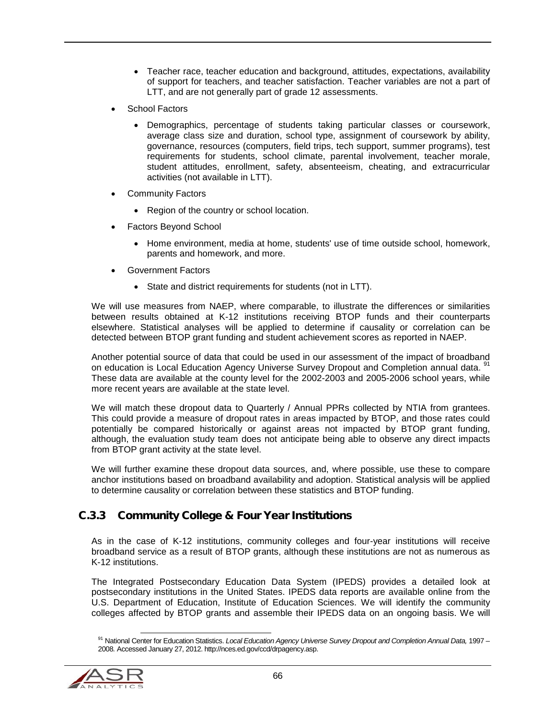- Teacher race, teacher education and background, attitudes, expectations, availability of support for teachers, and teacher satisfaction. Teacher variables are not a part of LTT, and are not generally part of grade 12 assessments.
- School Factors
	- Demographics, percentage of students taking particular classes or coursework, average class size and duration, school type, assignment of coursework by ability, governance, resources (computers, field trips, tech support, summer programs), test requirements for students, school climate, parental involvement, teacher morale, student attitudes, enrollment, safety, absenteeism, cheating, and extracurricular activities (not available in LTT).
- **Community Factors** 
	- Region of the country or school location.
- Factors Beyond School
	- Home environment, media at home, students' use of time outside school, homework, parents and homework, and more.
- Government Factors
	- State and district requirements for students (not in LTT).

We will use measures from NAEP, where comparable, to illustrate the differences or similarities between results obtained at K-12 institutions receiving BTOP funds and their counterparts elsewhere. Statistical analyses will be applied to determine if causality or correlation can be detected between BTOP grant funding and student achievement scores as reported in NAEP.

Another potential source of data that could be used in our assessment of the impact of broadband on education is Local Education Agency Universe Survey Dropout and Completion annual data. <sup>[91](#page-65-0)</sup> These data are available at the county level for the 2002-2003 and 2005-2006 school years, while more recent years are available at the state level.

We will match these dropout data to Quarterly / Annual PPRs collected by NTIA from grantees. This could provide a measure of dropout rates in areas impacted by BTOP, and those rates could potentially be compared historically or against areas not impacted by BTOP grant funding, although, the evaluation study team does not anticipate being able to observe any direct impacts from BTOP grant activity at the state level.

We will further examine these dropout data sources, and, where possible, use these to compare anchor institutions based on broadband availability and adoption. Statistical analysis will be applied to determine causality or correlation between these statistics and BTOP funding.

## C.3.3 Community College & Four Year Institutions

As in the case of K-12 institutions, community colleges and four-year institutions will receive broadband service as a result of BTOP grants, although these institutions are not as numerous as K-12 institutions.

The Integrated Postsecondary Education Data System (IPEDS) provides a detailed look at postsecondary institutions in the United States. IPEDS data reports are available online from the U.S. Department of Education, Institute of Education Sciences. We will identify the community colleges affected by BTOP grants and assemble their IPEDS data on an ongoing basis. We will

<span id="page-65-0"></span><sup>91</sup> National Center for Education Statistics. *Local Education Agency Universe Survey Dropout and Completion Annual Data*, 1997 – 2008*.* Accessed January 27, 2012. http://nces.ed.gov/ccd/drpagency.asp.

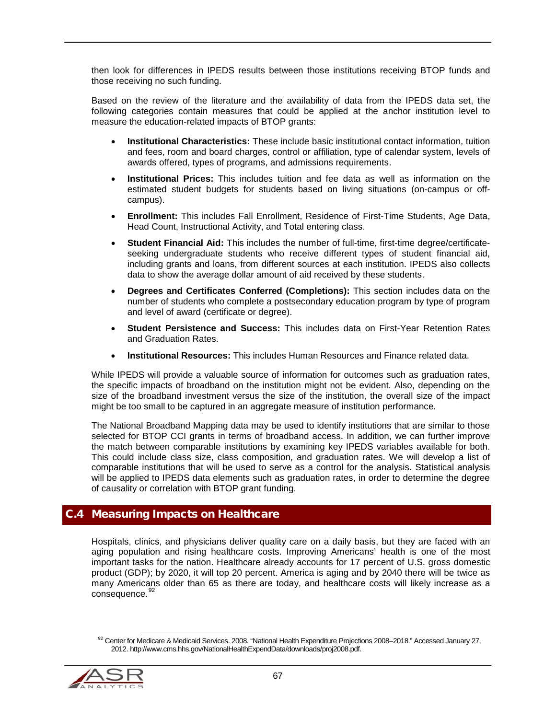then look for differences in IPEDS results between those institutions receiving BTOP funds and those receiving no such funding.

Based on the review of the literature and the availability of data from the IPEDS data set, the following categories contain measures that could be applied at the anchor institution level to measure the education-related impacts of BTOP grants:

- **Institutional Characteristics:** These include basic institutional contact information, tuition and fees, room and board charges, control or affiliation, type of calendar system, levels of awards offered, types of programs, and admissions requirements.
- **Institutional Prices:** This includes tuition and fee data as well as information on the estimated student budgets for students based on living situations (on-campus or offcampus).
- **Enrollment:** This includes Fall Enrollment, Residence of First-Time Students, Age Data, Head Count, Instructional Activity, and Total entering class.
- **Student Financial Aid:** This includes the number of full-time, first-time degree/certificateseeking undergraduate students who receive different types of student financial aid, including grants and loans, from different sources at each institution. IPEDS also collects data to show the average dollar amount of aid received by these students.
- **Degrees and Certificates Conferred (Completions):** This section includes data on the number of students who complete a postsecondary education program by type of program and level of award (certificate or degree).
- **Student Persistence and Success:** This includes data on First-Year Retention Rates and Graduation Rates.
- **Institutional Resources:** This includes Human Resources and Finance related data.

While IPEDS will provide a valuable source of information for outcomes such as graduation rates, the specific impacts of broadband on the institution might not be evident. Also, depending on the size of the broadband investment versus the size of the institution, the overall size of the impact might be too small to be captured in an aggregate measure of institution performance.

The National Broadband Mapping data may be used to identify institutions that are similar to those selected for BTOP CCI grants in terms of broadband access. In addition, we can further improve the match between comparable institutions by examining key IPEDS variables available for both. This could include class size, class composition, and graduation rates. We will develop a list of comparable institutions that will be used to serve as a control for the analysis. Statistical analysis will be applied to IPEDS data elements such as graduation rates, in order to determine the degree of causality or correlation with BTOP grant funding.

#### C.4 Measuring Impacts on Healthcare

Hospitals, clinics, and physicians deliver quality care on a daily basis, but they are faced with an aging population and rising healthcare costs. Improving Americans' health is one of the most important tasks for the nation. Healthcare already accounts for 17 percent of U.S. gross domestic product (GDP); by 2020, it will top 20 percent. America is aging and by 2040 there will be twice as many Americans older than 65 as there are today, and healthcare costs will likely increase as a consequence. [92](#page-66-0)

<span id="page-66-0"></span><sup>92</sup> Center for Medicare & Medicaid Services. 2008. "National Health Expenditure Projections 2008–2018." Accessed January 27, 2012. [http://www.cms.hhs.gov/NationalHealthExpendData/downloads/proj2008.pdf.](http://www.cms.hhs.gov/NationalHealthExpendData/downloads/proj2008.pdf)

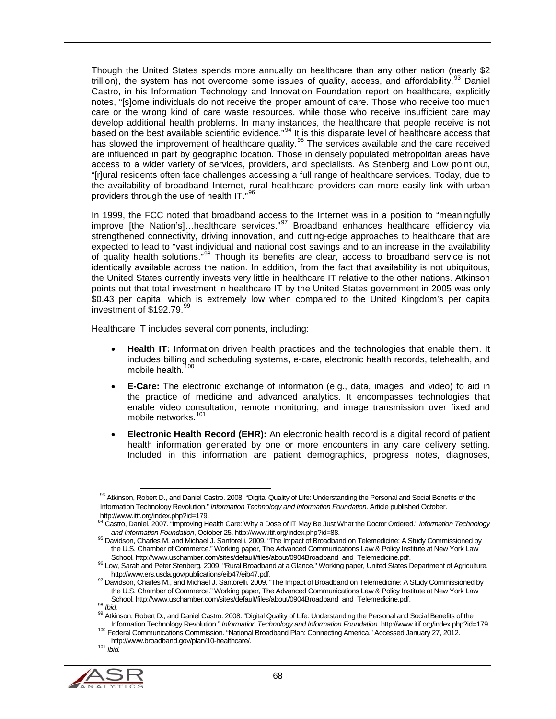Though the United States spends more annually on healthcare than any other nation (nearly \$2 trillion), the system has not overcome some issues of quality, access, and affordability.<sup>[93](#page-67-0)</sup> Daniel Castro, in his Information Technology and Innovation Foundation report on healthcare, explicitly notes, "[s]ome individuals do not receive the proper amount of care. Those who receive too much care or the wrong kind of care waste resources, while those who receive insufficient care may develop additional health problems. In many instances, the healthcare that people receive is not based on the best available scientific evidence."<sup>[94](#page-67-1)</sup> It is this disparate level of healthcare access that has slowed the improvement of healthcare quality.<sup>[95](#page-67-2)</sup> The services available and the care received are influenced in part by geographic location. Those in densely populated metropolitan areas have access to a wider variety of services, providers, and specialists. As Stenberg and Low point out, "[r]ural residents often face challenges accessing a full range of healthcare services. Today, due to the availability of broadband Internet, rural healthcare providers can more easily link with urban providers through the use of health IT."<sup>[96](#page-67-3)</sup>

In 1999, the FCC noted that broadband access to the Internet was in a position to "meaningfully improve [the Nation's]...healthcare services."<sup>[97](#page-67-4)</sup> Broadband enhances healthcare efficiency via strengthened connectivity, driving innovation, and cutting-edge approaches to healthcare that are expected to lead to "vast individual and national cost savings and to an increase in the availability of quality health solutions."[98](#page-67-5) Though its benefits are clear, access to broadband service is not identically available across the nation. In addition, from the fact that availability is not ubiquitous, the United States currently invests very little in healthcare IT relative to the other nations. Atkinson points out that total investment in healthcare IT by the United States government in 2005 was only \$0.43 per capita, which is extremely low when compared to the United Kingdom's per capita investment of \$192.79. [99](#page-67-6)

Healthcare IT includes several components, including:

- **Health IT:** Information driven health practices and the technologies that enable them. It includes billing and scheduling systems, e-care, electronic health records, telehealth, and mobile health.<sup>[100](#page-67-7)</sup>
- **E-Care:** The electronic exchange of information (e.g., data, images, and video) to aid in the practice of medicine and advanced analytics. It encompasses technologies that enable video consultation, remote monitoring, and image transmission over fixed and mobile networks.<sup>[101](#page-67-8)</sup>
- **Electronic Health Record (EHR):** An electronic health record is a digital record of patient health information generated by one or more encounters in any care delivery setting. Included in this information are patient demographics, progress notes, diagnoses,

<span id="page-67-8"></span><span id="page-67-7"></span><span id="page-67-6"></span><span id="page-67-5"></span><span id="page-67-4"></span>

<span id="page-67-0"></span><sup>93</sup> Atkinson, Robert D., and Daniel Castro. 2008. "Digital Quality of Life: Understanding the Personal and Social Benefits of the Information Technology Revolution." *Information Technology and Information Foundation*. Article published October.

<span id="page-67-1"></span><sup>&</sup>lt;sup>94</sup> Castro, Daniel. 2007. "Improving Health Care: Why a Dose of IT May Be Just What the Doctor Ordered." *Information Technology*<br>and Information Foundation. October 25. http://www.itif.org/index.php?id=88.

<span id="page-67-2"></span><sup>&</sup>lt;sup>95</sup> Davidson, Charles M. and Michael J. Santorelli. 2009. "The Impact of Broadband on Telemedicine: A Study Commissioned by the U.S. Chamber of Commerce." Working paper, The Advanced Communications Law & Policy Institute at New York Law

<span id="page-67-3"></span>School. http://www.uschamber.com/sites/default/files/about/0904Broadband\_and\_Telemedicine.pdf.<br><sup>96</sup> Low, Sarah and Peter Stenberg. 2009. "Rural Broadband at a Glance." Working paper, United States Department of Agriculture

grampen construct the structure of the matter of the Impact of Broadband on Telemedicine: A Study Commissioned by<br><sup>97</sup> Davidson, Charles M., and Michael J. Santorelli. 2009. "The Impact of Broadband on Telemedicine: A Stud the U.S. Chamber of Commerce." Working paper, The Advanced Communications Law & Policy Institute at New York Law<br>School. http://www.uschamber.com/sites/default/files/about/0904Broadband\_and\_Telemedicine.pdf.

<sup>&</sup>lt;sup>98</sup> Ibid.<br><sup>98</sup> Atkinson, Robert D., and Daniel Castro. 2008. "Digital Quality of Life: Understanding the Personal and Social Benefits of the<br><sup>99</sup> Atkinson, Robert D., and Daniel Castro. 2008. "Digital Quality of Life: Und

<sup>100</sup> Federal Communications Commission. "National Broadband Plan: Connecting America." Accessed January 27, 2012. http://www.broadband.gov/plan/10-healthcare/. <sup>101</sup> *Ibid.*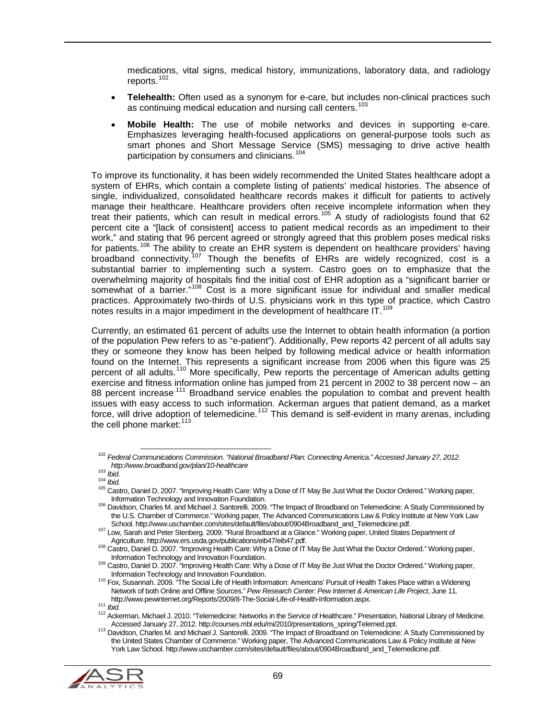medications, vital signs, medical history, immunizations, laboratory data, and radiology reports.<sup>[102](#page-68-0)</sup>

- **Telehealth:** Often used as a synonym for e-care, but includes non-clinical practices such as continuing medical education and nursing call centers.<sup>1</sup>
- **Mobile Health:** The use of mobile networks and devices in supporting e-care. Emphasizes leveraging health-focused applications on general-purpose tools such as smart phones and Short Message Service (SMS) messaging to drive active health participation by consumers and clinicians.<sup>[104](#page-68-2)</sup>

To improve its functionality, it has been widely recommended the United States healthcare adopt a system of EHRs, which contain a complete listing of patients' medical histories. The absence of single, individualized, consolidated healthcare records makes it difficult for patients to actively manage their healthcare. Healthcare providers often receive incomplete information when they treat their patients, which can result in medical errors.[105](#page-68-3) A study of radiologists found that 62 percent cite a "[lack of consistent] access to patient medical records as an impediment to their work," and stating that 96 percent agreed or strongly agreed that this problem poses medical risks for patients.<sup>[106](#page-68-4)</sup> The ability to create an EHR system is dependent on healthcare providers' having broadband connectivity.[107](#page-68-5) Though the benefits of EHRs are widely recognized, cost is a substantial barrier to implementing such a system. Castro goes on to emphasize that the overwhelming majority of hospitals find the initial cost of EHR adoption as a "significant barrier or somewhat of a barrier."[108](#page-68-6) Cost is a more significant issue for individual and smaller medical practices. Approximately two-thirds of U.S. physicians work in this type of practice, which Castro notes results in a major impediment in the development of healthcare IT. [109](#page-68-7)

Currently, an estimated 61 percent of adults use the Internet to obtain health information (a portion of the population Pew refers to as "e-patient"). Additionally, Pew reports 42 percent of all adults say they or someone they know has been helped by following medical advice or health information found on the Internet. This represents a significant increase from 2006 when this figure was 25 percent of all adults.<sup>[110](#page-68-8)</sup> More specifically, Pew reports the percentage of American adults getting exercise and fitness information online has jumped from 21 percent in 2002 to 38 percent now – an 88 percent increase<sup>.[111](#page-68-9)</sup> Broadband service enables the population to combat and prevent health issues with easy access to such information. Ackerman argues that patient demand, as a market force, will drive adoption of telemedicine.<sup>[112](#page-68-10)</sup> This demand is self-evident in many arenas, including the cell phone market: $113$ 

<span id="page-68-11"></span><span id="page-68-10"></span><span id="page-68-9"></span><span id="page-68-8"></span><span id="page-68-7"></span><sup>&</sup>lt;sup>113</sup> Davidson, Charles M. and Michael J. Santorelli. 2009. "The Impact of Broadband on Telemedicine: A Study Commissioned by the United States Chamber of Commerce." Working paper, The Advanced Communications Law & Policy Institute at New York Law School. http://www.uschamber.com/sites/default/files/about/0904Broadband\_and\_Telemedicine.pdf.



<span id="page-68-0"></span> <sup>102</sup> *Federal Communications Commission. "National Broadband Plan: Connecting America." Accessed January 27, 2012.* 

<span id="page-68-3"></span><span id="page-68-2"></span>

<span id="page-68-1"></span>*http://www.broadban.la.gov/plan/10-health Care:* Why a Dose of IT May Be Just What the Doctor Ordered." Working paper,<br><sup>105</sup> Castro, Daniel D. 2007. "Improving Health Care: Why a Dose of IT May Be Just What the Doctor Ord

<span id="page-68-4"></span><sup>106</sup> Davidson, Charles M. and Michael J. Santorelli. 2009. "The Impact of Broadband on Telemedicine: A Study Commissioned by the U.S. Chamber of Commerce." Working paper, The Advanced Communications Law & Policy Institute at New York Law<br>School. http://www.uschamber.com/sites/default/files/about/0904Broadband\_and\_Telemedicine.pdf.

<span id="page-68-5"></span><sup>107</sup> Low, Sarah and Peter Stenberg. 2009. "Rural Broadband at a Glance." Working paper, United States Department of<br>Agriculture. http://www.ers.usda.gov/publications/eib47/eib47.pdf.

<span id="page-68-6"></span><sup>108</sup> Castro, Daniel D. 2007. "Improving Health Care: Why a Dose of IT May Be Just What the Doctor Ordered." Working paper,

Information Technology and Innovation Foundation.<br><sup>109</sup> Castro, Daniel D. 2007. "Improving Health Care: Why a Dose of IT May Be Just What the Doctor Ordered." Working paper,<br>Information Technology and Innovation Foundation

<sup>110</sup> Fox, Susannah. 2009. "The Social Life of Health Information: Americans' Pursuit of Health Takes Place within a Widening Network of both Online and Offline Sources." *Pew Research Center: Pew Internet & American Life Project*, June 11*.* 

<sup>111</sup> Ibid.<br><sup>112</sup> Ackerman, Michael J. 2010. "Telemedicine: Networks in the Service of Healthcare." Presentation, National Library of Medicine.<br>Accessed January 27, 2012. http://courses.mbl.edu/mi/2010/presentations\_spring/T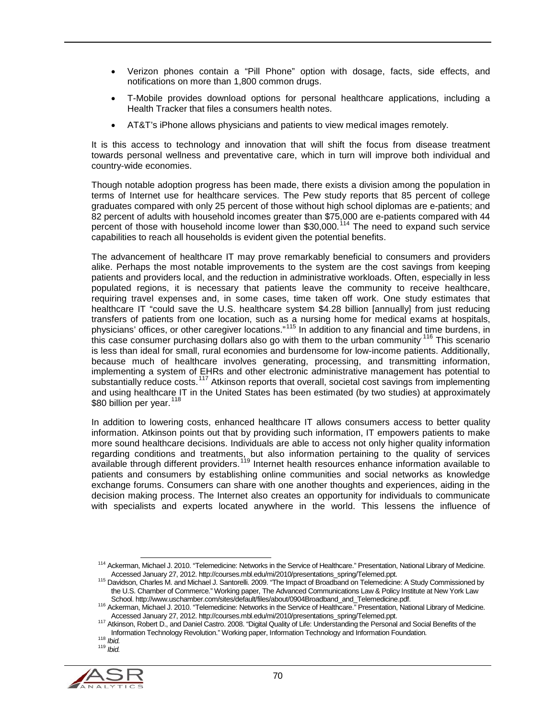- Verizon phones contain a "Pill Phone" option with dosage, facts, side effects, and notifications on more than 1,800 common drugs.
- T-Mobile provides download options for personal healthcare applications, including a Health Tracker that files a consumers health notes.
- AT&T's iPhone allows physicians and patients to view medical images remotely.

It is this access to technology and innovation that will shift the focus from disease treatment towards personal wellness and preventative care, which in turn will improve both individual and country-wide economies.

Though notable adoption progress has been made, there exists a division among the population in terms of Internet use for healthcare services. The Pew study reports that 85 percent of college graduates compared with only 25 percent of those without high school diplomas are e-patients; and 82 percent of adults with household incomes greater than \$75,000 are e-patients compared with 44 percent of those with household income lower than \$30,000.<sup>[114](#page-69-0)</sup> The need to expand such service capabilities to reach all households is evident given the potential benefits.

The advancement of healthcare IT may prove remarkably beneficial to consumers and providers alike. Perhaps the most notable improvements to the system are the cost savings from keeping patients and providers local, and the reduction in administrative workloads. Often, especially in less populated regions, it is necessary that patients leave the community to receive healthcare, requiring travel expenses and, in some cases, time taken off work. One study estimates that healthcare IT "could save the U.S. healthcare system \$4.28 billion [annually] from just reducing transfers of patients from one location, such as a nursing home for medical exams at hospitals, physicians' offices, or other caregiver locations."<sup>[115](#page-69-1)</sup> In addition to any financial and time burdens, in this case consumer purchasing dollars also go with them to the urban community.<sup>[116](#page-69-2)</sup> This scenario is less than ideal for small, rural economies and burdensome for low-income patients. Additionally, because much of healthcare involves generating, processing, and transmitting information, implementing a system of EHRs and other electronic administrative management has potential to substantially reduce costs.[117](#page-69-3) Atkinson reports that overall, societal cost savings from implementing and using healthcare IT in the United States has been estimated (by two studies) at approximately \$80 billion per year.<sup>[118](#page-69-4)</sup>

In addition to lowering costs, enhanced healthcare IT allows consumers access to better quality information. Atkinson points out that by providing such information, IT empowers patients to make more sound healthcare decisions. Individuals are able to access not only higher quality information regarding conditions and treatments, but also information pertaining to the quality of services available through different providers.<sup>[119](#page-69-5)</sup> Internet health resources enhance information available to patients and consumers by establishing online communities and social networks as knowledge exchange forums. Consumers can share with one another thoughts and experiences, aiding in the decision making process. The Internet also creates an opportunity for individuals to communicate with specialists and experts located anywhere in the world. This lessens the influence of

<span id="page-69-5"></span><span id="page-69-4"></span><span id="page-69-3"></span><span id="page-69-2"></span><span id="page-69-1"></span>

<span id="page-69-0"></span><sup>114</sup> Ackerman, Michael J. 2010. "Telemedicine: Networks in the Service of Healthcare." Presentation, National Library of Medicine.<br>Accessed January 27, 2012. http://courses.mbl.edu/mi/2010/presentations\_spring/Telemed.ppt.

<sup>115</sup> Davidson, Charles M. and Michael J. Santorelli. 2009. "The Impact of Broadband on Telemedicine: A Study Commissioned by the U.S. Chamber of Commerce." Working paper, The Advanced Communications Law & Policy Institute at New York Law<br>School. http://www.uschamber.com/sites/default/files/about/0904Broadband\_and\_Telemedicine.pdf.

<sup>&</sup>lt;sup>116</sup> Ackerman, Michael J. 2010. "Telemedicine: Networks in the Service of Healthcare." Presentation, National Library of Medicine.<br>Accessed January 27, 2012. http://courses.mbl.edu/mi/2010/presentations spring/Telemed.ppt

Accessed January 27, 2012. *http://courses.mali.edu/miranth.edu/migred.ppt. 117 Atkinson, Robert D., and Daniel Castro. 2008. "Digital Quality of Life: Understanding the Personal and Social Benefits of the* Information Technology Revolution." Working paper, Information Technology and Information Foundation*.* <sup>118</sup> *Ibid.* <sup>119</sup> *Ibid.*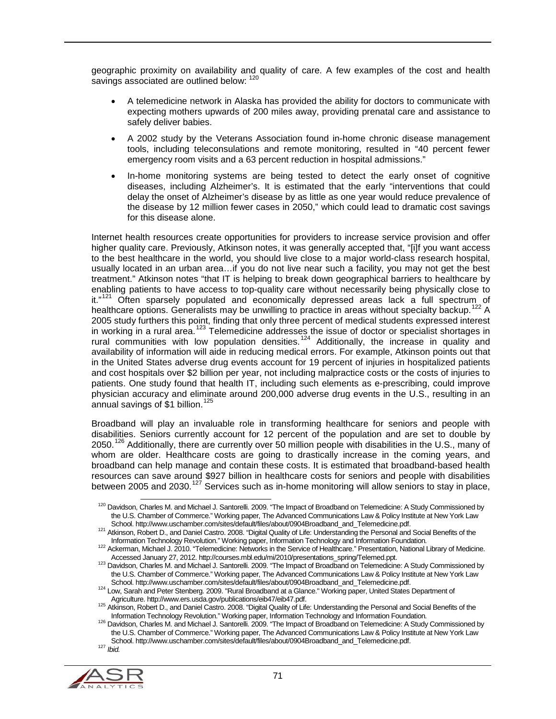geographic proximity on availability and quality of care. A few examples of the cost and health savings associated are outlined below:  $120$ 

- A telemedicine network in Alaska has provided the ability for doctors to communicate with expecting mothers upwards of 200 miles away, providing prenatal care and assistance to safely deliver babies.
- A 2002 study by the Veterans Association found in-home chronic disease management tools, including teleconsulations and remote monitoring, resulted in "40 percent fewer emergency room visits and a 63 percent reduction in hospital admissions."
- In-home monitoring systems are being tested to detect the early onset of cognitive diseases, including Alzheimer's. It is estimated that the early "interventions that could delay the onset of Alzheimer's disease by as little as one year would reduce prevalence of the disease by 12 million fewer cases in 2050," which could lead to dramatic cost savings for this disease alone.

Internet health resources create opportunities for providers to increase service provision and offer higher quality care. Previously, Atkinson notes, it was generally accepted that, "[i]f you want access to the best healthcare in the world, you should live close to a major world-class research hospital, usually located in an urban area…if you do not live near such a facility, you may not get the best treatment." Atkinson notes "that IT is helping to break down geographical barriers to healthcare by enabling patients to have access to top-quality care without necessarily being physically close to  $it.^{n21}$  Often sparsely populated and economically depressed areas lack a full spectrum of healthcare options. Generalists may be unwilling to practice in areas without specialty backup.<sup>[122](#page-70-2)</sup> A 2005 study furthers this point, finding that only three percent of medical students expressed interest in working in a rural area.<sup>[123](#page-70-3)</sup> Telemedicine addresses the issue of doctor or specialist shortages in rural communities with low population densities.<sup>[124](#page-70-4)</sup> Additionally, the increase in quality and availability of information will aide in reducing medical errors. For example, Atkinson points out that in the United States adverse drug events account for 19 percent of injuries in hospitalized patients and cost hospitals over \$2 billion per year, not including malpractice costs or the costs of injuries to patients. One study found that health IT, including such elements as e-prescribing, could improve physician accuracy and eliminate around 200,000 adverse drug events in the U.S., resulting in an annual savings of  $$1$  billion.<sup>[125](#page-70-5)</sup>

Broadband will play an invaluable role in transforming healthcare for seniors and people with disabilities. Seniors currently account for 12 percent of the population and are set to double by 2050.[126](#page-70-6) Additionally, there are currently over 50 million people with disabilities in the U.S., many of whom are older. Healthcare costs are going to drastically increase in the coming years, and broadband can help manage and contain these costs. It is estimated that broadband-based health resources can save around \$927 billion in healthcare costs for seniors and people with disabilities between 2005 and 2030.<sup>[127](#page-70-7)</sup> Services such as in-home monitoring will allow seniors to stay in place,

<span id="page-70-7"></span><span id="page-70-6"></span><span id="page-70-5"></span><span id="page-70-4"></span><span id="page-70-3"></span><span id="page-70-2"></span><sup>&</sup>lt;sup>126</sup> Davidson, Charles M. and Michael J. Santorelli. 2009. "The Impact of Broadband on Telemedicine: A Study Commissioned by the U.S. Chamber of Commerce." Working paper, The Advanced Communications Law & Policy Institute at New York Law School. http://www.uschamber.com/sites/default/files/about/0904Broadband\_and\_Telemedicine.pdf.<br><sup>127</sup> *Ibid.* 



<span id="page-70-0"></span><sup>&</sup>lt;sup>120</sup> Davidson, Charles M. and Michael J. Santorelli. 2009. "The Impact of Broadband on Telemedicine: A Study Commissioned by the U.S. Chamber of Commerce." Working paper, The Advanced Communications Law & Policy Institute at New York Law<br>School. http://www.uschamber.com/sites/default/files/about/0904Broadband\_and\_Telemedicine.pdf.

<span id="page-70-1"></span><sup>121</sup> Atkinson, Robert D., and Daniel Castro. 2008. "Digital Quality of Life: Understanding the Personal and Social Benefits of the<br>http://www.uschool. 2008. "Digital Quality of Life: Understanding the Personal and Social Be

<sup>122</sup> Ackerman, Michael J. 2010. "Telemedicine: Networks in the Service of Healthcare." Presentation, National Library of Medicine.

Accessed January 27, 2012. http://courses.mbl.edu/mi/2010/presentations\_spring/Telemed.ppt.<br><sup>123</sup> Davidson, Charles M. and Michael J. Santorelli. 2009. "The Impact of Broadband on Telemedicine: A Study Commissioned by the U.S. Chamber of Commerce." Working paper, The Advanced Communications Law & Policy Institute at New York Law<br>School. http://www.uschamber.com/sites/default/files/about/0904Broadband and Telemedicine.pdf.

<sup>124</sup> Low, Sarah and Peter Stenberg. 2009. "Rural Broadband at a Glance." Working paper, United States Department of<br>Agriculture. http://www.ers.usda.gov/publications/eib47/eib47.pdf.

Agriculture. http://www.ers.usda.gov.publications.com/publications/eighters.com/publications/eighters. 2008. "Digital Quality of Life: Understanding the Personal and Social Benefits of the<br>Information Technology Revolution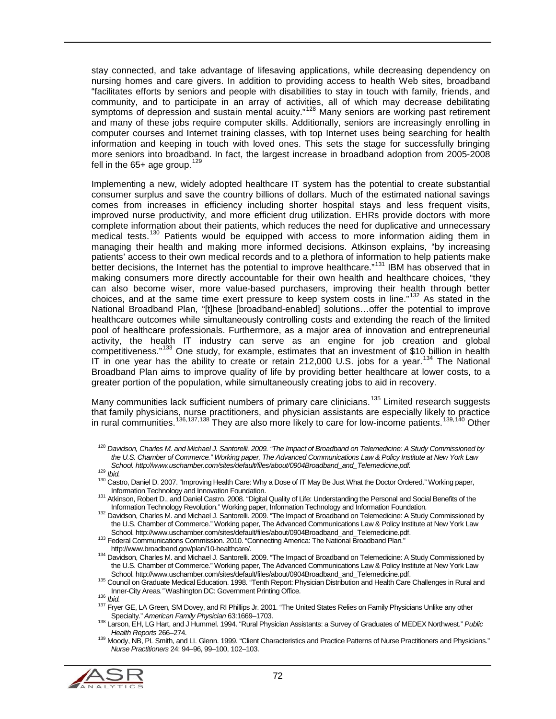stay connected, and take advantage of lifesaving applications, while decreasing dependency on nursing homes and care givers. In addition to providing access to health Web sites, broadband "facilitates efforts by seniors and people with disabilities to stay in touch with family, friends, and community, and to participate in an array of activities, all of which may decrease debilitating symptoms of depression and sustain mental acuity."<sup>[128](#page-71-0)</sup> Many seniors are working past retirement and many of these jobs require computer skills. Additionally, seniors are increasingly enrolling in computer courses and Internet training classes, with top Internet uses being searching for health information and keeping in touch with loved ones. This sets the stage for successfully bringing more seniors into broadband. In fact, the largest increase in broadband adoption from 2005-2008 fell in the  $65+$  age group.<sup>[129](#page-71-1)</sup>

Implementing a new, widely adopted healthcare IT system has the potential to create substantial consumer surplus and save the country billions of dollars. Much of the estimated national savings comes from increases in efficiency including shorter hospital stays and less frequent visits, improved nurse productivity, and more efficient drug utilization. EHRs provide doctors with more complete information about their patients, which reduces the need for duplicative and unnecessary medical tests.<sup>[130](#page-71-2)</sup> Patients would be equipped with access to more information aiding them in managing their health and making more informed decisions. Atkinson explains, "by increasing patients' access to their own medical records and to a plethora of information to help patients make better decisions, the Internet has the potential to improve healthcare."<sup>[131](#page-71-3)</sup> IBM has observed that in making consumers more directly accountable for their own health and healthcare choices, "they can also become wiser, more value-based purchasers, improving their health through better choices, and at the same time exert pressure to keep system costs in line."[132](#page-71-4) As stated in the National Broadband Plan, "[t]hese [broadband-enabled] solutions...offer the potential to improve healthcare outcomes while simultaneously controlling costs and extending the reach of the limited pool of healthcare professionals. Furthermore, as a major area of innovation and entrepreneurial activity, the health IT industry can serve as an engine for job creation and global competitiveness."[133](#page-71-5) One study, for example, estimates that an investment of \$10 billion in health IT in one year has the ability to create or retain 212,000 U.S. jobs for a year.<sup>[134](#page-71-6)</sup> The National Broadband Plan aims to improve quality of life by providing better healthcare at lower costs, to a greater portion of the population, while simultaneously creating jobs to aid in recovery.

Many communities lack sufficient numbers of primary care clinicians.<sup>[135](#page-71-7)</sup> Limited research suggests that family physicians, nurse practitioners, and physician assistants are especially likely to practice in rural communities.<sup>[136,](#page-71-8)[137,](#page-71-9)[138](#page-71-10)</sup> They are also more likely to care for low-income patients.<sup>[139,](#page-71-11)[140](#page-71-12)</sup> Other

<span id="page-71-11"></span><span id="page-71-10"></span><span id="page-71-9"></span><span id="page-71-8"></span><span id="page-71-7"></span>*Health Reports* 266–274. <sup>139</sup> Moody, NB, PL Smith, and LL Glenn. 1999. "Client Characteristics and Practice Patterns of Nurse Practitioners and Physicians." *Nurse Practitioners* 24: 94–96, 99–100, 102–103.



<span id="page-71-0"></span> <sup>128</sup> *Davidson, Charles M. and Michael J. Santorelli. 2009. "The Impact of Broadband on Telemedicine: A Study Commissioned by the U.S. Chamber of Commerce." Working paper, The Advanced Communications Law & Policy Institute at New York Law* 

<span id="page-71-2"></span><span id="page-71-1"></span><sup>129</sup> Ibid.<br>129 Ibid.<br>130 Castro, Daniel D. 2007. "Improving Health Care: Why a Dose of IT May Be Just What the Doctor Ordered." Working paper,<br>130 Castro, Daniel D. 2007. "Improving Health Care: Why a Dose of IT May Be Just

<span id="page-71-3"></span>Information Technology Accountation Foundation Foundation, Robert D., and Daniel Castro. 2008. "Digital Quality of Life: Understanding the Personal and Social Benefits of the<br>Information Technology Revolution." Working pap

<span id="page-71-4"></span><sup>&</sup>lt;sup>132</sup> Davidson, Charles M. and Michael J. Santorelli. 2009. "The Impact of Broadband on Telemedicine: A Study Commissioned by the U.S. Chamber of Commerce." Working paper, The Advanced Communications Law & Policy Institute at New York Law<br>School, http://www.uschamber.com/sites/default/files/about/0904Broadband and Telemedicine.pdf.

<span id="page-71-5"></span>school. http://www.uschool. http://www.uschamber.com/mission. 2010. "Connecting America: The National Broadband Plan."<br>http://www.broadband.gov/plan/10-healthcare/.

<span id="page-71-12"></span><span id="page-71-6"></span><sup>134</sup> Davidson, Charles M. and Michael J. Santorelli. 2009. "The Impact of Broadband on Telemedicine: A Study Commissioned by the U.S. Chamber of Commerce." Working paper, The Advanced Communications Law & Policy Institute at New York Law<br>School. http://www.uschamber.com/sites/default/files/about/0904Broadband\_and\_Telemedicine.pdf.

<sup>135</sup> Council on Graduate Medical Education. 1998. "Tenth Report: Physician Distribution and Health Care Challenges in Rural and

Inner-City Areas." Washington DC: Government Printing Office.<br><sup>136</sup> *Ibid.*<br><sup>137</sup> Fryer GE, LA Green, SM Dovey, and RI Phillips Jr. 2001. "The United States Relies on Family Physicians Unlike any other<br>Specialty." *America* 

<sup>1&</sup>lt;sub>38</sub> Larson, EH, LG Hart, and J Hummel. 1994. "Rural Physician Assistants: a Survey of Graduates of MEDEX Northwest." *Public*<br>*Health Reports* 266–274.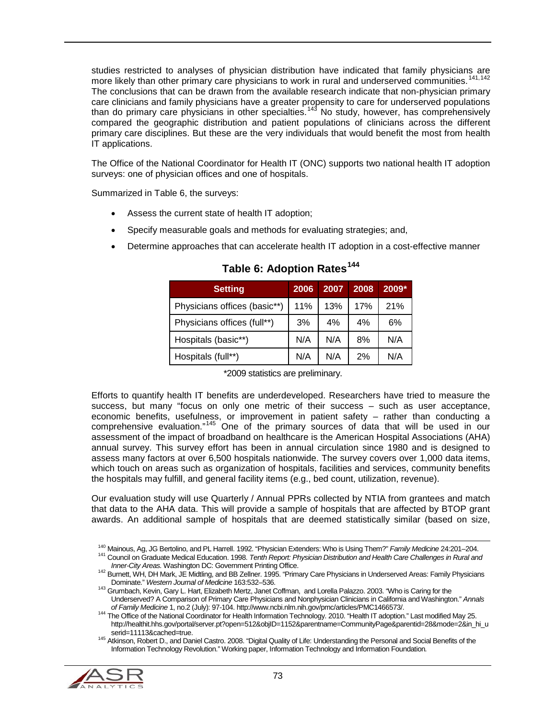studies restricted to analyses of physician distribution have indicated that family physicians are more likely than other primary care physicians to work in rural and underserved communities.<sup>[141,](#page-72-1)[142](#page-72-2)</sup> The conclusions that can be drawn from the available research indicate that non-physician primary care clinicians and family physicians have a greater propensity to care for underserved populations than do primary care physicians in other specialties.<sup>[143](#page-72-3)</sup> No study, however, has comprehensively compared the geographic distribution and patient populations of clinicians across the different primary care disciplines. But these are the very individuals that would benefit the most from health IT applications.

The Office of the National Coordinator for Health IT (ONC) supports two national health IT adoption surveys: one of physician offices and one of hospitals.

Summarized in [Table 6,](#page-72-0) the surveys:

- Assess the current state of health IT adoption;
- Specify measurable goals and methods for evaluating strategies; and,
- <span id="page-72-0"></span>• Determine approaches that can accelerate health IT adoption in a cost-effective manner

| <b>Setting</b>               | 2006 | 2007 | 2008 | $2009*$ |
|------------------------------|------|------|------|---------|
| Physicians offices (basic**) | 11%  | 13%  | 17%  | 21%     |
| Physicians offices (full**)  | 3%   | 4%   | 4%   | 6%      |
| Hospitals (basic**)          | N/A  | N/A  | 8%   | N/A     |
| Hospitals (full**)           | N/A  | N/A  | 2%   | N/A     |

**Table 6: Adoption Rates[144](#page-72-4)**

\*2009 statistics are preliminary.

Efforts to quantify health IT benefits are underdeveloped. Researchers have tried to measure the success, but many "focus on only one metric of their success – such as user acceptance, economic benefits, usefulness, or improvement in patient safety – rather than conducting a comprehensive evaluation."<sup>[145](#page-72-5)</sup> One of the primary sources of data that will be used in our assessment of the impact of broadband on healthcare is the American Hospital Associations (AHA) annual survey. This survey effort has been in annual circulation since 1980 and is designed to assess many factors at over 6,500 hospitals nationwide. The survey covers over 1,000 data items, which touch on areas such as organization of hospitals, facilities and services, community benefits the hospitals may fulfill, and general facility items (e.g., bed count, utilization, revenue).

Our evaluation study will use Quarterly / Annual PPRs collected by NTIA from grantees and match that data to the AHA data. This will provide a sample of hospitals that are affected by BTOP grant awards. An additional sample of hospitals that are deemed statistically similar (based on size,

<span id="page-72-1"></span><sup>140</sup> Mainous, Ag, JG Bertolino, and PL Harrell. 1992. "Physician Extenders: Who is Using Them?" *Family Medicine* 24:201–204.<br><sup>141</sup> Council on Graduate Medical Education. 1998. *Tenth Report: Physician Distribution and He* 

<span id="page-72-5"></span><span id="page-72-4"></span><span id="page-72-3"></span><span id="page-72-2"></span><sup>145</sup> Atkinson, Robert D., and Daniel Castro. 2008. "Digital Quality of Life: Understanding the Personal and Social Benefits of the Information Technology Revolution." Working paper, Information Technology and Information Foundation*.* 



<sup>&</sup>lt;sup>142</sup> Burnett, WH, DH Mark, JE Midtling, and BB Zellner. 1995. "Primary Care Physicians in Underserved Areas: Family Physicians<br>Dominate." Western Journal of Medicine 163:532–536.

<sup>143</sup> Grumbach, Kevin, Gary L. Hart, Elizabeth Mertz, Janet Coffman, and Lorella Palazzo. 2003. "Who is Caring for the Underserved? A Comparison of Primary Care Physicians and Nonphysician Clinicians in California and Washington." *Annals* 

<sup>&</sup>lt;sup>144</sup> The Office of the National Coordinator for Health Information Technology. 2010. "Health IT adoption." Last modified May 25. http://healthit.hhs.gov/portal/server.pt?open=512&objID=1152&parentname=CommunityPage&parentid=28&mode=2&in\_hi\_u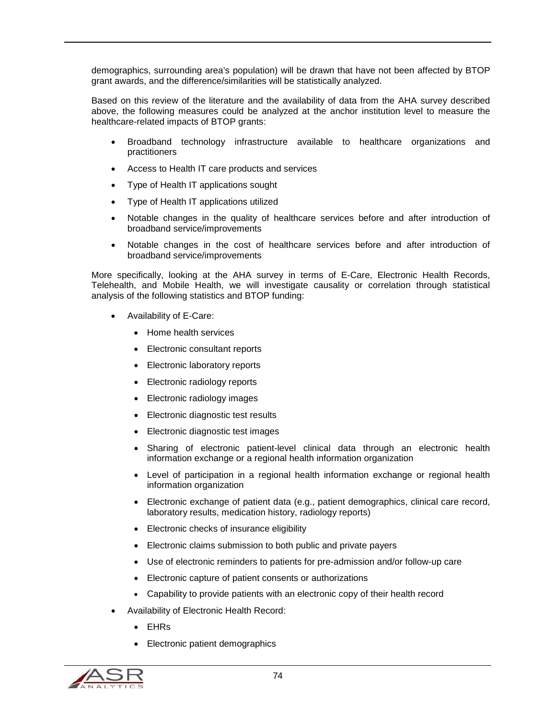demographics, surrounding area's population) will be drawn that have not been affected by BTOP grant awards, and the difference/similarities will be statistically analyzed.

Based on this review of the literature and the availability of data from the AHA survey described above, the following measures could be analyzed at the anchor institution level to measure the healthcare-related impacts of BTOP grants:

- Broadband technology infrastructure available to healthcare organizations and practitioners
- Access to Health IT care products and services
- Type of Health IT applications sought
- Type of Health IT applications utilized
- Notable changes in the quality of healthcare services before and after introduction of broadband service/improvements
- Notable changes in the cost of healthcare services before and after introduction of broadband service/improvements

More specifically, looking at the AHA survey in terms of E-Care, Electronic Health Records, Telehealth, and Mobile Health, we will investigate causality or correlation through statistical analysis of the following statistics and BTOP funding:

- Availability of E-Care:
	- Home health services
	- Electronic consultant reports
	- Electronic laboratory reports
	- Electronic radiology reports
	- Electronic radiology images
	- Electronic diagnostic test results
	- Electronic diagnostic test images
	- Sharing of electronic patient-level clinical data through an electronic health information exchange or a regional health information organization
	- Level of participation in a regional health information exchange or regional health information organization
	- Electronic exchange of patient data (e.g., patient demographics, clinical care record, laboratory results, medication history, radiology reports)
	- Electronic checks of insurance eligibility
	- Electronic claims submission to both public and private payers
	- Use of electronic reminders to patients for pre-admission and/or follow-up care
	- Electronic capture of patient consents or authorizations
	- Capability to provide patients with an electronic copy of their health record
- Availability of Electronic Health Record:
	- EHRs
	- Electronic patient demographics

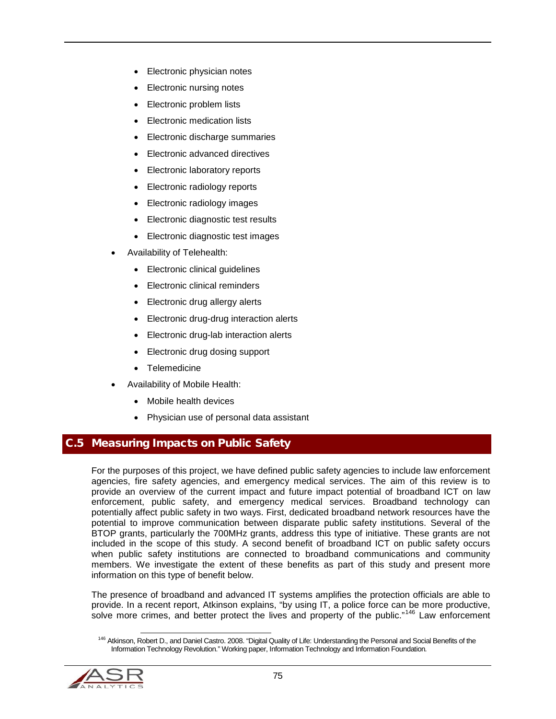- Electronic physician notes
- Electronic nursing notes
- Electronic problem lists
- Electronic medication lists
- Electronic discharge summaries
- Electronic advanced directives
- Electronic laboratory reports
- Electronic radiology reports
- Electronic radiology images
- Electronic diagnostic test results
- Electronic diagnostic test images
- Availability of Telehealth:
	- Electronic clinical guidelines
	- Electronic clinical reminders
	- Electronic drug allergy alerts
	- Electronic drug-drug interaction alerts
	- Electronic drug-lab interaction alerts
	- Electronic drug dosing support
	- Telemedicine
- Availability of Mobile Health:
	- Mobile health devices
	- Physician use of personal data assistant

## C.5 Measuring Impacts on Public Safety

For the purposes of this project, we have defined public safety agencies to include law enforcement agencies, fire safety agencies, and emergency medical services. The aim of this review is to provide an overview of the current impact and future impact potential of broadband ICT on law enforcement, public safety, and emergency medical services. Broadband technology can potentially affect public safety in two ways. First, dedicated broadband network resources have the potential to improve communication between disparate public safety institutions. Several of the BTOP grants, particularly the 700MHz grants, address this type of initiative. These grants are not included in the scope of this study. A second benefit of broadband ICT on public safety occurs when public safety institutions are connected to broadband communications and community members. We investigate the extent of these benefits as part of this study and present more information on this type of benefit below.

The presence of broadband and advanced IT systems amplifies the protection officials are able to provide. In a recent report, Atkinson explains, "by using IT, a police force can be more productive, solve more crimes, and better protect the lives and property of the public."<sup>[146](#page-74-0)</sup> Law enforcement

<span id="page-74-0"></span><sup>&</sup>lt;sup>146</sup> Atkinson. Robert D., and Daniel Castro. 2008. "Digital Quality of Life: Understanding the Personal and Social Benefits of the Information Technology Revolution." Working paper, Information Technology and Information Foundation*.* 

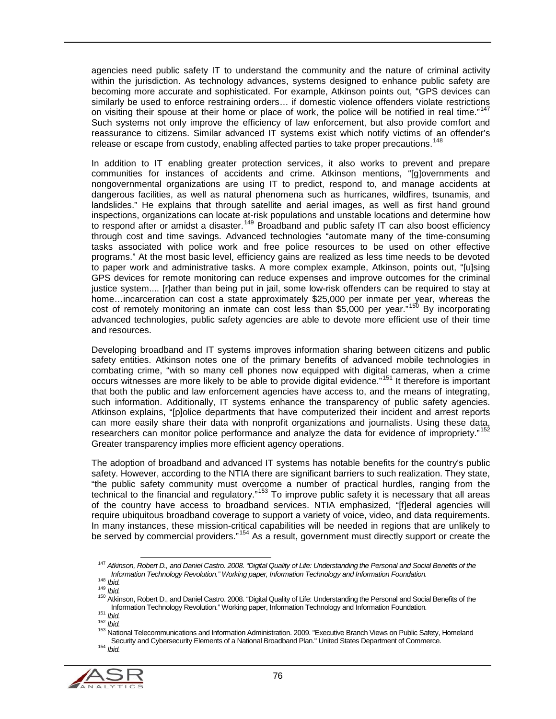agencies need public safety IT to understand the community and the nature of criminal activity within the jurisdiction. As technology advances, systems designed to enhance public safety are becoming more accurate and sophisticated. For example, Atkinson points out, "GPS devices can similarly be used to enforce restraining orders... if domestic violence offenders violate restrictions on visiting their spouse at their home or place of work, the police will be notified in real time."<sup>[147](#page-75-0)</sup> Such systems not only improve the efficiency of law enforcement, but also provide comfort and reassurance to citizens. Similar advanced IT systems exist which notify victims of an offender's release or escape from custody, enabling affected parties to take proper precautions.<sup>[148](#page-75-1)</sup>

In addition to IT enabling greater protection services, it also works to prevent and prepare communities for instances of accidents and crime. Atkinson mentions, "[g]overnments and nongovernmental organizations are using IT to predict, respond to, and manage accidents at dangerous facilities, as well as natural phenomena such as hurricanes, wildfires, tsunamis, and landslides." He explains that through satellite and aerial images, as well as first hand ground inspections, organizations can locate at-risk populations and unstable locations and determine how to respond after or amidst a disaster.[149](#page-75-2) Broadband and public safety IT can also boost efficiency through cost and time savings. Advanced technologies "automate many of the time-consuming tasks associated with police work and free police resources to be used on other effective programs." At the most basic level, efficiency gains are realized as less time needs to be devoted to paper work and administrative tasks. A more complex example, Atkinson, points out, "[u]sing GPS devices for remote monitoring can reduce expenses and improve outcomes for the criminal justice system.... [r]ather than being put in jail, some low-risk offenders can be required to stay at home…incarceration can cost a state approximately \$25,000 per inmate per year, whereas the cost of remotely monitoring an inmate can cost less than \$5,000 per year."<sup>[150](#page-75-3)</sup> By incorporating advanced technologies, public safety agencies are able to devote more efficient use of their time and resources.

Developing broadband and IT systems improves information sharing between citizens and public safety entities. Atkinson notes one of the primary benefits of advanced mobile technologies in combating crime, "with so many cell phones now equipped with digital cameras, when a crime occurs witnesses are more likely to be able to provide digital evidence."[151](#page-75-4) It therefore is important that both the public and law enforcement agencies have access to, and the means of integrating, such information. Additionally, IT systems enhance the transparency of public safety agencies. Atkinson explains, "[p]olice departments that have computerized their incident and arrest reports can more easily share their data with nonprofit organizations and journalists. Using these data, researchers can monitor police performance and analyze the data for evidence of impropriety." Greater transparency implies more efficient agency operations.

The adoption of broadband and advanced IT systems has notable benefits for the country's public safety. However, according to the NTIA there are significant barriers to such realization. They state, "the public safety community must overcome a number of practical hurdles, ranging from the technical to the financial and regulatory.<sup>[153](#page-75-6)</sup> To improve public safety it is necessary that all areas of the country have access to broadband services. NTIA emphasized, "[f]ederal agencies will require ubiquitous broadband coverage to support a variety of voice, video, and data requirements. In many instances, these mission-critical capabilities will be needed in regions that are unlikely to be served by commercial providers."<sup>[154](#page-75-7)</sup> As a result, government must directly support or create the

<span id="page-75-7"></span><span id="page-75-6"></span><span id="page-75-5"></span><span id="page-75-4"></span><span id="page-75-3"></span><span id="page-75-2"></span><span id="page-75-1"></span>

<span id="page-75-0"></span><sup>&</sup>lt;sup>147</sup> *Atkinson, Robert D., and Daniel Castro. 2008. "Digital Quality of Life: Understanding the Personal and Social Benefits of the<br>Information Technology and Information Foundation.* 

The Transfer Leven Roy Hospital Castro. 2008. "Digital Quality of Life: Understanding the Personal and Social Benefits of the<br>150 Atkinson, Robert D., and Daniel Castro. 2008. "Digital Quality of Life: Understanding the Pe

<sup>152</sup> Ibid.<br>152 Ibid.<br><sup>152</sup> National Telecommunications and Information Administration. 2009. "Executive Branch Views on Public Safety, Homeland Security and Cybersecurity Elements of a National Broadband Plan." United States Department of Commerce.<br><sup>154</sup> *Ibid.*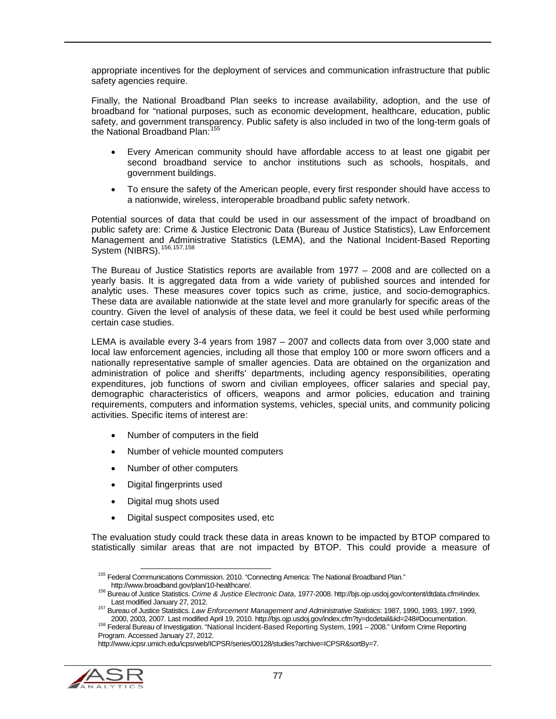appropriate incentives for the deployment of services and communication infrastructure that public safety agencies require.

Finally, the National Broadband Plan seeks to increase availability, adoption, and the use of broadband for "national purposes, such as economic development, healthcare, education, public safety, and government transparency. Public safety is also included in two of the long-term goals of the National Broadband Plan:<sup>[155](#page-76-0)</sup>

- Every American community should have affordable access to at least one gigabit per second broadband service to anchor institutions such as schools, hospitals, and government buildings.
- To ensure the safety of the American people, every first responder should have access to a nationwide, wireless, interoperable broadband public safety network.

Potential sources of data that could be used in our assessment of the impact of broadband on public safety are: Crime & Justice Electronic Data (Bureau of Justice Statistics), Law Enforcement Management and Administrative Statistics (LEMA), and the National Incident-Based Reporting System (NIBRS).<sup>[156](#page-76-1),[157](#page-76-2),[158](#page-76-3)</sup>

The Bureau of Justice Statistics reports are available from 1977 – 2008 and are collected on a yearly basis. It is aggregated data from a wide variety of published sources and intended for analytic uses. These measures cover topics such as crime, justice, and socio-demographics. These data are available nationwide at the state level and more granularly for specific areas of the country. Given the level of analysis of these data, we feel it could be best used while performing certain case studies.

LEMA is available every 3-4 years from 1987 – 2007 and collects data from over 3,000 state and local law enforcement agencies, including all those that employ 100 or more sworn officers and a nationally representative sample of smaller agencies. Data are obtained on the organization and administration of police and sheriffs' departments, including agency responsibilities, operating expenditures, job functions of sworn and civilian employees, officer salaries and special pay, demographic characteristics of officers, weapons and armor policies, education and training requirements, computers and information systems, vehicles, special units, and community policing activities. Specific items of interest are:

- Number of computers in the field
- Number of vehicle mounted computers
- Number of other computers
- Digital fingerprints used
- Digital mug shots used
- Digital suspect composites used, etc

The evaluation study could track these data in areas known to be impacted by BTOP compared to statistically similar areas that are not impacted by BTOP. This could provide a measure of

<span id="page-76-3"></span><span id="page-76-2"></span><span id="page-76-1"></span><span id="page-76-0"></span>http://www.icpsr.umich.edu/icpsrweb/ICPSR/series/00128/studies?archive=ICPSR&sortBy=7.



 <sup>155</sup> Federal Communications Commission. 2010. "Connecting America: The National Broadband Plan*.*"

<sup>1&</sup>lt;sup>56</sup> Bureau of Justice Statistics. *Crime & Justice Electronic Data*, 1977-2008. http://bjs.ojp.usdoj.gov/content/dtdata.cfm#index.<br>Last modified January 27, 2012.

Last modified January 27, 2012. 157 Bureau of Justice Statistics. *Law Enforcement Management and Administrative Statistics*: 1987, 1990, 1993, 1997, 1999,

<sup>&</sup>lt;sup>158</sup> Federal Bureau of Investigation. "National Incident-Based Reporting System, 1991 - 2008." Uniform Crime Reporting Program. Accessed January 27, 2012.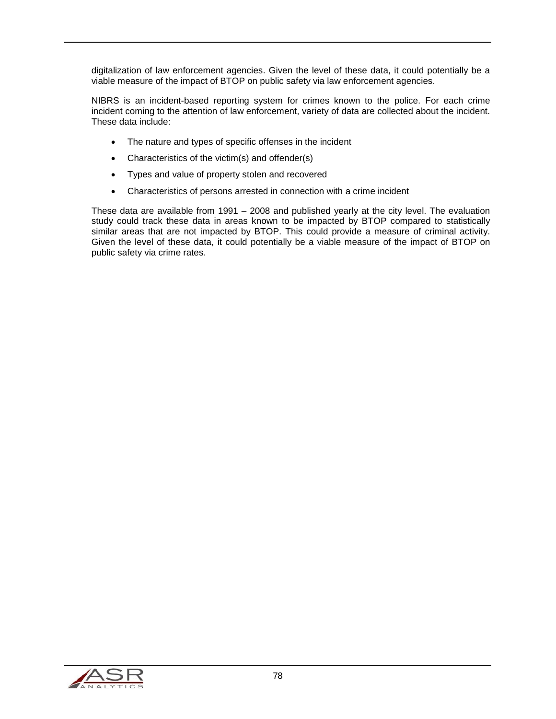digitalization of law enforcement agencies. Given the level of these data, it could potentially be a viable measure of the impact of BTOP on public safety via law enforcement agencies.

NIBRS is an incident-based reporting system for crimes known to the police. For each crime incident coming to the attention of law enforcement, variety of data are collected about the incident. These data include:

- The nature and types of specific offenses in the incident
- Characteristics of the victim(s) and offender(s)
- Types and value of property stolen and recovered
- Characteristics of persons arrested in connection with a crime incident

These data are available from 1991 – 2008 and published yearly at the city level. The evaluation study could track these data in areas known to be impacted by BTOP compared to statistically similar areas that are not impacted by BTOP. This could provide a measure of criminal activity. Given the level of these data, it could potentially be a viable measure of the impact of BTOP on public safety via crime rates.

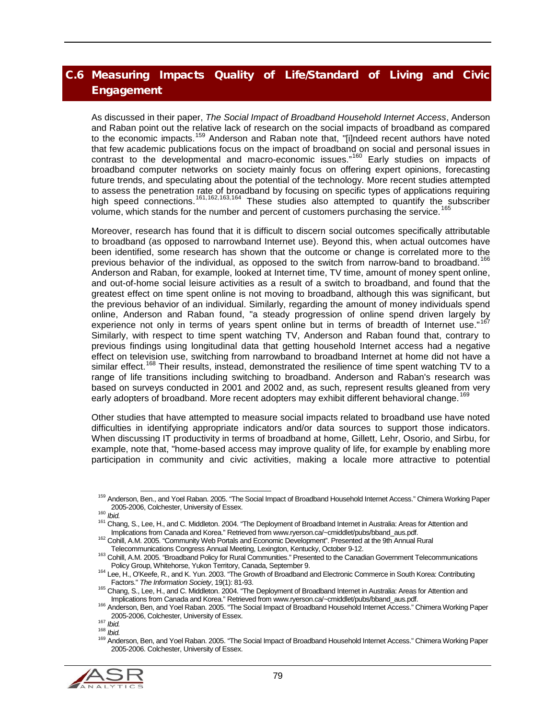## C.6 Measuring Impacts Quality of Life/Standard of Living and Civic **Engagement**

As discussed in their paper, *The Social Impact of Broadband Household Internet Access*, Anderson and Raban point out the relative lack of research on the social impacts of broadband as compared to the economic impacts.<sup>[159](#page-78-0)</sup> Anderson and Raban note that, "[i]ndeed recent authors have noted that few academic publications focus on the impact of broadband on social and personal issues in contrast to the developmental and macro-economic issues."<sup>[160](#page-78-1)</sup> Early studies on impacts of broadband computer networks on society mainly focus on offering expert opinions, forecasting future trends, and speculating about the potential of the technology. More recent studies attempted to assess the penetration rate of broadband by focusing on specific types of applications requiring high speed connections.<sup>[161](#page-78-2),[162,](#page-78-3)[163,](#page-78-4)[164](#page-78-5)</sup> These studies also attempted to quantify the subscriber volume, which stands for the number and percent of customers purchasing the service.[165](#page-78-6)

Moreover, research has found that it is difficult to discern social outcomes specifically attributable to broadband (as opposed to narrowband Internet use). Beyond this, when actual outcomes have been identified, some research has shown that the outcome or change is correlated more to the previous behavior of the individual, as opposed to the switch from narrow-band to broadband.<sup>[166](#page-78-7)</sup> Anderson and Raban, for example, looked at Internet time, TV time, amount of money spent online, and out-of-home social leisure activities as a result of a switch to broadband, and found that the greatest effect on time spent online is not moving to broadband, although this was significant, but the previous behavior of an individual. Similarly, regarding the amount of money individuals spend online, Anderson and Raban found, "a steady progression of online spend driven largely by experience not only in terms of years spent online but in terms of breadth of Internet use." Similarly, with respect to time spent watching TV, Anderson and Raban found that, contrary to previous findings using longitudinal data that getting household Internet access had a negative effect on television use, switching from narrowband to broadband Internet at home did not have a similar effect.<sup>[168](#page-78-9)</sup> Their results, instead, demonstrated the resilience of time spent watching TV to a range of life transitions including switching to broadband. Anderson and Raban's research was based on surveys conducted in 2001 and 2002 and, as such, represent results gleaned from very early adopters of broadband. More recent adopters may exhibit different behavioral change.<sup>[169](#page-78-10)</sup>

Other studies that have attempted to measure social impacts related to broadband use have noted difficulties in identifying appropriate indicators and/or data sources to support those indicators. When discussing IT productivity in terms of broadband at home, Gillett, Lehr, Osorio, and Sirbu, for example, note that, "home-based access may improve quality of life, for example by enabling more participation in community and civic activities, making a locale more attractive to potential

<span id="page-78-10"></span><span id="page-78-9"></span><span id="page-78-8"></span><span id="page-78-7"></span><span id="page-78-6"></span><span id="page-78-5"></span><span id="page-78-4"></span><sup>2005-2006,</sup> Colchester, University of Essex.<br><sup>168</sup> *Ibid.*<br><sup>168</sup> Anderson, Ben, and Yoel Raban. 2005. "The Social Impact of Broadband Household Internet Access." Chimera Working Paper 2005-2006. Colchester, University of Essex.



<span id="page-78-0"></span><sup>&</sup>lt;sup>159</sup> Anderson, Ben., and Yoel Raban. 2005. "The Social Impact of Broadband Household Internet Access." Chimera Working Paper<br>2005-2006, Colchester, University of Essex.

<span id="page-78-2"></span><span id="page-78-1"></span><sup>2005-2006,</sup> Colchester, University of Essex.<br><sup>160</sup> *Ibid.*<br>Implications from Canada and Korea." Retrieved from www.rverson.ca/~cmiddlet/pubs/bband aus.pdf.<br>Implications from Canada and Korea." Retrieved from www.rverson.ca/

<span id="page-78-3"></span><sup>162</sup> Cohill, A.M. 2005. "Community Web Portals and Economic Development". Presented at the 9th Annual Rural<br>Telecommunications Congress Annual Meeting, Lexington, Kentucky, October 9-12.

<sup>&</sup>lt;sup>163</sup> Cohill, A.M. 2005. "Broadband Policy for Rural Communities." Presented to the Canadian Government Telecommunications<br>Policy Group, Whitehorse, Yukon Territory, Canada, September 9.

<sup>164</sup> Lee, H., O'Keefe, R., and K. Yun. 2003. "The Growth of Broadband and Electronic Commerce in South Korea: Contributing<br>Factors." The Information Society, 19(1): 81-93.

<sup>&</sup>lt;sup>165</sup> Chang, S., Lee, H., and C. Middleton. 2004. "The Deployment of Broadband Internet in Australia: Areas for Attention and<br>Implications from Canada and Korea." Retrieved from www.ryerson.ca/~cmiddlet/pubs/bband\_aus.pdf.

<sup>166</sup> Anderson, Ben, and Yoel Raban. 2005. "The Social Impact of Broadband Household Internet Access." Chimera Working Paper<br>2005-2006. Colchester. University of Essex.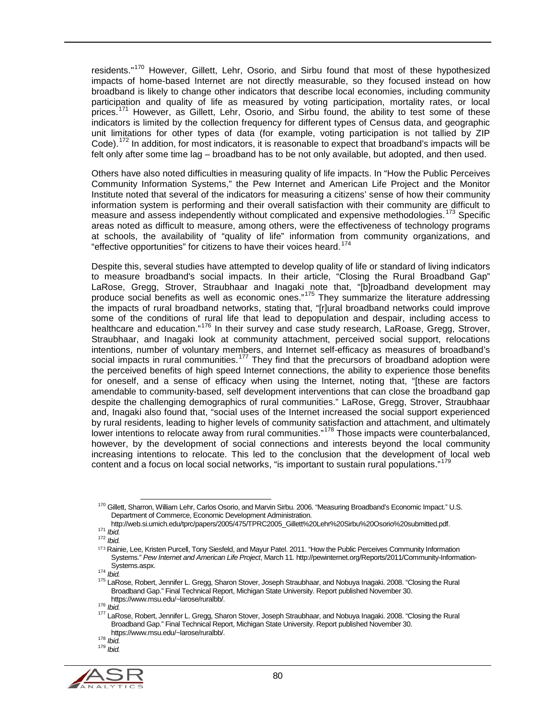residents."<sup>[170](#page-79-0)</sup> However, Gillett, Lehr, Osorio, and Sirbu found that most of these hypothesized impacts of home-based Internet are not directly measurable, so they focused instead on how broadband is likely to change other indicators that describe local economies, including community participation and quality of life as measured by voting participation, mortality rates, or local prices.[171](#page-79-1) However, as Gillett, Lehr, Osorio, and Sirbu found, the ability to test some of these indicators is limited by the collection frequency for different types of Census data, and geographic unit limitations for other types of data (for example, voting participation is not tallied by ZIP Code).<sup>[172](#page-79-2)</sup> In addition, for most indicators, it is reasonable to expect that broadband's impacts will be felt only after some time lag – broadband has to be not only available, but adopted, and then used.

Others have also noted difficulties in measuring quality of life impacts. In "How the Public Perceives Community Information Systems," the Pew Internet and American Life Project and the Monitor Institute noted that several of the indicators for measuring a citizens' sense of how their community information system is performing and their overall satisfaction with their community are difficult to measure and assess independently without complicated and expensive methodologies.<sup>[173](#page-79-3)</sup> Specific areas noted as difficult to measure, among others, were the effectiveness of technology programs at schools, the availability of "quality of life" information from community organizations, and "effective opportunities" for citizens to have their voices heard.<sup>17</sup>

Despite this, several studies have attempted to develop quality of life or standard of living indicators to measure broadband's social impacts. In their article, "Closing the Rural Broadband Gap" LaRose, Gregg, Strover, Straubhaar and Inagaki note that, "[b]roadband development may produce social benefits as well as economic ones."[175](#page-79-5) They summarize the literature addressing the impacts of rural broadband networks, stating that, "[r]ural broadband networks could improve some of the conditions of rural life that lead to depopulation and despair, including access to healthcare and education."<sup>[176](#page-79-6)</sup> In their survey and case study research, LaRoase, Gregg, Strover, Straubhaar, and Inagaki look at community attachment, perceived social support, relocations intentions, number of voluntary members, and Internet self-efficacy as measures of broadband's social impacts in rural communities.<sup>[177](#page-79-7)</sup> They find that the precursors of broadband adoption were the perceived benefits of high speed Internet connections, the ability to experience those benefits for oneself, and a sense of efficacy when using the Internet, noting that, "[these are factors amendable to community-based, self development interventions that can close the broadband gap despite the challenging demographics of rural communities." LaRose, Gregg, Strover, Straubhaar and, Inagaki also found that, "social uses of the Internet increased the social support experienced by rural residents, leading to higher levels of community satisfaction and attachment, and ultimately lower intentions to relocate away from rural communities."<sup>[178](#page-79-8)</sup> Those impacts were counterbalanced, however, by the development of social connections and interests beyond the local community increasing intentions to relocate. This led to the conclusion that the development of local web content and a focus on local social networks, "is important to sustain rural populations."<sup>[179](#page-79-9)</sup>

<span id="page-79-9"></span><span id="page-79-8"></span><span id="page-79-7"></span><span id="page-79-6"></span><span id="page-79-5"></span><span id="page-79-4"></span>

<span id="page-79-0"></span><sup>&</sup>lt;sup>170</sup> Gillett, Sharron, William Lehr, Carlos Osorio, and Marvin Sirbu. 2006. "Measuring Broadband's Economic Impact." U.S. Department of Commerce, Economic Development Administration.

<span id="page-79-1"></span>http://web.si.umich.edu/tprc/papers/2005/475/TPRC2005\_Gillett%20Lehr%20Sirbu%20Osorio%20submitted.pdf. <sup>171</sup> *Ibid.* <sup>172</sup> *Ibid.*

<span id="page-79-3"></span><span id="page-79-2"></span><sup>173</sup> Rainie, Lee, Kristen Purcell, Tony Siesfeld, and Mayur Patel. 2011. "How the Public Perceives Community Information Systems." *Pew Internet and American Life Project*, March 11*.* http://pewinternet.org/Reports/2011/Community-Information-

Systems.aspx. <sup>174</sup> *Ibid.* <sup>175</sup> LaRose, Robert, Jennifer L. Gregg, Sharon Stover, Joseph Straubhaar, and Nobuya Inagaki. 2008. "Closing the Rural Broadband Gap." Final Technical Report, Michigan State University. Report published November 30.<br>https://www.msu.edu/~larose/ruralbb/.

https://www.msu.edu/~larose/ruralese/ruralese/ruralise.<br><sup>176</sup> *Ibid.* 177 LaRose, Robert, Jennifer L. Gregg, Sharon Stover, Joseph Straubhaar, and Nobuya Inagaki. 2008. "Closing the Rural Broadband Gap." Final Technical Report, Michigan State University. Report published November 30. https://www.msu.edu/~larose/ruralbb/. 178 *Ibid.* <sup>179</sup> *Ibid.*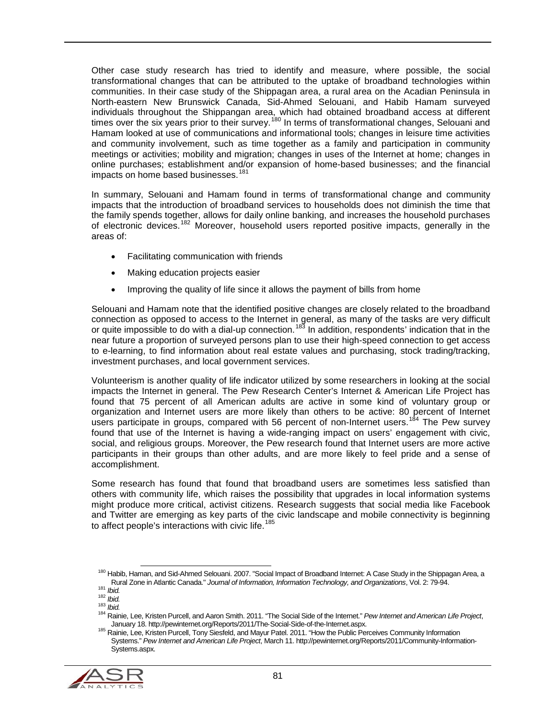Other case study research has tried to identify and measure, where possible, the social transformational changes that can be attributed to the uptake of broadband technologies within communities. In their case study of the Shippagan area, a rural area on the Acadian Peninsula in North-eastern New Brunswick Canada, Sid-Ahmed Selouani, and Habib Hamam surveyed individuals throughout the Shippangan area, which had obtained broadband access at different times over the six years prior to their survey.<sup>[180](#page-80-0)</sup> In terms of transformational changes, Selouani and Hamam looked at use of communications and informational tools; changes in leisure time activities and community involvement, such as time together as a family and participation in community meetings or activities; mobility and migration; changes in uses of the Internet at home; changes in online purchases; establishment and/or expansion of home-based businesses; and the financial impacts on home based businesses.<sup>[181](#page-80-1)</sup>

In summary, Selouani and Hamam found in terms of transformational change and community impacts that the introduction of broadband services to households does not diminish the time that the family spends together, allows for daily online banking, and increases the household purchases of electronic devices.[182](#page-80-2) Moreover, household users reported positive impacts, generally in the areas of:

- Facilitating communication with friends
- Making education projects easier
- Improving the quality of life since it allows the payment of bills from home

Selouani and Hamam note that the identified positive changes are closely related to the broadband connection as opposed to access to the Internet in general, as many of the tasks are very difficult or quite impossible to do with a dial-up connection.<sup>[183](#page-80-3)</sup> In addition, respondents' indication that in the near future a proportion of surveyed persons plan to use their high-speed connection to get access to e-learning, to find information about real estate values and purchasing, stock trading/tracking, investment purchases, and local government services.

Volunteerism is another quality of life indicator utilized by some researchers in looking at the social impacts the Internet in general. The Pew Research Center's Internet & American Life Project has found that 75 percent of all American adults are active in some kind of voluntary group or organization and Internet users are more likely than others to be active: 80 percent of Internet users participate in groups, compared with 56 percent of non-Internet users.<sup>[184](#page-80-4)</sup> The Pew survey found that use of the Internet is having a wide-ranging impact on users' engagement with civic, social, and religious groups. Moreover, the Pew research found that Internet users are more active participants in their groups than other adults, and are more likely to feel pride and a sense of accomplishment.

Some research has found that found that broadband users are sometimes less satisfied than others with community life, which raises the possibility that upgrades in local information systems might produce more critical, activist citizens. Research suggests that social media like Facebook and Twitter are emerging as key parts of the civic landscape and mobile connectivity is beginning to affect people's interactions with civic life.<sup>[185](#page-80-5)</sup>

<span id="page-80-5"></span><span id="page-80-4"></span><span id="page-80-3"></span><span id="page-80-2"></span><span id="page-80-1"></span><span id="page-80-0"></span><sup>185</sup> Rainie, Lee, Kristen Purcell, Tony Siesfeld, and Mayur Patel. 2011. "How the Public Perceives Community Information Systems." *Pew Internet and American Life Project*, March 11. http://pewinternet.org/Reports/2011/Community-Information-Systems.aspx.



<sup>&</sup>lt;sup>180</sup> Habib, Haman, and Sid-Ahmed Selouani. 2007. "Social Impact of Broadband Internet: A Case Study in the Shippagan Area, a<br>Rural Zone in Atlantic Canada." Journal of Information, Information Technology, and Organization

<sup>181</sup> *Ibid.*<br>182 *Ibid.*<br>182 *Ibid.*<br>183 *Ibid.*<br>184 Rainie, Lee, Kristen Purcell, and Aaron Smith. 2011. "The Social Side of the Internet." *Pew Internet and American Life Project*,<br>184 Rainie, Lee, Kristen Purcell, and Aa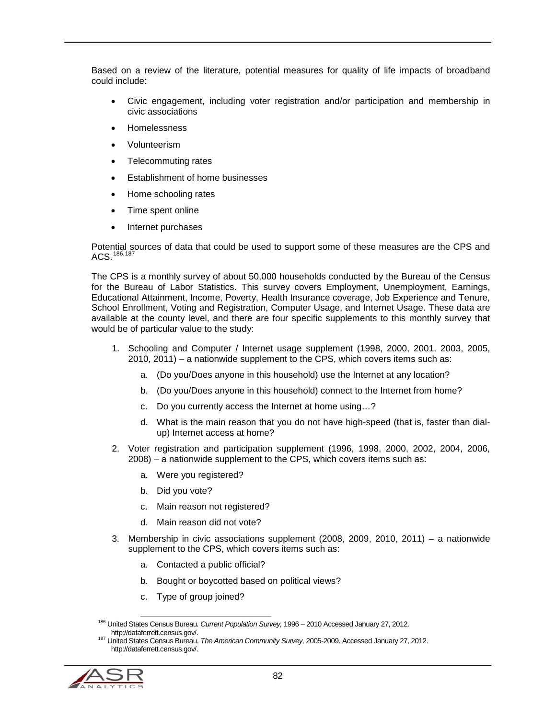Based on a review of the literature, potential measures for quality of life impacts of broadband could include:

- Civic engagement, including voter registration and/or participation and membership in civic associations
- Homelessness
- Volunteerism
- Telecommuting rates
- Establishment of home businesses
- Home schooling rates
- Time spent online
- Internet purchases

Potential sources of data that could be used to support some of these measures are the CPS and ACS. [186](#page-81-0),[187](#page-81-1)

The CPS is a monthly survey of about 50,000 households conducted by the Bureau of the Census for the Bureau of Labor Statistics. This survey covers Employment, Unemployment, Earnings, Educational Attainment, Income, Poverty, Health Insurance coverage, Job Experience and Tenure, School Enrollment, Voting and Registration, Computer Usage, and Internet Usage. These data are available at the county level, and there are four specific supplements to this monthly survey that would be of particular value to the study:

- 1. Schooling and Computer / Internet usage supplement (1998, 2000, 2001, 2003, 2005, 2010, 2011) – a nationwide supplement to the CPS, which covers items such as:
	- a. (Do you/Does anyone in this household) use the Internet at any location?
	- b. (Do you/Does anyone in this household) connect to the Internet from home?
	- c. Do you currently access the Internet at home using…?
	- d. What is the main reason that you do not have high-speed (that is, faster than dialup) Internet access at home?
- 2. Voter registration and participation supplement (1996, 1998, 2000, 2002, 2004, 2006, 2008) – a nationwide supplement to the CPS, which covers items such as:
	- a. Were you registered?
	- b. Did you vote?
	- c. Main reason not registered?
	- d. Main reason did not vote?
- 3. Membership in civic associations supplement (2008, 2009, 2010, 2011) a nationwide supplement to the CPS, which covers items such as:
	- a. Contacted a public official?
	- b. Bought or boycotted based on political views?
	- c. Type of group joined?

<span id="page-81-1"></span><span id="page-81-0"></span>http://dataferrett.census.gov/. <sup>187</sup> United States Census Bureau. *The American Community Survey,* 2005-2009. Accessed January 27, 2012. http://dataferrett.census.gov/.



 <sup>186</sup> United States Census Bureau*. Current Population Survey,* 1996 – <sup>2010</sup> Accessed January 27, 2012.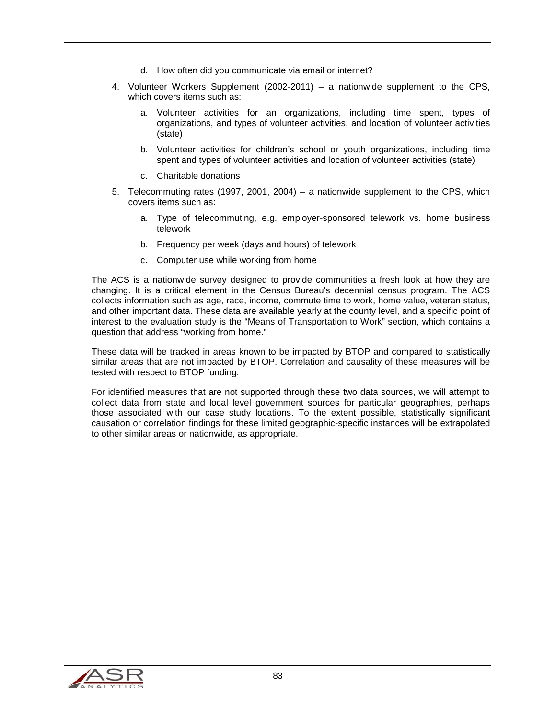- d. How often did you communicate via email or internet?
- 4. Volunteer Workers Supplement (2002-2011) a nationwide supplement to the CPS, which covers items such as:
	- a. Volunteer activities for an organizations, including time spent, types of organizations, and types of volunteer activities, and location of volunteer activities (state)
	- b. Volunteer activities for children's school or youth organizations, including time spent and types of volunteer activities and location of volunteer activities (state)
	- c. Charitable donations
- 5. Telecommuting rates (1997, 2001, 2004) a nationwide supplement to the CPS, which covers items such as:
	- a. Type of telecommuting, e.g. employer-sponsored telework vs. home business telework
	- b. Frequency per week (days and hours) of telework
	- c. Computer use while working from home

The ACS is a nationwide survey designed to provide communities a fresh look at how they are changing. It is a critical element in the Census Bureau's decennial census program. The ACS collects information such as age, race, income, commute time to work, home value, veteran status, and other important data. These data are available yearly at the county level, and a specific point of interest to the evaluation study is the "Means of Transportation to Work" section, which contains a question that address "working from home."

These data will be tracked in areas known to be impacted by BTOP and compared to statistically similar areas that are not impacted by BTOP. Correlation and causality of these measures will be tested with respect to BTOP funding.

For identified measures that are not supported through these two data sources, we will attempt to collect data from state and local level government sources for particular geographies, perhaps those associated with our case study locations. To the extent possible, statistically significant causation or correlation findings for these limited geographic-specific instances will be extrapolated to other similar areas or nationwide, as appropriate.

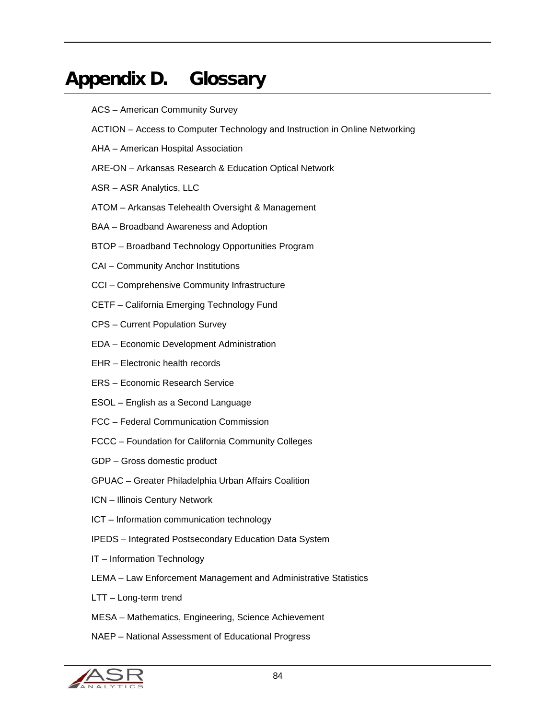## Appendix D. Glossary

- ACS American Community Survey
- ACTION Access to Computer Technology and Instruction in Online Networking
- AHA American Hospital Association
- ARE-ON Arkansas Research & Education Optical Network
- ASR ASR Analytics, LLC
- ATOM Arkansas Telehealth Oversight & Management
- BAA Broadband Awareness and Adoption
- BTOP Broadband Technology Opportunities Program
- CAI Community Anchor Institutions
- CCI Comprehensive Community Infrastructure
- CETF California Emerging Technology Fund
- CPS Current Population Survey
- EDA Economic Development Administration
- EHR Electronic health records
- ERS Economic Research Service
- ESOL English as a Second Language
- FCC Federal Communication Commission
- FCCC Foundation for California Community Colleges
- GDP Gross domestic product
- GPUAC Greater Philadelphia Urban Affairs Coalition
- ICN Illinois Century Network
- ICT Information communication technology
- IPEDS Integrated Postsecondary Education Data System
- IT Information Technology
- LEMA Law Enforcement Management and Administrative Statistics
- LTT Long-term trend
- MESA Mathematics, Engineering, Science Achievement
- NAEP National Assessment of Educational Progress

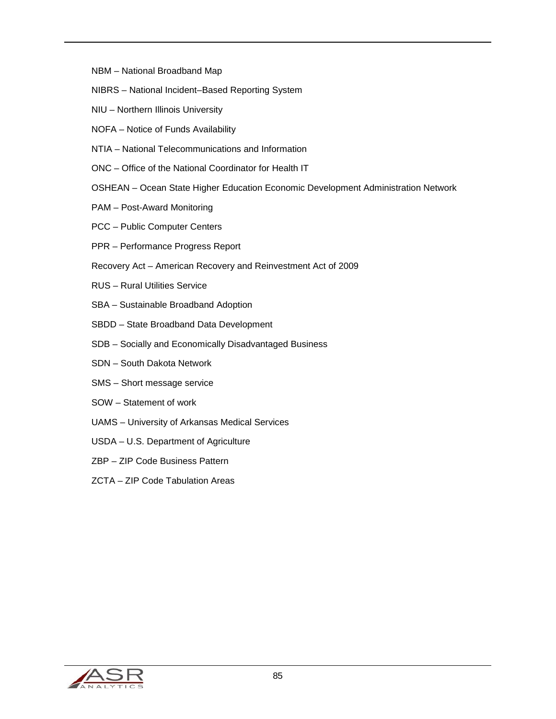- NBM National Broadband Map
- NIBRS National Incident–Based Reporting System
- NIU Northern Illinois University
- NOFA Notice of Funds Availability
- NTIA National Telecommunications and Information
- ONC Office of the National Coordinator for Health IT
- OSHEAN Ocean State Higher Education Economic Development Administration Network
- PAM Post-Award Monitoring
- PCC Public Computer Centers
- PPR Performance Progress Report
- Recovery Act American Recovery and Reinvestment Act of 2009
- RUS Rural Utilities Service
- SBA Sustainable Broadband Adoption
- SBDD State Broadband Data Development
- SDB Socially and Economically Disadvantaged Business
- SDN South Dakota Network
- SMS Short message service
- SOW Statement of work
- UAMS University of Arkansas Medical Services
- USDA U.S. Department of Agriculture
- ZBP ZIP Code Business Pattern
- ZCTA ZIP Code Tabulation Areas

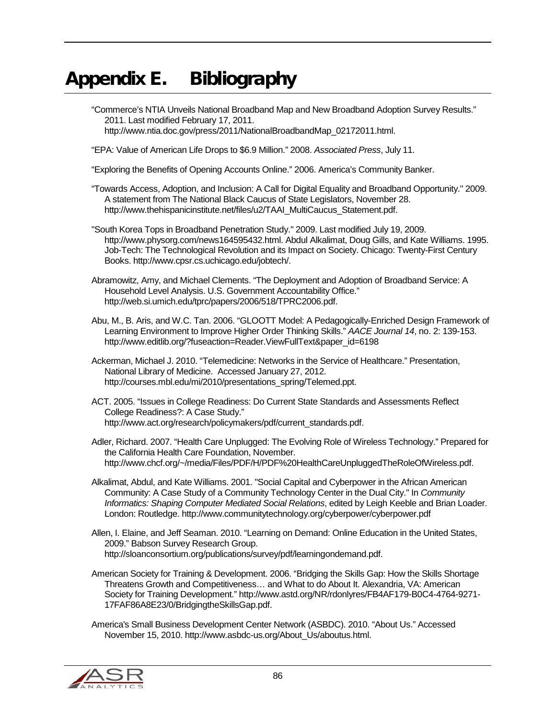## Appendix E. Bibliography

"Commerce's NTIA Unveils National Broadband Map and New Broadband Adoption Survey Results." 2011. Last modified February 17, 2011. http://www.ntia.doc.gov/press/2011/NationalBroadbandMap\_02172011.html.

"EPA: Value of American Life Drops to \$6.9 Million." 2008. *Associated Press*, July 11.

"Exploring the Benefits of Opening Accounts Online." 2006. America's Community Banker.

"Towards Access, Adoption, and Inclusion: A Call for Digital Equality and Broadband Opportunity." 2009. A statement from The National Black Caucus of State Legislators, November 28. http://www.thehispanicinstitute.net/files/u2/TAAI\_MultiCaucus\_Statement.pdf.

"South Korea Tops in Broadband Penetration Study." 2009. Last modified July 19, 2009. http://www.physorg.com/news164595432.html. Abdul Alkalimat, Doug Gills, and Kate Williams. 1995. Job-Tech: The Technological Revolution and its Impact on Society. Chicago: Twenty-First Century Books. http://www.cpsr.cs.uchicago.edu/jobtech/.

Abramowitz, Amy, and Michael Clements. "The Deployment and Adoption of Broadband Service: A Household Level Analysis. U.S. Government Accountability Office." http://web.si.umich.edu/tprc/papers/2006/518/TPRC2006.pdf.

Abu, M., B. Aris, and W.C. Tan. 2006. "GLOOTT Model: A Pedagogically-Enriched Design Framework of Learning Environment to Improve Higher Order Thinking Skills." *AACE Journal 14*, no. 2: 139-153. http://www.editlib.org/?fuseaction=Reader.ViewFullText&paper\_id=6198

Ackerman, Michael J. 2010. "Telemedicine: Networks in the Service of Healthcare." Presentation, National Library of Medicine. Accessed January 27, 2012. http://courses.mbl.edu/mi/2010/presentations\_spring/Telemed.ppt.

ACT. 2005. "Issues in College Readiness: Do Current State Standards and Assessments Reflect College Readiness?: A Case Study." http://www.act.org/research/policymakers/pdf/current\_standards.pdf.

Adler, Richard. 2007. "Health Care Unplugged: The Evolving Role of Wireless Technology." Prepared for the California Health Care Foundation, November. http://www.chcf.org/~/media/Files/PDF/H/PDF%20HealthCareUnpluggedTheRoleOfWireless.pdf.

Alkalimat, Abdul, and Kate Williams. 2001. "Social Capital and Cyberpower in the African American Community: A Case Study of a Community Technology Center in the Dual City." In *Community Informatics: Shaping Computer Mediated Social Relations*, edited by Leigh Keeble and Brian Loader. London: Routledge. http://www.communitytechnology.org/cyberpower/cyberpower.pdf

Allen, I. Elaine, and Jeff Seaman. 2010. "Learning on Demand: Online Education in the United States, 2009." Babson Survey Research Group. http://sloanconsortium.org/publications/survey/pdf/learningondemand.pdf.

American Society for Training & Development. 2006. "Bridging the Skills Gap: How the Skills Shortage Threatens Growth and Competitiveness… and What to do About It. Alexandria, VA: American Society for Training Development." http://www.astd.org/NR/rdonlyres/FB4AF179-B0C4-4764-9271- 17FAF86A8E23/0/BridgingtheSkillsGap.pdf.

America's Small Business Development Center Network (ASBDC). 2010. "About Us." Accessed November 15, 2010. http://www.asbdc-us.org/About\_Us/aboutus.html.

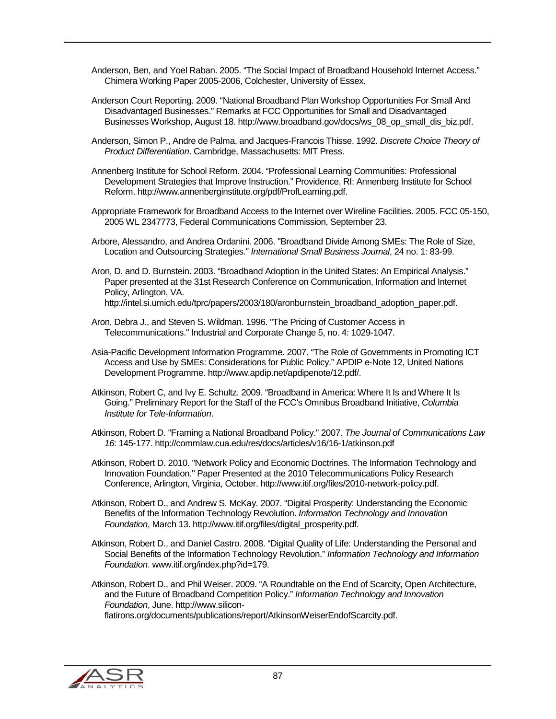- Anderson, Ben, and Yoel Raban. 2005. "The Social Impact of Broadband Household Internet Access." Chimera Working Paper 2005-2006, Colchester, University of Essex.
- Anderson Court Reporting. 2009. "National Broadband Plan Workshop Opportunities For Small And Disadvantaged Businesses." Remarks at FCC Opportunities for Small and Disadvantaged Businesses Workshop, August 18. http://www.broadband.gov/docs/ws\_08\_op\_small\_dis\_biz.pdf.
- Anderson, Simon P., Andre de Palma, and Jacques-Francois Thisse. 1992. *Discrete Choice Theory of Product Differentiation*. Cambridge, Massachusetts: MIT Press.
- Annenberg Institute for School Reform. 2004. "Professional Learning Communities: Professional Development Strategies that Improve Instruction." Providence, RI: Annenberg Institute for School Reform. http://www.annenberginstitute.org/pdf/ProfLearning.pdf.
- Appropriate Framework for Broadband Access to the Internet over Wireline Facilities. 2005. FCC 05-150, 2005 WL 2347773, Federal Communications Commission, September 23.
- Arbore, Alessandro, and Andrea Ordanini. 2006. "Broadband Divide Among SMEs: The Role of Size, Location and Outsourcing Strategies." *International Small Business Journal*, 24 no. 1: 83-99.
- Aron, D. and D. Burnstein. 2003. "Broadband Adoption in the United States: An Empirical Analysis." Paper presented at the 31st Research Conference on Communication, Information and Internet Policy, Arlington, VA. http://intel.si.umich.edu/tprc/papers/2003/180/aronburnstein\_broadband\_adoption\_paper.pdf.
- Aron, Debra J., and Steven S. Wildman. 1996. "The Pricing of Customer Access in Telecommunications." Industrial and Corporate Change 5, no. 4: 1029-1047.
- Asia-Pacific Development Information Programme. 2007. "The Role of Governments in Promoting ICT Access and Use by SMEs: Considerations for Public Policy." APDIP e-Note 12, United Nations Development Programme. http://www.apdip.net/apdipenote/12.pdf/.
- Atkinson, Robert C, and Ivy E. Schultz. 2009. "Broadband in America: Where It Is and Where It Is Going." Preliminary Report for the Staff of the FCC's Omnibus Broadband Initiative, *Columbia Institute for Tele-Information*.
- Atkinson, Robert D. "Framing a National Broadband Policy." 2007. *The Journal of Communications Law 16*: 145-177. http://commlaw.cua.edu/res/docs/articles/v16/16-1/atkinson.pdf
- Atkinson, Robert D. 2010. "Network Policy and Economic Doctrines. The Information Technology and Innovation Foundation." Paper Presented at the 2010 Telecommunications Policy Research Conference, Arlington, Virginia, October. http://www.itif.org/files/2010-network-policy.pdf.
- Atkinson, Robert D., and Andrew S. McKay. 2007. "Digital Prosperity: Understanding the Economic Benefits of the Information Technology Revolution. *Information Technology and Innovation Foundation*, March 13. http://www.itif.org/files/digital\_prosperity.pdf.
- Atkinson, Robert D., and Daniel Castro. 2008. "Digital Quality of Life: Understanding the Personal and Social Benefits of the Information Technology Revolution." *Information Technology and Information Foundation*. www.itif.org/index.php?id=179.
- Atkinson, Robert D., and Phil Weiser. 2009. "A Roundtable on the End of Scarcity, Open Architecture, and the Future of Broadband Competition Policy." *Information Technology and Innovation Foundation*, June. http://www.siliconflatirons.org/documents/publications/report/AtkinsonWeiserEndofScarcity.pdf.

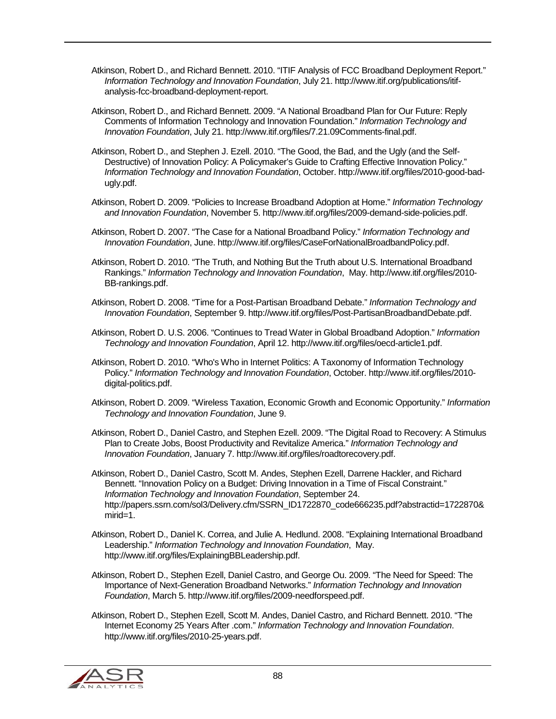- Atkinson, Robert D., and Richard Bennett. 2010. "ITIF Analysis of FCC Broadband Deployment Report." *Information Technology and Innovation Foundation*, July 21. http://www.itif.org/publications/itifanalysis-fcc-broadband-deployment-report.
- Atkinson, Robert D., and Richard Bennett. 2009. "A National Broadband Plan for Our Future: Reply Comments of Information Technology and Innovation Foundation." *Information Technology and Innovation Foundation*, July 21. http://www.itif.org/files/7.21.09Comments-final.pdf.
- Atkinson, Robert D., and Stephen J. Ezell. 2010. "The Good, the Bad, and the Ugly (and the Self-Destructive) of Innovation Policy: A Policymaker's Guide to Crafting Effective Innovation Policy." *Information Technology and Innovation Foundation*, October. http://www.itif.org/files/2010-good-badugly.pdf.
- Atkinson, Robert D. 2009. "Policies to Increase Broadband Adoption at Home." *Information Technology and Innovation Foundation*, November 5. http://www.itif.org/files/2009-demand-side-policies.pdf.
- Atkinson, Robert D. 2007. "The Case for a National Broadband Policy." *Information Technology and Innovation Foundation*, June. http://www.itif.org/files/CaseForNationalBroadbandPolicy.pdf.
- Atkinson, Robert D. 2010. "The Truth, and Nothing But the Truth about U.S. International Broadband Rankings." *Information Technology and Innovation Foundation*, May. http://www.itif.org/files/2010- BB-rankings.pdf.
- Atkinson, Robert D. 2008. "Time for a Post-Partisan Broadband Debate." *Information Technology and Innovation Foundation*, September 9. http://www.itif.org/files/Post-PartisanBroadbandDebate.pdf.
- Atkinson, Robert D. U.S. 2006. "Continues to Tread Water in Global Broadband Adoption." *Information Technology and Innovation Foundation*, April 12. http://www.itif.org/files/oecd-article1.pdf.
- Atkinson, Robert D. 2010. "Who's Who in Internet Politics: A Taxonomy of Information Technology Policy." *Information Technology and Innovation Foundation*, October. http://www.itif.org/files/2010 digital-politics.pdf.
- Atkinson, Robert D. 2009. "Wireless Taxation, Economic Growth and Economic Opportunity." *Information Technology and Innovation Foundation*, June 9.
- Atkinson, Robert D., Daniel Castro, and Stephen Ezell. 2009. "The Digital Road to Recovery: A Stimulus Plan to Create Jobs, Boost Productivity and Revitalize America." *Information Technology and Innovation Foundation*, January 7. http://www.itif.org/files/roadtorecovery.pdf.
- Atkinson, Robert D., Daniel Castro, Scott M. Andes, Stephen Ezell, Darrene Hackler, and Richard Bennett. "Innovation Policy on a Budget: Driving Innovation in a Time of Fiscal Constraint." *Information Technology and Innovation Foundation*, September 24. http://papers.ssrn.com/sol3/Delivery.cfm/SSRN\_ID1722870\_code666235.pdf?abstractid=1722870& mirid=1.
- Atkinson, Robert D., Daniel K. Correa, and Julie A. Hedlund. 2008. "Explaining International Broadband Leadership." *Information Technology and Innovation Foundation*, May. http://www.itif.org/files/ExplainingBBLeadership.pdf.
- Atkinson, Robert D., Stephen Ezell, Daniel Castro, and George Ou. 2009. "The Need for Speed: The Importance of Next-Generation Broadband Networks." *Information Technology and Innovation Foundation*, March 5. http://www.itif.org/files/2009-needforspeed.pdf.
- Atkinson, Robert D., Stephen Ezell, Scott M. Andes, Daniel Castro, and Richard Bennett. 2010. "The Internet Economy 25 Years After .com." *Information Technology and Innovation Foundation*. http://www.itif.org/files/2010-25-years.pdf.

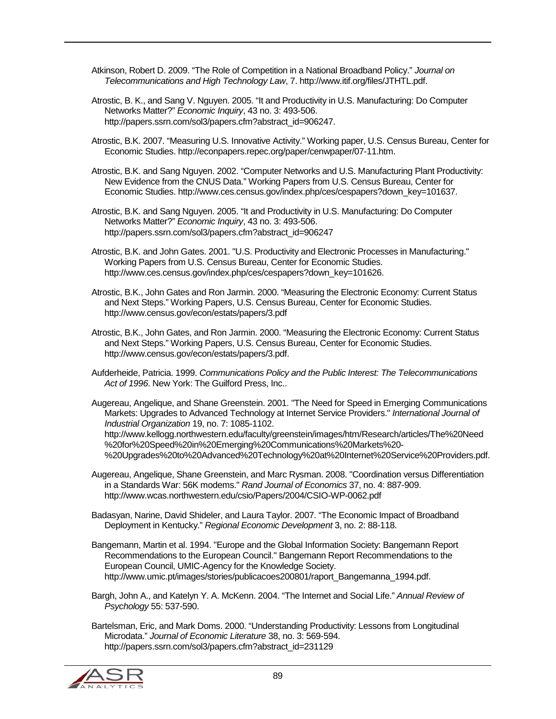Atkinson, Robert D. 2009. "The Role of Competition in a National Broadband Policy." *Journal on Telecommunications and High Technology Law*, 7. http://www.itif.org/files/JTHTL.pdf.

Atrostic, B. K., and Sang V. Nguyen. 2005. "It and Productivity in U.S. Manufacturing: Do Computer Networks Matter?" *Economic Inquiry*, 43 no. 3: 493-506. http://papers.ssrn.com/sol3/papers.cfm?abstract\_id=906247.

Atrostic, B.K. 2007. "Measuring U.S. Innovative Activity." Working paper, U.S. Census Bureau, Center for Economic Studies. http://econpapers.repec.org/paper/cenwpaper/07-11.htm.

Atrostic, B.K. and Sang Nguyen. 2002. "Computer Networks and U.S. Manufacturing Plant Productivity: New Evidence from the CNUS Data." Working Papers from U.S. Census Bureau, Center for Economic Studies. http://www.ces.census.gov/index.php/ces/cespapers?down\_key=101637.

Atrostic, B.K. and Sang Nguyen. 2005. "It and Productivity in U.S. Manufacturing: Do Computer Networks Matter?" *Economic Inquiry*, 43 no. 3: 493-506. http://papers.ssrn.com/sol3/papers.cfm?abstract\_id=906247

Atrostic, B.K. and John Gates. 2001. "U.S. Productivity and Electronic Processes in Manufacturing." Working Papers from U.S. Census Bureau, Center for Economic Studies. http://www.ces.census.gov/index.php/ces/cespapers?down\_key=101626.

Atrostic, B.K., John Gates and Ron Jarmin. 2000. "Measuring the Electronic Economy: Current Status and Next Steps." Working Papers, U.S. Census Bureau, Center for Economic Studies. http://www.census.gov/econ/estats/papers/3.pdf

Atrostic, B.K., John Gates, and Ron Jarmin. 2000. "Measuring the Electronic Economy: Current Status and Next Steps." Working Papers, U.S. Census Bureau, Center for Economic Studies. http://www.census.gov/econ/estats/papers/3.pdf.

Aufderheide, Patricia. 1999. *Communications Policy and the Public Interest: The Telecommunications Act of 1996*. New York: The Guilford Press, Inc..

Augereau, Angelique, and Shane Greenstein. 2001. "The Need for Speed in Emerging Communications Markets: Upgrades to Advanced Technology at Internet Service Providers." *International Journal of Industrial Organization* 19, no. 7: 1085-1102. http://www.kellogg.northwestern.edu/faculty/greenstein/images/htm/Research/articles/The%20Need

%20for%20Speed%20in%20Emerging%20Communications%20Markets%20- %20Upgrades%20to%20Advanced%20Technology%20at%20Internet%20Service%20Providers.pdf.

Augereau, Angelique, Shane Greenstein, and Marc Rysman. 2008. "Coordination versus Differentiation in a Standards War: 56K modems." *Rand Journal of Economics* 37, no. 4: 887-909. http://www.wcas.northwestern.edu/csio/Papers/2004/CSIO-WP-0062.pdf

Badasyan, Narine, David Shideler, and Laura Taylor. 2007. "The Economic Impact of Broadband Deployment in Kentucky." *Regional Economic Development* 3, no. 2: 88-118.

Bangemann, Martin et al. 1994. "Europe and the Global Information Society: Bangemann Report Recommendations to the European Council." Bangemann Report Recommendations to the European Council, UMIC-Agency for the Knowledge Society. http://www.umic.pt/images/stories/publicacoes200801/raport\_Bangemanna\_1994.pdf.

Bargh, John A., and Katelyn Y. A. McKenn. 2004. "The Internet and Social Life." *Annual Review of Psychology* 55: 537-590.

Bartelsman, Eric, and Mark Doms. 2000. "Understanding Productivity: Lessons from Longitudinal Microdata." *Journal of Economic Literature* 38, no. 3: 569-594. http://papers.ssrn.com/sol3/papers.cfm?abstract\_id=231129

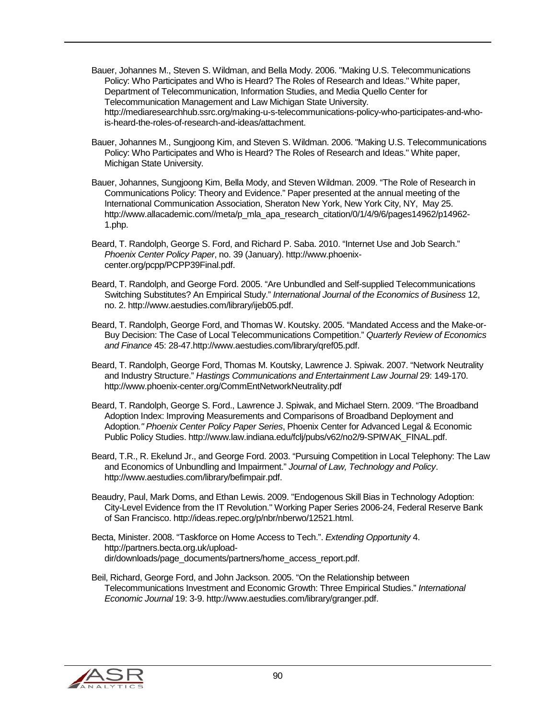- Bauer, Johannes M., Steven S. Wildman, and Bella Mody. 2006. "Making U.S. Telecommunications Policy: Who Participates and Who is Heard? The Roles of Research and Ideas." White paper, Department of Telecommunication, Information Studies, and Media Quello Center for Telecommunication Management and Law Michigan State University. http://mediaresearchhub.ssrc.org/making-u-s-telecommunications-policy-who-participates-and-whois-heard-the-roles-of-research-and-ideas/attachment.
- Bauer, Johannes M., Sungjoong Kim, and Steven S. Wildman. 2006. "Making U.S. Telecommunications Policy: Who Participates and Who is Heard? The Roles of Research and Ideas." White paper, Michigan State University.
- Bauer, Johannes, Sungjoong Kim, Bella Mody, and Steven Wildman. 2009. "The Role of Research in Communications Policy: Theory and Evidence." Paper presented at the annual meeting of the International Communication Association, Sheraton New York, New York City, NY, May 25. http://www.allacademic.com//meta/p\_mla\_apa\_research\_citation/0/1/4/9/6/pages14962/p14962- 1.php.
- Beard, T. Randolph, George S. Ford, and Richard P. Saba. 2010. "Internet Use and Job Search." *Phoenix Center Policy Paper*, no. 39 (January). http://www.phoenixcenter.org/pcpp/PCPP39Final.pdf.
- Beard, T. Randolph, and George Ford. 2005. "Are Unbundled and Self-supplied Telecommunications Switching Substitutes? An Empirical Study." *International Journal of the Economics of Business* 12, no. 2. http://www.aestudies.com/library/ijeb05.pdf.
- Beard, T. Randolph, George Ford, and Thomas W. Koutsky. 2005. "Mandated Access and the Make-or-Buy Decision: The Case of Local Telecommunications Competition." *Quarterly Review of Economics and Finance* 45: 28-47.http://www.aestudies.com/library/qref05.pdf.
- Beard, T. Randolph, George Ford, Thomas M. Koutsky, Lawrence J. Spiwak. 2007. "Network Neutrality and Industry Structure." *Hastings Communications and Entertainment Law Journal* 29: 149-170. http://www.phoenix-center.org/CommEntNetworkNeutrality.pdf
- Beard, T. Randolph, George S. Ford., Lawrence J. Spiwak, and Michael Stern. 2009. "The Broadband Adoption Index: Improving Measurements and Comparisons of Broadband Deployment and Adoption*." Phoenix Center Policy Paper Series*, Phoenix Center for Advanced Legal & Economic Public Policy Studies. http://www.law.indiana.edu/fclj/pubs/v62/no2/9-SPIWAK\_FINAL.pdf.
- Beard, T.R., R. Ekelund Jr., and George Ford. 2003. "Pursuing Competition in Local Telephony: The Law and Economics of Unbundling and Impairment." *Journal of Law, Technology and Policy*. http://www.aestudies.com/library/befimpair.pdf.
- Beaudry, Paul, Mark Doms, and Ethan Lewis. 2009. "Endogenous Skill Bias in Technology Adoption: City-Level Evidence from the IT Revolution." Working Paper Series 2006-24, Federal Reserve Bank of San Francisco. http://ideas.repec.org/p/nbr/nberwo/12521.html.
- Becta, Minister. 2008. "Taskforce on Home Access to Tech.". *Extending Opportunity* 4. http://partners.becta.org.uk/uploaddir/downloads/page\_documents/partners/home\_access\_report.pdf.
- Beil, Richard, George Ford, and John Jackson. 2005. "On the Relationship between Telecommunications Investment and Economic Growth: Three Empirical Studies." *International Economic Journal* 19: 3-9. http://www.aestudies.com/library/granger.pdf.

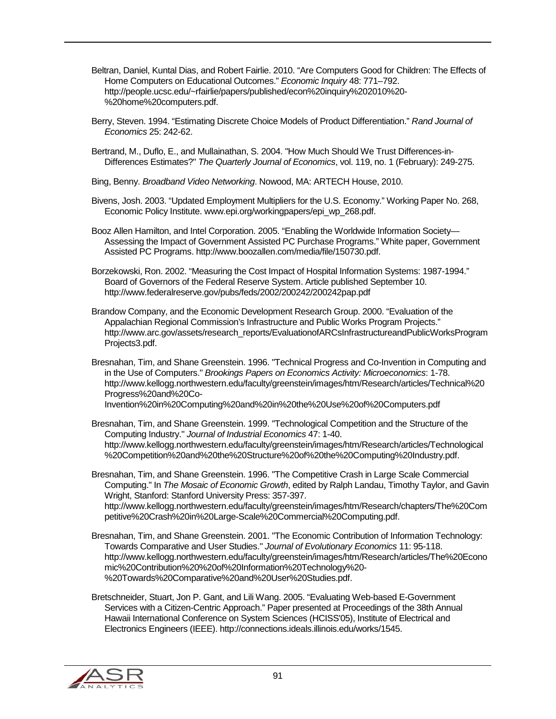- Beltran, Daniel, Kuntal Dias, and Robert Fairlie. 2010. "Are Computers Good for Children: The Effects of Home Computers on Educational Outcomes." *Economic Inquiry* 48: 771–792. http://people.ucsc.edu/~rfairlie/papers/published/econ%20inquiry%202010%20- %20home%20computers.pdf.
- Berry, Steven. 1994. "Estimating Discrete Choice Models of Product Differentiation." *Rand Journal of Economics* 25: 242-62.
- Bertrand, M., Duflo, E., and Mullainathan, S. 2004. "How Much Should We Trust Differences-in-Differences Estimates?" *The Quarterly Journal of Economics*, vol. 119, no. 1 (February): 249-275.
- Bing, Benny. *Broadband Video Networking*. Nowood, MA: ARTECH House, 2010.
- Bivens, Josh. 2003. "Updated Employment Multipliers for the U.S. Economy." Working Paper No. 268, Economic Policy Institute. www.epi.org/workingpapers/epi\_wp\_268.pdf.
- Booz Allen Hamilton, and Intel Corporation. 2005. "Enabling the Worldwide Information Society— Assessing the Impact of Government Assisted PC Purchase Programs." White paper, Government Assisted PC Programs. http://www.boozallen.com/media/file/150730.pdf.
- Borzekowski, Ron. 2002. "Measuring the Cost Impact of Hospital Information Systems: 1987-1994." Board of Governors of the Federal Reserve System. Article published September 10. http://www.federalreserve.gov/pubs/feds/2002/200242/200242pap.pdf
- Brandow Company, and the Economic Development Research Group. 2000. "Evaluation of the Appalachian Regional Commission's Infrastructure and Public Works Program Projects." http://www.arc.gov/assets/research\_reports/EvaluationofARCsInfrastructureandPublicWorksProgram Projects3.pdf.
- Bresnahan, Tim, and Shane Greenstein. 1996. "Technical Progress and Co-Invention in Computing and in the Use of Computers." *Brookings Papers on Economics Activity: Microeconomics*: 1-78. http://www.kellogg.northwestern.edu/faculty/greenstein/images/htm/Research/articles/Technical%20 Progress%20and%20Co-Invention%20in%20Computing%20and%20in%20the%20Use%20of%20Computers.pdf
- Bresnahan, Tim, and Shane Greenstein. 1999. "Technological Competition and the Structure of the Computing Industry." *Journal of Industrial Economics* 47: 1-40. http://www.kellogg.northwestern.edu/faculty/greenstein/images/htm/Research/articles/Technological %20Competition%20and%20the%20Structure%20of%20the%20Computing%20Industry.pdf.
- Bresnahan, Tim, and Shane Greenstein. 1996. "The Competitive Crash in Large Scale Commercial Computing." In *The Mosaic of Economic Growth*, edited by Ralph Landau, Timothy Taylor, and Gavin Wright, Stanford: Stanford University Press: 357-397. http://www.kellogg.northwestern.edu/faculty/greenstein/images/htm/Research/chapters/The%20Com petitive%20Crash%20in%20Large-Scale%20Commercial%20Computing.pdf.
- Bresnahan, Tim, and Shane Greenstein. 2001. "The Economic Contribution of Information Technology: Towards Comparative and User Studies." *Journal of Evolutionary Economics* 11: 95-118. http://www.kellogg.northwestern.edu/faculty/greenstein/images/htm/Research/articles/The%20Econo mic%20Contribution%20%20of%20Information%20Technology%20- %20Towards%20Comparative%20and%20User%20Studies.pdf.
- Bretschneider, Stuart, Jon P. Gant, and Lili Wang. 2005. "Evaluating Web-based E-Government Services with a Citizen-Centric Approach." Paper presented at Proceedings of the 38th Annual Hawaii International Conference on System Sciences (HCISS'05), Institute of Electrical and Electronics Engineers (IEEE). http://connections.ideals.illinois.edu/works/1545.

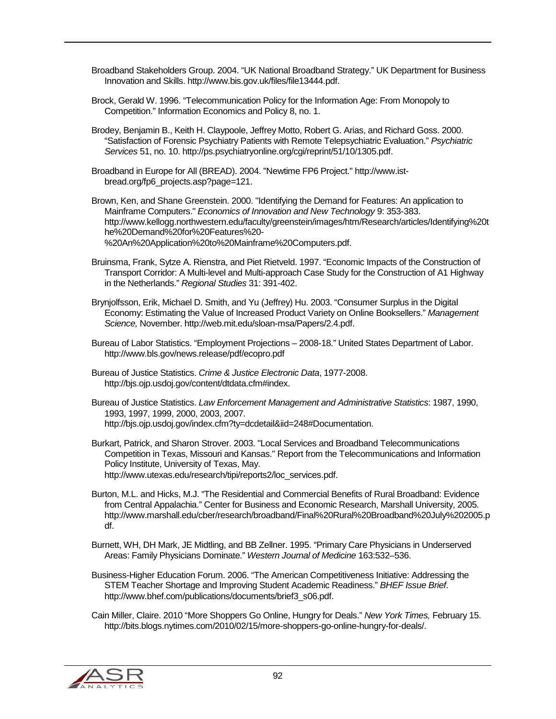Broadband Stakeholders Group. 2004. "UK National Broadband Strategy." UK Department for Business Innovation and Skills. http://www.bis.gov.uk/files/file13444.pdf.

Brock, Gerald W. 1996. "Telecommunication Policy for the Information Age: From Monopoly to Competition." Information Economics and Policy 8, no. 1.

Brodey, Benjamin B., Keith H. Claypoole, Jeffrey Motto, Robert G. Arias, and Richard Goss. 2000. "Satisfaction of Forensic Psychiatry Patients with Remote Telepsychiatric Evaluation." *Psychiatric Services* 51, no. 10. http://ps.psychiatryonline.org/cgi/reprint/51/10/1305.pdf.

Broadband in Europe for All (BREAD). 2004. "Newtime FP6 Project." http://www.istbread.org/fp6\_projects.asp?page=121.

Brown, Ken, and Shane Greenstein. 2000. "Identifying the Demand for Features: An application to Mainframe Computers." *Economics of Innovation and New Technology* 9: 353-383. http://www.kellogg.northwestern.edu/faculty/greenstein/images/htm/Research/articles/Identifying%20t he%20Demand%20for%20Features%20- %20An%20Application%20to%20Mainframe%20Computers.pdf.

Bruinsma, Frank, Sytze A. Rienstra, and Piet Rietveld. 1997. "Economic Impacts of the Construction of Transport Corridor: A Multi-level and Multi-approach Case Study for the Construction of A1 Highway in the Netherlands." *Regional Studies* 31: 391-402.

Brynjolfsson, Erik, Michael D. Smith, and Yu (Jeffrey) Hu. 2003. "Consumer Surplus in the Digital Economy: Estimating the Value of Increased Product Variety on Online Booksellers." *Management Science,* November. http://web.mit.edu/sloan-msa/Papers/2.4.pdf.

- Bureau of Labor Statistics. "Employment Projections 2008-18." United States Department of Labor. http://www.bls.gov/news.release/pdf/ecopro.pdf
- Bureau of Justice Statistics. *Crime & Justice Electronic Data*, 1977-2008. http://bjs.ojp.usdoj.gov/content/dtdata.cfm#index.

Bureau of Justice Statistics. *Law Enforcement Management and Administrative Statistics*: 1987, 1990, 1993, 1997, 1999, 2000, 2003, 2007. http://bjs.ojp.usdoj.gov/index.cfm?ty=dcdetail&iid=248#Documentation.

Burkart, Patrick, and Sharon Strover. 2003. "Local Services and Broadband Telecommunications Competition in Texas, Missouri and Kansas." Report from the Telecommunications and Information Policy Institute, University of Texas, May. http://www.utexas.edu/research/tipi/reports2/loc\_services.pdf.

Burton, M.L. and Hicks, M.J. "The Residential and Commercial Benefits of Rural Broadband: Evidence from Central Appalachia." Center for Business and Economic Research, Marshall University, 2005. http://www.marshall.edu/cber/research/broadband/Final%20Rural%20Broadband%20July%202005.p df.

Burnett, WH, DH Mark, JE Midtling, and BB Zellner. 1995. "Primary Care Physicians in Underserved Areas: Family Physicians Dominate." *Western Journal of Medicine* 163:532–536.

Business-Higher Education Forum. 2006. "The American Competitiveness Initiative: Addressing the STEM Teacher Shortage and Improving Student Academic Readiness." *BHEF Issue Brief*. http://www.bhef.com/publications/documents/brief3\_s06.pdf.

Cain Miller, Claire. 2010 "More Shoppers Go Online, Hungry for Deals." *New York Times,* February 15. http://bits.blogs.nytimes.com/2010/02/15/more-shoppers-go-online-hungry-for-deals/.

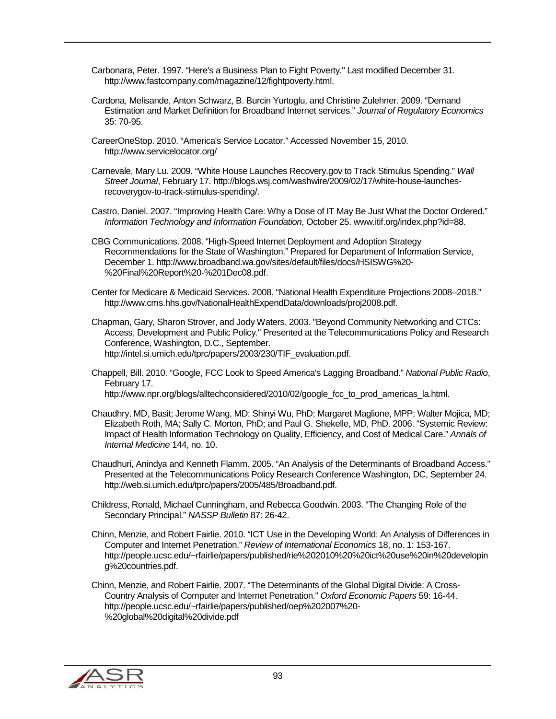- Carbonara, Peter. 1997. "Here's a Business Plan to Fight Poverty." Last modified December 31. http://www.fastcompany.com/magazine/12/fightpoverty.html.
- Cardona, Melisande, Anton Schwarz, B. Burcin Yurtoglu, and Christine Zulehner. 2009. "Demand Estimation and Market Definition for Broadband Internet services." *Journal of Regulatory Economics* 35: 70-95.
- CareerOneStop. 2010. "America's Service Locator." Accessed November 15, 2010. http://www.servicelocator.org/
- Carnevale, Mary Lu. 2009. "White House Launches Recovery.gov to Track Stimulus Spending." *Wall Street Journal*, February 17. http://blogs.wsj.com/washwire/2009/02/17/white-house-launchesrecoverygov-to-track-stimulus-spending/.
- Castro, Daniel. 2007. "Improving Health Care: Why a Dose of IT May Be Just What the Doctor Ordered." *Information Technology and Information Foundation*, October 25. www.itif.org/index.php?id=88.
- CBG Communications. 2008. "High-Speed Internet Deployment and Adoption Strategy Recommendations for the State of Washington." Prepared for Department of Information Service, December 1. http://www.broadband.wa.gov/sites/default/files/docs/HSISWG%20- %20Final%20Report%20-%201Dec08.pdf.
- Center for Medicare & Medicaid Services. 2008. "National Health Expenditure Projections 2008–2018." http://www.cms.hhs.gov/NationalHealthExpendData/downloads/proj2008.pdf.
- Chapman, Gary, Sharon Strover, and Jody Waters. 2003. "Beyond Community Networking and CTCs: Access, Development and Public Policy." Presented at the Telecommunications Policy and Research Conference, Washington, D.C., September. http://intel.si.umich.edu/tprc/papers/2003/230/TIF\_evaluation.pdf.
- Chappell, Bill. 2010. "Google, FCC Look to Speed America's Lagging Broadband." *National Public Radio*, February 17.
	- http://www.npr.org/blogs/alltechconsidered/2010/02/google\_fcc\_to\_prod\_americas\_la.html.
- Chaudhry, MD, Basit; Jerome Wang, MD; Shinyi Wu, PhD; Margaret Maglione, MPP; Walter Mojica, MD; Elizabeth Roth, MA; Sally C. Morton, PhD; and Paul G. Shekelle, MD, PhD. 2006. "Systemic Review: Impact of Health Information Technology on Quality, Efficiency, and Cost of Medical Care." *Annals of Internal Medicine* 144, no. 10.
- Chaudhuri, Anindya and Kenneth Flamm. 2005. "An Analysis of the Determinants of Broadband Access." Presented at the Telecommunications Policy Research Conference Washington, DC, September 24. http://web.si.umich.edu/tprc/papers/2005/485/Broadband.pdf.
- Childress, Ronald, Michael Cunningham, and Rebecca Goodwin. 2003. "The Changing Role of the Secondary Principal." *NASSP Bulletin* 87: 26-42.
- Chinn, Menzie, and Robert Fairlie. 2010. "ICT Use in the Developing World: An Analysis of Differences in Computer and Internet Penetration." *Review of International Economics* 18, no. 1: 153-167. http://people.ucsc.edu/~rfairlie/papers/published/rie%202010%20%20ict%20use%20in%20developin g%20countries.pdf.
- Chinn, Menzie, and Robert Fairlie. 2007. "The Determinants of the Global Digital Divide: A Cross-Country Analysis of Computer and Internet Penetration." *Oxford Economic Papers* 59: 16-44. http://people.ucsc.edu/~rfairlie/papers/published/oep%202007%20- %20global%20digital%20divide.pdf

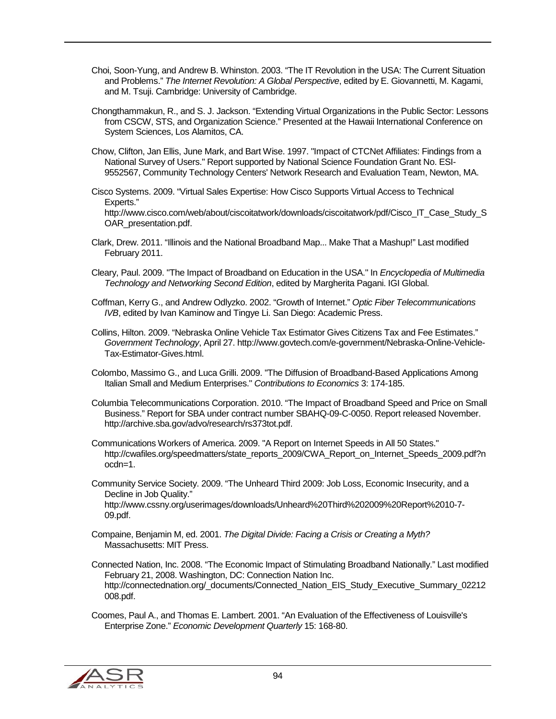- Choi, Soon-Yung, and Andrew B. Whinston. 2003. "The IT Revolution in the USA: The Current Situation and Problems." *The Internet Revolution: A Global Perspective*, edited by E. Giovannetti, M. Kagami, and M. Tsuji. Cambridge: University of Cambridge.
- Chongthammakun, R., and S. J. Jackson. "Extending Virtual Organizations in the Public Sector: Lessons from CSCW, STS, and Organization Science." Presented at the Hawaii International Conference on System Sciences, Los Alamitos, CA.
- Chow, Clifton, Jan Ellis, June Mark, and Bart Wise. 1997. "Impact of CTCNet Affiliates: Findings from a National Survey of Users." Report supported by National Science Foundation Grant No. ESI-9552567, Community Technology Centers' Network Research and Evaluation Team, Newton, MA.
- Cisco Systems. 2009. "Virtual Sales Expertise: How Cisco Supports Virtual Access to Technical Experts." http://www.cisco.com/web/about/ciscoitatwork/downloads/ciscoitatwork/pdf/Cisco\_IT\_Case\_Study\_S OAR\_presentation.pdf.
- Clark, Drew. 2011. "Illinois and the National Broadband Map... Make That a Mashup!" Last modified February 2011.
- Cleary, Paul. 2009. "The Impact of Broadband on Education in the USA." In *Encyclopedia of Multimedia Technology and Networking Second Edition*, edited by Margherita Pagani. IGI Global.
- Coffman, Kerry G., and Andrew Odlyzko. 2002. "Growth of Internet." *Optic Fiber Telecommunications IVB*, edited by Ivan Kaminow and Tingye Li. San Diego: Academic Press.
- Collins, Hilton. 2009. "Nebraska Online Vehicle Tax Estimator Gives Citizens Tax and Fee Estimates." *Government Technology*, April 27. http://www.govtech.com/e-government/Nebraska-Online-Vehicle-Tax-Estimator-Gives.html.
- Colombo, Massimo G., and Luca Grilli. 2009. "The Diffusion of Broadband-Based Applications Among Italian Small and Medium Enterprises." *Contributions to Economics* 3: 174-185.
- Columbia Telecommunications Corporation. 2010. "The Impact of Broadband Speed and Price on Small Business." Report for SBA under contract number SBAHQ-09-C-0050. Report released November. http://archive.sba.gov/advo/research/rs373tot.pdf.
- Communications Workers of America. 2009. "A Report on Internet Speeds in All 50 States." http://cwafiles.org/speedmatters/state\_reports\_2009/CWA\_Report\_on\_Internet\_Speeds\_2009.pdf?n ocdn=1.
- Community Service Society. 2009. "The Unheard Third 2009: Job Loss, Economic Insecurity, and a Decline in Job Quality." http://www.cssny.org/userimages/downloads/Unheard%20Third%202009%20Report%2010-7- 09.pdf.
- Compaine, Benjamin M, ed. 2001. *The Digital Divide: Facing a Crisis or Creating a Myth?* Massachusetts: MIT Press.
- Connected Nation, Inc. 2008. "The Economic Impact of Stimulating Broadband Nationally." Last modified February 21, 2008. Washington, DC: Connection Nation Inc. http://connectednation.org/\_documents/Connected\_Nation\_EIS\_Study\_Executive\_Summary\_02212 008.pdf.

Coomes, Paul A., and Thomas E. Lambert. 2001. "An Evaluation of the Effectiveness of Louisville's Enterprise Zone." *Economic Development Quarterly* 15: 168-80.

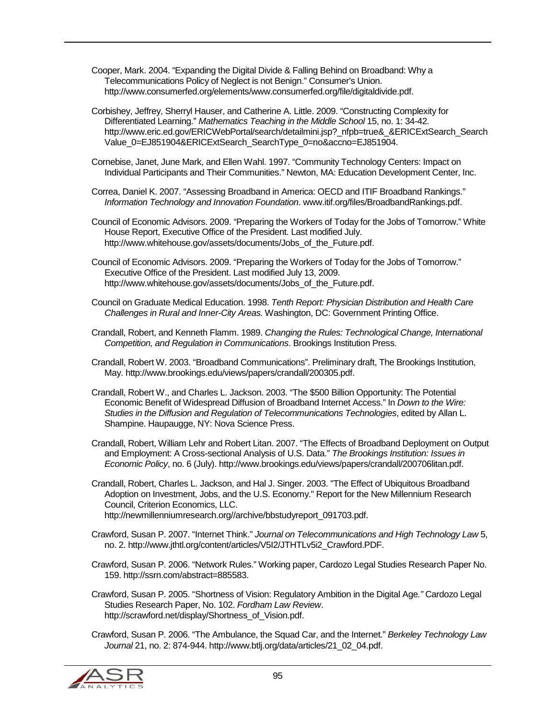Cooper, Mark. 2004. "Expanding the Digital Divide & Falling Behind on Broadband: Why a Telecommunications Policy of Neglect is not Benign." Consumer's Union. http://www.consumerfed.org/elements/www.consumerfed.org/file/digitaldivide.pdf.

Corbishey, Jeffrey, Sherryl Hauser, and Catherine A. Little. 2009. "Constructing Complexity for Differentiated Learning." *Mathematics Teaching in the Middle School* 15, no. 1: 34-42. http://www.eric.ed.gov/ERICWebPortal/search/detailmini.jsp?\_nfpb=true&\_&ERICExtSearch\_Search\_ Value\_0=EJ851904&ERICExtSearch\_SearchType\_0=no&accno=EJ851904.

Cornebise, Janet, June Mark, and Ellen Wahl. 1997. "Community Technology Centers: Impact on Individual Participants and Their Communities." Newton, MA: Education Development Center, Inc.

Correa, Daniel K. 2007. "Assessing Broadband in America: OECD and ITIF Broadband Rankings." *Information Technology and Innovation Foundation*. www.itif.org/files/BroadbandRankings.pdf.

Council of Economic Advisors. 2009. "Preparing the Workers of Today for the Jobs of Tomorrow." White House Report, Executive Office of the President. Last modified July. http://www.whitehouse.gov/assets/documents/Jobs\_of\_the\_Future.pdf.

Council of Economic Advisors. 2009. "Preparing the Workers of Today for the Jobs of Tomorrow." Executive Office of the President. Last modified July 13, 2009. http://www.whitehouse.gov/assets/documents/Jobs\_of\_the\_Future.pdf.

Council on Graduate Medical Education. 1998. *Tenth Report: Physician Distribution and Health Care Challenges in Rural and Inner-City Areas.* Washington, DC: Government Printing Office.

Crandall, Robert, and Kenneth Flamm. 1989. *Changing the Rules: Technological Change, International Competition, and Regulation in Communications*. Brookings Institution Press.

Crandall, Robert W. 2003. "Broadband Communications". Preliminary draft, The Brookings Institution, May. http://www.brookings.edu/views/papers/crandall/200305.pdf.

Crandall, Robert W., and Charles L. Jackson. 2003. "The \$500 Billion Opportunity: The Potential Economic Benefit of Widespread Diffusion of Broadband Internet Access." In *Down to the Wire: Studies in the Diffusion and Regulation of Telecommunications Technologies*, edited by Allan L. Shampine. Haupaugge, NY: Nova Science Press.

Crandall, Robert, William Lehr and Robert Litan. 2007. "The Effects of Broadband Deployment on Output and Employment: A Cross-sectional Analysis of U.S. Data." *The Brookings Institution: Issues in Economic Policy*, no. 6 (July). http://www.brookings.edu/views/papers/crandall/200706litan.pdf.

Crandall, Robert, Charles L. Jackson, and Hal J. Singer. 2003. "The Effect of Ubiquitous Broadband Adoption on Investment, Jobs, and the U.S. Economy." Report for the New Millennium Research Council, Criterion Economics, LLC. http://newmillenniumresearch.org//archive/bbstudyreport\_091703.pdf.

Crawford, Susan P. 2007. "Internet Think." *Journal on Telecommunications and High Technology Law* 5, no. 2. http://www.jthtl.org/content/articles/V5I2/JTHTLv5i2\_Crawford.PDF.

Crawford, Susan P. 2006. "Network Rules." Working paper, Cardozo Legal Studies Research Paper No. 159. http://ssrn.com/abstract=885583.

Crawford, Susan P. 2005. "Shortness of Vision: Regulatory Ambition in the Digital Age*."* Cardozo Legal Studies Research Paper, No. 102. *Fordham Law Review*. http://scrawford.net/display/Shortness\_of\_Vision.pdf.

Crawford, Susan P. 2006. "The Ambulance, the Squad Car, and the Internet." *Berkeley Technology Law Journal* 21, no. 2: 874-944. http://www.btlj.org/data/articles/21\_02\_04.pdf.

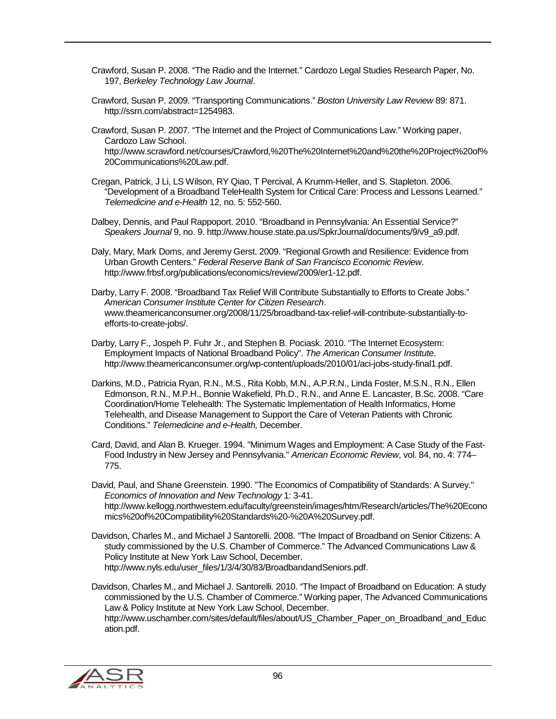- Crawford, Susan P. 2008. "The Radio and the Internet." Cardozo Legal Studies Research Paper, No. 197, *Berkeley Technology Law Journal*.
- Crawford, Susan P. 2009. "Transporting Communications." *Boston University Law Review* 89: 871. http://ssrn.com/abstract=1254983.
- Crawford, Susan P. 2007. "The Internet and the Project of Communications Law." Working paper, Cardozo Law School. http://www.scrawford.net/courses/Crawford,%20The%20Internet%20and%20the%20Project%20of% 20Communications%20Law.pdf.
- Cregan, Patrick, J Li, LS Wilson, RY Qiao, T Percival, A Krumm-Heller, and S. Stapleton. 2006. "Development of a Broadband TeleHealth System for Critical Care: Process and Lessons Learned." *Telemedicine and e-Health* 12, no. 5: 552-560.
- Dalbey, Dennis, and Paul Rappoport. 2010. "Broadband in Pennsylvania: An Essential Service?" *Speakers Journal* 9, no. 9. http://www.house.state.pa.us/SpkrJournal/documents/9/v9\_a9.pdf.
- Daly, Mary, Mark Doms, and Jeremy Gerst. 2009. "Regional Growth and Resilience: Evidence from Urban Growth Centers." *Federal Reserve Bank of San Francisco Economic Review*. http://www.frbsf.org/publications/economics/review/2009/er1-12.pdf.
- Darby, Larry F. 2008. "Broadband Tax Relief Will Contribute Substantially to Efforts to Create Jobs." *American Consumer Institute Center for Citizen Research*. www.theamericanconsumer.org/2008/11/25/broadband-tax-relief-will-contribute-substantially-toefforts-to-create-jobs/.
- Darby, Larry F., Jospeh P. Fuhr Jr., and Stephen B. Pociask. 2010. "The Internet Ecosystem: Employment Impacts of National Broadband Policy". *The American Consumer Institute*. http://www.theamericanconsumer.org/wp-content/uploads/2010/01/aci-jobs-study-final1.pdf.
- Darkins, M.D., Patricia Ryan, R.N., M.S., Rita Kobb, M.N., A.P.R.N., Linda Foster, M.S.N., R.N., Ellen Edmonson, R.N., M.P.H., Bonnie Wakefield, Ph.D., R.N., and Anne E. Lancaster, B.Sc. 2008. "Care Coordination/Home Telehealth: The Systematic Implementation of Health Informatics, Home Telehealth, and Disease Management to Support the Care of Veteran Patients with Chronic Conditions." *Telemedicine and e-Health,* December.
- Card, David, and Alan B. Krueger. 1994. "Minimum Wages and Employment: A Case Study of the Fast-Food Industry in New Jersey and Pennsylvania." *American Economic Review*, vol. 84, no. 4: 774– 775.
- David, Paul, and Shane Greenstein. 1990. "The Economics of Compatibility of Standards: A Survey." *Economics of Innovation and New Technology* 1: 3-41. http://www.kellogg.northwestern.edu/faculty/greenstein/images/htm/Research/articles/The%20Econo mics%20of%20Compatibility%20Standards%20-%20A%20Survey.pdf.
- Davidson, Charles M., and Michael J Santorelli. 2008. "The Impact of Broadband on Senior Citizens: A study commissioned by the U.S. Chamber of Commerce." The Advanced Communications Law & Policy Institute at New York Law School, December. http://www.nyls.edu/user\_files/1/3/4/30/83/BroadbandandSeniors.pdf.
- Davidson, Charles M., and Michael J. Santorelli. 2010. "The Impact of Broadband on Education: A study commissioned by the U.S. Chamber of Commerce." Working paper, The Advanced Communications Law & Policy Institute at New York Law School, December. http://www.uschamber.com/sites/default/files/about/US\_Chamber\_Paper\_on\_Broadband\_and\_Educ ation.pdf.

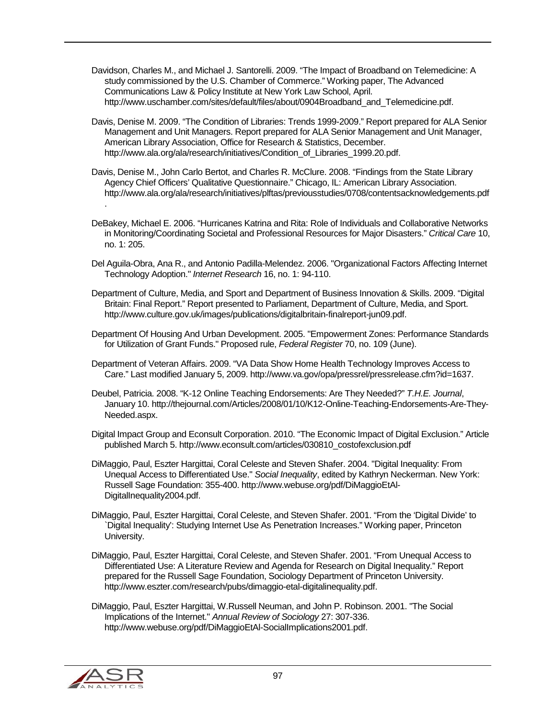- Davidson, Charles M., and Michael J. Santorelli. 2009. "The Impact of Broadband on Telemedicine: A study commissioned by the U.S. Chamber of Commerce." Working paper, The Advanced Communications Law & Policy Institute at New York Law School, April. http://www.uschamber.com/sites/default/files/about/0904Broadband\_and\_Telemedicine.pdf.
- Davis, Denise M. 2009. "The Condition of Libraries: Trends 1999-2009." Report prepared for ALA Senior Management and Unit Managers. Report prepared for ALA Senior Management and Unit Manager, American Library Association, Office for Research & Statistics, December. http://www.ala.org/ala/research/initiatives/Condition\_of\_Libraries\_1999.20.pdf.
- Davis, Denise M., John Carlo Bertot, and Charles R. McClure. 2008. "Findings from the State Library Agency Chief Officers' Qualitative Questionnaire." Chicago, IL: American Library Association. http://www.ala.org/ala/research/initiatives/plftas/previousstudies/0708/contentsacknowledgements.pdf .
- DeBakey, Michael E. 2006. "Hurricanes Katrina and Rita: Role of Individuals and Collaborative Networks in Monitoring/Coordinating Societal and Professional Resources for Major Disasters." *Critical Care* 10, no. 1: 205.
- Del Aguila-Obra, Ana R., and Antonio Padilla-Melendez. 2006. "Organizational Factors Affecting Internet Technology Adoption." *Internet Research* 16, no. 1: 94-110.
- Department of Culture, Media, and Sport and Department of Business Innovation & Skills. 2009. "Digital Britain: Final Report." Report presented to Parliament, Department of Culture, Media, and Sport. http://www.culture.gov.uk/images/publications/digitalbritain-finalreport-jun09.pdf.
- Department Of Housing And Urban Development. 2005. "Empowerment Zones: Performance Standards for Utilization of Grant Funds." Proposed rule, *Federal Register* 70, no. 109 (June).
- Department of Veteran Affairs. 2009. "VA Data Show Home Health Technology Improves Access to Care." Last modified January 5, 2009. http://www.va.gov/opa/pressrel/pressrelease.cfm?id=1637.
- Deubel, Patricia. 2008. "K-12 Online Teaching Endorsements: Are They Needed?" *T.H.E. Journal*, January 10. http://thejournal.com/Articles/2008/01/10/K12-Online-Teaching-Endorsements-Are-They-Needed.aspx.
- Digital Impact Group and Econsult Corporation. 2010. "The Economic Impact of Digital Exclusion." Article published March 5. http://www.econsult.com/articles/030810\_costofexclusion.pdf
- DiMaggio, Paul, Eszter Hargittai, Coral Celeste and Steven Shafer. 2004. "Digital Inequality: From Unequal Access to Differentiated Use." *Social Inequality*, edited by Kathryn Neckerman. New York: Russell Sage Foundation: 355-400. http://www.webuse.org/pdf/DiMaggioEtAl-DigitalInequality2004.pdf.
- DiMaggio, Paul, Eszter Hargittai, Coral Celeste, and Steven Shafer. 2001. "From the 'Digital Divide' to `Digital Inequality': Studying Internet Use As Penetration Increases." Working paper, Princeton University.
- DiMaggio, Paul, Eszter Hargittai, Coral Celeste, and Steven Shafer. 2001. "From Unequal Access to Differentiated Use: A Literature Review and Agenda for Research on Digital Inequality." Report prepared for the Russell Sage Foundation, Sociology Department of Princeton University. http://www.eszter.com/research/pubs/dimaggio-etal-digitalinequality.pdf.
- DiMaggio, Paul, Eszter Hargittai, W.Russell Neuman, and John P. Robinson. 2001. "The Social Implications of the Internet." *Annual Review of Sociology* 27: 307-336. http://www.webuse.org/pdf/DiMaggioEtAl-SocialImplications2001.pdf.

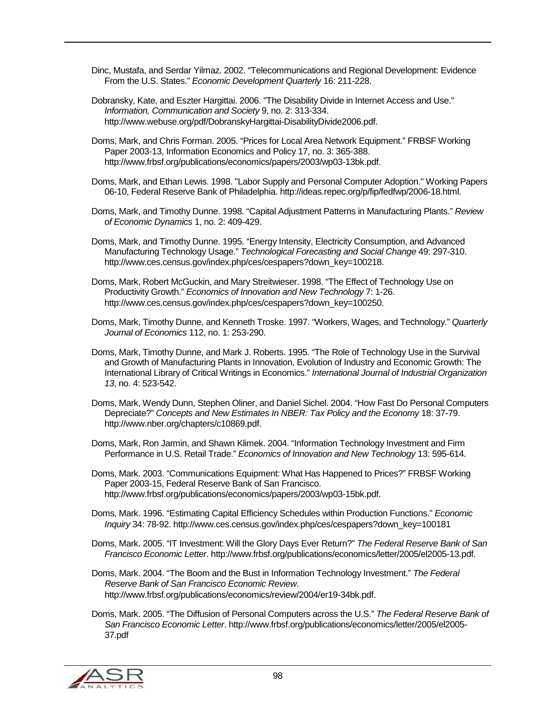- Dinc, Mustafa, and Serdar Yilmaz. 2002. "Telecommunications and Regional Development: Evidence From the U.S. States." *Economic Development Quarterly* 16: 211-228.
- Dobransky, Kate, and Eszter Hargittai. 2006. "The Disability Divide in Internet Access and Use." *Information, Communication and Society* 9, no. 2: 313-334. http://www.webuse.org/pdf/DobranskyHargittai-DisabilityDivide2006.pdf.
- Doms, Mark, and Chris Forman. 2005. "Prices for Local Area Network Equipment." FRBSF Working Paper 2003-13, Information Economics and Policy 17, no. 3: 365-388. http://www.frbsf.org/publications/economics/papers/2003/wp03-13bk.pdf.
- Doms, Mark, and Ethan Lewis. 1998. "Labor Supply and Personal Computer Adoption." Working Papers 06-10, Federal Reserve Bank of Philadelphia. http://ideas.repec.org/p/fip/fedfwp/2006-18.html.
- Doms, Mark, and Timothy Dunne. 1998. "Capital Adjustment Patterns in Manufacturing Plants." *Review of Economic Dynamics* 1, no. 2: 409-429.
- Doms, Mark, and Timothy Dunne. 1995. "Energy Intensity, Electricity Consumption, and Advanced Manufacturing Technology Usage." *Technological Forecasting and Social Change* 49: 297-310. http://www.ces.census.gov/index.php/ces/cespapers?down\_key=100218.
- Doms, Mark, Robert McGuckin, and Mary Streitwieser. 1998. "The Effect of Technology Use on Productivity Growth." *Economics of Innovation and New Technology* 7: 1-26. http://www.ces.census.gov/index.php/ces/cespapers?down\_key=100250.
- Doms, Mark, Timothy Dunne, and Kenneth Troske. 1997. "Workers, Wages, and Technology." *Quarterly Journal of Economics* 112, no. 1: 253-290.
- Doms, Mark, Timothy Dunne, and Mark J. Roberts. 1995. "The Role of Technology Use in the Survival and Growth of Manufacturing Plants in Innovation, Evolution of Industry and Economic Growth: The International Library of Critical Writings in Economics." *International Journal of Industrial Organization 13*, no. 4: 523-542.
- Doms, Mark, Wendy Dunn, Stephen Oliner, and Daniel Sichel. 2004. "How Fast Do Personal Computers Depreciate?" *Concepts and New Estimates In NBER: Tax Policy and the Economy* 18: 37-79. http://www.nber.org/chapters/c10869.pdf.
- Doms, Mark, Ron Jarmin, and Shawn Klimek. 2004. "Information Technology Investment and Firm Performance in U.S. Retail Trade." *Economics of Innovation and New Technology* 13: 595-614.
- Doms, Mark. 2003. "Communications Equipment: What Has Happened to Prices?" FRBSF Working Paper 2003-15, Federal Reserve Bank of San Francisco. http://www.frbsf.org/publications/economics/papers/2003/wp03-15bk.pdf.
- Doms, Mark. 1996. "Estimating Capital Efficiency Schedules within Production Functions." *Economic Inquiry* 34: 78-92. http://www.ces.census.gov/index.php/ces/cespapers?down\_key=100181
- Doms, Mark. 2005. "IT Investment: Will the Glory Days Ever Return?" *The Federal Reserve Bank of San Francisco Economic Letter*. http://www.frbsf.org/publications/economics/letter/2005/el2005-13.pdf.
- Doms, Mark. 2004. "The Boom and the Bust in Information Technology Investment." *The Federal Reserve Bank of San Francisco Economic Review*. http://www.frbsf.org/publications/economics/review/2004/er19-34bk.pdf.
- Doms, Mark. 2005. "The Diffusion of Personal Computers across the U.S." *The Federal Reserve Bank of San Francisco Economic Letter*. http://www.frbsf.org/publications/economics/letter/2005/el2005- 37.pdf

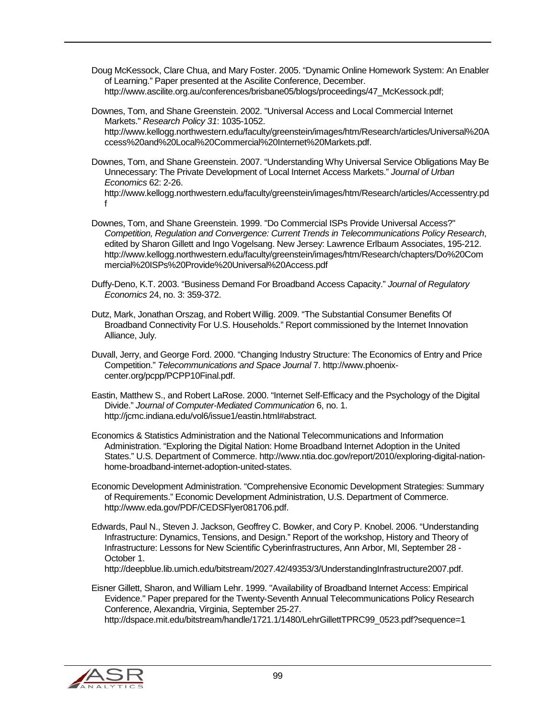Doug McKessock, Clare Chua, and Mary Foster. 2005. "Dynamic Online Homework System: An Enabler of Learning." Paper presented at the Ascilite Conference, December. http://www.ascilite.org.au/conferences/brisbane05/blogs/proceedings/47\_McKessock.pdf;

Downes, Tom, and Shane Greenstein. 2002. "Universal Access and Local Commercial Internet Markets." *Research Policy 31*: 1035-1052. http://www.kellogg.northwestern.edu/faculty/greenstein/images/htm/Research/articles/Universal%20A ccess%20and%20Local%20Commercial%20Internet%20Markets.pdf.

Downes, Tom, and Shane Greenstein. 2007. "Understanding Why Universal Service Obligations May Be Unnecessary: The Private Development of Local Internet Access Markets." *Journal of Urban Economics* 62: 2-26.

http://www.kellogg.northwestern.edu/faculty/greenstein/images/htm/Research/articles/Accessentry.pd f

- Downes, Tom, and Shane Greenstein. 1999. "Do Commercial ISPs Provide Universal Access?" *Competition, Regulation and Convergence: Current Trends in Telecommunications Policy Research*, edited by Sharon Gillett and Ingo Vogelsang. New Jersey: Lawrence Erlbaum Associates, 195-212. http://www.kellogg.northwestern.edu/faculty/greenstein/images/htm/Research/chapters/Do%20Com mercial%20ISPs%20Provide%20Universal%20Access.pdf
- Duffy-Deno, K.T. 2003. "Business Demand For Broadband Access Capacity." *Journal of Regulatory Economics* 24, no. 3: 359-372.

Dutz, Mark, Jonathan Orszag, and Robert Willig. 2009. "The Substantial Consumer Benefits Of Broadband Connectivity For U.S. Households." Report commissioned by the Internet Innovation Alliance, July.

- Duvall, Jerry, and George Ford. 2000. "Changing Industry Structure: The Economics of Entry and Price Competition." *Telecommunications and Space Journal* 7. http://www.phoenixcenter.org/pcpp/PCPP10Final.pdf.
- Eastin, Matthew S., and Robert LaRose. 2000. "Internet Self-Efficacy and the Psychology of the Digital Divide." *Journal of Computer-Mediated Communication* 6, no. 1. http://jcmc.indiana.edu/vol6/issue1/eastin.html#abstract.
- Economics & Statistics Administration and the National Telecommunications and Information Administration. "Exploring the Digital Nation: Home Broadband Internet Adoption in the United States." U.S. Department of Commerce. http://www.ntia.doc.gov/report/2010/exploring-digital-nationhome-broadband-internet-adoption-united-states.
- Economic Development Administration. "Comprehensive Economic Development Strategies: Summary of Requirements." Economic Development Administration, U.S. Department of Commerce. http://www.eda.gov/PDF/CEDSFlyer081706.pdf.
- Edwards, Paul N., Steven J. Jackson, Geoffrey C. Bowker, and Cory P. Knobel. 2006. "Understanding Infrastructure: Dynamics, Tensions, and Design." Report of the workshop, History and Theory of Infrastructure: Lessons for New Scientific Cyberinfrastructures, Ann Arbor, MI, September 28 - October 1.

http://deepblue.lib.umich.edu/bitstream/2027.42/49353/3/UnderstandingInfrastructure2007.pdf.

Eisner Gillett, Sharon, and William Lehr. 1999. "Availability of Broadband Internet Access: Empirical Evidence." Paper prepared for the Twenty-Seventh Annual Telecommunications Policy Research Conference, Alexandria, Virginia, September 25-27. http://dspace.mit.edu/bitstream/handle/1721.1/1480/LehrGillettTPRC99\_0523.pdf?sequence=1

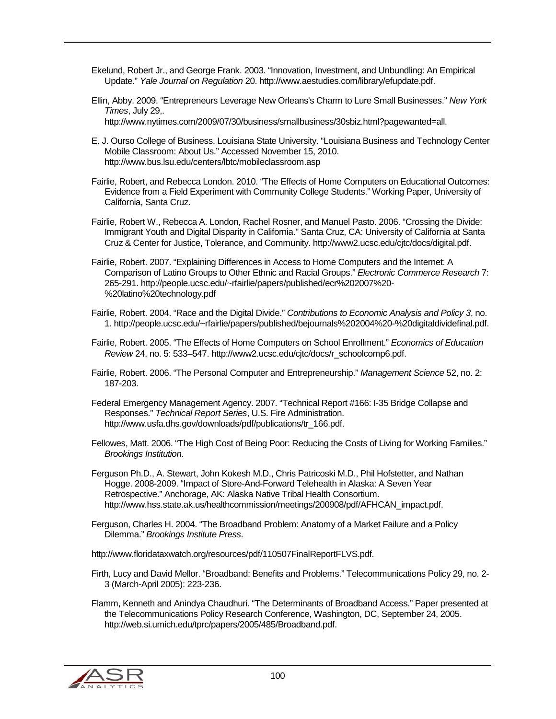Ekelund, Robert Jr., and George Frank. 2003. "Innovation, Investment, and Unbundling: An Empirical Update." *Yale Journal on Regulation* 20. http://www.aestudies.com/library/efupdate.pdf.

- Ellin, Abby. 2009. "Entrepreneurs Leverage New Orleans's Charm to Lure Small Businesses." *New York Times*, July 29,.
	- http://www.nytimes.com/2009/07/30/business/smallbusiness/30sbiz.html?pagewanted=all.
- E. J. Ourso College of Business, Louisiana State University. "Louisiana Business and Technology Center Mobile Classroom: About Us." Accessed November 15, 2010. http://www.bus.lsu.edu/centers/lbtc/mobileclassroom.asp
- Fairlie, Robert, and Rebecca London. 2010. "The Effects of Home Computers on Educational Outcomes: Evidence from a Field Experiment with Community College Students." Working Paper, University of California, Santa Cruz.
- Fairlie, Robert W., Rebecca A. London, Rachel Rosner, and Manuel Pasto. 2006. "Crossing the Divide: Immigrant Youth and Digital Disparity in California." Santa Cruz, CA: University of California at Santa Cruz & Center for Justice, Tolerance, and Community. http://www2.ucsc.edu/cjtc/docs/digital.pdf.
- Fairlie, Robert. 2007. "Explaining Differences in Access to Home Computers and the Internet: A Comparison of Latino Groups to Other Ethnic and Racial Groups." *Electronic Commerce Research* 7: 265-291. http://people.ucsc.edu/~rfairlie/papers/published/ecr%202007%20- %20latino%20technology.pdf
- Fairlie, Robert. 2004. "Race and the Digital Divide." *Contributions to Economic Analysis and Policy 3*, no. 1. http://people.ucsc.edu/~rfairlie/papers/published/bejournals%202004%20-%20digitaldividefinal.pdf.
- Fairlie, Robert. 2005. "The Effects of Home Computers on School Enrollment." *Economics of Education Review* 24, no. 5: 533–547. http://www2.ucsc.edu/cjtc/docs/r\_schoolcomp6.pdf.
- Fairlie, Robert. 2006. "The Personal Computer and Entrepreneurship." *Management Science* 52, no. 2: 187-203.
- Federal Emergency Management Agency. 2007. "Technical Report #166: I-35 Bridge Collapse and Responses." *Technical Report Series*, U.S. Fire Administration. http://www.usfa.dhs.gov/downloads/pdf/publications/tr\_166.pdf.
- Fellowes, Matt. 2006. "The High Cost of Being Poor: Reducing the Costs of Living for Working Families." *Brookings Institution*.
- Ferguson Ph.D., A. Stewart, John Kokesh M.D., Chris Patricoski M.D., Phil Hofstetter, and Nathan Hogge. 2008-2009. "Impact of Store-And-Forward Telehealth in Alaska: A Seven Year Retrospective." Anchorage, AK: Alaska Native Tribal Health Consortium. http://www.hss.state.ak.us/healthcommission/meetings/200908/pdf/AFHCAN\_impact.pdf.
- Ferguson, Charles H. 2004. "The Broadband Problem: Anatomy of a Market Failure and a Policy Dilemma." *Brookings Institute Press*.

http://www.floridataxwatch.org/resources/pdf/110507FinalReportFLVS.pdf.

Firth, Lucy and David Mellor. "Broadband: Benefits and Problems." Telecommunications Policy 29, no. 2- 3 (March-April 2005): 223-236.

Flamm, Kenneth and Anindya Chaudhuri. "The Determinants of Broadband Access." Paper presented at the Telecommunications Policy Research Conference, Washington, DC, September 24, 2005. http://web.si.umich.edu/tprc/papers/2005/485/Broadband.pdf.

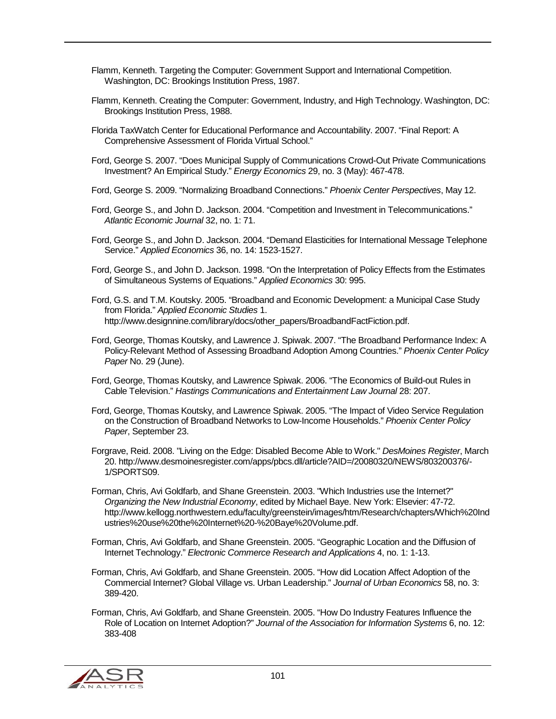- Flamm, Kenneth. Targeting the Computer: Government Support and International Competition. Washington, DC: Brookings Institution Press, 1987.
- Flamm, Kenneth. Creating the Computer: Government, Industry, and High Technology. Washington, DC: Brookings Institution Press, 1988.
- Florida TaxWatch Center for Educational Performance and Accountability. 2007. "Final Report: A Comprehensive Assessment of Florida Virtual School."
- Ford, George S. 2007. "Does Municipal Supply of Communications Crowd-Out Private Communications Investment? An Empirical Study." *Energy Economics* 29, no. 3 (May): 467-478.
- Ford, George S. 2009. "Normalizing Broadband Connections." *Phoenix Center Perspectives*, May 12.
- Ford, George S., and John D. Jackson. 2004. "Competition and Investment in Telecommunications." *Atlantic Economic Journal* 32, no. 1: 71.
- Ford, George S., and John D. Jackson. 2004. "Demand Elasticities for International Message Telephone Service." *Applied Economics* 36, no. 14: 1523-1527.
- Ford, George S., and John D. Jackson. 1998. "On the Interpretation of Policy Effects from the Estimates of Simultaneous Systems of Equations." *Applied Economics* 30: 995.
- Ford, G.S. and T.M. Koutsky. 2005. "Broadband and Economic Development: a Municipal Case Study from Florida." *Applied Economic Studies* 1. http://www.designnine.com/library/docs/other\_papers/BroadbandFactFiction.pdf.
- Ford, George, Thomas Koutsky, and Lawrence J. Spiwak. 2007. "The Broadband Performance Index: A Policy-Relevant Method of Assessing Broadband Adoption Among Countries." *Phoenix Center Policy Paper* No. 29 (June).
- Ford, George, Thomas Koutsky, and Lawrence Spiwak. 2006. "The Economics of Build-out Rules in Cable Television." *Hastings Communications and Entertainment Law Journal* 28: 207.
- Ford, George, Thomas Koutsky, and Lawrence Spiwak. 2005. "The Impact of Video Service Regulation on the Construction of Broadband Networks to Low-Income Households." *Phoenix Center Policy Paper*, September 23.
- Forgrave, Reid. 2008. "Living on the Edge: Disabled Become Able to Work." *DesMoines Register*, March 20. http://www.desmoinesregister.com/apps/pbcs.dll/article?AID=/20080320/NEWS/803200376/- 1/SPORTS09.
- Forman, Chris, Avi Goldfarb, and Shane Greenstein. 2003. "Which Industries use the Internet?" *Organizing the New Industrial Economy*, edited by Michael Baye. New York: Elsevier: 47-72. http://www.kellogg.northwestern.edu/faculty/greenstein/images/htm/Research/chapters/Which%20Ind ustries%20use%20the%20Internet%20-%20Baye%20Volume.pdf.
- Forman, Chris, Avi Goldfarb, and Shane Greenstein. 2005. "Geographic Location and the Diffusion of Internet Technology." *Electronic Commerce Research and Applications* 4, no. 1: 1-13.
- Forman, Chris, Avi Goldfarb, and Shane Greenstein. 2005. "How did Location Affect Adoption of the Commercial Internet? Global Village vs. Urban Leadership." *Journal of Urban Economics* 58, no. 3: 389-420.
- Forman, Chris, Avi Goldfarb, and Shane Greenstein. 2005. "How Do Industry Features Influence the Role of Location on Internet Adoption?" *Journal of the Association for Information Systems* 6, no. 12: 383-408

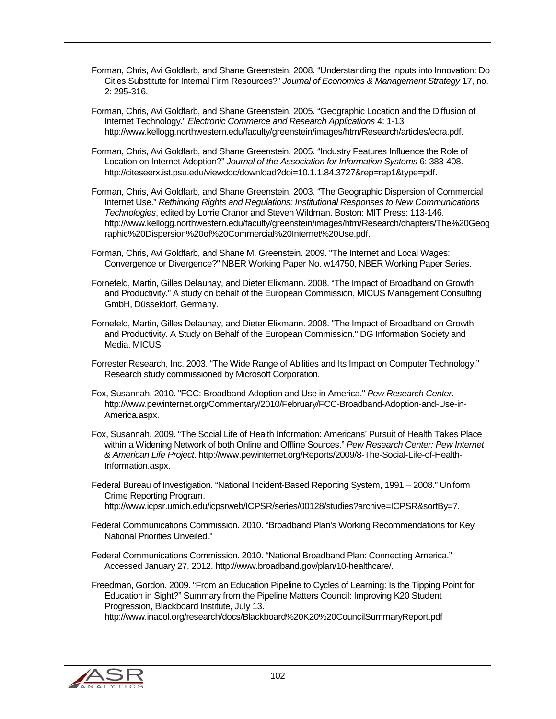Forman, Chris, Avi Goldfarb, and Shane Greenstein. 2008. "Understanding the Inputs into Innovation: Do Cities Substitute for Internal Firm Resources?" *Journal of Economics & Management Strategy* 17, no. 2: 295-316.

Forman, Chris, Avi Goldfarb, and Shane Greenstein. 2005. "Geographic Location and the Diffusion of Internet Technology." *Electronic Commerce and Research Applications* 4: 1-13. http://www.kellogg.northwestern.edu/faculty/greenstein/images/htm/Research/articles/ecra.pdf.

Forman, Chris, Avi Goldfarb, and Shane Greenstein. 2005. "Industry Features Influence the Role of Location on Internet Adoption?" *Journal of the Association for Information Systems* 6: 383-408. http://citeseerx.ist.psu.edu/viewdoc/download?doi=10.1.1.84.3727&rep=rep1&type=pdf.

Forman, Chris, Avi Goldfarb, and Shane Greenstein. 2003. "The Geographic Dispersion of Commercial Internet Use." *Rethinking Rights and Regulations: Institutional Responses to New Communications Technologies*, edited by Lorrie Cranor and Steven Wildman. Boston: MIT Press: 113-146. http://www.kellogg.northwestern.edu/faculty/greenstein/images/htm/Research/chapters/The%20Geog raphic%20Dispersion%20of%20Commercial%20Internet%20Use.pdf.

Forman, Chris, Avi Goldfarb, and Shane M. Greenstein. 2009. "The Internet and Local Wages: Convergence or Divergence?" NBER Working Paper No. w14750, NBER Working Paper Series.

Fornefeld, Martin, Gilles Delaunay, and Dieter Elixmann. 2008. "The Impact of Broadband on Growth and Productivity." A study on behalf of the European Commission, MICUS Management Consulting GmbH, Düsseldorf, Germany.

Fornefeld, Martin, Gilles Delaunay, and Dieter Elixmann. 2008. "The Impact of Broadband on Growth and Productivity. A Study on Behalf of the European Commission." DG Information Society and Media. MICUS.

Forrester Research, Inc. 2003. "The Wide Range of Abilities and Its Impact on Computer Technology." Research study commissioned by Microsoft Corporation.

Fox, Susannah. 2010. "FCC: Broadband Adoption and Use in America." *Pew Research Center*. http://www.pewinternet.org/Commentary/2010/February/FCC-Broadband-Adoption-and-Use-in-America.aspx.

Fox, Susannah. 2009. "The Social Life of Health Information: Americans' Pursuit of Health Takes Place within a Widening Network of both Online and Offline Sources." *Pew Research Center: Pew Internet & American Life Project*. http://www.pewinternet.org/Reports/2009/8-The-Social-Life-of-Health-Information.aspx.

Federal Bureau of Investigation. "National Incident-Based Reporting System, 1991 – 2008." Uniform Crime Reporting Program.

http://www.icpsr.umich.edu/icpsrweb/ICPSR/series/00128/studies?archive=ICPSR&sortBy=7.

Federal Communications Commission. 2010. "Broadband Plan's Working Recommendations for Key National Priorities Unveiled."

Federal Communications Commission. 2010. "National Broadband Plan: Connecting America." Accessed January 27, 2012. http://www.broadband.gov/plan/10-healthcare/.

Freedman, Gordon. 2009. "From an Education Pipeline to Cycles of Learning: Is the Tipping Point for Education in Sight?" Summary from the Pipeline Matters Council: Improving K20 Student Progression, Blackboard Institute, July 13. http://www.inacol.org/research/docs/Blackboard%20K20%20CouncilSummaryReport.pdf

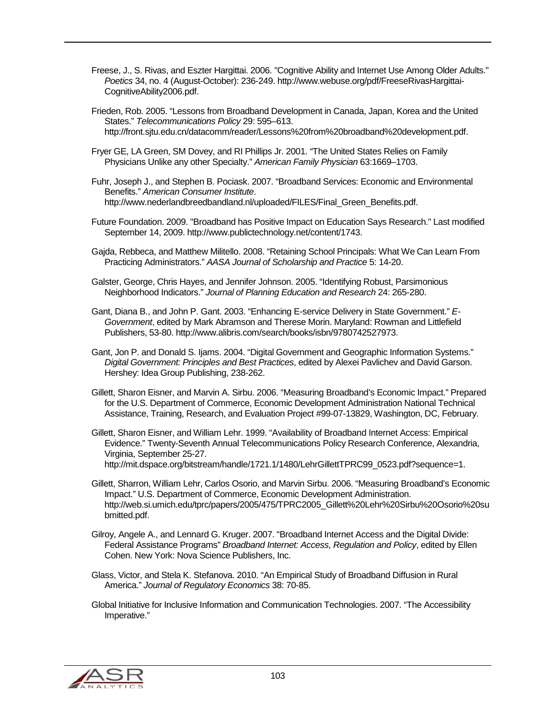Freese, J., S. Rivas, and Eszter Hargittai. 2006. "Cognitive Ability and Internet Use Among Older Adults." *Poetics* 34, no. 4 (August-October): 236-249. http://www.webuse.org/pdf/FreeseRivasHargittai-CognitiveAbility2006.pdf.

Frieden, Rob. 2005. "Lessons from Broadband Development in Canada, Japan, Korea and the United States." *Telecommunications Policy* 29: 595–613. http://front.sjtu.edu.cn/datacomm/reader/Lessons%20from%20broadband%20development.pdf.

Fryer GE, LA Green, SM Dovey, and RI Phillips Jr. 2001. "The United States Relies on Family Physicians Unlike any other Specialty." *American Family Physician* 63:1669–1703.

Fuhr, Joseph J., and Stephen B. Pociask. 2007. "Broadband Services: Economic and Environmental Benefits." *American Consumer Institute*. http://www.nederlandbreedbandland.nl/uploaded/FILES/Final\_Green\_Benefits.pdf.

- Future Foundation. 2009. "Broadband has Positive Impact on Education Says Research." Last modified September 14, 2009. http://www.publictechnology.net/content/1743.
- Gajda, Rebbeca, and Matthew Militello. 2008. "Retaining School Principals: What We Can Learn From Practicing Administrators." *AASA Journal of Scholarship and Practice* 5: 14-20.
- Galster, George, Chris Hayes, and Jennifer Johnson. 2005. "Identifying Robust, Parsimonious Neighborhood Indicators." *Journal of Planning Education and Research* 24: 265-280.
- Gant, Diana B., and John P. Gant. 2003. "Enhancing E-service Delivery in State Government." *E-Government*, edited by Mark Abramson and Therese Morin. Maryland: Rowman and Littlefield Publishers, 53-80. http://www.alibris.com/search/books/isbn/9780742527973.
- Gant, Jon P. and Donald S. Ijams. 2004. "Digital Government and Geographic Information Systems." *Digital Government: Principles and Best Practices*, edited by Alexei Pavlichev and David Garson. Hershey: Idea Group Publishing, 238-262.
- Gillett, Sharon Eisner, and Marvin A. Sirbu. 2006. "Measuring Broadband's Economic Impact." Prepared for the U.S. Department of Commerce, Economic Development Administration National Technical Assistance, Training, Research, and Evaluation Project #99-07-13829, Washington, DC, February.
- Gillett, Sharon Eisner, and William Lehr. 1999. "Availability of Broadband Internet Access: Empirical Evidence." Twenty-Seventh Annual Telecommunications Policy Research Conference, Alexandria, Virginia, September 25-27. http://mit.dspace.org/bitstream/handle/1721.1/1480/LehrGillettTPRC99\_0523.pdf?sequence=1.
- Gillett, Sharron, William Lehr, Carlos Osorio, and Marvin Sirbu. 2006. "Measuring Broadband's Economic Impact." U.S. Department of Commerce, Economic Development Administration. http://web.si.umich.edu/tprc/papers/2005/475/TPRC2005\_Gillett%20Lehr%20Sirbu%20Osorio%20su bmitted.pdf.
- Gilroy, Angele A., and Lennard G. Kruger. 2007. "Broadband Internet Access and the Digital Divide: Federal Assistance Programs" *Broadband Internet: Access, Regulation and Policy*, edited by Ellen Cohen. New York: Nova Science Publishers, Inc.
- Glass, Victor, and Stela K. Stefanova. 2010. "An Empirical Study of Broadband Diffusion in Rural America." *Journal of Regulatory Economics* 38: 70-85.
- Global Initiative for Inclusive Information and Communication Technologies. 2007. "The Accessibility Imperative."

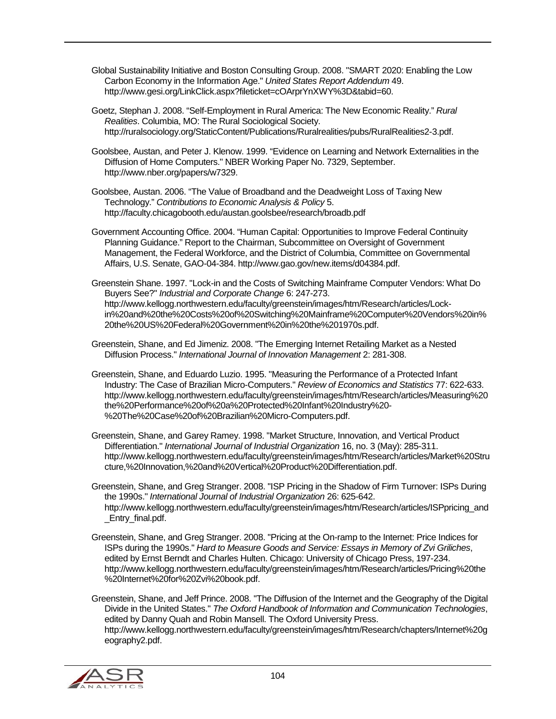Global Sustainability Initiative and Boston Consulting Group. 2008. "SMART 2020: Enabling the Low Carbon Economy in the Information Age." *United States Report Addendum* 49. http://www.gesi.org/LinkClick.aspx?fileticket=cOArprYnXWY%3D&tabid=60.

Goetz, Stephan J. 2008. "Self-Employment in Rural America: The New Economic Reality." *Rural Realities*. Columbia, MO: The Rural Sociological Society. http://ruralsociology.org/StaticContent/Publications/Ruralrealities/pubs/RuralRealities2-3.pdf.

Goolsbee, Austan, and Peter J. Klenow. 1999. "Evidence on Learning and Network Externalities in the Diffusion of Home Computers." NBER Working Paper No. 7329, September. http://www.nber.org/papers/w7329.

Goolsbee, Austan. 2006. "The Value of Broadband and the Deadweight Loss of Taxing New Technology." *Contributions to Economic Analysis & Policy* 5. http://faculty.chicagobooth.edu/austan.goolsbee/research/broadb.pdf

Government Accounting Office. 2004. "Human Capital: Opportunities to Improve Federal Continuity Planning Guidance." Report to the Chairman, Subcommittee on Oversight of Government Management, the Federal Workforce, and the District of Columbia, Committee on Governmental Affairs, U.S. Senate, GAO-04-384. http://www.gao.gov/new.items/d04384.pdf.

Greenstein Shane. 1997. "Lock-in and the Costs of Switching Mainframe Computer Vendors: What Do Buyers See?" *Industrial and Corporate Change* 6: 247-273. http://www.kellogg.northwestern.edu/faculty/greenstein/images/htm/Research/articles/Lockin%20and%20the%20Costs%20of%20Switching%20Mainframe%20Computer%20Vendors%20in% 20the%20US%20Federal%20Government%20in%20the%201970s.pdf.

Greenstein, Shane, and Ed Jimeniz. 2008. "The Emerging Internet Retailing Market as a Nested Diffusion Process." *International Journal of Innovation Management* 2: 281-308.

- Greenstein, Shane, and Eduardo Luzio. 1995. "Measuring the Performance of a Protected Infant Industry: The Case of Brazilian Micro-Computers." *Review of Economics and Statistics* 77: 622-633. http://www.kellogg.northwestern.edu/faculty/greenstein/images/htm/Research/articles/Measuring%20 the%20Performance%20of%20a%20Protected%20Infant%20Industry%20- %20The%20Case%20of%20Brazilian%20Micro-Computers.pdf.
- Greenstein, Shane, and Garey Ramey. 1998. "Market Structure, Innovation, and Vertical Product Differentiation." *International Journal of Industrial Organization* 16, no. 3 (May): 285-311. http://www.kellogg.northwestern.edu/faculty/greenstein/images/htm/Research/articles/Market%20Stru cture,%20Innovation,%20and%20Vertical%20Product%20Differentiation.pdf.
- Greenstein, Shane, and Greg Stranger. 2008. "ISP Pricing in the Shadow of Firm Turnover: ISPs During the 1990s." *International Journal of Industrial Organization* 26: 625-642. http://www.kellogg.northwestern.edu/faculty/greenstein/images/htm/Research/articles/ISPpricing\_and \_Entry\_final.pdf.
- Greenstein, Shane, and Greg Stranger. 2008. "Pricing at the On-ramp to the Internet: Price Indices for ISPs during the 1990s." *Hard to Measure Goods and Service: Essays in Memory of Zvi Griliches*, edited by Ernst Berndt and Charles Hulten. Chicago: University of Chicago Press, 197-234. http://www.kellogg.northwestern.edu/faculty/greenstein/images/htm/Research/articles/Pricing%20the %20Internet%20for%20Zvi%20book.pdf.

Greenstein, Shane, and Jeff Prince. 2008. "The Diffusion of the Internet and the Geography of the Digital Divide in the United States." *The Oxford Handbook of Information and Communication Technologies*, edited by Danny Quah and Robin Mansell. The Oxford University Press. http://www.kellogg.northwestern.edu/faculty/greenstein/images/htm/Research/chapters/Internet%20g eography2.pdf.

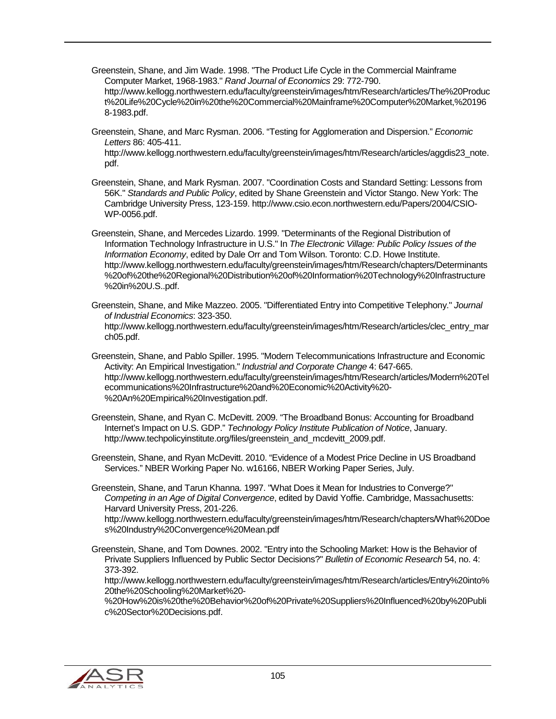- Greenstein, Shane, and Jim Wade. 1998. "The Product Life Cycle in the Commercial Mainframe Computer Market, 1968-1983." *Rand Journal of Economics* 29: 772-790. http://www.kellogg.northwestern.edu/faculty/greenstein/images/htm/Research/articles/The%20Produc t%20Life%20Cycle%20in%20the%20Commercial%20Mainframe%20Computer%20Market,%20196 8-1983.pdf.
- Greenstein, Shane, and Marc Rysman. 2006. "Testing for Agglomeration and Dispersion." *Economic Letters* 86: 405-411.

http://www.kellogg.northwestern.edu/faculty/greenstein/images/htm/Research/articles/aggdis23\_note. pdf.

Greenstein, Shane, and Mark Rysman. 2007. "Coordination Costs and Standard Setting: Lessons from 56K." *Standards and Public Policy*, edited by Shane Greenstein and Victor Stango. New York: The Cambridge University Press, 123-159. http://www.csio.econ.northwestern.edu/Papers/2004/CSIO-WP-0056.pdf.

Greenstein, Shane, and Mercedes Lizardo. 1999. "Determinants of the Regional Distribution of Information Technology Infrastructure in U.S." In *The Electronic Village: Public Policy Issues of the Information Economy*, edited by Dale Orr and Tom Wilson. Toronto: C.D. Howe Institute. http://www.kellogg.northwestern.edu/faculty/greenstein/images/htm/Research/chapters/Determinants %20of%20the%20Regional%20Distribution%20of%20Information%20Technology%20Infrastructure %20in%20U.S..pdf.

Greenstein, Shane, and Mike Mazzeo. 2005. "Differentiated Entry into Competitive Telephony." *Journal of Industrial Economics*: 323-350. http://www.kellogg.northwestern.edu/faculty/greenstein/images/htm/Research/articles/clec\_entry\_mar ch05.pdf.

Greenstein, Shane, and Pablo Spiller. 1995. "Modern Telecommunications Infrastructure and Economic Activity: An Empirical Investigation." *Industrial and Corporate Change* 4: 647-665. http://www.kellogg.northwestern.edu/faculty/greenstein/images/htm/Research/articles/Modern%20Tel ecommunications%20Infrastructure%20and%20Economic%20Activity%20- %20An%20Empirical%20Investigation.pdf.

Greenstein, Shane, and Ryan C. McDevitt. 2009. "The Broadband Bonus: Accounting for Broadband Internet's Impact on U.S. GDP." *Technology Policy Institute Publication of Notice*, January. http://www.techpolicyinstitute.org/files/greenstein\_and\_mcdevitt\_2009.pdf.

Greenstein, Shane, and Ryan McDevitt. 2010. "Evidence of a Modest Price Decline in US Broadband Services." NBER Working Paper No. w16166, NBER Working Paper Series, July.

Greenstein, Shane, and Tarun Khanna. 1997. "What Does it Mean for Industries to Converge?" *Competing in an Age of Digital Convergence*, edited by David Yoffie. Cambridge, Massachusetts: Harvard University Press, 201-226.

http://www.kellogg.northwestern.edu/faculty/greenstein/images/htm/Research/chapters/What%20Doe s%20Industry%20Convergence%20Mean.pdf

Greenstein, Shane, and Tom Downes. 2002. "Entry into the Schooling Market: How is the Behavior of Private Suppliers Influenced by Public Sector Decisions?" *Bulletin of Economic Research* 54, no. 4: 373-392.

http://www.kellogg.northwestern.edu/faculty/greenstein/images/htm/Research/articles/Entry%20into% 20the%20Schooling%20Market%20-

%20How%20is%20the%20Behavior%20of%20Private%20Suppliers%20Influenced%20by%20Publi c%20Sector%20Decisions.pdf.

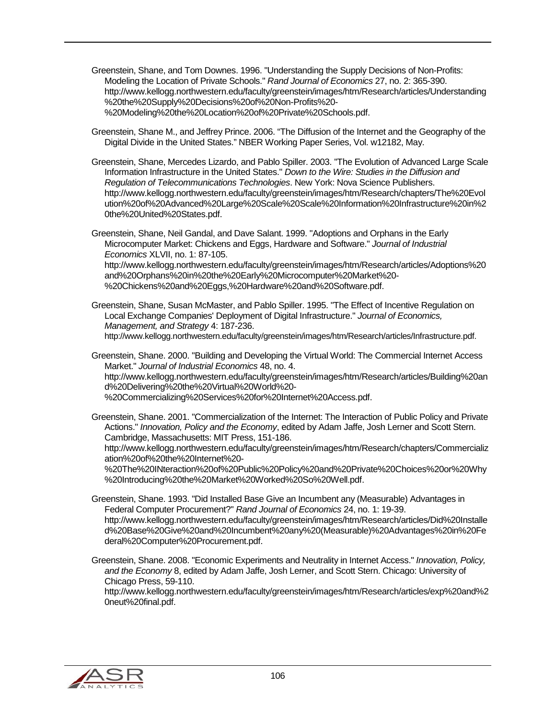- Greenstein, Shane, and Tom Downes. 1996. "Understanding the Supply Decisions of Non-Profits: Modeling the Location of Private Schools." *Rand Journal of Economics* 27, no. 2: 365-390. http://www.kellogg.northwestern.edu/faculty/greenstein/images/htm/Research/articles/Understanding %20the%20Supply%20Decisions%20of%20Non-Profits%20- %20Modeling%20the%20Location%20of%20Private%20Schools.pdf.
- Greenstein, Shane M., and Jeffrey Prince. 2006. "The Diffusion of the Internet and the Geography of the Digital Divide in the United States." NBER Working Paper Series, Vol. w12182, May.
- Greenstein, Shane, Mercedes Lizardo, and Pablo Spiller. 2003. "The Evolution of Advanced Large Scale Information Infrastructure in the United States." *Down to the Wire: Studies in the Diffusion and Regulation of Telecommunications Technologies*. New York: Nova Science Publishers. http://www.kellogg.northwestern.edu/faculty/greenstein/images/htm/Research/chapters/The%20Evol ution%20of%20Advanced%20Large%20Scale%20Scale%20Information%20Infrastructure%20in%2 0the%20United%20States.pdf.

Greenstein, Shane, Neil Gandal, and Dave Salant. 1999. "Adoptions and Orphans in the Early Microcomputer Market: Chickens and Eggs, Hardware and Software." *Journal of Industrial Economics* XLVII, no. 1: 87-105. http://www.kellogg.northwestern.edu/faculty/greenstein/images/htm/Research/articles/Adoptions%20

and%20Orphans%20in%20the%20Early%20Microcomputer%20Market%20- %20Chickens%20and%20Eggs,%20Hardware%20and%20Software.pdf.

Greenstein, Shane, Susan McMaster, and Pablo Spiller. 1995. "The Effect of Incentive Regulation on Local Exchange Companies' Deployment of Digital Infrastructure." *Journal of Economics, Management, and Strategy* 4: 187-236. http://www.kellogg.northwestern.edu/faculty/greenstein/images/htm/Research/articles/Infrastructure.pdf.

Greenstein, Shane. 2000. "Building and Developing the Virtual World: The Commercial Internet Access Market." *Journal of Industrial Economics* 48, no. 4. http://www.kellogg.northwestern.edu/faculty/greenstein/images/htm/Research/articles/Building%20an d%20Delivering%20the%20Virtual%20World%20- %20Commercializing%20Services%20for%20Internet%20Access.pdf.

Greenstein, Shane. 2001. "Commercialization of the Internet: The Interaction of Public Policy and Private Actions." *Innovation, Policy and the Economy*, edited by Adam Jaffe, Josh Lerner and Scott Stern. Cambridge, Massachusetts: MIT Press, 151-186.

http://www.kellogg.northwestern.edu/faculty/greenstein/images/htm/Research/chapters/Commercializ ation%20of%20the%20Internet%20-

%20The%20INteraction%20of%20Public%20Policy%20and%20Private%20Choices%20or%20Why %20Introducing%20the%20Market%20Worked%20So%20Well.pdf.

- Greenstein, Shane. 1993. "Did Installed Base Give an Incumbent any (Measurable) Advantages in Federal Computer Procurement?" *Rand Journal of Economics* 24, no. 1: 19-39. http://www.kellogg.northwestern.edu/faculty/greenstein/images/htm/Research/articles/Did%20Installe d%20Base%20Give%20and%20Incumbent%20any%20(Measurable)%20Advantages%20in%20Fe deral%20Computer%20Procurement.pdf.
- Greenstein, Shane. 2008. "Economic Experiments and Neutrality in Internet Access." *Innovation, Policy, and the Economy* 8, edited by Adam Jaffe, Josh Lerner, and Scott Stern. Chicago: University of Chicago Press, 59-110.

http://www.kellogg.northwestern.edu/faculty/greenstein/images/htm/Research/articles/exp%20and%2 0neut%20final.pdf.

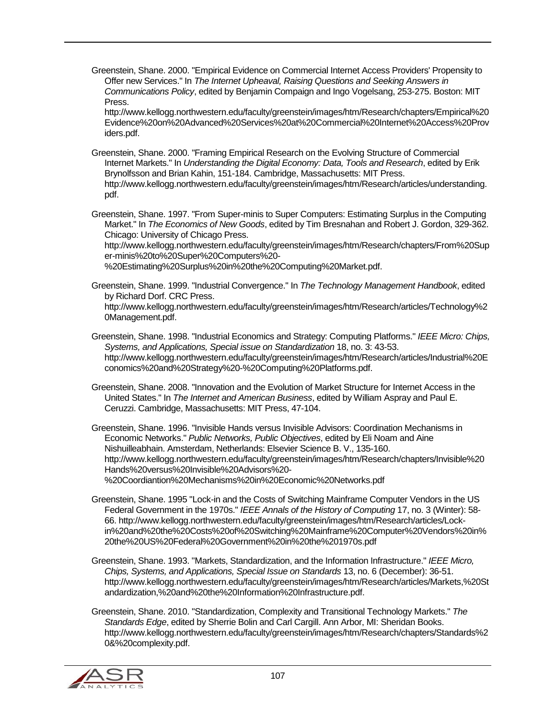Greenstein, Shane. 2000. "Empirical Evidence on Commercial Internet Access Providers' Propensity to Offer new Services." In *The Internet Upheaval, Raising Questions and Seeking Answers in Communications Policy*, edited by Benjamin Compaign and Ingo Vogelsang, 253-275. Boston: MIT Press.

http://www.kellogg.northwestern.edu/faculty/greenstein/images/htm/Research/chapters/Empirical%20 Evidence%20on%20Advanced%20Services%20at%20Commercial%20Internet%20Access%20Prov iders.pdf.

Greenstein, Shane. 2000. "Framing Empirical Research on the Evolving Structure of Commercial Internet Markets." In *Understanding the Digital Economy: Data, Tools and Research*, edited by Erik Brynolfsson and Brian Kahin, 151-184. Cambridge, Massachusetts: MIT Press. http://www.kellogg.northwestern.edu/faculty/greenstein/images/htm/Research/articles/understanding. pdf.

Greenstein, Shane. 1997. "From Super-minis to Super Computers: Estimating Surplus in the Computing Market." In *The Economics of New Goods*, edited by Tim Bresnahan and Robert J. Gordon, 329-362. Chicago: University of Chicago Press.

http://www.kellogg.northwestern.edu/faculty/greenstein/images/htm/Research/chapters/From%20Sup er-minis%20to%20Super%20Computers%20-

%20Estimating%20Surplus%20in%20the%20Computing%20Market.pdf.

Greenstein, Shane. 1999. "Industrial Convergence." In *The Technology Management Handbook*, edited by Richard Dorf. CRC Press. http://www.kellogg.northwestern.edu/faculty/greenstein/images/htm/Research/articles/Technology%2 0Management.pdf.

- Greenstein, Shane. 1998. "Industrial Economics and Strategy: Computing Platforms." *IEEE Micro: Chips, Systems, and Applications, Special issue on Standardization* 18, no. 3: 43-53. http://www.kellogg.northwestern.edu/faculty/greenstein/images/htm/Research/articles/Industrial%20E conomics%20and%20Strategy%20-%20Computing%20Platforms.pdf.
- Greenstein, Shane. 2008. "Innovation and the Evolution of Market Structure for Internet Access in the United States." In *The Internet and American Business*, edited by William Aspray and Paul E. Ceruzzi. Cambridge, Massachusetts: MIT Press, 47-104.

Greenstein, Shane. 1996. "Invisible Hands versus Invisible Advisors: Coordination Mechanisms in Economic Networks." *Public Networks, Public Objectives*, edited by Eli Noam and Aine Nishuilleabhain. Amsterdam, Netherlands: Elsevier Science B. V., 135-160. http://www.kellogg.northwestern.edu/faculty/greenstein/images/htm/Research/chapters/Invisible%20 Hands%20versus%20Invisible%20Advisors%20- %20Coordiantion%20Mechanisms%20in%20Economic%20Networks.pdf

- Greenstein, Shane. 1995 "Lock-in and the Costs of Switching Mainframe Computer Vendors in the US Federal Government in the 1970s." *IEEE Annals of the History of Computing* 17, no. 3 (Winter): 58- 66. http://www.kellogg.northwestern.edu/faculty/greenstein/images/htm/Research/articles/Lockin%20and%20the%20Costs%20of%20Switching%20Mainframe%20Computer%20Vendors%20in% 20the%20US%20Federal%20Government%20in%20the%201970s.pdf
- Greenstein, Shane. 1993. "Markets, Standardization, and the Information Infrastructure." *IEEE Micro, Chips, Systems, and Applications, Special Issue on Standards* 13, no. 6 (December): 36-51. http://www.kellogg.northwestern.edu/faculty/greenstein/images/htm/Research/articles/Markets,%20St andardization,%20and%20the%20Information%20Infrastructure.pdf.
- Greenstein, Shane. 2010. "Standardization, Complexity and Transitional Technology Markets." *The Standards Edge*, edited by Sherrie Bolin and Carl Cargill. Ann Arbor, MI: Sheridan Books. http://www.kellogg.northwestern.edu/faculty/greenstein/images/htm/Research/chapters/Standards%2 0&%20complexity.pdf.

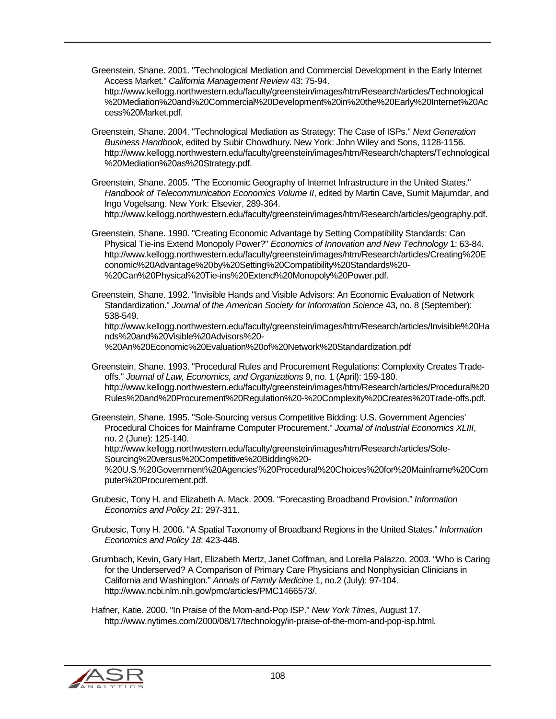- Greenstein, Shane. 2001. "Technological Mediation and Commercial Development in the Early Internet Access Market." *California Management Review* 43: 75-94. http://www.kellogg.northwestern.edu/faculty/greenstein/images/htm/Research/articles/Technological %20Mediation%20and%20Commercial%20Development%20in%20the%20Early%20Internet%20Ac cess%20Market.pdf.
- Greenstein, Shane. 2004. "Technological Mediation as Strategy: The Case of ISPs." *Next Generation Business Handbook*, edited by Subir Chowdhury. New York: John Wiley and Sons, 1128-1156. http://www.kellogg.northwestern.edu/faculty/greenstein/images/htm/Research/chapters/Technological %20Mediation%20as%20Strategy.pdf.

Greenstein, Shane. 2005. "The Economic Geography of Internet Infrastructure in the United States." *Handbook of Telecommunication Economics Volume II*, edited by Martin Cave, Sumit Majumdar, and Ingo Vogelsang. New York: Elsevier, 289-364. http://www.kellogg.northwestern.edu/faculty/greenstein/images/htm/Research/articles/geography.pdf.

Greenstein, Shane. 1990. "Creating Economic Advantage by Setting Compatibility Standards: Can Physical Tie-ins Extend Monopoly Power?" *Economics of Innovation and New Technology* 1: 63-84. http://www.kellogg.northwestern.edu/faculty/greenstein/images/htm/Research/articles/Creating%20E conomic%20Advantage%20by%20Setting%20Compatibility%20Standards%20- %20Can%20Physical%20Tie-ins%20Extend%20Monopoly%20Power.pdf.

Greenstein, Shane. 1992. "Invisible Hands and Visible Advisors: An Economic Evaluation of Network Standardization." *Journal of the American Society for Information Science* 43, no. 8 (September): 538-549.

http://www.kellogg.northwestern.edu/faculty/greenstein/images/htm/Research/articles/Invisible%20Ha nds%20and%20Visible%20Advisors%20- %20An%20Economic%20Evaluation%20of%20Network%20Standardization.pdf

Greenstein, Shane. 1993. "Procedural Rules and Procurement Regulations: Complexity Creates Tradeoffs." *Journal of Law, Economics, and Organizations* 9, no. 1 (April): 159-180. http://www.kellogg.northwestern.edu/faculty/greenstein/images/htm/Research/articles/Procedural%20 Rules%20and%20Procurement%20Regulation%20-%20Complexity%20Creates%20Trade-offs.pdf.

Greenstein, Shane. 1995. "Sole-Sourcing versus Competitive Bidding: U.S. Government Agencies' Procedural Choices for Mainframe Computer Procurement." *Journal of Industrial Economics XLIII*, no. 2 (June): 125-140.

http://www.kellogg.northwestern.edu/faculty/greenstein/images/htm/Research/articles/Sole-Sourcing%20versus%20Competitive%20Bidding%20-

%20U.S.%20Government%20Agencies'%20Procedural%20Choices%20for%20Mainframe%20Com puter%20Procurement.pdf.

- Grubesic, Tony H. and Elizabeth A. Mack. 2009. "Forecasting Broadband Provision." *Information Economics and Policy 21*: 297-311.
- Grubesic, Tony H. 2006. "A Spatial Taxonomy of Broadband Regions in the United States." *Information Economics and Policy 18*: 423-448.
- Grumbach, Kevin, Gary Hart, Elizabeth Mertz, Janet Coffman, and Lorella Palazzo. 2003. "Who is Caring for the Underserved? A Comparison of Primary Care Physicians and Nonphysician Clinicians in California and Washington." *Annals of Family Medicine* 1, no.2 (July): 97-104. http://www.ncbi.nlm.nih.gov/pmc/articles/PMC1466573/.

Hafner, Katie. 2000. "In Praise of the Mom-and-Pop ISP." *New York Times*, August 17. http://www.nytimes.com/2000/08/17/technology/in-praise-of-the-mom-and-pop-isp.html.

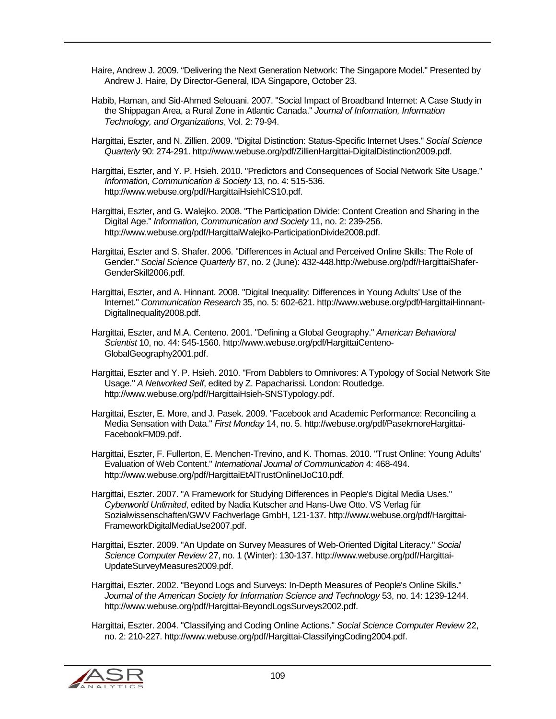- Haire, Andrew J. 2009. "Delivering the Next Generation Network: The Singapore Model." Presented by Andrew J. Haire, Dy Director-General, IDA Singapore, October 23.
- Habib, Haman, and Sid-Ahmed Selouani. 2007. "Social Impact of Broadband Internet: A Case Study in the Shippagan Area, a Rural Zone in Atlantic Canada." *Journal of Information, Information Technology, and Organizations*, Vol. 2: 79-94.
- Hargittai, Eszter, and N. Zillien. 2009. "Digital Distinction: Status-Specific Internet Uses." *Social Science Quarterly* 90: 274-291. http://www.webuse.org/pdf/ZillienHargittai-DigitalDistinction2009.pdf.
- Hargittai, Eszter, and Y. P. Hsieh. 2010. "Predictors and Consequences of Social Network Site Usage." *Information, Communication & Society* 13, no. 4: 515-536. http://www.webuse.org/pdf/HargittaiHsiehICS10.pdf.
- Hargittai, Eszter, and G. Walejko. 2008. "The Participation Divide: Content Creation and Sharing in the Digital Age." *Information, Communication and Society* 11, no. 2: 239-256. http://www.webuse.org/pdf/HargittaiWalejko-ParticipationDivide2008.pdf.
- Hargittai, Eszter and S. Shafer. 2006. "Differences in Actual and Perceived Online Skills: The Role of Gender." *Social Science Quarterly* 87, no. 2 (June): 432-448.http://webuse.org/pdf/HargittaiShafer-GenderSkill2006.pdf.
- Hargittai, Eszter, and A. Hinnant. 2008. "Digital Inequality: Differences in Young Adults' Use of the Internet." *Communication Research* 35, no. 5: 602-621. http://www.webuse.org/pdf/HargittaiHinnant-DigitalInequality2008.pdf.

Hargittai, Eszter, and M.A. Centeno. 2001. "Defining a Global Geography." *American Behavioral Scientist* 10, no. 44: 545-1560. http://www.webuse.org/pdf/HargittaiCenteno-GlobalGeography2001.pdf.

- Hargittai, Eszter and Y. P. Hsieh. 2010. "From Dabblers to Omnivores: A Typology of Social Network Site Usage." *A Networked Self*, edited by Z. Papacharissi. London: Routledge. http://www.webuse.org/pdf/HargittaiHsieh-SNSTypology.pdf.
- Hargittai, Eszter, E. More, and J. Pasek. 2009. "Facebook and Academic Performance: Reconciling a Media Sensation with Data." *First Monday* 14, no. 5. http://webuse.org/pdf/PasekmoreHargittai-FacebookFM09.pdf.
- Hargittai, Eszter, F. Fullerton, E. Menchen-Trevino, and K. Thomas. 2010. "Trust Online: Young Adults' Evaluation of Web Content." *International Journal of Communication* 4: 468-494. http://www.webuse.org/pdf/HargittaiEtAlTrustOnlineIJoC10.pdf.
- Hargittai, Eszter. 2007. "A Framework for Studying Differences in People's Digital Media Uses." *Cyberworld Unlimited*, edited by Nadia Kutscher and Hans-Uwe Otto. VS Verlag für Sozialwissenschaften/GWV Fachverlage GmbH, 121-137. http://www.webuse.org/pdf/Hargittai-FrameworkDigitalMediaUse2007.pdf.
- Hargittai, Eszter. 2009. "An Update on Survey Measures of Web-Oriented Digital Literacy." *Social Science Computer Review* 27, no. 1 (Winter): 130-137. http://www.webuse.org/pdf/Hargittai-UpdateSurveyMeasures2009.pdf.
- Hargittai, Eszter. 2002. "Beyond Logs and Surveys: In-Depth Measures of People's Online Skills." *Journal of the American Society for Information Science and Technology* 53, no. 14: 1239-1244. http://www.webuse.org/pdf/Hargittai-BeyondLogsSurveys2002.pdf.
- Hargittai, Eszter. 2004. "Classifying and Coding Online Actions." *Social Science Computer Review* 22, no. 2: 210-227. http://www.webuse.org/pdf/Hargittai-ClassifyingCoding2004.pdf.

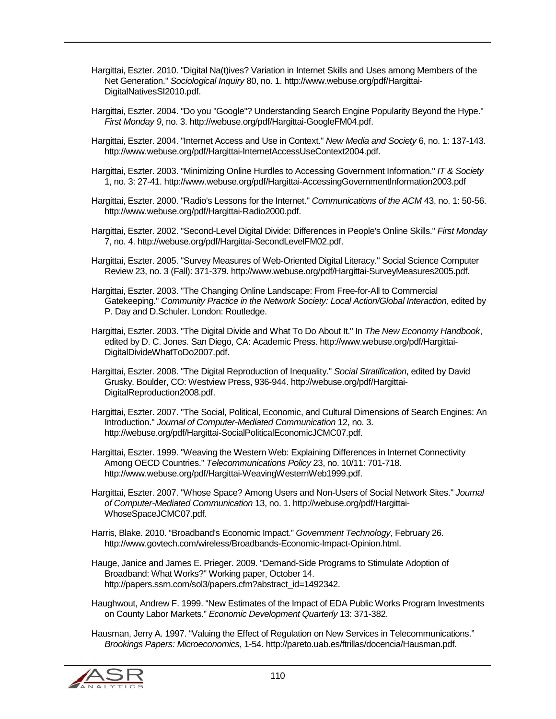- Hargittai, Eszter. 2010. "Digital Na(t)ives? Variation in Internet Skills and Uses among Members of the Net Generation." *Sociological Inquiry* 80, no. 1. http://www.webuse.org/pdf/Hargittai-DigitalNativesSI2010.pdf.
- Hargittai, Eszter. 2004. "Do you "Google"? Understanding Search Engine Popularity Beyond the Hype." *First Monday 9*, no. 3. http://webuse.org/pdf/Hargittai-GoogleFM04.pdf.
- Hargittai, Eszter. 2004. "Internet Access and Use in Context." *New Media and Society* 6, no. 1: 137-143. http://www.webuse.org/pdf/Hargittai-InternetAccessUseContext2004.pdf.
- Hargittai, Eszter. 2003. "Minimizing Online Hurdles to Accessing Government Information." *IT & Society* 1, no. 3: 27-41. http://www.webuse.org/pdf/Hargittai-AccessingGovernmentInformation2003.pdf
- Hargittai, Eszter. 2000. "Radio's Lessons for the Internet." *Communications of the ACM* 43, no. 1: 50-56. http://www.webuse.org/pdf/Hargittai-Radio2000.pdf.
- Hargittai, Eszter. 2002. "Second-Level Digital Divide: Differences in People's Online Skills." *First Monday* 7, no. 4. http://webuse.org/pdf/Hargittai-SecondLevelFM02.pdf.
- Hargittai, Eszter. 2005. "Survey Measures of Web-Oriented Digital Literacy." Social Science Computer Review 23, no. 3 (Fall): 371-379. http://www.webuse.org/pdf/Hargittai-SurveyMeasures2005.pdf.
- Hargittai, Eszter. 2003. "The Changing Online Landscape: From Free-for-All to Commercial Gatekeeping." *Community Practice in the Network Society: Local Action/Global Interaction*, edited by P. Day and D.Schuler. London: Routledge.
- Hargittai, Eszter. 2003. "The Digital Divide and What To Do About It." In *The New Economy Handbook*, edited by D. C. Jones. San Diego, CA: Academic Press. http://www.webuse.org/pdf/Hargittai-DigitalDivideWhatToDo2007.pdf.
- Hargittai, Eszter. 2008. "The Digital Reproduction of Inequality." *Social Stratification*, edited by David Grusky. Boulder, CO: Westview Press, 936-944. http://webuse.org/pdf/Hargittai-DigitalReproduction2008.pdf.
- Hargittai, Eszter. 2007. "The Social, Political, Economic, and Cultural Dimensions of Search Engines: An Introduction." *Journal of Computer-Mediated Communication* 12, no. 3. http://webuse.org/pdf/Hargittai-SocialPoliticalEconomicJCMC07.pdf.
- Hargittai, Eszter. 1999. "Weaving the Western Web: Explaining Differences in Internet Connectivity Among OECD Countries." *Telecommunications Policy* 23, no. 10/11: 701-718. http://www.webuse.org/pdf/Hargittai-WeavingWesternWeb1999.pdf.
- Hargittai, Eszter. 2007. "Whose Space? Among Users and Non-Users of Social Network Sites." *Journal of Computer-Mediated Communication* 13, no. 1. http://webuse.org/pdf/Hargittai-WhoseSpaceJCMC07.pdf.
- Harris, Blake. 2010. "Broadband's Economic Impact." *Government Technology*, February 26. http://www.govtech.com/wireless/Broadbands-Economic-Impact-Opinion.html.
- Hauge, Janice and James E. Prieger. 2009. "Demand-Side Programs to Stimulate Adoption of Broadband: What Works?" Working paper, October 14. http://papers.ssrn.com/sol3/papers.cfm?abstract\_id=1492342.
- Haughwout, Andrew F. 1999. "New Estimates of the Impact of EDA Public Works Program Investments on County Labor Markets." *Economic Development Quarterly* 13: 371-382.
- Hausman, Jerry A. 1997. "Valuing the Effect of Regulation on New Services in Telecommunications." *Brookings Papers: Microeconomics*, 1-54. http://pareto.uab.es/ftrillas/docencia/Hausman.pdf.

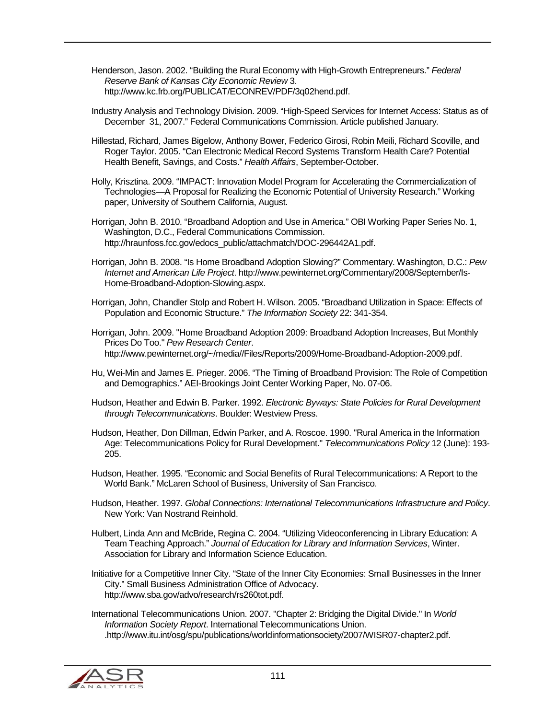- Henderson, Jason. 2002. "Building the Rural Economy with High-Growth Entrepreneurs." *Federal Reserve Bank of Kansas City Economic Review* 3. http://www.kc.frb.org/PUBLICAT/ECONREV/PDF/3q02hend.pdf.
- Industry Analysis and Technology Division. 2009. "High-Speed Services for Internet Access: Status as of December 31, 2007." Federal Communications Commission. Article published January.
- Hillestad, Richard, James Bigelow, Anthony Bower, Federico Girosi, Robin Meili, Richard Scoville, and Roger Taylor. 2005. "Can Electronic Medical Record Systems Transform Health Care? Potential Health Benefit, Savings, and Costs." *Health Affairs*, September-October.
- Holly, Krisztina. 2009. "IMPACT: Innovation Model Program for Accelerating the Commercialization of Technologies—A Proposal for Realizing the Economic Potential of University Research." Working paper, University of Southern California, August.
- Horrigan, John B. 2010. "Broadband Adoption and Use in America." OBI Working Paper Series No. 1, Washington, D.C., Federal Communications Commission. http://hraunfoss.fcc.gov/edocs\_public/attachmatch/DOC-296442A1.pdf.
- Horrigan, John B. 2008. "Is Home Broadband Adoption Slowing?" Commentary. Washington, D.C.: *Pew Internet and American Life Project*. http://www.pewinternet.org/Commentary/2008/September/Is-Home-Broadband-Adoption-Slowing.aspx.
- Horrigan, John, Chandler Stolp and Robert H. Wilson. 2005. "Broadband Utilization in Space: Effects of Population and Economic Structure." *The Information Society* 22: 341-354.
- Horrigan, John. 2009. "Home Broadband Adoption 2009: Broadband Adoption Increases, But Monthly Prices Do Too." *Pew Research Center*. http://www.pewinternet.org/~/media//Files/Reports/2009/Home-Broadband-Adoption-2009.pdf.
- Hu, Wei-Min and James E. Prieger. 2006. "The Timing of Broadband Provision: The Role of Competition and Demographics." AEI-Brookings Joint Center Working Paper, No. 07-06.
- Hudson, Heather and Edwin B. Parker. 1992. *Electronic Byways: State Policies for Rural Development through Telecommunications*. Boulder: Westview Press.
- Hudson, Heather, Don Dillman, Edwin Parker, and A. Roscoe. 1990. "Rural America in the Information Age: Telecommunications Policy for Rural Development." *Telecommunications Policy* 12 (June): 193- 205.
- Hudson, Heather. 1995. "Economic and Social Benefits of Rural Telecommunications: A Report to the World Bank." McLaren School of Business, University of San Francisco.
- Hudson, Heather. 1997. *Global Connections: International Telecommunications Infrastructure and Policy*. New York: Van Nostrand Reinhold.
- Hulbert, Linda Ann and McBride, Regina C. 2004. "Utilizing Videoconferencing in Library Education: A Team Teaching Approach." *Journal of Education for Library and Information Services*, Winter. Association for Library and Information Science Education.
- Initiative for a Competitive Inner City. "State of the Inner City Economies: Small Businesses in the Inner City." Small Business Administration Office of Advocacy. http://www.sba.gov/advo/research/rs260tot.pdf.
- International Telecommunications Union. 2007. "Chapter 2: Bridging the Digital Divide." In *World Information Society Report*. International Telecommunications Union. .http://www.itu.int/osg/spu/publications/worldinformationsociety/2007/WISR07-chapter2.pdf.

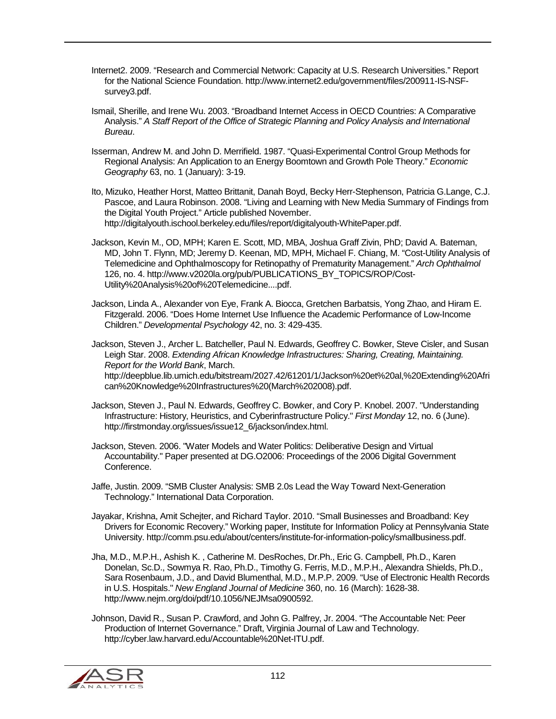- Internet2. 2009. "Research and Commercial Network: Capacity at U.S. Research Universities." Report for the National Science Foundation. http://www.internet2.edu/government/files/200911-IS-NSFsurvey3.pdf.
- Ismail, Sherille, and Irene Wu. 2003. "Broadband Internet Access in OECD Countries: A Comparative Analysis." *A Staff Report of the Office of Strategic Planning and Policy Analysis and International Bureau*.
- Isserman, Andrew M. and John D. Merrifield. 1987. "Quasi-Experimental Control Group Methods for Regional Analysis: An Application to an Energy Boomtown and Growth Pole Theory." *Economic Geography* 63, no. 1 (January): 3-19.
- Ito, Mizuko, Heather Horst, Matteo Brittanit, Danah Boyd, Becky Herr-Stephenson, Patricia G.Lange, C.J. Pascoe, and Laura Robinson. 2008. "Living and Learning with New Media Summary of Findings from the Digital Youth Project." Article published November. http://digitalyouth.ischool.berkeley.edu/files/report/digitalyouth-WhitePaper.pdf.
- Jackson, Kevin M., OD, MPH; Karen E. Scott, MD, MBA, Joshua Graff Zivin, PhD; David A. Bateman, MD, John T. Flynn, MD; Jeremy D. Keenan, MD, MPH, Michael F. Chiang, M. "Cost-Utility Analysis of Telemedicine and Ophthalmoscopy for Retinopathy of Prematurity Management." *Arch Ophthalmol* 126, no. 4. http://www.v2020la.org/pub/PUBLICATIONS\_BY\_TOPICS/ROP/Cost-Utility%20Analysis%20of%20Telemedicine....pdf.
- Jackson, Linda A., Alexander von Eye, Frank A. Biocca, Gretchen Barbatsis, Yong Zhao, and Hiram E. Fitzgerald. 2006. "Does Home Internet Use Influence the Academic Performance of Low-Income Children." *Developmental Psychology* 42, no. 3: 429-435.

Jackson, Steven J., Archer L. Batcheller, Paul N. Edwards, Geoffrey C. Bowker, Steve Cisler, and Susan Leigh Star. 2008. *Extending African Knowledge Infrastructures: Sharing, Creating, Maintaining. Report for the World Bank*, March. http://deepblue.lib.umich.edu/bitstream/2027.42/61201/1/Jackson%20et%20al,%20Extending%20Afri can%20Knowledge%20Infrastructures%20(March%202008).pdf.

- Jackson, Steven J., Paul N. Edwards, Geoffrey C. Bowker, and Cory P. Knobel. 2007. "Understanding Infrastructure: History, Heuristics, and Cyberinfrastructure Policy." *First Monday* 12, no. 6 (June). http://firstmonday.org/issues/issue12\_6/jackson/index.html.
- Jackson, Steven. 2006. "Water Models and Water Politics: Deliberative Design and Virtual Accountability." Paper presented at DG.O2006: Proceedings of the 2006 Digital Government Conference.
- Jaffe, Justin. 2009. "SMB Cluster Analysis: SMB 2.0s Lead the Way Toward Next-Generation Technology." International Data Corporation.
- Jayakar, Krishna, Amit Schejter, and Richard Taylor. 2010. "Small Businesses and Broadband: Key Drivers for Economic Recovery." Working paper, Institute for Information Policy at Pennsylvania State University. http://comm.psu.edu/about/centers/institute-for-information-policy/smallbusiness.pdf.
- Jha, M.D., M.P.H., Ashish K. , Catherine M. DesRoches, Dr.Ph., Eric G. Campbell, Ph.D., Karen Donelan, Sc.D., Sowmya R. Rao, Ph.D., Timothy G. Ferris, M.D., M.P.H., Alexandra Shields, Ph.D., Sara Rosenbaum, J.D., and David Blumenthal, M.D., M.P.P. 2009. "Use of Electronic Health Records in U.S. Hospitals." *New England Journal of Medicine* 360, no. 16 (March): 1628-38. http://www.nejm.org/doi/pdf/10.1056/NEJMsa0900592.
- Johnson, David R., Susan P. Crawford, and John G. Palfrey, Jr. 2004. "The Accountable Net: Peer Production of Internet Governance." Draft, Virginia Journal of Law and Technology. http://cyber.law.harvard.edu/Accountable%20Net-ITU.pdf.

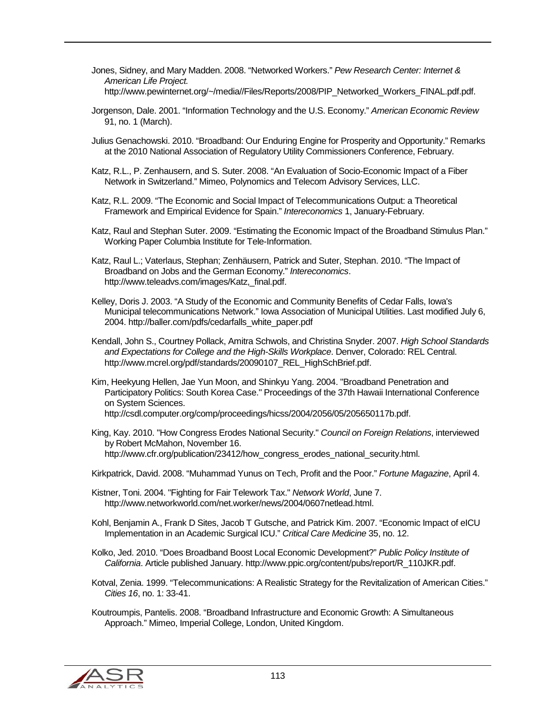- Jones, Sidney, and Mary Madden. 2008. "Networked Workers." *Pew Research Center: Internet & American Life Project.* http://www.pewinternet.org/~/media//Files/Reports/2008/PIP\_Networked\_Workers\_FINAL.pdf.pdf.
- Jorgenson, Dale. 2001. "Information Technology and the U.S. Economy." *American Economic Review* 91, no. 1 (March).
- Julius Genachowski. 2010. "Broadband: Our Enduring Engine for Prosperity and Opportunity." Remarks at the 2010 National Association of Regulatory Utility Commissioners Conference, February.
- Katz, R.L., P. Zenhausern, and S. Suter. 2008. "An Evaluation of Socio-Economic Impact of a Fiber Network in Switzerland." Mimeo, Polynomics and Telecom Advisory Services, LLC.
- Katz, R.L. 2009. "The Economic and Social Impact of Telecommunications Output: a Theoretical Framework and Empirical Evidence for Spain." *Intereconomics* 1, January-February.
- Katz, Raul and Stephan Suter. 2009. "Estimating the Economic Impact of the Broadband Stimulus Plan." Working Paper Columbia Institute for Tele-Information.
- Katz, Raul L.; Vaterlaus, Stephan; Zenhäusern, Patrick and Suter, Stephan. 2010. "The Impact of Broadband on Jobs and the German Economy." *Intereconomics*. http://www.teleadvs.com/images/Katz, final.pdf.
- Kelley, Doris J. 2003. "A Study of the Economic and Community Benefits of Cedar Falls, Iowa's Municipal telecommunications Network." Iowa Association of Municipal Utilities. Last modified July 6, 2004. http://baller.com/pdfs/cedarfalls\_white\_paper.pdf
- Kendall, John S., Courtney Pollack, Amitra Schwols, and Christina Snyder. 2007. *High School Standards and Expectations for College and the High-Skills Workplace*. Denver, Colorado: REL Central. http://www.mcrel.org/pdf/standards/20090107\_REL\_HighSchBrief.pdf.
- Kim, Heekyung Hellen, Jae Yun Moon, and Shinkyu Yang. 2004. "Broadband Penetration and Participatory Politics: South Korea Case." Proceedings of the 37th Hawaii International Conference on System Sciences. http://csdl.computer.org/comp/proceedings/hicss/2004/2056/05/205650117b.pdf.
- King, Kay. 2010. "How Congress Erodes National Security." *Council on Foreign Relations*, interviewed by Robert McMahon, November 16. http://www.cfr.org/publication/23412/how\_congress\_erodes\_national\_security.html.

Kirkpatrick, David. 2008. "Muhammad Yunus on Tech, Profit and the Poor." *Fortune Magazine*, April 4.

- Kistner, Toni. 2004. "Fighting for Fair Telework Tax." *Network World*, June 7. http://www.networkworld.com/net.worker/news/2004/0607netlead.html.
- Kohl, Benjamin A., Frank D Sites, Jacob T Gutsche, and Patrick Kim. 2007. "Economic Impact of eICU Implementation in an Academic Surgical ICU." *Critical Care Medicine* 35, no. 12.
- Kolko, Jed. 2010. "Does Broadband Boost Local Economic Development?" *Public Policy Institute of California*. Article published January. http://www.ppic.org/content/pubs/report/R\_110JKR.pdf.
- Kotval, Zenia. 1999. "Telecommunications: A Realistic Strategy for the Revitalization of American Cities." *Cities 16*, no. 1: 33-41.
- Koutroumpis, Pantelis. 2008. "Broadband Infrastructure and Economic Growth: A Simultaneous Approach." Mimeo, Imperial College, London, United Kingdom.

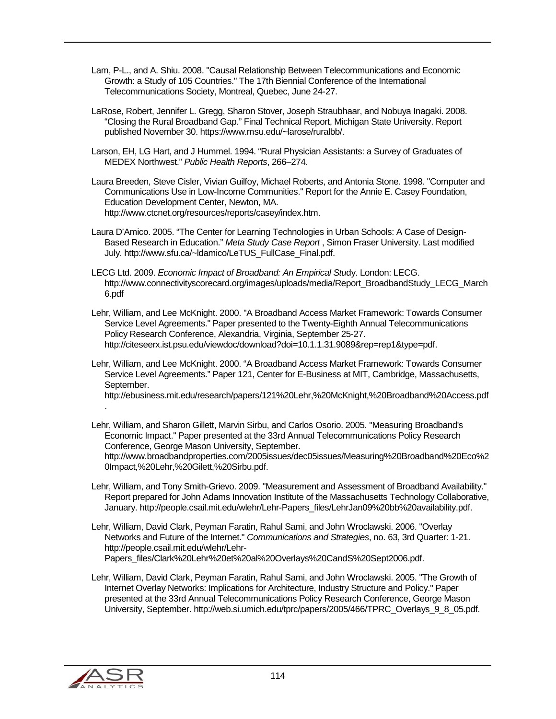- Lam, P-L., and A. Shiu. 2008. "Causal Relationship Between Telecommunications and Economic Growth: a Study of 105 Countries." The 17th Biennial Conference of the International Telecommunications Society, Montreal, Quebec, June 24-27.
- LaRose, Robert, Jennifer L. Gregg, Sharon Stover, Joseph Straubhaar, and Nobuya Inagaki. 2008. "Closing the Rural Broadband Gap." Final Technical Report, Michigan State University. Report published November 30. https://www.msu.edu/~larose/ruralbb/.
- Larson, EH, LG Hart, and J Hummel. 1994. "Rural Physician Assistants: a Survey of Graduates of MEDEX Northwest." *Public Health Reports*, 266–274.
- Laura Breeden, Steve Cisler, Vivian Guilfoy, Michael Roberts, and Antonia Stone. 1998. "Computer and Communications Use in Low-Income Communities." Report for the Annie E. Casey Foundation, Education Development Center, Newton, MA. http://www.ctcnet.org/resources/reports/casey/index.htm.
- Laura D'Amico. 2005. "The Center for Learning Technologies in Urban Schools: A Case of Design-Based Research in Education." *Meta Study Case Report* , Simon Fraser University. Last modified July. http://www.sfu.ca/~ldamico/LeTUS\_FullCase\_Final.pdf.
- LECG Ltd. 2009. *Economic Impact of Broadband: An Empirical Stu*dy. London: LECG. http://www.connectivityscorecard.org/images/uploads/media/Report\_BroadbandStudy\_LECG\_March 6.pdf
- Lehr, William, and Lee McKnight. 2000. "A Broadband Access Market Framework: Towards Consumer Service Level Agreements." Paper presented to the Twenty-Eighth Annual Telecommunications Policy Research Conference, Alexandria, Virginia, September 25-27. http://citeseerx.ist.psu.edu/viewdoc/download?doi=10.1.1.31.9089&rep=rep1&type=pdf.
- Lehr, William, and Lee McKnight. 2000. "A Broadband Access Market Framework: Towards Consumer Service Level Agreements." Paper 121, Center for E-Business at MIT, Cambridge, Massachusetts, September.

http://ebusiness.mit.edu/research/papers/121%20Lehr,%20McKnight,%20Broadband%20Access.pdf

- Lehr, William, and Sharon Gillett, Marvin Sirbu, and Carlos Osorio. 2005. "Measuring Broadband's Economic Impact." Paper presented at the 33rd Annual Telecommunications Policy Research Conference, George Mason University, September. http://www.broadbandproperties.com/2005issues/dec05issues/Measuring%20Broadband%20Eco%2 0Impact,%20Lehr,%20Gilett,%20Sirbu.pdf.
- Lehr, William, and Tony Smith-Grievo. 2009. "Measurement and Assessment of Broadband Availability." Report prepared for John Adams Innovation Institute of the Massachusetts Technology Collaborative, January. http://people.csail.mit.edu/wlehr/Lehr-Papers\_files/LehrJan09%20bb%20availability.pdf.
- Lehr, William, David Clark, Peyman Faratin, Rahul Sami, and John Wroclawski. 2006. "Overlay Networks and Future of the Internet." *Communications and Strategies*, no. 63, 3rd Quarter: 1-21. http://people.csail.mit.edu/wlehr/Lehr-Papers\_files/Clark%20Lehr%20et%20al%20Overlays%20CandS%20Sept2006.pdf.
- Lehr, William, David Clark, Peyman Faratin, Rahul Sami, and John Wroclawski. 2005. "The Growth of Internet Overlay Networks: Implications for Architecture, Industry Structure and Policy." Paper presented at the 33rd Annual Telecommunications Policy Research Conference, George Mason University, September. http://web.si.umich.edu/tprc/papers/2005/466/TPRC\_Overlays\_9\_8\_05.pdf.



.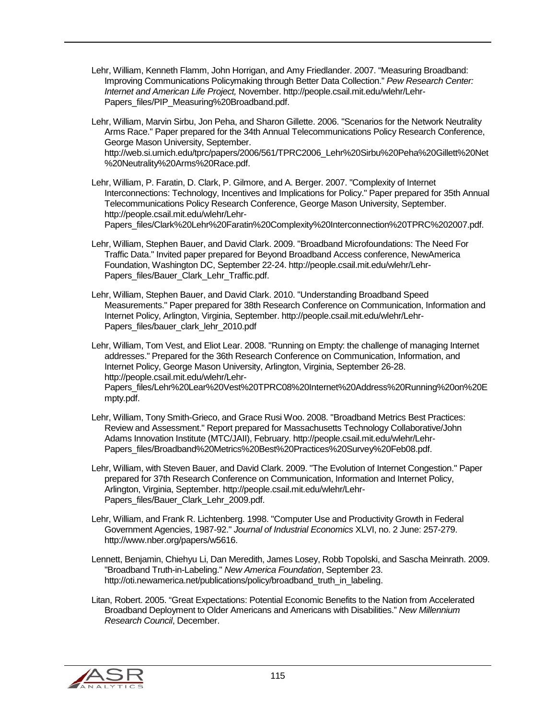- Lehr, William, Kenneth Flamm, John Horrigan, and Amy Friedlander. 2007. "Measuring Broadband: Improving Communications Policymaking through Better Data Collection." *Pew Research Center: Internet and American Life Project,* November. http://people.csail.mit.edu/wlehr/Lehr-Papers\_files/PIP\_Measuring%20Broadband.pdf.
- Lehr, William, Marvin Sirbu, Jon Peha, and Sharon Gillette. 2006. "Scenarios for the Network Neutrality Arms Race." Paper prepared for the 34th Annual Telecommunications Policy Research Conference, George Mason University, September. http://web.si.umich.edu/tprc/papers/2006/561/TPRC2006\_Lehr%20Sirbu%20Peha%20Gillett%20Net %20Neutrality%20Arms%20Race.pdf.
- Lehr, William, P. Faratin, D. Clark, P. Gilmore, and A. Berger. 2007. "Complexity of Internet Interconnections: Technology, Incentives and Implications for Policy." Paper prepared for 35th Annual Telecommunications Policy Research Conference, George Mason University, September. http://people.csail.mit.edu/wlehr/Lehr-

Papers\_files/Clark%20Lehr%20Faratin%20Complexity%20Interconnection%20TPRC%202007.pdf.

- Lehr, William, Stephen Bauer, and David Clark. 2009. "Broadband Microfoundations: The Need For Traffic Data." Invited paper prepared for Beyond Broadband Access conference, NewAmerica Foundation, Washington DC, September 22-24. http://people.csail.mit.edu/wlehr/Lehr-Papers\_files/Bauer\_Clark\_Lehr\_Traffic.pdf.
- Lehr, William, Stephen Bauer, and David Clark. 2010. "Understanding Broadband Speed Measurements." Paper prepared for 38th Research Conference on Communication, Information and Internet Policy, Arlington, Virginia, September. http://people.csail.mit.edu/wlehr/Lehr-Papers\_files/bauer\_clark\_lehr\_2010.pdf

Lehr, William, Tom Vest, and Eliot Lear. 2008. "Running on Empty: the challenge of managing Internet addresses." Prepared for the 36th Research Conference on Communication, Information, and Internet Policy, George Mason University, Arlington, Virginia, September 26-28. http://people.csail.mit.edu/wlehr/Lehr-

Papers\_files/Lehr%20Lear%20Vest%20TPRC08%20Internet%20Address%20Running%20on%20E mpty.pdf.

- Lehr, William, Tony Smith-Grieco, and Grace Rusi Woo. 2008. "Broadband Metrics Best Practices: Review and Assessment." Report prepared for Massachusetts Technology Collaborative/John Adams Innovation Institute (MTC/JAII), February. http://people.csail.mit.edu/wlehr/Lehr-Papers\_files/Broadband%20Metrics%20Best%20Practices%20Survey%20Feb08.pdf.
- Lehr, William, with Steven Bauer, and David Clark. 2009. "The Evolution of Internet Congestion." Paper prepared for 37th Research Conference on Communication, Information and Internet Policy, Arlington, Virginia, September. http://people.csail.mit.edu/wlehr/Lehr-Papers\_files/Bauer\_Clark\_Lehr\_2009.pdf.
- Lehr, William, and Frank R. Lichtenberg. 1998. "Computer Use and Productivity Growth in Federal Government Agencies, 1987-92." *Journal of Industrial Economics* XLVI, no. 2 June: 257-279. http://www.nber.org/papers/w5616.
- Lennett, Benjamin, Chiehyu Li, Dan Meredith, James Losey, Robb Topolski, and Sascha Meinrath. 2009. "Broadband Truth-in-Labeling." *New America Foundation*, September 23. http://oti.newamerica.net/publications/policy/broadband\_truth\_in\_labeling.
- Litan, Robert. 2005. "Great Expectations: Potential Economic Benefits to the Nation from Accelerated Broadband Deployment to Older Americans and Americans with Disabilities." *New Millennium Research Council*, December.

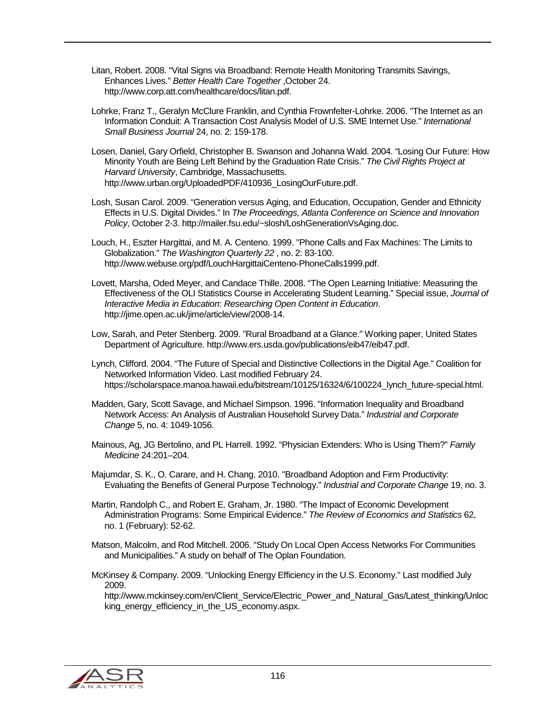- Litan, Robert. 2008. "Vital Signs via Broadband: Remote Health Monitoring Transmits Savings, Enhances Lives." *Better Health Care Together* ,October 24. http://www.corp.att.com/healthcare/docs/litan.pdf.
- Lohrke, Franz T., Geralyn McClure Franklin, and Cynthia Frownfelter-Lohrke. 2006. "The Internet as an Information Conduit: A Transaction Cost Analysis Model of U.S. SME Internet Use." *International Small Business Journal* 24, no. 2: 159-178.
- Losen, Daniel, Gary Orfield, Christopher B. Swanson and Johanna Wald. 2004. "Losing Our Future: How Minority Youth are Being Left Behind by the Graduation Rate Crisis." *The Civil Rights Project at Harvard University*, Cambridge, Massachusetts. http://www.urban.org/UploadedPDF/410936\_LosingOurFuture.pdf.
- Losh, Susan Carol. 2009. "Generation versus Aging, and Education, Occupation, Gender and Ethnicity Effects in U.S. Digital Divides." In *The Proceedings, Atlanta Conference on Science and Innovation Policy*, October 2-3. http://mailer.fsu.edu/~slosh/LoshGenerationVsAging.doc.
- Louch, H., Eszter Hargittai, and M. A. Centeno. 1999. "Phone Calls and Fax Machines: The Limits to Globalization." *The Washington Quarterly 22* , no. 2: 83-100. http://www.webuse.org/pdf/LouchHargittaiCenteno-PhoneCalls1999.pdf.
- Lovett, Marsha, Oded Meyer, and Candace Thille. 2008. "The Open Learning Initiative: Measuring the Effectiveness of the OLI Statistics Course in Accelerating Student Learning." Special issue, *Journal of Interactive Media in Education*: *Researching Open Content in Education*. http://jime.open.ac.uk/jime/article/view/2008-14.
- Low, Sarah, and Peter Stenberg. 2009. "Rural Broadband at a Glance." Working paper, United States Department of Agriculture. http://www.ers.usda.gov/publications/eib47/eib47.pdf.
- Lynch, Clifford. 2004. "The Future of Special and Distinctive Collections in the Digital Age." Coalition for Networked Information Video. Last modified February 24. https://scholarspace.manoa.hawaii.edu/bitstream/10125/16324/6/100224\_lynch\_future-special.html.
- Madden, Gary, Scott Savage, and Michael Simpson. 1996. "Information Inequality and Broadband Network Access: An Analysis of Australian Household Survey Data." *Industrial and Corporate Change* 5, no. 4: 1049-1056.
- Mainous, Ag, JG Bertolino, and PL Harrell. 1992. "Physician Extenders: Who is Using Them?" *Family Medicine* 24:201–204.
- Majumdar, S. K., O. Carare, and H. Chang. 2010. "Broadband Adoption and Firm Productivity: Evaluating the Benefits of General Purpose Technology." *Industrial and Corporate Change* 19, no. 3.
- Martin, Randolph C., and Robert E. Graham, Jr. 1980. "The Impact of Economic Development Administration Programs: Some Empirical Evidence." *The Review of Economics and Statistics* 62, no. 1 (February): 52-62.
- Matson, Malcolm, and Rod Mitchell. 2006. "Study On Local Open Access Networks For Communities and Municipalities." A study on behalf of The Oplan Foundation.
- McKinsey & Company. 2009. "Unlocking Energy Efficiency in the U.S. Economy." Last modified July 2009.

http://www.mckinsey.com/en/Client\_Service/Electric\_Power\_and\_Natural\_Gas/Latest\_thinking/Unloc king energy efficiency in the US economy.aspx.

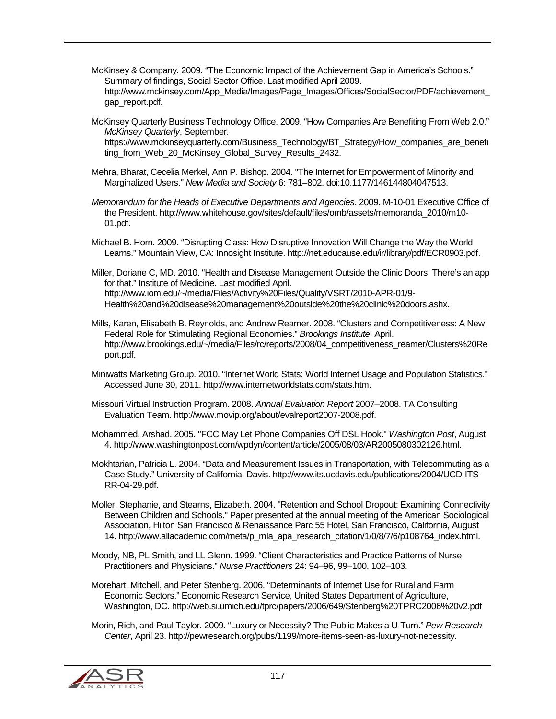- McKinsey & Company. 2009. "The Economic Impact of the Achievement Gap in America's Schools." Summary of findings, Social Sector Office. Last modified April 2009. http://www.mckinsey.com/App\_Media/Images/Page\_Images/Offices/SocialSector/PDF/achievement\_ gap\_report.pdf.
- McKinsey Quarterly Business Technology Office. 2009. "How Companies Are Benefiting From Web 2.0." *McKinsey Quarterly*, September.

https://www.mckinseyquarterly.com/Business\_Technology/BT\_Strategy/How\_companies\_are\_benefi ting from Web 20 McKinsey Global Survey Results 2432.

- Mehra, Bharat, Cecelia Merkel, Ann P. Bishop. 2004. "The Internet for Empowerment of Minority and Marginalized Users." *New Media and Society* 6: 781–802. doi:10.1177/146144804047513.
- *Memorandum for the Heads of Executive Departments and Agencies*. 2009. M-10-01 Executive Office of the President. http://www.whitehouse.gov/sites/default/files/omb/assets/memoranda\_2010/m10- 01.pdf.
- Michael B. Horn. 2009. "Disrupting Class: How Disruptive Innovation Will Change the Way the World Learns." Mountain View, CA: Innosight Institute. http://net.educause.edu/ir/library/pdf/ECR0903.pdf.

Miller, Doriane C, MD. 2010. "Health and Disease Management Outside the Clinic Doors: There's an app for that." Institute of Medicine. Last modified April. http://www.iom.edu/~/media/Files/Activity%20Files/Quality/VSRT/2010-APR-01/9- Health%20and%20disease%20management%20outside%20the%20clinic%20doors.ashx.

- Mills, Karen, Elisabeth B. Reynolds, and Andrew Reamer. 2008. "Clusters and Competitiveness: A New Federal Role for Stimulating Regional Economies." *Brookings Institute*, April. http://www.brookings.edu/~/media/Files/rc/reports/2008/04\_competitiveness\_reamer/Clusters%20Re port.pdf.
- Miniwatts Marketing Group. 2010. "Internet World Stats: World Internet Usage and Population Statistics." Accessed June 30, 2011. http://www.internetworldstats.com/stats.htm.
- Missouri Virtual Instruction Program. 2008. *Annual Evaluation Report* 2007–2008. TA Consulting Evaluation Team. http://www.movip.org/about/evalreport2007-2008.pdf.
- Mohammed, Arshad. 2005. "FCC May Let Phone Companies Off DSL Hook." *Washington Post*, August 4. http://www.washingtonpost.com/wpdyn/content/article/2005/08/03/AR2005080302126.html.
- Mokhtarian, Patricia L. 2004. "Data and Measurement Issues in Transportation, with Telecommuting as a Case Study." University of California, Davis. http://www.its.ucdavis.edu/publications/2004/UCD-ITS-RR-04-29.pdf.
- Moller, Stephanie, and Stearns, Elizabeth. 2004. "Retention and School Dropout: Examining Connectivity Between Children and Schools." Paper presented at the annual meeting of the American Sociological Association, Hilton San Francisco & Renaissance Parc 55 Hotel, San Francisco, California, August 14. http://www.allacademic.com/meta/p\_mla\_apa\_research\_citation/1/0/8/7/6/p108764\_index.html.
- Moody, NB, PL Smith, and LL Glenn. 1999. "Client Characteristics and Practice Patterns of Nurse Practitioners and Physicians." *Nurse Practitioners* 24: 94–96, 99–100, 102–103.
- Morehart, Mitchell, and Peter Stenberg. 2006. "Determinants of Internet Use for Rural and Farm Economic Sectors." Economic Research Service, United States Department of Agriculture, Washington, DC. http://web.si.umich.edu/tprc/papers/2006/649/Stenberg%20TPRC2006%20v2.pdf
- Morin, Rich, and Paul Taylor. 2009. "Luxury or Necessity? The Public Makes a U-Turn." *Pew Research Center*, April 23. http://pewresearch.org/pubs/1199/more-items-seen-as-luxury-not-necessity.

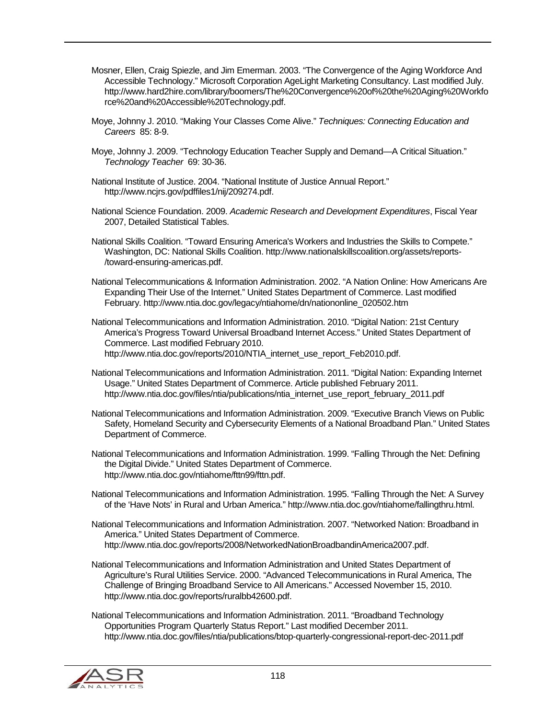- Mosner, Ellen, Craig Spiezle, and Jim Emerman. 2003. "The Convergence of the Aging Workforce And Accessible Technology." Microsoft Corporation AgeLight Marketing Consultancy. Last modified July. http://www.hard2hire.com/library/boomers/The%20Convergence%20of%20the%20Aging%20Workfo rce%20and%20Accessible%20Technology.pdf.
- Moye, Johnny J. 2010. "Making Your Classes Come Alive." *Techniques: Connecting Education and Careers* 85: 8-9.
- Moye, Johnny J. 2009. "Technology Education Teacher Supply and Demand—A Critical Situation." *Technology Teacher* 69: 30-36.
- National Institute of Justice. 2004. "National Institute of Justice Annual Report." http://www.ncjrs.gov/pdffiles1/nij/209274.pdf.
- National Science Foundation. 2009. *Academic Research and Development Expenditures*, Fiscal Year 2007, Detailed Statistical Tables.
- National Skills Coalition. "Toward Ensuring America's Workers and Industries the Skills to Compete." Washington, DC: National Skills Coalition. http://www.nationalskillscoalition.org/assets/reports- /toward-ensuring-americas.pdf.
- National Telecommunications & Information Administration. 2002. "A Nation Online: How Americans Are Expanding Their Use of the Internet." United States Department of Commerce. Last modified February. http://www.ntia.doc.gov/legacy/ntiahome/dn/nationonline\_020502.htm
- National Telecommunications and Information Administration. 2010. "Digital Nation: 21st Century America's Progress Toward Universal Broadband Internet Access." United States Department of Commerce. Last modified February 2010. http://www.ntia.doc.gov/reports/2010/NTIA\_internet\_use\_report\_Feb2010.pdf.
- National Telecommunications and Information Administration. 2011. "Digital Nation: Expanding Internet Usage." United States Department of Commerce. Article published February 2011. http://www.ntia.doc.gov/files/ntia/publications/ntia\_internet\_use\_report\_february\_2011.pdf
- National Telecommunications and Information Administration. 2009. "Executive Branch Views on Public Safety, Homeland Security and Cybersecurity Elements of a National Broadband Plan." United States Department of Commerce.
- National Telecommunications and Information Administration. 1999. "Falling Through the Net: Defining the Digital Divide." United States Department of Commerce. http://www.ntia.doc.gov/ntiahome/fttn99/fttn.pdf.
- National Telecommunications and Information Administration. 1995. "Falling Through the Net: A Survey of the 'Have Nots' in Rural and Urban America." http://www.ntia.doc.gov/ntiahome/fallingthru.html.
- National Telecommunications and Information Administration. 2007. "Networked Nation: Broadband in America." United States Department of Commerce. http://www.ntia.doc.gov/reports/2008/NetworkedNationBroadbandinAmerica2007.pdf.
- National Telecommunications and Information Administration and United States Department of Agriculture's Rural Utilities Service. 2000. "Advanced Telecommunications in Rural America, The Challenge of Bringing Broadband Service to All Americans." Accessed November 15, 2010. http://www.ntia.doc.gov/reports/ruralbb42600.pdf.
- National Telecommunications and Information Administration. 2011. "Broadband Technology Opportunities Program Quarterly Status Report." Last modified December 2011. http://www.ntia.doc.gov/files/ntia/publications/btop-quarterly-congressional-report-dec-2011.pdf

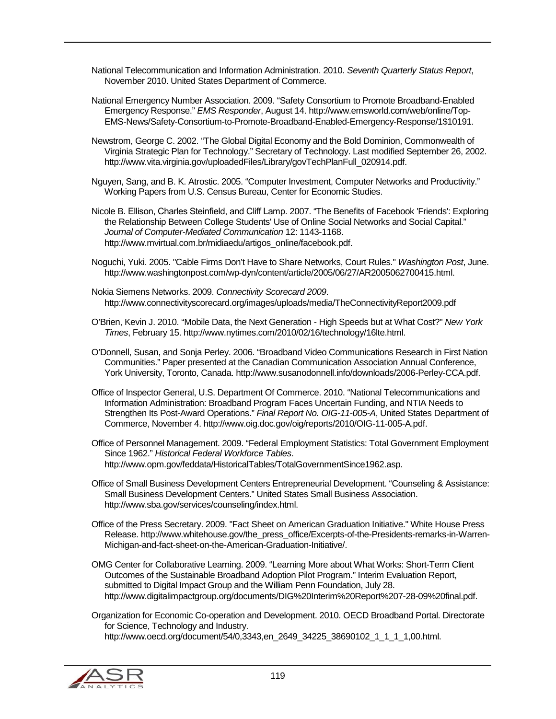National Telecommunication and Information Administration. 2010. *Seventh Quarterly Status Report*, November 2010. United States Department of Commerce.

- National Emergency Number Association. 2009. "Safety Consortium to Promote Broadband-Enabled Emergency Response." *EMS Responder*, August 14. http://www.emsworld.com/web/online/Top-EMS-News/Safety-Consortium-to-Promote-Broadband-Enabled-Emergency-Response/1\$10191.
- Newstrom, George C. 2002. "The Global Digital Economy and the Bold Dominion, Commonwealth of Virginia Strategic Plan for Technology." Secretary of Technology. Last modified September 26, 2002. http://www.vita.virginia.gov/uploadedFiles/Library/govTechPlanFull\_020914.pdf.
- Nguyen, Sang, and B. K. Atrostic. 2005. "Computer Investment, Computer Networks and Productivity." Working Papers from U.S. Census Bureau, Center for Economic Studies.
- Nicole B. Ellison, Charles Steinfield, and Cliff Lamp. 2007. "The Benefits of Facebook 'Friends': Exploring the Relationship Between College Students' Use of Online Social Networks and Social Capital." *Journal of Computer-Mediated Communication* 12: 1143-1168. http://www.mvirtual.com.br/midiaedu/artigos\_online/facebook.pdf.
- Noguchi, Yuki. 2005. "Cable Firms Don't Have to Share Networks, Court Rules." *Washington Post*, June. http://www.washingtonpost.com/wp-dyn/content/article/2005/06/27/AR2005062700415.html.
- Nokia Siemens Networks. 2009. *Connectivity Scorecard 2009*. http://www.connectivityscorecard.org/images/uploads/media/TheConnectivityReport2009.pdf
- O'Brien, Kevin J. 2010. "Mobile Data, the Next Generation High Speeds but at What Cost?" *New York Times*, February 15. http://www.nytimes.com/2010/02/16/technology/16lte.html.
- O'Donnell, Susan, and Sonja Perley. 2006. "Broadband Video Communications Research in First Nation Communities." Paper presented at the Canadian Communication Association Annual Conference, York University, Toronto, Canada. http://www.susanodonnell.info/downloads/2006-Perley-CCA.pdf.
- Office of Inspector General, U.S. Department Of Commerce. 2010. "National Telecommunications and Information Administration: Broadband Program Faces Uncertain Funding, and NTIA Needs to Strengthen Its Post-Award Operations." *Final Report No. OIG-11-005-A*, United States Department of Commerce, November 4. http://www.oig.doc.gov/oig/reports/2010/OIG-11-005-A.pdf.
- Office of Personnel Management. 2009. "Federal Employment Statistics: Total Government Employment Since 1962." *Historical Federal Workforce Tables*. http://www.opm.gov/feddata/HistoricalTables/TotalGovernmentSince1962.asp.
- Office of Small Business Development Centers Entrepreneurial Development. "Counseling & Assistance: Small Business Development Centers." United States Small Business Association. http://www.sba.gov/services/counseling/index.html.
- Office of the Press Secretary. 2009. "Fact Sheet on American Graduation Initiative." White House Press Release. http://www.whitehouse.gov/the\_press\_office/Excerpts-of-the-Presidents-remarks-in-Warren-Michigan-and-fact-sheet-on-the-American-Graduation-Initiative/.
- OMG Center for Collaborative Learning. 2009. "Learning More about What Works: Short-Term Client Outcomes of the Sustainable Broadband Adoption Pilot Program." Interim Evaluation Report, submitted to Digital Impact Group and the William Penn Foundation, July 28. http://www.digitalimpactgroup.org/documents/DIG%20Interim%20Report%207-28-09%20final.pdf.
- Organization for Economic Co-operation and Development. 2010. OECD Broadband Portal. Directorate for Science, Technology and Industry. http://www.oecd.org/document/54/0,3343,en\_2649\_34225\_38690102\_1\_1\_1\_1,00.html.

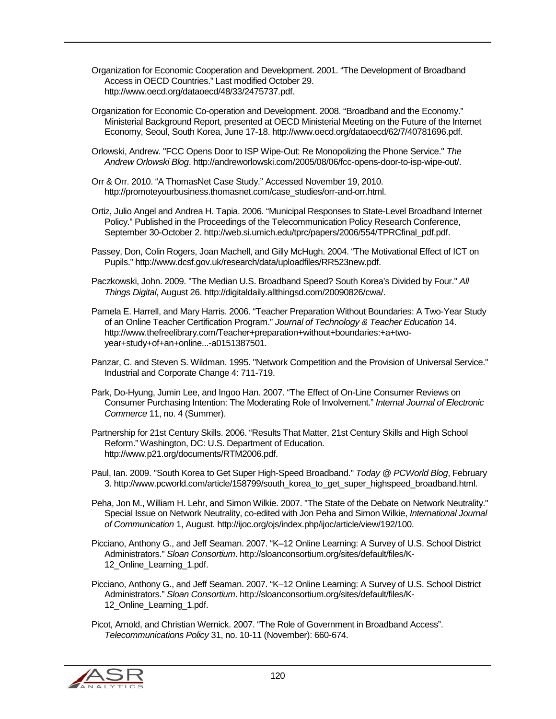- Organization for Economic Cooperation and Development. 2001. "The Development of Broadband Access in OECD Countries." Last modified October 29. http://www.oecd.org/dataoecd/48/33/2475737.pdf.
- Organization for Economic Co-operation and Development. 2008. "Broadband and the Economy." Ministerial Background Report, presented at OECD Ministerial Meeting on the Future of the Internet Economy, Seoul, South Korea, June 17-18. http://www.oecd.org/dataoecd/62/7/40781696.pdf.
- Orlowski, Andrew. "FCC Opens Door to ISP Wipe-Out: Re Monopolizing the Phone Service." *The Andrew Orlowski Blog*. http://andreworlowski.com/2005/08/06/fcc-opens-door-to-isp-wipe-out/.
- Orr & Orr. 2010. "A ThomasNet Case Study." Accessed November 19, 2010. http://promoteyourbusiness.thomasnet.com/case\_studies/orr-and-orr.html.
- Ortiz, Julio Angel and Andrea H. Tapia. 2006. "Municipal Responses to State-Level Broadband Internet Policy." Published in the Proceedings of the Telecommunication Policy Research Conference, September 30-October 2. http://web.si.umich.edu/tprc/papers/2006/554/TPRCfinal\_pdf.pdf.
- Passey, Don, Colin Rogers, Joan Machell, and Gilly McHugh. 2004. "The Motivational Effect of ICT on Pupils." http://www.dcsf.gov.uk/research/data/uploadfiles/RR523new.pdf.
- Paczkowski, John. 2009. "The Median U.S. Broadband Speed? South Korea's Divided by Four." *All Things Digital*, August 26. http://digitaldaily.allthingsd.com/20090826/cwa/.
- Pamela E. Harrell, and Mary Harris. 2006. "Teacher Preparation Without Boundaries: A Two-Year Study of an Online Teacher Certification Program." *Journal of Technology & Teacher Education* 14. http://www.thefreelibrary.com/Teacher+preparation+without+boundaries:+a+twoyear+study+of+an+online...-a0151387501.
- Panzar, C. and Steven S. Wildman. 1995. "Network Competition and the Provision of Universal Service." Industrial and Corporate Change 4: 711-719.
- Park, Do-Hyung, Jumin Lee, and Ingoo Han. 2007. "The Effect of On-Line Consumer Reviews on Consumer Purchasing Intention: The Moderating Role of Involvement." *Internal Journal of Electronic Commerce* 11, no. 4 (Summer).
- Partnership for 21st Century Skills. 2006. "Results That Matter, 21st Century Skills and High School Reform." Washington, DC: U.S. Department of Education. http://www.p21.org/documents/RTM2006.pdf.
- Paul, Ian. 2009. "South Korea to Get Super High-Speed Broadband." *Today @ PCWorld Blog*, February 3. http://www.pcworld.com/article/158799/south\_korea\_to\_get\_super\_highspeed\_broadband.html.
- Peha, Jon M., William H. Lehr, and Simon Wilkie. 2007. "The State of the Debate on Network Neutrality." Special Issue on Network Neutrality, co-edited with Jon Peha and Simon Wilkie, *International Journal of Communication* 1, August. http://ijoc.org/ojs/index.php/ijoc/article/view/192/100.
- Picciano, Anthony G., and Jeff Seaman. 2007. "K–12 Online Learning: A Survey of U.S. School District Administrators." *Sloan Consortium*. http://sloanconsortium.org/sites/default/files/K-12 Online Learning 1.pdf.
- Picciano, Anthony G., and Jeff Seaman. 2007. "K–12 Online Learning: A Survey of U.S. School District Administrators." *Sloan Consortium*. http://sloanconsortium.org/sites/default/files/K-12 Online Learning 1.pdf.

Picot, Arnold, and Christian Wernick. 2007. "The Role of Government in Broadband Access". *Telecommunications Policy* 31, no. 10-11 (November): 660-674.

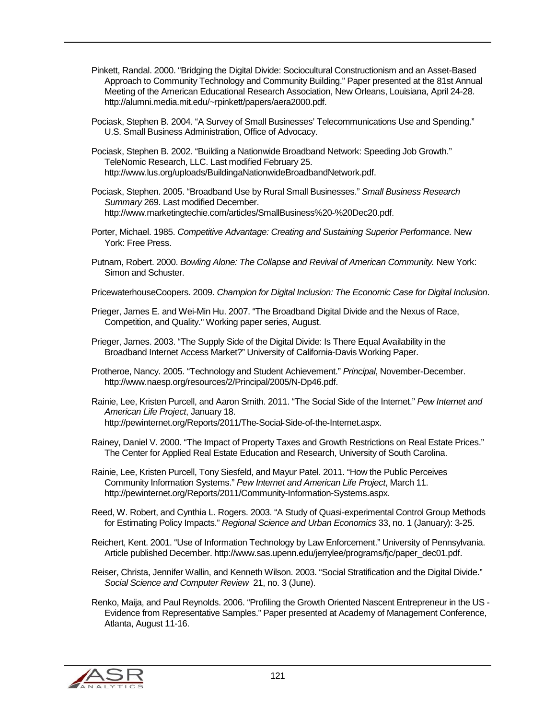- Pinkett, Randal. 2000. "Bridging the Digital Divide: Sociocultural Constructionism and an Asset-Based Approach to Community Technology and Community Building." Paper presented at the 81st Annual Meeting of the American Educational Research Association, New Orleans, Louisiana, April 24-28. http://alumni.media.mit.edu/~rpinkett/papers/aera2000.pdf.
- Pociask, Stephen B. 2004. "A Survey of Small Businesses' Telecommunications Use and Spending." U.S. Small Business Administration, Office of Advocacy.
- Pociask, Stephen B. 2002. "Building a Nationwide Broadband Network: Speeding Job Growth." TeleNomic Research, LLC. Last modified February 25. http://www.lus.org/uploads/BuildingaNationwideBroadbandNetwork.pdf.
- Pociask, Stephen. 2005. "Broadband Use by Rural Small Businesses." *Small Business Research Summary* 269. Last modified December. http://www.marketingtechie.com/articles/SmallBusiness%20-%20Dec20.pdf.
- Porter, Michael. 1985. *Competitive Advantage: Creating and Sustaining Superior Performance.* New York: Free Press.
- Putnam, Robert. 2000. *Bowling Alone: The Collapse and Revival of American Community.* New York: Simon and Schuster.
- PricewaterhouseCoopers. 2009. *Champion for Digital Inclusion: The Economic Case for Digital Inclusion*.
- Prieger, James E. and Wei-Min Hu. 2007. "The Broadband Digital Divide and the Nexus of Race, Competition, and Quality." Working paper series, August.
- Prieger, James. 2003. "The Supply Side of the Digital Divide: Is There Equal Availability in the Broadband Internet Access Market?" University of California-Davis Working Paper.
- Protheroe, Nancy. 2005. "Technology and Student Achievement." *Principal*, November-December. http://www.naesp.org/resources/2/Principal/2005/N-Dp46.pdf.
- Rainie, Lee, Kristen Purcell, and Aaron Smith. 2011. "The Social Side of the Internet." *Pew Internet and American Life Project*, January 18. http://pewinternet.org/Reports/2011/The-Social-Side-of-the-Internet.aspx.
- Rainey, Daniel V. 2000. "The Impact of Property Taxes and Growth Restrictions on Real Estate Prices." The Center for Applied Real Estate Education and Research, University of South Carolina.
- Rainie, Lee, Kristen Purcell, Tony Siesfeld, and Mayur Patel. 2011. "How the Public Perceives Community Information Systems." *Pew Internet and American Life Project*, March 11. http://pewinternet.org/Reports/2011/Community-Information-Systems.aspx.
- Reed, W. Robert, and Cynthia L. Rogers. 2003. "A Study of Quasi-experimental Control Group Methods for Estimating Policy Impacts." *Regional Science and Urban Economics* 33, no. 1 (January): 3-25.
- Reichert, Kent. 2001. "Use of Information Technology by Law Enforcement." University of Pennsylvania. Article published December. http://www.sas.upenn.edu/jerrylee/programs/fjc/paper\_dec01.pdf.
- Reiser, Christa, Jennifer Wallin, and Kenneth Wilson. 2003. "Social Stratification and the Digital Divide." *Social Science and Computer Review* 21, no. 3 (June).
- Renko, Maija, and Paul Reynolds. 2006. "Profiling the Growth Oriented Nascent Entrepreneur in the US Evidence from Representative Samples." Paper presented at Academy of Management Conference, Atlanta, August 11-16.

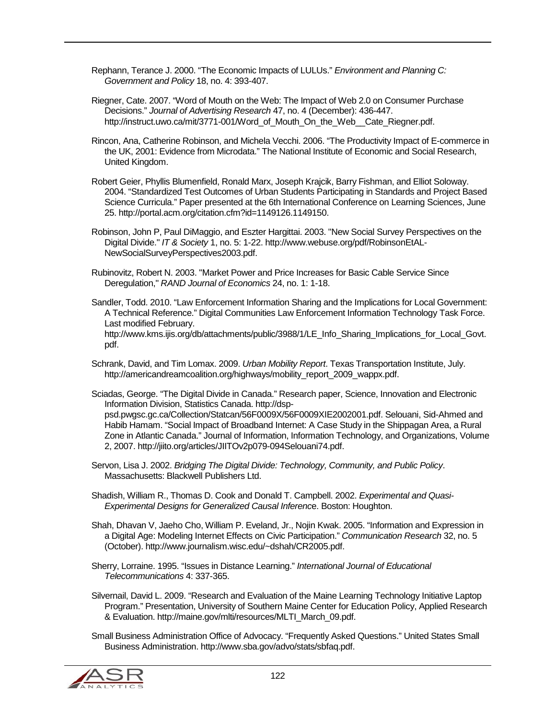Rephann, Terance J. 2000. "The Economic Impacts of LULUs." *Environment and Planning C: Government and Policy* 18, no. 4: 393-407.

Riegner, Cate. 2007. "Word of Mouth on the Web: The Impact of Web 2.0 on Consumer Purchase Decisions." *Journal of Advertising Research* 47, no. 4 (December): 436-447. http://instruct.uwo.ca/mit/3771-001/Word of Mouth On the Web\_Cate Riegner.pdf.

Rincon, Ana, Catherine Robinson, and Michela Vecchi. 2006. "The Productivity Impact of E-commerce in the UK, 2001: Evidence from Microdata." The National Institute of Economic and Social Research, United Kingdom.

Robert Geier, Phyllis Blumenfield, Ronald Marx, Joseph Krajcik, Barry Fishman, and Elliot Soloway. 2004. "Standardized Test Outcomes of Urban Students Participating in Standards and Project Based Science Curricula." Paper presented at the 6th International Conference on Learning Sciences, June 25. http://portal.acm.org/citation.cfm?id=1149126.1149150.

Robinson, John P, Paul DiMaggio, and Eszter Hargittai. 2003. "New Social Survey Perspectives on the Digital Divide." *IT & Society* 1, no. 5: 1-22. http://www.webuse.org/pdf/RobinsonEtAL-NewSocialSurveyPerspectives2003.pdf.

Rubinovitz, Robert N. 2003. "Market Power and Price Increases for Basic Cable Service Since Deregulation," *RAND Journal of Economics* 24, no. 1: 1-18.

Sandler, Todd. 2010. "Law Enforcement Information Sharing and the Implications for Local Government: A Technical Reference." Digital Communities Law Enforcement Information Technology Task Force. Last modified February. http://www.kms.ijis.org/db/attachments/public/3988/1/LE\_Info\_Sharing\_Implications\_for\_Local\_Govt. pdf.

Schrank, David, and Tim Lomax. 2009. *Urban Mobility Report*. Texas Transportation Institute, July. http://americandreamcoalition.org/highways/mobility\_report\_2009\_wappx.pdf.

Sciadas, George. "The Digital Divide in Canada." Research paper, Science, Innovation and Electronic Information Division, Statistics Canada. http://dsppsd.pwgsc.gc.ca/Collection/Statcan/56F0009X/56F0009XIE2002001.pdf. Selouani, Sid-Ahmed and Habib Hamam. "Social Impact of Broadband Internet: A Case Study in the Shippagan Area, a Rural Zone in Atlantic Canada." Journal of Information, Information Technology, and Organizations, Volume 2, 2007. http://jiito.org/articles/JIITOv2p079-094Selouani74.pdf.

Servon, Lisa J. 2002. *Bridging The Digital Divide: Technology, Community, and Public Policy*. Massachusetts: Blackwell Publishers Ltd.

Shadish, William R., Thomas D. Cook and Donald T. Campbell. 2002. *Experimental and Quasi-Experimental Designs for Generalized Causal Inferenc*e. Boston: Houghton.

Shah, Dhavan V, Jaeho Cho, William P. Eveland, Jr., Nojin Kwak. 2005. "Information and Expression in a Digital Age: Modeling Internet Effects on Civic Participation." *Communication Research* 32, no. 5 (October). http://www.journalism.wisc.edu/~dshah/CR2005.pdf.

Sherry, Lorraine. 1995. "Issues in Distance Learning." *International Journal of Educational Telecommunications* 4: 337-365.

Silvernail, David L. 2009. "Research and Evaluation of the Maine Learning Technology Initiative Laptop Program." Presentation, University of Southern Maine Center for Education Policy, Applied Research & Evaluation. http://maine.gov/mlti/resources/MLTI\_March\_09.pdf.

Small Business Administration Office of Advocacy. "Frequently Asked Questions." United States Small Business Administration. http://www.sba.gov/advo/stats/sbfaq.pdf.

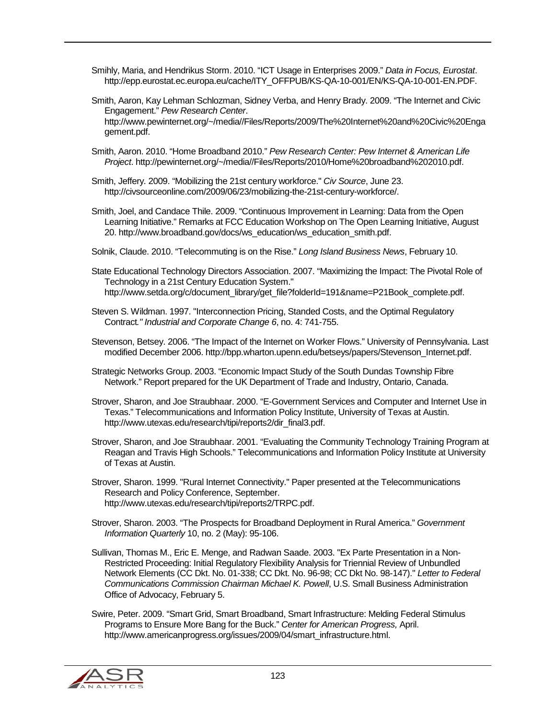- Smihly, Maria, and Hendrikus Storm. 2010. "ICT Usage in Enterprises 2009." *Data in Focus, Eurostat*. http://epp.eurostat.ec.europa.eu/cache/ITY\_OFFPUB/KS-QA-10-001/EN/KS-QA-10-001-EN.PDF.
- Smith, Aaron, Kay Lehman Schlozman, Sidney Verba, and Henry Brady. 2009. "The Internet and Civic Engagement." *Pew Research Center*. http://www.pewinternet.org/~/media//Files/Reports/2009/The%20Internet%20and%20Civic%20Enga gement.pdf.
- Smith, Aaron. 2010. "Home Broadband 2010." *Pew Research Center: Pew Internet & American Life Project*. http://pewinternet.org/~/media//Files/Reports/2010/Home%20broadband%202010.pdf.
- Smith, Jeffery. 2009. "Mobilizing the 21st century workforce." *Civ Source*, June 23. http://civsourceonline.com/2009/06/23/mobilizing-the-21st-century-workforce/.
- Smith, Joel, and Candace Thile. 2009. "Continuous Improvement in Learning: Data from the Open Learning Initiative." Remarks at FCC Education Workshop on The Open Learning Initiative, August 20. http://www.broadband.gov/docs/ws\_education/ws\_education\_smith.pdf.
- Solnik, Claude. 2010. "Telecommuting is on the Rise." *Long Island Business News*, February 10.
- State Educational Technology Directors Association. 2007. "Maximizing the Impact: The Pivotal Role of Technology in a 21st Century Education System." http://www.setda.org/c/document\_library/get\_file?folderId=191&name=P21Book\_complete.pdf.
- Steven S. Wildman. 1997. "Interconnection Pricing, Standed Costs, and the Optimal Regulatory Contract*." Industrial and Corporate Change 6*, no. 4: 741-755.
- Stevenson, Betsey. 2006. "The Impact of the Internet on Worker Flows." University of Pennsylvania. Last modified December 2006. http://bpp.wharton.upenn.edu/betseys/papers/Stevenson\_Internet.pdf.
- Strategic Networks Group. 2003. "Economic Impact Study of the South Dundas Township Fibre Network." Report prepared for the UK Department of Trade and Industry, Ontario, Canada.
- Strover, Sharon, and Joe Straubhaar. 2000. "E-Government Services and Computer and Internet Use in Texas." Telecommunications and Information Policy Institute, University of Texas at Austin. http://www.utexas.edu/research/tipi/reports2/dir\_final3.pdf.
- Strover, Sharon, and Joe Straubhaar. 2001. "Evaluating the Community Technology Training Program at Reagan and Travis High Schools." Telecommunications and Information Policy Institute at University of Texas at Austin.
- Strover, Sharon. 1999. "Rural Internet Connectivity." Paper presented at the Telecommunications Research and Policy Conference, September. http://www.utexas.edu/research/tipi/reports2/TRPC.pdf.
- Strover, Sharon. 2003. "The Prospects for Broadband Deployment in Rural America." *Government Information Quarterly* 10, no. 2 (May): 95-106.
- Sullivan, Thomas M., Eric E. Menge, and Radwan Saade. 2003. "Ex Parte Presentation in a Non-Restricted Proceeding: Initial Regulatory Flexibility Analysis for Triennial Review of Unbundled Network Elements (CC Dkt. No. 01-338; CC Dkt. No. 96-98; CC Dkt No. 98-147)." *Letter to Federal Communications Commission Chairman Michael K. Powell*, U.S. Small Business Administration Office of Advocacy, February 5.
- Swire, Peter. 2009. "Smart Grid, Smart Broadband, Smart Infrastructure: Melding Federal Stimulus Programs to Ensure More Bang for the Buck." *Center for American Progress,* April. http://www.americanprogress.org/issues/2009/04/smart\_infrastructure.html.

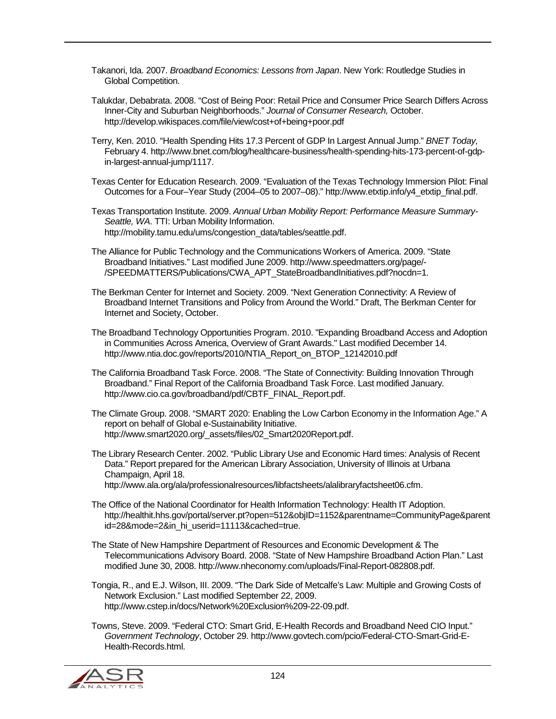Takanori, Ida. 2007. *Broadband Economics: Lessons from Japan*. New York: Routledge Studies in Global Competition.

Talukdar, Debabrata. 2008. "Cost of Being Poor: Retail Price and Consumer Price Search Differs Across Inner-City and Suburban Neighborhoods." *Journal of Consumer Research,* October. http://develop.wikispaces.com/file/view/cost+of+being+poor.pdf

Terry, Ken. 2010. "Health Spending Hits 17.3 Percent of GDP In Largest Annual Jump." *BNET Today,* February 4. http://www.bnet.com/blog/healthcare-business/health-spending-hits-173-percent-of-gdpin-largest-annual-jump/1117.

Texas Center for Education Research. 2009. "Evaluation of the Texas Technology Immersion Pilot: Final Outcomes for a Four–Year Study (2004–05 to 2007–08)." http://www.etxtip.info/y4\_etxtip\_final.pdf.

Texas Transportation Institute. 2009. *Annual Urban Mobility Report: Performance Measure Summary-Seattle, WA*. TTI: Urban Mobility Information. http://mobility.tamu.edu/ums/congestion\_data/tables/seattle.pdf.

The Alliance for Public Technology and the Communications Workers of America. 2009. "State Broadband Initiatives." Last modified June 2009. http://www.speedmatters.org/page/- /SPEEDMATTERS/Publications/CWA\_APT\_StateBroadbandInitiatives.pdf?nocdn=1.

The Berkman Center for Internet and Society. 2009. "Next Generation Connectivity: A Review of Broadband Internet Transitions and Policy from Around the World." Draft, The Berkman Center for Internet and Society, October.

The Broadband Technology Opportunities Program. 2010. "Expanding Broadband Access and Adoption in Communities Across America, Overview of Grant Awards." Last modified December 14. http://www.ntia.doc.gov/reports/2010/NTIA\_Report\_on\_BTOP\_12142010.pdf

The California Broadband Task Force. 2008. "The State of Connectivity: Building Innovation Through Broadband." Final Report of the California Broadband Task Force. Last modified January. http://www.cio.ca.gov/broadband/pdf/CBTF\_FINAL\_Report.pdf.

The Climate Group. 2008. "SMART 2020: Enabling the Low Carbon Economy in the Information Age." A report on behalf of Global e-Sustainability Initiative. http://www.smart2020.org/\_assets/files/02\_Smart2020Report.pdf.

The Library Research Center. 2002. "Public Library Use and Economic Hard times: Analysis of Recent Data." Report prepared for the American Library Association, University of Illinois at Urbana Champaign, April 18.

http://www.ala.org/ala/professionalresources/libfactsheets/alalibraryfactsheet06.cfm.

The Office of the National Coordinator for Health Information Technology: Health IT Adoption. http://healthit.hhs.gov/portal/server.pt?open=512&objID=1152&parentname=CommunityPage&parent id=28&mode=2&in\_hi\_userid=11113&cached=true.

The State of New Hampshire Department of Resources and Economic Development & The Telecommunications Advisory Board. 2008. "State of New Hampshire Broadband Action Plan." Last modified June 30, 2008. http://www.nheconomy.com/uploads/Final-Report-082808.pdf.

Tongia, R., and E.J. Wilson, III. 2009. "The Dark Side of Metcalfe's Law: Multiple and Growing Costs of Network Exclusion." Last modified September 22, 2009. http://www.cstep.in/docs/Network%20Exclusion%209-22-09.pdf.

Towns, Steve. 2009. "Federal CTO: Smart Grid, E-Health Records and Broadband Need CIO Input." *Government Technology*, October 29. http://www.govtech.com/pcio/Federal-CTO-Smart-Grid-E-Health-Records.html.

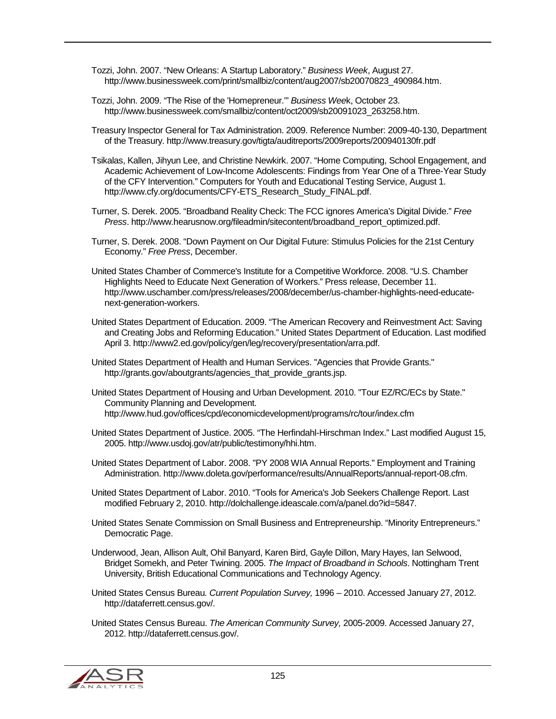Tozzi, John. 2007. "New Orleans: A Startup Laboratory." *Business Week*, August 27. http://www.businessweek.com/print/smallbiz/content/aug2007/sb20070823\_490984.htm.

- Tozzi, John. 2009. "The Rise of the 'Homepreneur.'" *Business Wee*k, October 23. http://www.businessweek.com/smallbiz/content/oct2009/sb20091023\_263258.htm.
- Treasury Inspector General for Tax Administration. 2009. Reference Number: 2009-40-130, Department of the Treasury. http://www.treasury.gov/tigta/auditreports/2009reports/200940130fr.pdf
- Tsikalas, Kallen, Jihyun Lee, and Christine Newkirk. 2007. "Home Computing, School Engagement, and Academic Achievement of Low-Income Adolescents: Findings from Year One of a Three-Year Study of the CFY Intervention." Computers for Youth and Educational Testing Service, August 1. http://www.cfy.org/documents/CFY-ETS\_Research\_Study\_FINAL.pdf.
- Turner, S. Derek. 2005. "Broadband Reality Check: The FCC ignores America's Digital Divide." *Free Press*. http://www.hearusnow.org/fileadmin/sitecontent/broadband\_report\_optimized.pdf.
- Turner, S. Derek. 2008. "Down Payment on Our Digital Future: Stimulus Policies for the 21st Century Economy." *Free Press*, December.
- United States Chamber of Commerce's Institute for a Competitive Workforce. 2008. "U.S. Chamber Highlights Need to Educate Next Generation of Workers." Press release, December 11. http://www.uschamber.com/press/releases/2008/december/us-chamber-highlights-need-educatenext-generation-workers.
- United States Department of Education. 2009. "The American Recovery and Reinvestment Act: Saving and Creating Jobs and Reforming Education." United States Department of Education. Last modified April 3. http://www2.ed.gov/policy/gen/leg/recovery/presentation/arra.pdf.
- United States Department of Health and Human Services. "Agencies that Provide Grants." http://grants.gov/aboutgrants/agencies\_that\_provide\_grants.jsp.

United States Department of Housing and Urban Development. 2010. "Tour EZ/RC/ECs by State." Community Planning and Development. http://www.hud.gov/offices/cpd/economicdevelopment/programs/rc/tour/index.cfm

- United States Department of Justice. 2005. "The Herfindahl-Hirschman Index." Last modified August 15, 2005. http://www.usdoj.gov/atr/public/testimony/hhi.htm.
- United States Department of Labor. 2008. "PY 2008 WIA Annual Reports." Employment and Training Administration. http://www.doleta.gov/performance/results/AnnualReports/annual-report-08.cfm.
- United States Department of Labor. 2010. "Tools for America's Job Seekers Challenge Report. Last modified February 2, 2010. http://dolchallenge.ideascale.com/a/panel.do?id=5847.
- United States Senate Commission on Small Business and Entrepreneurship. "Minority Entrepreneurs." Democratic Page.
- Underwood, Jean, Allison Ault, Ohil Banyard, Karen Bird, Gayle Dillon, Mary Hayes, Ian Selwood, Bridget Somekh, and Peter Twining. 2005. *The Impact of Broadband in Schools*. Nottingham Trent University, British Educational Communications and Technology Agency.
- United States Census Bureau*. Current Population Survey,* 1996 2010. Accessed January 27, 2012. http://dataferrett.census.gov/.
- United States Census Bureau. *The American Community Survey,* 2005-2009. Accessed January 27, 2012. http://dataferrett.census.gov/.

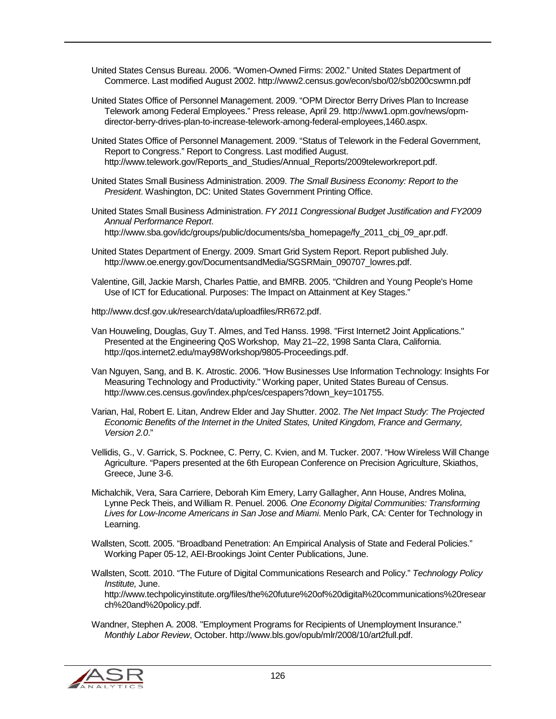United States Census Bureau. 2006. "Women-Owned Firms: 2002." United States Department of Commerce. Last modified August 2002. http://www2.census.gov/econ/sbo/02/sb0200cswmn.pdf

- United States Office of Personnel Management. 2009. "OPM Director Berry Drives Plan to Increase Telework among Federal Employees." Press release, April 29. http://www1.opm.gov/news/opmdirector-berry-drives-plan-to-increase-telework-among-federal-employees,1460.aspx.
- United States Office of Personnel Management. 2009. "Status of Telework in the Federal Government, Report to Congress." Report to Congress. Last modified August. http://www.telework.gov/Reports\_and\_Studies/Annual\_Reports/2009teleworkreport.pdf.
- United States Small Business Administration. 2009. *The Small Business Economy: Report to the President*. Washington, DC: United States Government Printing Office.
- United States Small Business Administration. *FY 2011 Congressional Budget Justification and FY2009 Annual Performance Report*. http://www.sba.gov/idc/groups/public/documents/sba\_homepage/fy\_2011\_cbj\_09\_apr.pdf.
- United States Department of Energy. 2009. Smart Grid System Report. Report published July. http://www.oe.energy.gov/DocumentsandMedia/SGSRMain\_090707\_lowres.pdf.
- Valentine, Gill, Jackie Marsh, Charles Pattie, and BMRB. 2005. "Children and Young People's Home Use of ICT for Educational. Purposes: The Impact on Attainment at Key Stages."

http://www.dcsf.gov.uk/research/data/uploadfiles/RR672.pdf.

- Van Houweling, Douglas, Guy T. Almes, and Ted Hanss. 1998. "First Internet2 Joint Applications." Presented at the Engineering QoS Workshop, May 21–22, 1998 Santa Clara, California. http://qos.internet2.edu/may98Workshop/9805-Proceedings.pdf.
- Van Nguyen, Sang, and B. K. Atrostic. 2006. "How Businesses Use Information Technology: Insights For Measuring Technology and Productivity." Working paper, United States Bureau of Census. http://www.ces.census.gov/index.php/ces/cespapers?down\_key=101755.
- Varian, Hal, Robert E. Litan, Andrew Elder and Jay Shutter. 2002. *The Net Impact Study: The Projected Economic Benefits of the Internet in the United States, United Kingdom, France and Germany, Version 2.0*."
- Vellidis, G., V. Garrick, S. Pocknee, C. Perry, C. Kvien, and M. Tucker. 2007. "How Wireless Will Change Agriculture. "Papers presented at the 6th European Conference on Precision Agriculture, Skiathos, Greece, June 3-6.
- Michalchik, Vera, Sara Carriere, Deborah Kim Emery, Larry Gallagher, Ann House, Andres Molina, Lynne Peck Theis, and William R. Penuel. 2006*. One Economy Digital Communities: Transforming Lives for Low-Income Americans in San Jose and Miami*. Menlo Park, CA: Center for Technology in Learning.
- Wallsten, Scott. 2005. "Broadband Penetration: An Empirical Analysis of State and Federal Policies." Working Paper 05-12, AEI-Brookings Joint Center Publications, June.
- Wallsten, Scott. 2010. "The Future of Digital Communications Research and Policy." *Technology Policy Institute,* June. http://www.techpolicyinstitute.org/files/the%20future%20of%20digital%20communications%20resear

Wandner, Stephen A. 2008. "Employment Programs for Recipients of Unemployment Insurance." *Monthly Labor Review*, October. http://www.bls.gov/opub/mlr/2008/10/art2full.pdf.



ch%20and%20policy.pdf.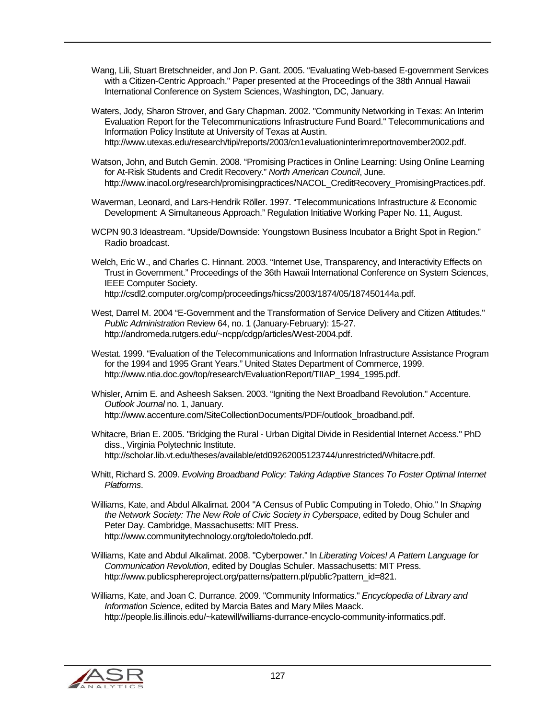Wang, Lili, Stuart Bretschneider, and Jon P. Gant. 2005. "Evaluating Web-based E-government Services with a Citizen-Centric Approach." Paper presented at the Proceedings of the 38th Annual Hawaii International Conference on System Sciences, Washington, DC, January.

Waters, Jody, Sharon Strover, and Gary Chapman. 2002. "Community Networking in Texas: An Interim Evaluation Report for the Telecommunications Infrastructure Fund Board." Telecommunications and Information Policy Institute at University of Texas at Austin. http://www.utexas.edu/research/tipi/reports/2003/cn1evaluationinterimreportnovember2002.pdf.

- Watson, John, and Butch Gemin. 2008. "Promising Practices in Online Learning: Using Online Learning for At-Risk Students and Credit Recovery." *North American Council*, June. http://www.inacol.org/research/promisingpractices/NACOL\_CreditRecovery\_PromisingPractices.pdf.
- Waverman, Leonard, and Lars-Hendrik Röller. 1997. "Telecommunications Infrastructure & Economic Development: A Simultaneous Approach." Regulation Initiative Working Paper No. 11, August.
- WCPN 90.3 Ideastream. "Upside/Downside: Youngstown Business Incubator a Bright Spot in Region." Radio broadcast.
- Welch, Eric W., and Charles C. Hinnant. 2003. "Internet Use, Transparency, and Interactivity Effects on Trust in Government." Proceedings of the 36th Hawaii International Conference on System Sciences, IEEE Computer Society. http://csdl2.computer.org/comp/proceedings/hicss/2003/1874/05/187450144a.pdf.
- West, Darrel M. 2004 "E-Government and the Transformation of Service Delivery and Citizen Attitudes." *Public Administration* Review 64, no. 1 (January-February): 15-27. http://andromeda.rutgers.edu/~ncpp/cdgp/articles/West-2004.pdf.
- Westat. 1999. "Evaluation of the Telecommunications and Information Infrastructure Assistance Program for the 1994 and 1995 Grant Years." United States Department of Commerce, 1999. http://www.ntia.doc.gov/top/research/EvaluationReport/TIIAP\_1994\_1995.pdf.
- Whisler, Arnim E. and Asheesh Saksen. 2003. "Igniting the Next Broadband Revolution." Accenture. *Outlook Journal* no. 1, January. http://www.accenture.com/SiteCollectionDocuments/PDF/outlook\_broadband.pdf.
- Whitacre, Brian E. 2005. "Bridging the Rural Urban Digital Divide in Residential Internet Access." PhD diss., Virginia Polytechnic Institute. http://scholar.lib.vt.edu/theses/available/etd09262005123744/unrestricted/Whitacre.pdf.
- Whitt, Richard S. 2009. *Evolving Broadband Policy: Taking Adaptive Stances To Foster Optimal Internet Platforms*.
- Williams, Kate, and Abdul Alkalimat. 2004 "A Census of Public Computing in Toledo, Ohio." In *Shaping the Network Society: The New Role of Civic Society in Cyberspace*, edited by Doug Schuler and Peter Day. Cambridge, Massachusetts: MIT Press. http://www.communitytechnology.org/toledo/toledo.pdf.
- Williams, Kate and Abdul Alkalimat. 2008. "Cyberpower." In *Liberating Voices! A Pattern Language for Communication Revolution*, edited by Douglas Schuler. Massachusetts: MIT Press. http://www.publicsphereproject.org/patterns/pattern.pl/public?pattern\_id=821.

Williams, Kate, and Joan C. Durrance. 2009. "Community Informatics." *Encyclopedia of Library and Information Science*, edited by Marcia Bates and Mary Miles Maack. http://people.lis.illinois.edu/~katewill/williams-durrance-encyclo-community-informatics.pdf.